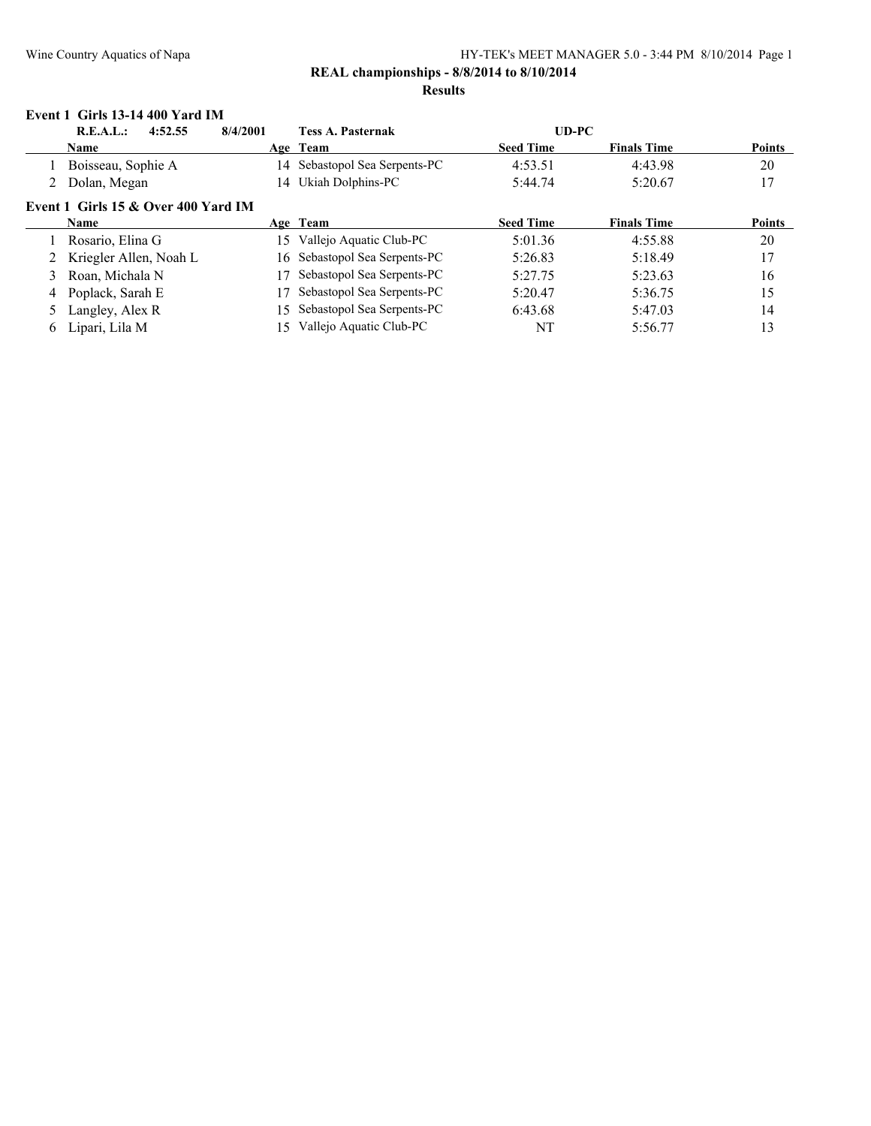#### **Event 1 Girls 13-14 400 Yard IM**

|   | R.E.A.L.:<br>4:52.55                  | 8/4/2001 | <b>Tess A. Pasternak</b>      | $UD-PC$          |                    |               |
|---|---------------------------------------|----------|-------------------------------|------------------|--------------------|---------------|
|   | <b>Name</b>                           |          | Age Team                      | <b>Seed Time</b> | <b>Finals Time</b> | <b>Points</b> |
|   | Boisseau, Sophie A                    |          | 14 Sebastopol Sea Serpents-PC | 4:53.51          | 4:43.98            | 20            |
|   | Dolan, Megan                          |          | 14 Ukiah Dolphins-PC          | 5:44.74          | 5:20.67            | 17            |
|   | Event 1 Girls $15 &$ Over 400 Yard IM |          |                               |                  |                    |               |
|   | <b>Name</b>                           |          | Age Team                      | <b>Seed Time</b> | <b>Finals Time</b> | <b>Points</b> |
|   | Rosario, Elina G                      | 15       | Vallejo Aquatic Club-PC       | 5:01.36          | 4:55.88            | 20            |
|   | Kriegler Allen, Noah L                |          | 16 Sebastopol Sea Serpents-PC | 5:26.83          | 5:18.49            | 17            |
|   | Roan, Michala N                       |          | Sebastopol Sea Serpents-PC    | 5:27.75          | 5:23.63            | 16            |
|   | Poplack, Sarah E                      |          | Sebastopol Sea Serpents-PC    | 5:20.47          | 5:36.75            | 15            |
|   | Langley, Alex R                       | 15.      | Sebastopol Sea Serpents-PC    | 6:43.68          | 5:47.03            | 14            |
| 6 | Lipari, Lila M                        | 15       | Vallejo Aquatic Club-PC       | NT               | 5:56.77            | 13            |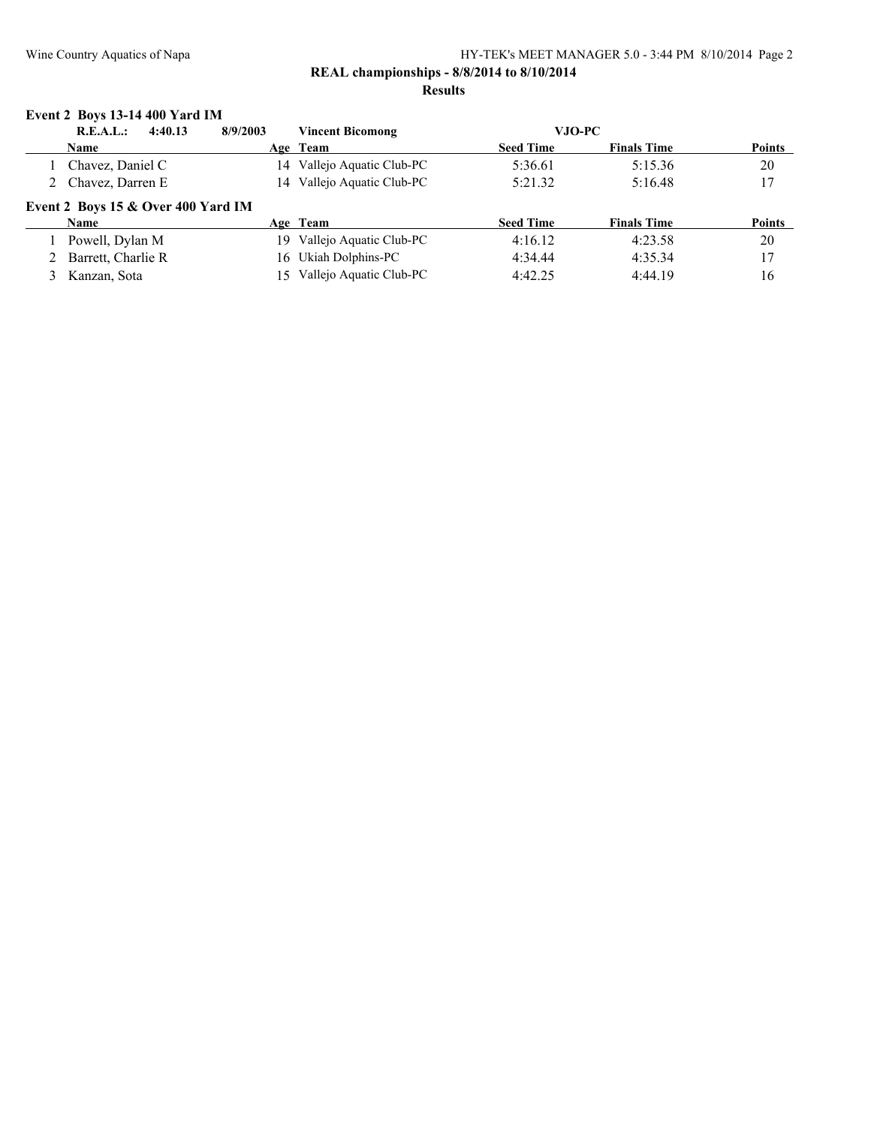### **Event 2 Boys 13-14 400 Yard IM**

| R.E.A.L.:                            | 4:40.13 | 8/9/2003 | <b>Vincent Bicomong</b>    | VJO-PC           |                    |               |
|--------------------------------------|---------|----------|----------------------------|------------------|--------------------|---------------|
| <b>Name</b>                          |         |          | Age Team                   | <b>Seed Time</b> | <b>Finals Time</b> | <b>Points</b> |
| Chavez, Daniel C                     |         |          | 14 Vallejo Aquatic Club-PC | 5:36.61          | 5:15.36            | 20            |
| 2 Chavez, Darren E                   |         |          | 14 Vallejo Aquatic Club-PC | 5:21.32          | 5:16.48            | 17            |
| Event 2 Boys 15 $&$ Over 400 Yard IM |         |          |                            |                  |                    |               |
| <b>Name</b>                          |         |          | Age Team                   | <b>Seed Time</b> | <b>Finals Time</b> | <b>Points</b> |
| Powell, Dylan M                      |         | 19.      | Vallejo Aquatic Club-PC    | 4:16.12          | 4:23.58            | 20            |
| Barrett, Charlie R                   |         |          | 16 Ukiah Dolphins-PC       | 4:34.44          | 4:35.34            | 17            |
| Kanzan, Sota                         |         | $15 -$   | Vallejo Aquatic Club-PC    | 4:42.25          | 4:44.19            | 16            |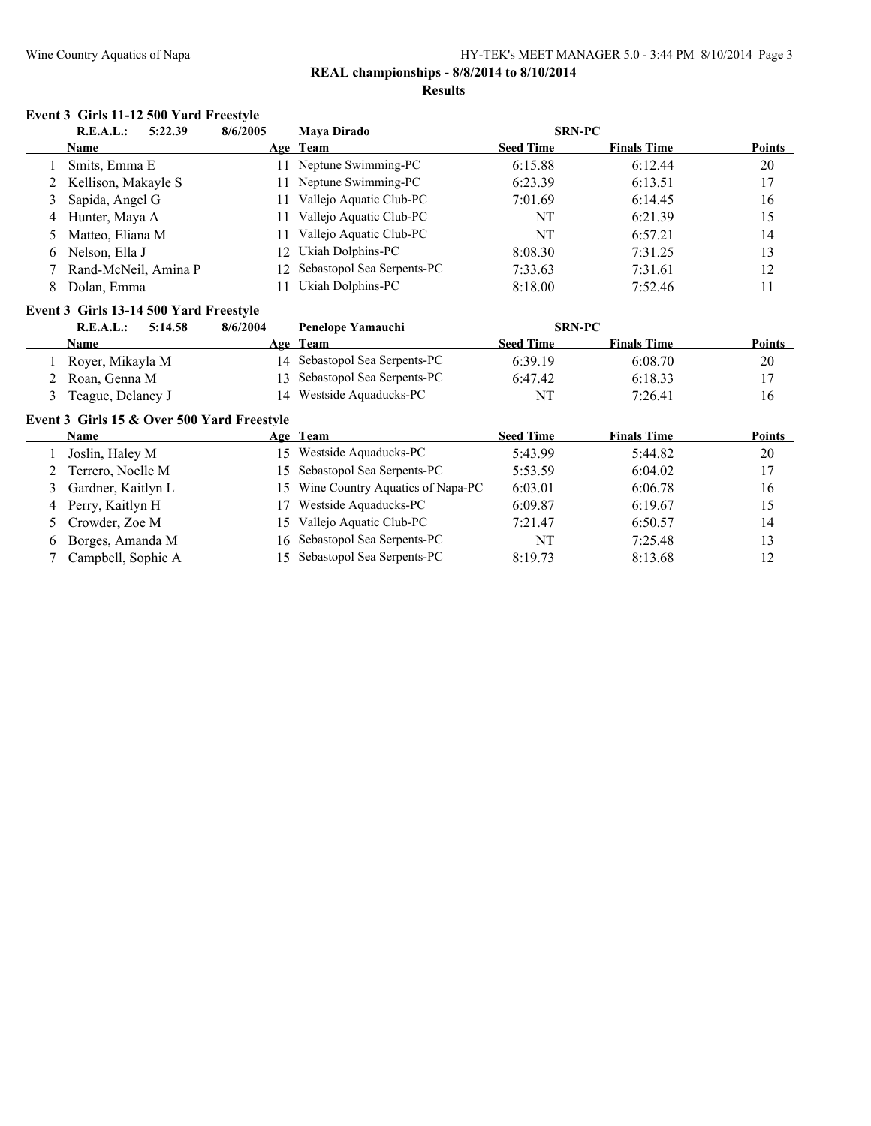### **REAL championships - 8/8/2014 to 8/10/2014**

#### **Results**

#### **Event 3 Girls 11-12 500 Yard Freestyle**

|   | 5:22.39<br>R.E.A.L.:  | 8/6/2005 | <b>Mava Dirado</b>            | <b>SRN-PC</b>    |                    |               |
|---|-----------------------|----------|-------------------------------|------------------|--------------------|---------------|
|   | <b>Name</b>           |          | Age Team                      | <b>Seed Time</b> | <b>Finals Time</b> | <b>Points</b> |
|   | Smits, Emma E         |          | 11 Neptune Swimming-PC        | 6:15.88          | 6:12.44            | 20            |
|   | 2 Kellison, Makayle S | 11.      | Neptune Swimming-PC           | 6:23.39          | 6:13.51            | 17            |
|   | 3 Sapida, Angel G     | 11       | Vallejo Aquatic Club-PC       | 7:01.69          | 6:14.45            | 16            |
|   | 4 Hunter, Maya A      |          | Vallejo Aquatic Club-PC       | NT               | 6:21.39            | 15            |
|   | 5 Matteo, Eliana M    |          | Vallejo Aquatic Club-PC       | NT               | 6:57.21            | 14            |
| 6 | Nelson, Ella J        |          | 12 Ukiah Dolphins-PC          | 8:08.30          | 7:31.25            | 13            |
|   | Rand-McNeil, Amina P  |          | 12 Sebastopol Sea Serpents-PC | 7:33.63          | 7:31.61            | 12            |
| 8 | Dolan, Emma           |          | Ukiah Dolphins-PC             | 8:18.00          | 7:52.46            | 11            |

#### **Event 3 Girls 13-14 500 Yard Freestyle**

| R.E.A.L.:<br>5:14.58 | 8/6/2004 | Penelope Yamauchi             | <b>SRN-PC</b>    |                    |               |
|----------------------|----------|-------------------------------|------------------|--------------------|---------------|
| <b>Name</b>          |          | Age Team                      | <b>Seed Time</b> | <b>Finals Time</b> | <b>Points</b> |
| Royer, Mikayla M     |          | 14 Sebastopol Sea Serpents-PC | 6:39.19          | 6:08.70            | 20            |
| Roan, Genna M        |          | 13 Sebastopol Sea Serpents-PC | 6:47.42          | 6:18.33            |               |
| Teague, Delaney J    |          | 14 Westside Aquaducks-PC      | NT               | 7:26.41            | 16            |

#### **Event 3 Girls 15 & Over 500 Yard Freestyle**

|    | <b>Name</b>          |     | Age Team                         | <b>Seed Time</b> | <b>Finals Time</b> | <b>Points</b> |
|----|----------------------|-----|----------------------------------|------------------|--------------------|---------------|
|    | Joslin, Haley M      | 15. | Westside Aquaducks-PC            | 5:43.99          | 5:44.82            | 20            |
|    | 2 Terrero, Noelle M  |     | 15 Sebastopol Sea Serpents-PC    | 5:53.59          | 6:04.02            | 17            |
|    | 3 Gardner, Kaitlyn L | 15. | Wine Country Aquatics of Napa-PC | 6:03.01          | 6:06.78            | 16            |
|    | 4 Perry, Kaitlyn H   |     | Westside Aquaducks-PC            | 6:09.87          | 6:19.67            | 15            |
|    | 5 Crowder, Zoe M     | 15. | Vallejo Aquatic Club-PC          | 7:21.47          | 6:50.57            | 14            |
| 6. | Borges, Amanda M     |     | 16 Sebastopol Sea Serpents-PC    | NT               | 7.2548             | 13            |
|    | Campbell, Sophie A   |     | 15 Sebastopol Sea Serpents-PC    | 8:19.73          | 8:13.68            | 12            |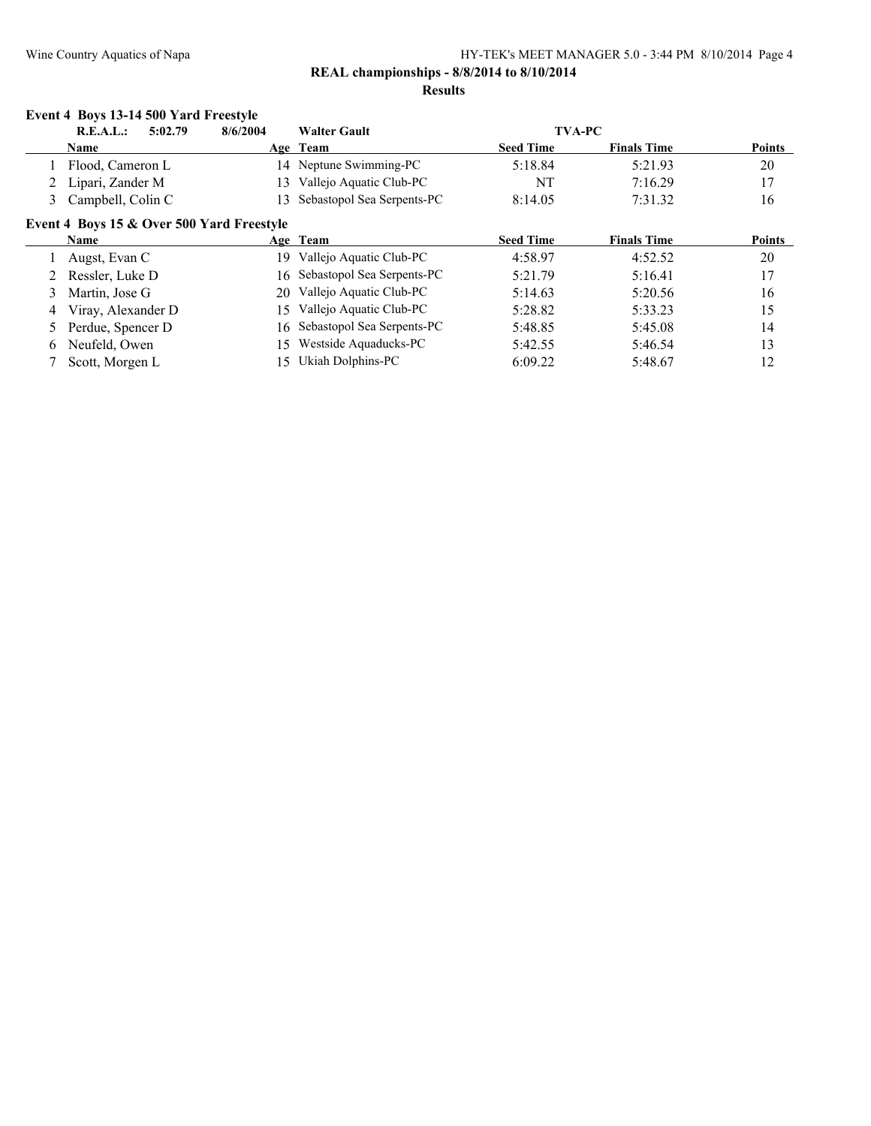### **Event 4 Boys 13-14 500 Yard Freestyle**

|   | 5:02.79<br>R.E.A.L.:                      | 8/6/2004 | <b>Walter Gault</b>           | <b>TVA-PC</b>    |                    |               |
|---|-------------------------------------------|----------|-------------------------------|------------------|--------------------|---------------|
|   | <b>Name</b>                               |          | Age Team                      | <b>Seed Time</b> | <b>Finals Time</b> | <b>Points</b> |
|   | Flood, Cameron L                          |          | 14 Neptune Swimming-PC        | 5:18.84          | 5:21.93            | 20            |
|   | Lipari, Zander M                          | 13.      | Vallejo Aquatic Club-PC       | NT               | 7:16.29            | 17            |
| 3 | Campbell, Colin C                         | 13.      | Sebastopol Sea Serpents-PC    | 8:14.05          | 7:31.32            | 16            |
|   | Event 4 Boys 15 & Over 500 Yard Freestyle |          |                               |                  |                    |               |
|   | <b>Name</b>                               |          | Age Team                      | <b>Seed Time</b> | <b>Finals Time</b> | <b>Points</b> |
|   | Augst, Evan C                             | 19.      | Vallejo Aquatic Club-PC       | 4:58.97          | 4:52.52            | 20            |
|   | Ressler, Luke D                           |          | 16 Sebastopol Sea Serpents-PC | 5:21.79          | 5:16.41            | 17            |
| 3 | Martin, Jose G                            |          | 20 Vallejo Aquatic Club-PC    | 5:14.63          | 5:20.56            | 16            |
| 4 | Viray, Alexander D                        |          | 15 Vallejo Aquatic Club-PC    | 5:28.82          | 5:33.23            | 15            |
|   | Perdue, Spencer D                         |          | 16 Sebastopol Sea Serpents-PC | 5:48.85          | 5:45.08            | 14            |
| 6 | Neufeld, Owen                             | 15.      | Westside Aquaducks-PC         | 5:42.55          | 5:46.54            | 13            |
|   | Scott, Morgen L                           |          | 15 Ukiah Dolphins-PC          | 6:09.22          | 5:48.67            | 12            |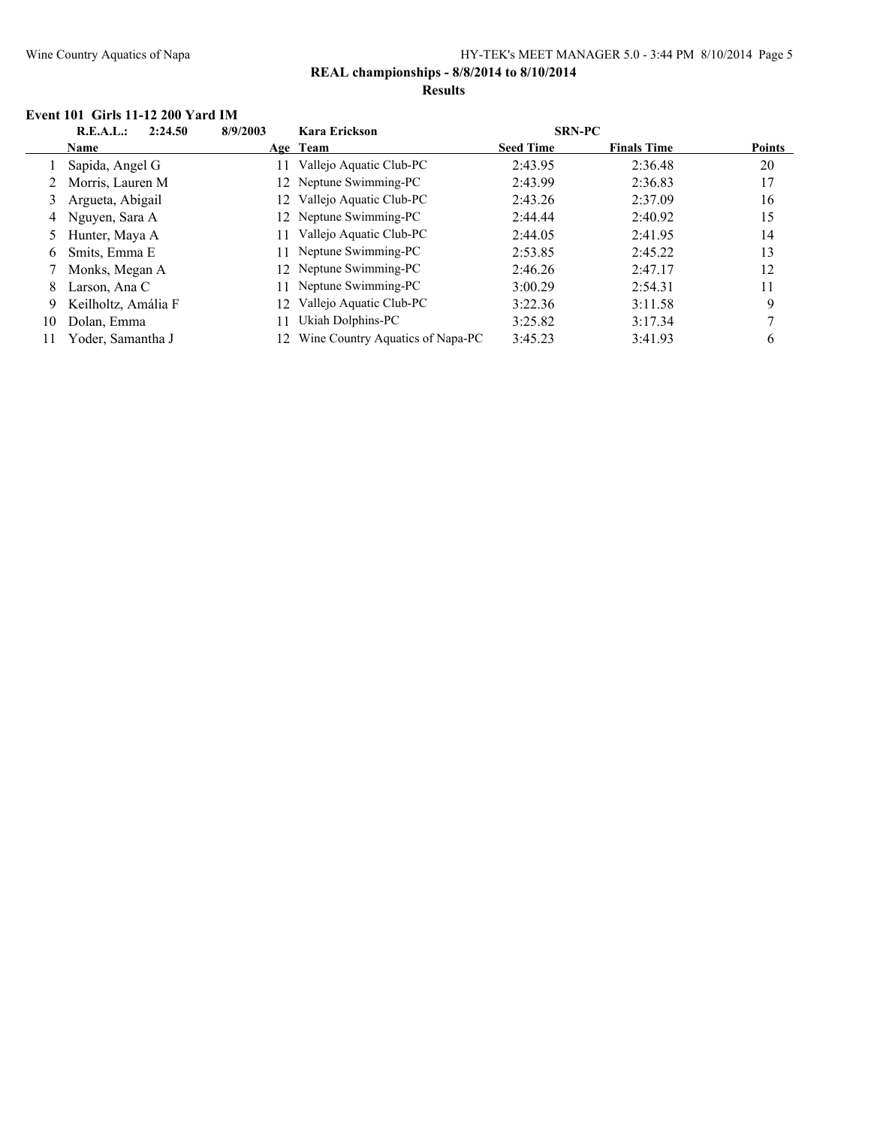#### **Event 101 Girls 11-12 200 Yard IM**

|    | R.E.A.L.:<br>2:24.50 | 8/9/2003 | Kara Erickson                    | <b>SRN-PC</b>    |                    |               |
|----|----------------------|----------|----------------------------------|------------------|--------------------|---------------|
|    | <b>Name</b>          |          | Age Team                         | <b>Seed Time</b> | <b>Finals Time</b> | <b>Points</b> |
|    | Sapida, Angel G      | 11       | Vallejo Aquatic Club-PC          | 2:43.95          | 2:36.48            | 20            |
|    | 2 Morris, Lauren M   |          | 12 Neptune Swimming-PC           | 2:43.99          | 2:36.83            | 17            |
|    | 3 Argueta, Abigail   |          | Vallejo Aquatic Club-PC          | 2:43.26          | 2:37.09            | 16            |
|    | 4 Nguyen, Sara A     |          | 12 Neptune Swimming-PC           | 2:44.44          | 2:40.92            | 15            |
|    | 5 Hunter, Maya A     | 11       | Vallejo Aquatic Club-PC          | 2:44.05          | 2:41.95            | 14            |
| 6  | Smits, Emma E        |          | Neptune Swimming-PC              | 2:53.85          | 2:45.22            | 13            |
|    | Monks, Megan A       |          | 12 Neptune Swimming-PC           | 2:46.26          | 2:47.17            | 12            |
| 8  | Larson, Ana C        |          | Neptune Swimming-PC              | 3:00.29          | 2:54.31            | 11            |
| 9. | Keilholtz, Amália F  | 12       | Vallejo Aquatic Club-PC          | 3:22.36          | 3:11.58            | 9             |
| 10 | Dolan, Emma          | 11       | Ukiah Dolphins-PC                | 3:25.82          | 3:17.34            |               |
| 11 | Yoder, Samantha J    |          | Wine Country Aquatics of Napa-PC | 3:45.23          | 3:41.93            | 6             |
|    |                      |          |                                  |                  |                    |               |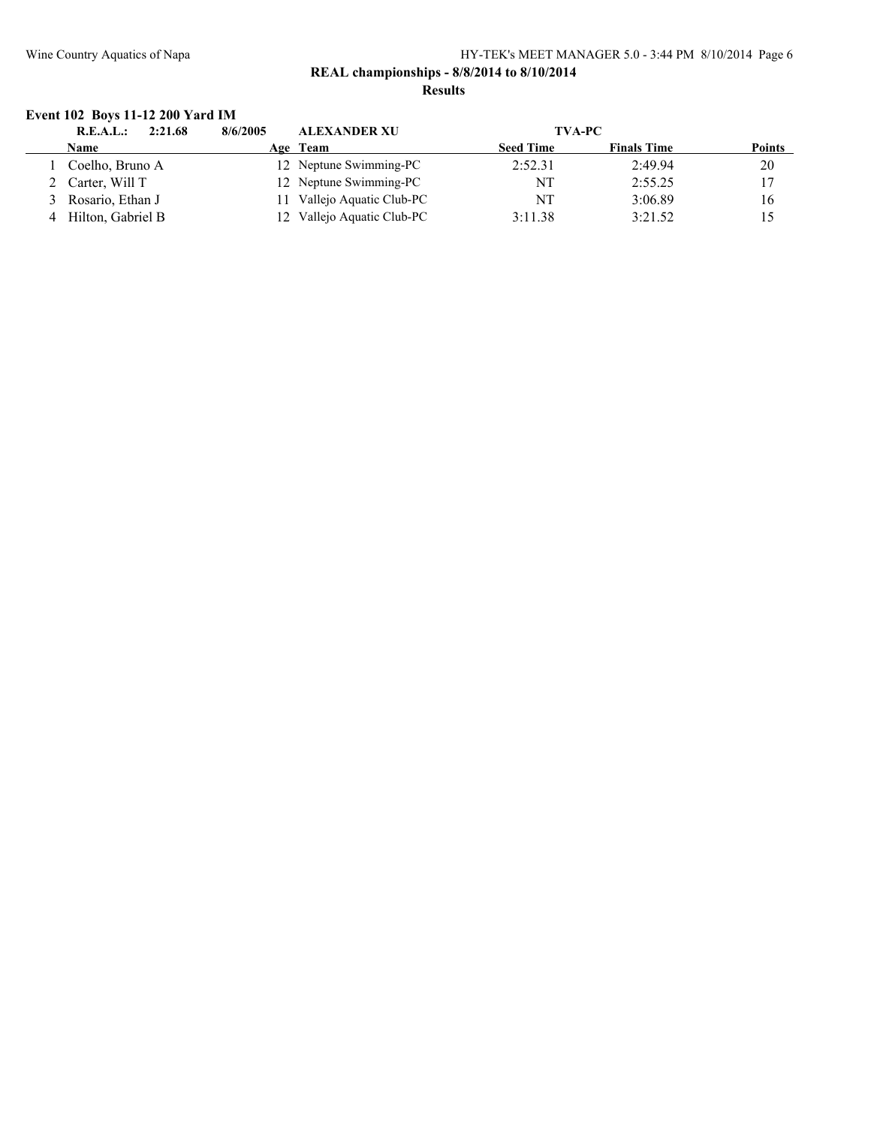### **Event 102 Boys 11-12 200 Yard IM**

| 2:21.68<br>R.E.A.L.: | <b>ALEXANDER XU</b><br>8/6/2005 | <b>TVA-PC</b>    |                    |               |
|----------------------|---------------------------------|------------------|--------------------|---------------|
| Name                 | Age Team                        | <b>Seed Time</b> | <b>Finals Time</b> | <b>Points</b> |
| Coelho, Bruno A      | 12 Neptune Swimming-PC          | 2:52.31          | 2:49.94            | 20            |
| 2 Carter, Will T     | 12 Neptune Swimming-PC          | NT               | 2:55.25            | 17            |
| 3 Rosario, Ethan J   | 11 Vallejo Aquatic Club-PC      | NT               | 3:06.89            | 16            |
| 4 Hilton, Gabriel B  | 12 Vallejo Aquatic Club-PC      | 3:11.38          | 3:21.52            | 15            |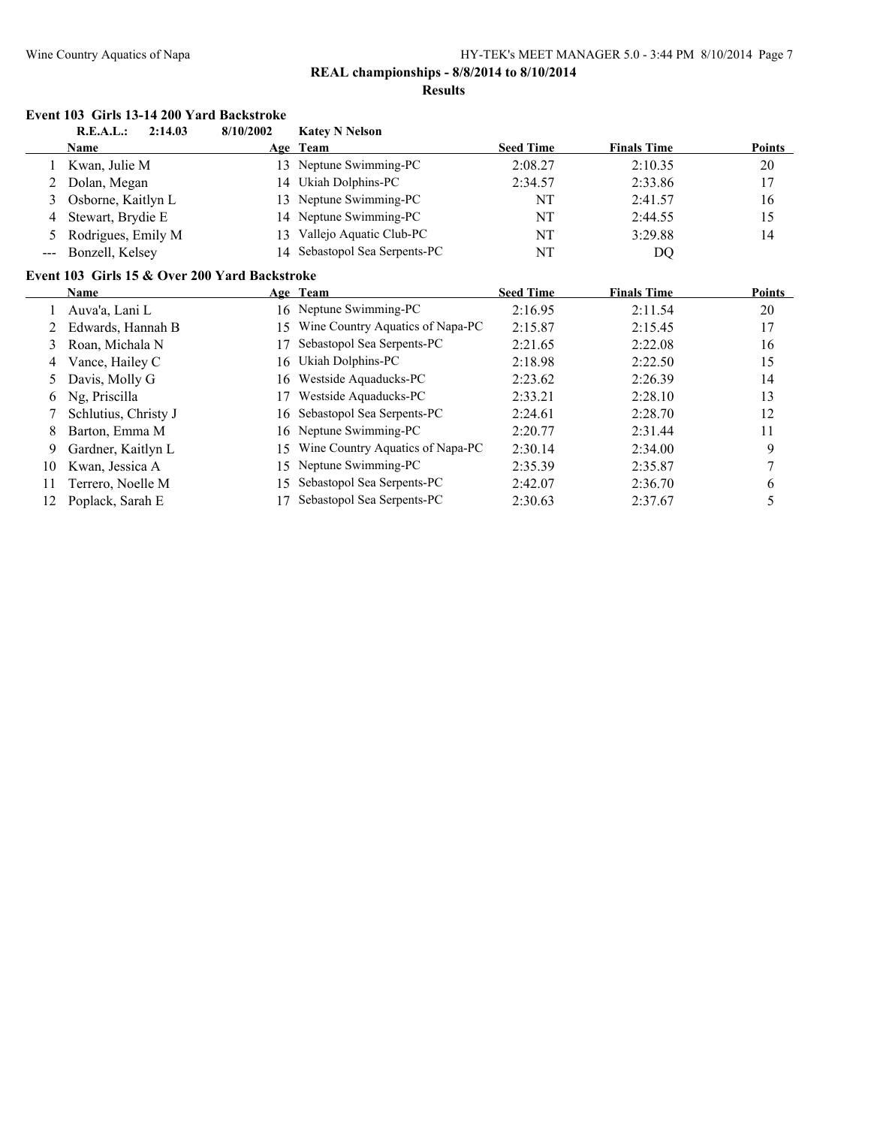**Event 103 Girls 13-14 200 Yard Backstroke**

#### Wine Country Aquatics of Napa HY-TEK's MEET MANAGER 5.0 - 3:44 PM 8/10/2014 Page 7

## **REAL championships - 8/8/2014 to 8/10/2014**

#### **Results**

|       | R.E.A.L.:            | 2:14.03 | 8/10/2002                                     | <b>Katey N Nelson</b>            |                  |                    |        |
|-------|----------------------|---------|-----------------------------------------------|----------------------------------|------------------|--------------------|--------|
|       | Name                 |         |                                               | Age Team                         | <b>Seed Time</b> | <b>Finals Time</b> | Points |
|       | Kwan, Julie M        |         | 13                                            | Neptune Swimming-PC              | 2:08.27          | 2:10.35            | 20     |
| 2     | Dolan, Megan         |         | 14                                            | Ukiah Dolphins-PC                | 2:34.57          | 2:33.86            | 17     |
| 3     | Osborne, Kaitlyn L   |         | 13                                            | Neptune Swimming-PC              | NT               | 2:41.57            | 16     |
| 4     | Stewart, Brydie E    |         | 14                                            | Neptune Swimming-PC              | NT               | 2:44.55            | 15     |
| 5.    | Rodrigues, Emily M   |         | 13                                            | Vallejo Aquatic Club-PC          | NT               | 3:29.88            | 14     |
| $---$ | Bonzell, Kelsey      |         | 14                                            | Sebastopol Sea Serpents-PC       | NT               | DQ                 |        |
|       |                      |         | Event 103 Girls 15 & Over 200 Yard Backstroke |                                  |                  |                    |        |
|       | Name                 |         |                                               | Age Team                         | <b>Seed Time</b> | <b>Finals Time</b> | Points |
|       | Auva'a, Lani L       |         |                                               | 16 Neptune Swimming-PC           | 2:16.95          | 2:11.54            | 20     |
|       | Edwards, Hannah B    |         | 15                                            | Wine Country Aquatics of Napa-PC | 2:15.87          | 2:15.45            | 17     |
| 3     | Roan, Michala N      |         |                                               | Sebastopol Sea Serpents-PC       | 2:21.65          | 2:22.08            | 16     |
| 4     | Vance, Hailey C      |         | 16                                            | Ukiah Dolphins-PC                | 2:18.98          | 2:22.50            | 15     |
| 5.    | Davis, Molly G       |         | 16                                            | Westside Aquaducks-PC            | 2:23.62          | 2:26.39            | 14     |
| 6     | Ng, Priscilla        |         |                                               | Westside Aquaducks-PC            | 2:33.21          | 2:28.10            | 13     |
|       | Schlutius, Christy J |         | 16                                            | Sebastopol Sea Serpents-PC       | 2:24.61          | 2:28.70            | 12     |
| 8     | Barton, Emma M       |         | 16                                            | Neptune Swimming-PC              | 2:20.77          | 2:31.44            | 11     |
| 9     | Gardner, Kaitlyn L   |         | 15                                            | Wine Country Aquatics of Napa-PC | 2:30.14          | 2:34.00            | 9      |
| 10    | Kwan, Jessica A      |         | 15                                            | Neptune Swimming-PC              | 2:35.39          | 2:35.87            | 7      |
| 11    | Terrero, Noelle M    |         | 15                                            | Sebastopol Sea Serpents-PC       | 2:42.07          | 2:36.70            | 6      |
| 12    | Poplack, Sarah E     |         |                                               | Sebastopol Sea Serpents-PC       | 2:30.63          | 2:37.67            | 5      |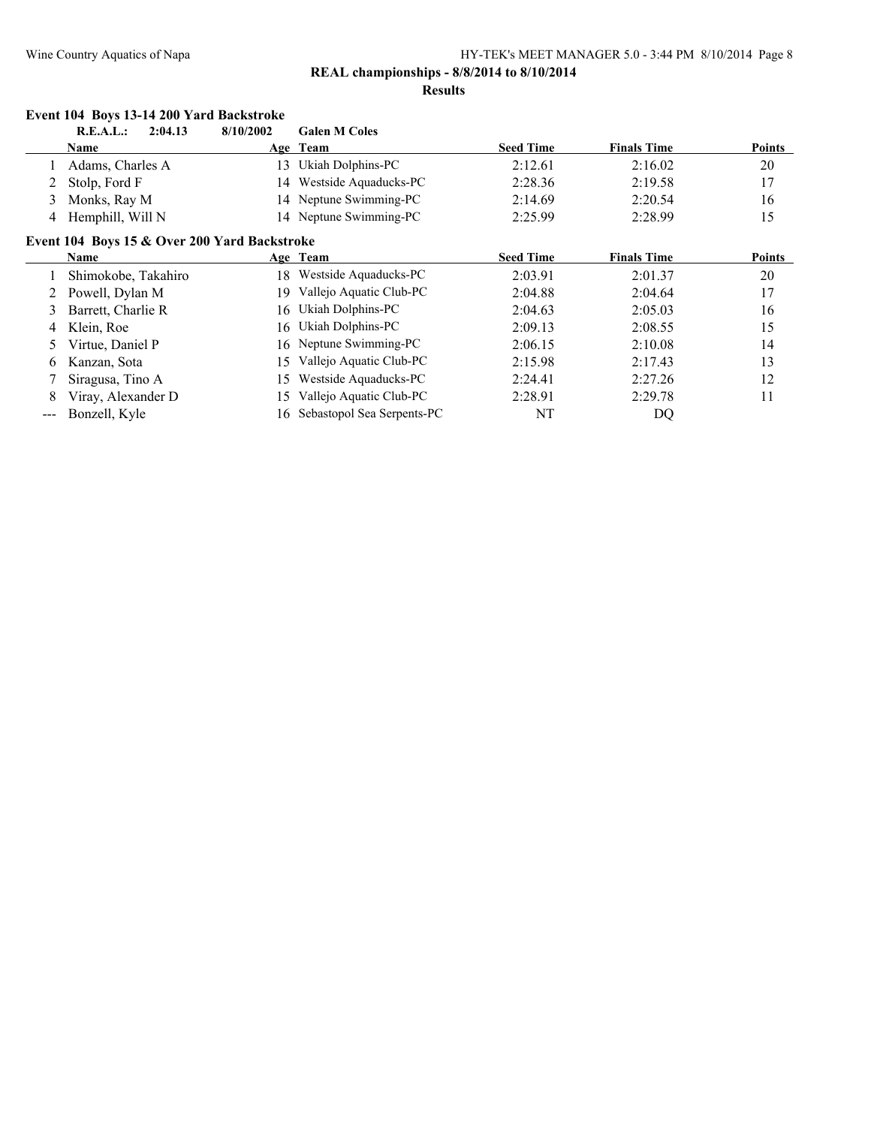### **Results**

|       | Event 104 Boys 13-14 200 Yard Backstroke     |           |                            |                  |                    |               |
|-------|----------------------------------------------|-----------|----------------------------|------------------|--------------------|---------------|
|       | R.E.A.L.:<br>2:04.13                         | 8/10/2002 | <b>Galen M Coles</b>       |                  |                    |               |
|       | Name                                         |           | Age Team                   | <b>Seed Time</b> | <b>Finals Time</b> | <b>Points</b> |
|       | Adams, Charles A                             | 13        | Ukiah Dolphins-PC          | 2:12.61          | 2:16.02            | 20            |
| 2     | Stolp, Ford F                                | 14        | Westside Aquaducks-PC      | 2:28.36          | 2:19.58            | 17            |
| 3     | Monks, Ray M                                 | 14        | Neptune Swimming-PC        | 2:14.69          | 2:20.54            | 16            |
| 4     | Hemphill, Will N                             |           | 14 Neptune Swimming-PC     | 2:25.99          | 2:28.99            | 15            |
|       | Event 104 Boys 15 & Over 200 Yard Backstroke |           |                            |                  |                    |               |
|       | Name                                         |           | Age Team                   | <b>Seed Time</b> | <b>Finals Time</b> | <b>Points</b> |
|       | Shimokobe, Takahiro                          | 18        | Westside Aquaducks-PC      | 2:03.91          | 2:01.37            | 20            |
| 2     | Powell, Dylan M                              | 19        | Vallejo Aquatic Club-PC    | 2:04.88          | 2:04.64            | 17            |
| 3     | Barrett, Charlie R                           | 16        | Ukiah Dolphins-PC          | 2:04.63          | 2:05.03            | 16            |
| 4     | Klein, Roe                                   | 16        | Ukiah Dolphins-PC          | 2:09.13          | 2:08.55            | 15            |
| 5.    | Virtue, Daniel P                             | 16        | Neptune Swimming-PC        | 2:06.15          | 2:10.08            | 14            |
| 6.    | Kanzan, Sota                                 | 15        | Vallejo Aquatic Club-PC    | 2:15.98          | 2:17.43            | 13            |
|       | Siragusa, Tino A                             | 15        | Westside Aquaducks-PC      | 2:24.41          | 2:27.26            | 12            |
| 8     | Viray, Alexander D                           | 15        | Vallejo Aquatic Club-PC    | 2:28.91          | 2:29.78            | 11            |
| $---$ | Bonzell, Kyle                                | 16        | Sebastopol Sea Serpents-PC | NT               | DQ                 |               |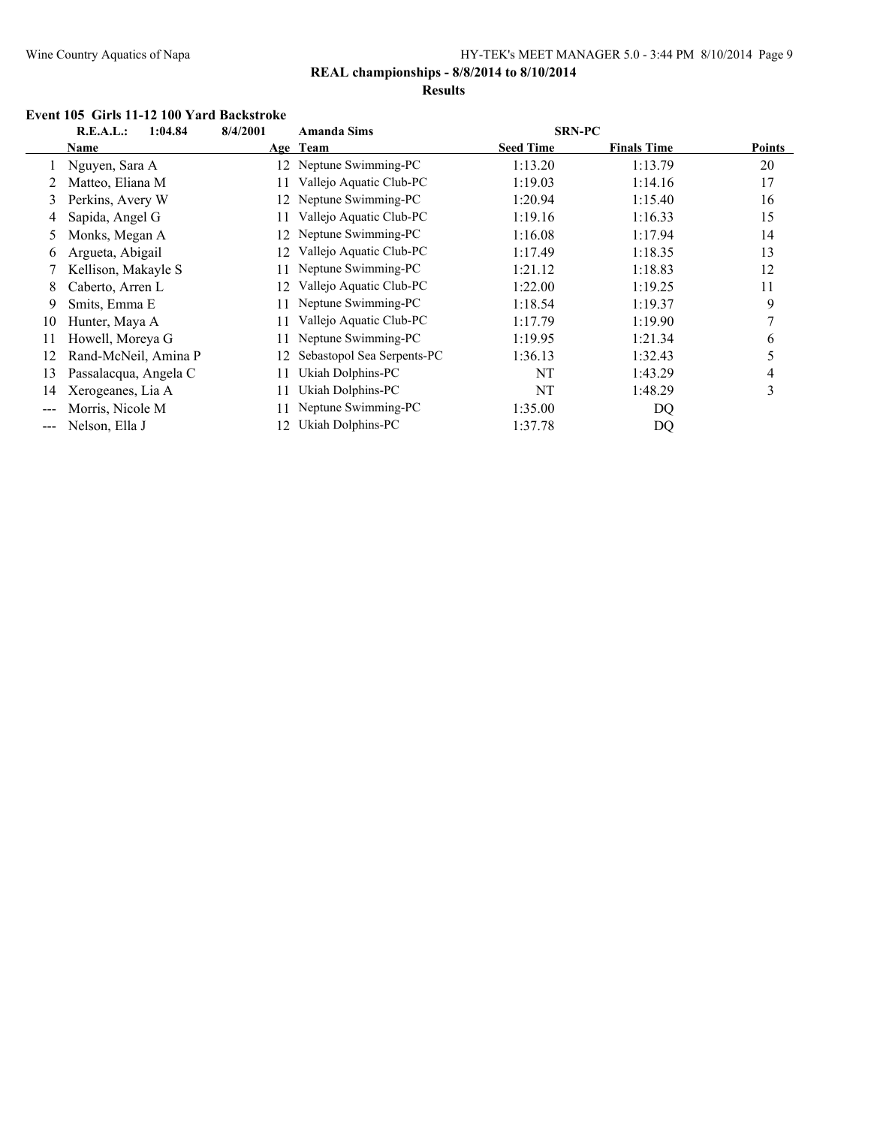### **REAL championships - 8/8/2014 to 8/10/2014**

#### **Results**

#### **Event 105 Girls 11-12 100 Yard Backstroke**

| 8/4/2001<br>R.E.A.L.:<br>1:04.84 |                       |    | <b>Amanda Sims</b>         |                  | <b>SRN-PC</b>      |               |
|----------------------------------|-----------------------|----|----------------------------|------------------|--------------------|---------------|
|                                  | Name                  |    | Age Team                   | <b>Seed Time</b> | <b>Finals Time</b> | <b>Points</b> |
|                                  | Nguyen, Sara A        |    | 12 Neptune Swimming-PC     | 1:13.20          | 1:13.79            | 20            |
|                                  | Matteo, Eliana M      |    | Vallejo Aquatic Club-PC    | 1:19.03          | 1:14.16            | 17            |
| 3                                | Perkins, Avery W      | 12 | Neptune Swimming-PC        | 1:20.94          | 1:15.40            | 16            |
| 4                                | Sapida, Angel G       |    | Vallejo Aquatic Club-PC    | 1:19.16          | 1:16.33            | 15            |
| 5                                | Monks, Megan A        | 12 | Neptune Swimming-PC        | 1:16.08          | 1:17.94            | 14            |
| 6                                | Argueta, Abigail      | 12 | Vallejo Aquatic Club-PC    | 1:17.49          | 1:18.35            | 13            |
|                                  | Kellison, Makayle S   |    | Neptune Swimming-PC        | 1:21.12          | 1:18.83            | 12            |
| 8                                | Caberto, Arren L      | 12 | Vallejo Aquatic Club-PC    | 1:22.00          | 1:19.25            | 11            |
| 9                                | Smits, Emma E         |    | Neptune Swimming-PC        | 1:18.54          | 1:19.37            | 9             |
| 10                               | Hunter, Maya A        | 11 | Vallejo Aquatic Club-PC    | 1:17.79          | 1:19.90            |               |
| 11                               | Howell, Moreya G      |    | Neptune Swimming-PC        | 1:19.95          | 1:21.34            | 6             |
| 12                               | Rand-McNeil, Amina P  | 12 | Sebastopol Sea Serpents-PC | 1:36.13          | 1:32.43            | 5             |
| 13                               | Passalacqua, Angela C |    | Ukiah Dolphins-PC          | NT               | 1:43.29            | 4             |
| 14                               | Xerogeanes, Lia A     | 11 | Ukiah Dolphins-PC          | NT               | 1:48.29            | 3             |
|                                  | Morris, Nicole M      |    | Neptune Swimming-PC        | 1:35.00          | DQ                 |               |
|                                  | Nelson, Ella J        |    | Ukiah Dolphins-PC          | 1:37.78          | DQ                 |               |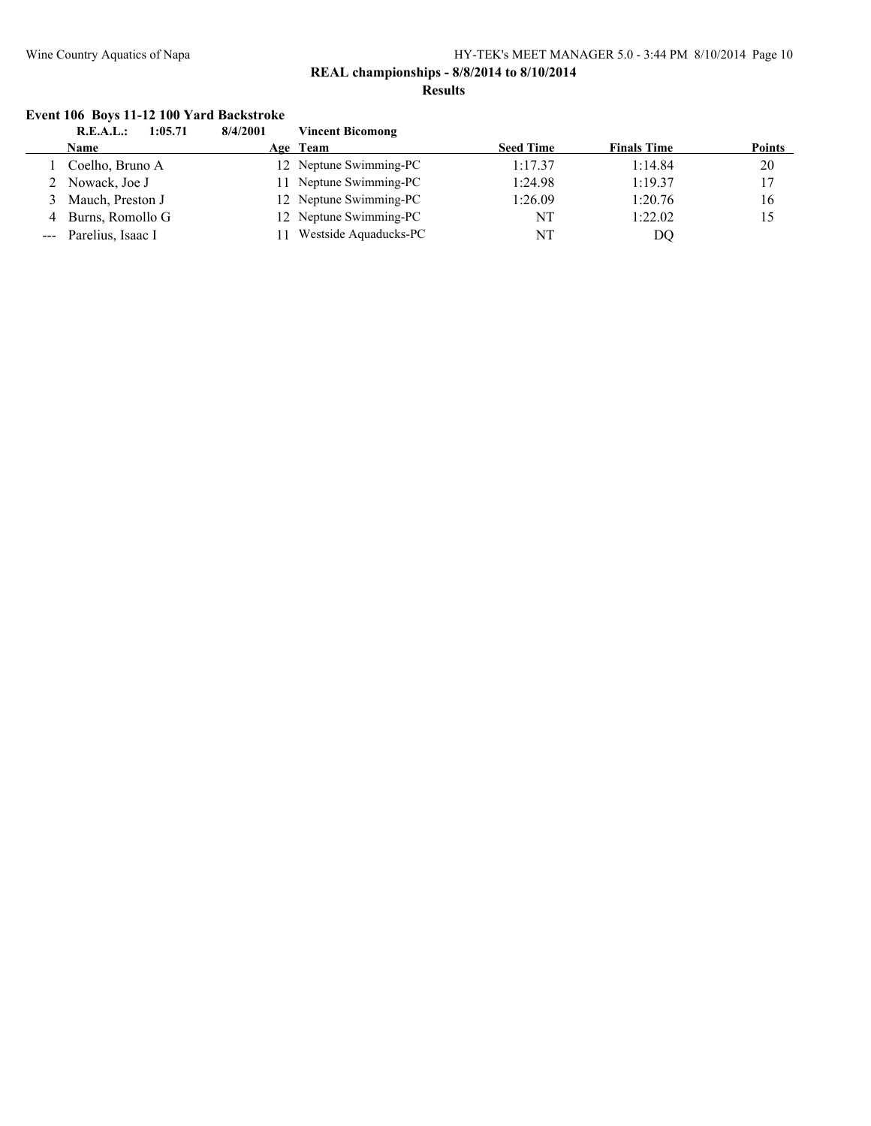#### **REAL championships - 8/8/2014 to 8/10/2014 Results**

#### **Event 106 Boys 11-12 100 Yard Backstroke**

|                                                                                                                                                                                                                                                                                                                                                                                                                                                                            | 1:05.71<br>R.E.A.L.: | 8/4/2001 | <b>Vincent Bicomong</b> |                  |                    |               |
|----------------------------------------------------------------------------------------------------------------------------------------------------------------------------------------------------------------------------------------------------------------------------------------------------------------------------------------------------------------------------------------------------------------------------------------------------------------------------|----------------------|----------|-------------------------|------------------|--------------------|---------------|
|                                                                                                                                                                                                                                                                                                                                                                                                                                                                            | Name                 |          | Age Team                | <b>Seed Time</b> | <b>Finals Time</b> | <b>Points</b> |
|                                                                                                                                                                                                                                                                                                                                                                                                                                                                            | Coelho, Bruno A      |          | 12 Neptune Swimming-PC  | 1:17.37          | 1:14.84            | 20            |
|                                                                                                                                                                                                                                                                                                                                                                                                                                                                            | 2 Nowack, Joe J      |          | 11 Neptune Swimming-PC  | 1:24.98          | 1:19.37            | 17            |
|                                                                                                                                                                                                                                                                                                                                                                                                                                                                            | Mauch, Preston J     |          | 12 Neptune Swimming-PC  | 1:26.09          | 1:20.76            | 16            |
| 4                                                                                                                                                                                                                                                                                                                                                                                                                                                                          | Burns, Romollo G     |          | 12 Neptune Swimming-PC  | NT               | 1:22.02            | 15            |
| $\frac{1}{2} \left( \frac{1}{2} \right) \left( \frac{1}{2} \right) \left( \frac{1}{2} \right) \left( \frac{1}{2} \right) \left( \frac{1}{2} \right) \left( \frac{1}{2} \right) \left( \frac{1}{2} \right) \left( \frac{1}{2} \right) \left( \frac{1}{2} \right) \left( \frac{1}{2} \right) \left( \frac{1}{2} \right) \left( \frac{1}{2} \right) \left( \frac{1}{2} \right) \left( \frac{1}{2} \right) \left( \frac{1}{2} \right) \left( \frac{1}{2} \right) \left( \frac$ | Parelius, Isaac I    |          | Westside Aquaducks-PC   | NT               | DQ                 |               |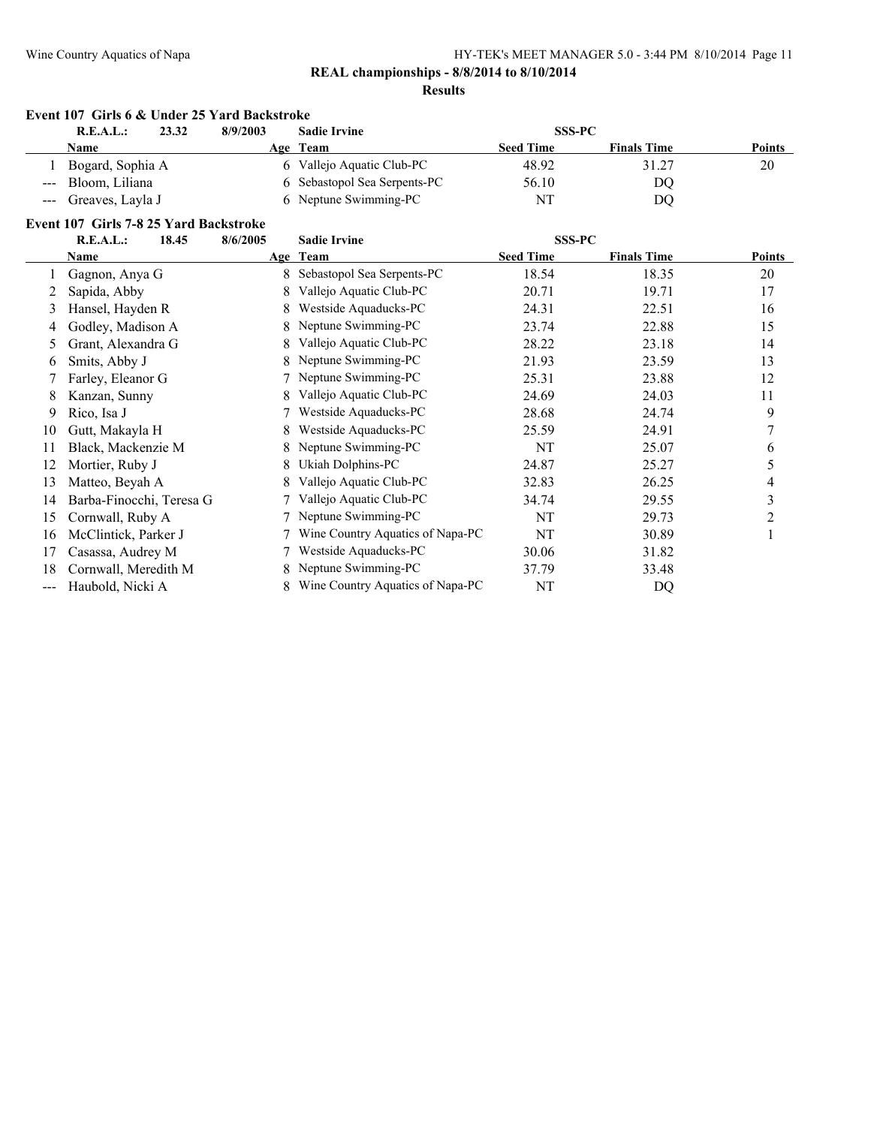### **REAL championships - 8/8/2014 to 8/10/2014**

#### **Results**

| 23.32<br>R.E.A.L.:   | 8/9/2003 | <b>Sadie Irvine</b>          | <b>SSS-PC</b>    |                    |               |
|----------------------|----------|------------------------------|------------------|--------------------|---------------|
| <b>Name</b>          |          | Age Team                     | <b>Seed Time</b> | <b>Finals Time</b> | <b>Points</b> |
| Bogard, Sophia A     |          | 6 Vallejo Aquatic Club-PC    | 48.92            | 31.27              | 20            |
| --- Bloom, Liliana   |          | 6 Sebastopol Sea Serpents-PC | 56.10            | DQ                 |               |
| --- Greaves, Layla J |          | 6 Neptune Swimming-PC        | NT               | DO                 |               |

#### **Event 107 Girls 7-8 25 Yard Backstroke**

|                            | $\mathbf{u}$ and $\mathbf{u}$ and $\mathbf{u}$ and $\mathbf{u}$<br>R.E.A.L.:<br>18.45 | 8/6/2005 | <b>Sadie Irvine</b>              |                                   |                    |               |
|----------------------------|---------------------------------------------------------------------------------------|----------|----------------------------------|-----------------------------------|--------------------|---------------|
|                            | Name                                                                                  |          | Age Team                         | <b>SSS-PC</b><br><b>Seed Time</b> | <b>Finals Time</b> | <b>Points</b> |
|                            | Gagnon, Anya G                                                                        |          | 8 Sebastopol Sea Serpents-PC     | 18.54                             | 18.35              | 20            |
|                            | Sapida, Abby                                                                          | 8        | Vallejo Aquatic Club-PC          | 20.71                             | 19.71              | 17            |
| 3                          | Hansel, Hayden R                                                                      | 8        | Westside Aquaducks-PC            | 24.31                             | 22.51              | 16            |
| 4                          | Godley, Madison A                                                                     | 8.       | Neptune Swimming-PC              | 23.74                             | 22.88              | 15            |
| 5                          | Grant, Alexandra G                                                                    | 8        | Vallejo Aquatic Club-PC          | 28.22                             | 23.18              | 14            |
| 6                          | Smits, Abby J                                                                         | 8        | Neptune Swimming-PC              | 21.93                             | 23.59              | 13            |
|                            | Farley, Eleanor G                                                                     |          | Neptune Swimming-PC              | 25.31                             | 23.88              | 12            |
| 8                          | Kanzan, Sunny                                                                         | 8        | Vallejo Aquatic Club-PC          | 24.69                             | 24.03              | 11            |
| 9                          | Rico, Isa J                                                                           |          | Westside Aquaducks-PC            | 28.68                             | 24.74              | 9             |
| 10                         | Gutt, Makayla H                                                                       | 8        | Westside Aquaducks-PC            | 25.59                             | 24.91              |               |
| 11                         | Black, Mackenzie M                                                                    |          | Neptune Swimming-PC              | NT                                | 25.07              | 6             |
| 12                         | Mortier, Ruby J                                                                       |          | Ukiah Dolphins-PC                | 24.87                             | 25.27              | 5             |
| 13                         | Matteo, Beyah A                                                                       |          | Vallejo Aquatic Club-PC          | 32.83                             | 26.25              | 4             |
| 14                         | Barba-Finocchi, Teresa G                                                              |          | Vallejo Aquatic Club-PC          | 34.74                             | 29.55              | 3             |
| 15                         | Cornwall, Ruby A                                                                      |          | Neptune Swimming-PC              | NT                                | 29.73              | 2             |
| 16                         | McClintick, Parker J                                                                  |          | Wine Country Aquatics of Napa-PC | NT                                | 30.89              |               |
| 17                         | Casassa, Audrey M                                                                     |          | Westside Aquaducks-PC            | 30.06                             | 31.82              |               |
| 18                         | Cornwall, Meredith M                                                                  | 8.       | Neptune Swimming-PC              | 37.79                             | 33.48              |               |
| $\qquad \qquad \text{---}$ | Haubold, Nicki A                                                                      |          | Wine Country Aquatics of Napa-PC | NT                                | DQ                 |               |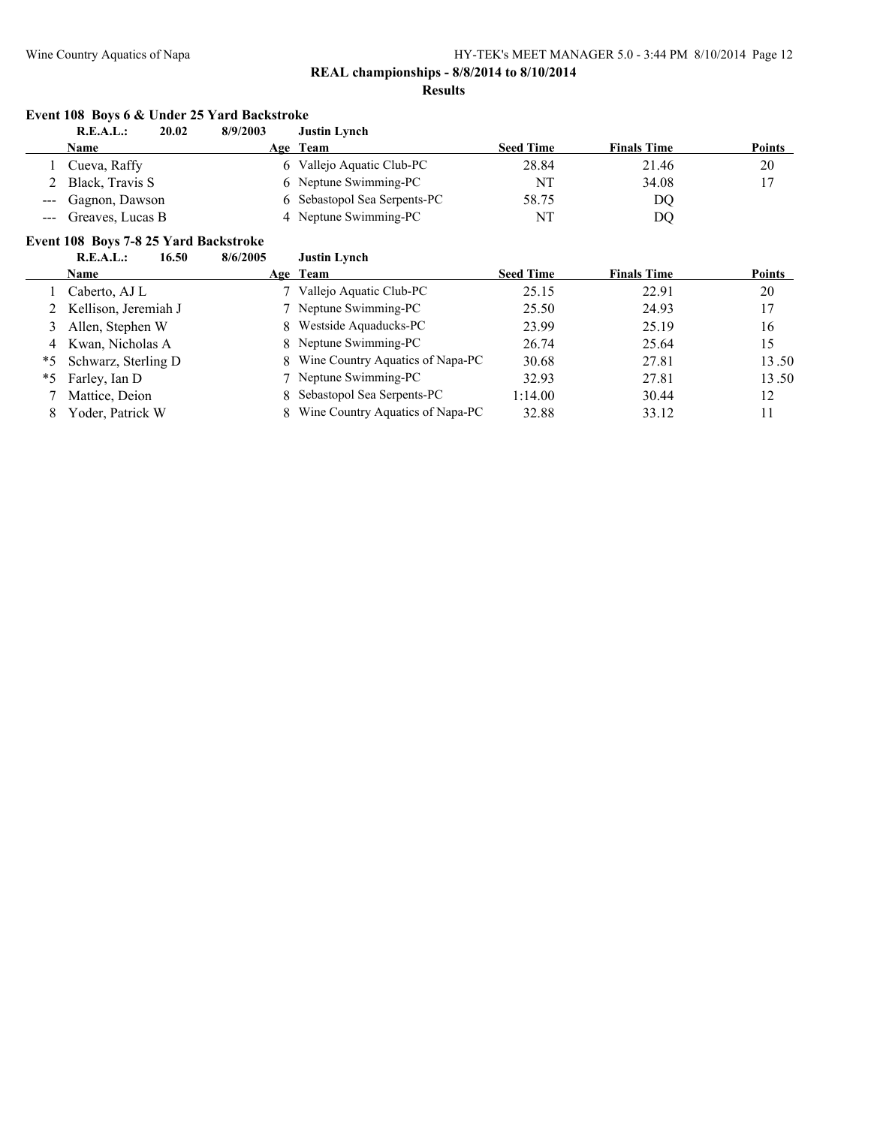#### **Results**

#### **Event 108 Boys 6 & Under 25 Yard Backstroke**<br>**REAL:** 20.02 8/9/2003 Ju **R.E.A.L.: 20.02 8/9/2003 Justin Lynch**

|         | IN.E.A.L.<br>40.V4 | 0/2/200J | очмин плиси                  |                  |                    |               |
|---------|--------------------|----------|------------------------------|------------------|--------------------|---------------|
|         | <b>Name</b>        |          | Age Team                     | <b>Seed Time</b> | <b>Finals Time</b> | <b>Points</b> |
|         | Cueva, Raffy       | 6.       | Vallejo Aquatic Club-PC      | 28.84            | 21.46              | 20            |
|         | Black, Travis S    |          | 6 Neptune Swimming-PC        | ΝT               | 34.08              |               |
|         | --- Gagnon, Dawson |          | 6 Sebastopol Sea Serpents-PC | 58.75            | DQ                 |               |
| $- - -$ | Greaves, Lucas B   |          | 4 Neptune Swimming-PC        | ΝT               | DQ                 |               |

# **Event 108 Boys 7-8 25 Yard Backstroke<br>R.E.A.L.:** 16.50 8/6/2005

| R.E.A.L.: | 16.50 | 8/6/2005 | <b>Justin Lynch</b> |
|-----------|-------|----------|---------------------|
|           |       |          |                     |

|   | <b>Name</b>            | Age Team                           | <b>Seed Time</b> | <b>Finals Time</b> | <b>Points</b> |
|---|------------------------|------------------------------------|------------------|--------------------|---------------|
|   | Caberto, AJ L          | 7 Vallejo Aquatic Club-PC          | 25.15            | 22.91              | 20            |
|   | 2 Kellison, Jeremiah J | 7 Neptune Swimming-PC              | 25.50            | 24.93              | 17            |
| 3 | Allen, Stephen W       | 8 Westside Aquaducks-PC            | 23.99            | 25.19              | 16            |
|   | 4 Kwan, Nicholas A     | 8 Neptune Swimming-PC              | 26.74            | 25.64              | 15            |
|   | *5 Schwarz, Sterling D | 8 Wine Country Aquatics of Napa-PC | 30.68            | 27.81              | 13.50         |
|   | *5 Farley, Ian D       | 7 Neptune Swimming-PC              | 32.93            | 27.81              | 13.50         |
|   | Mattice, Deion         | 8 Sebastopol Sea Serpents-PC       | 1:14.00          | 30.44              | 12            |
|   | Yoder, Patrick W       | 8 Wine Country Aquatics of Napa-PC | 32.88            | 33.12              | 11            |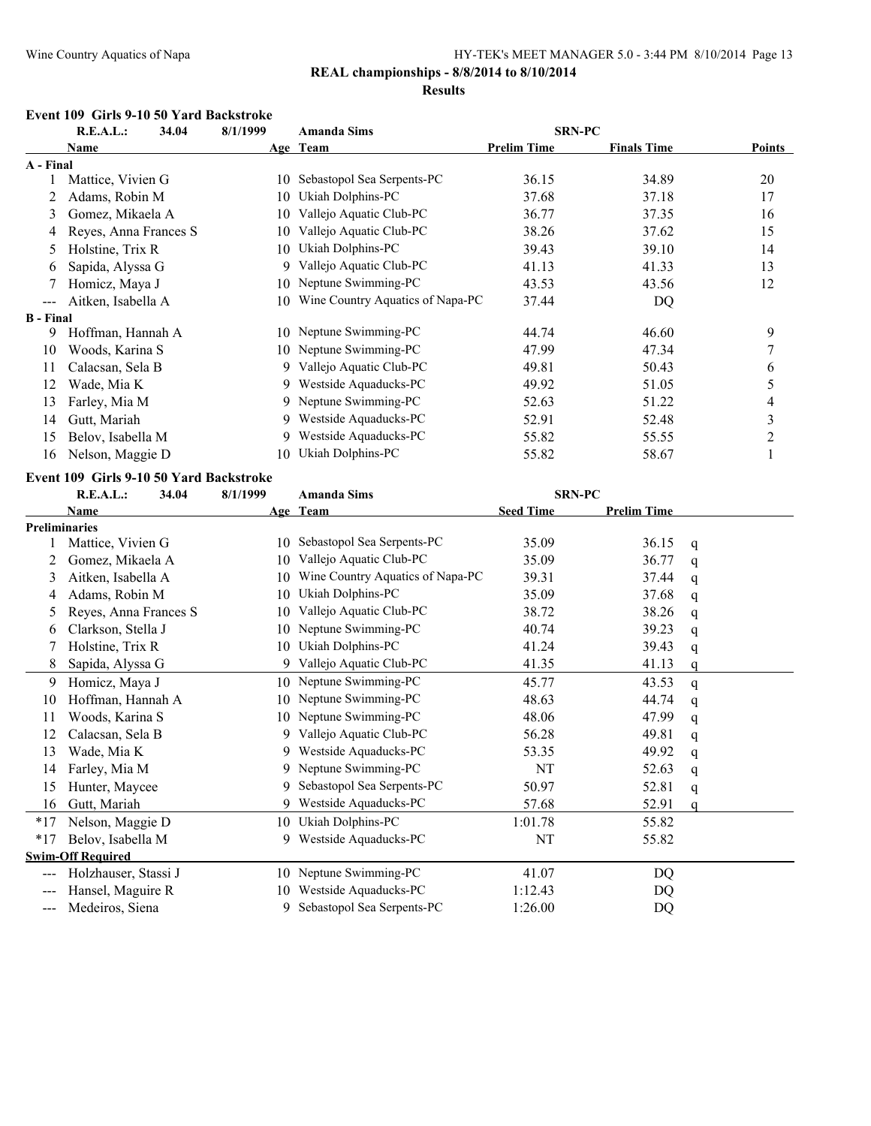#### **Results**

#### **Event 109 Girls 9-10 50 Yard Backstroke**

|                        | R.E.A.L.:             | 34.04 | 8/1/1999 | <b>Amanda Sims</b>               | <b>SRN-PC</b>      |                    |               |
|------------------------|-----------------------|-------|----------|----------------------------------|--------------------|--------------------|---------------|
|                        | Name                  |       |          | Age Team                         | <b>Prelim Time</b> | <b>Finals Time</b> | <b>Points</b> |
| A - Final              |                       |       |          |                                  |                    |                    |               |
|                        | Mattice, Vivien G     |       | 10.      | Sebastopol Sea Serpents-PC       | 36.15              | 34.89              | 20            |
|                        | Adams, Robin M        |       | 10       | Ukiah Dolphins-PC                | 37.68              | 37.18              | 17            |
| 3                      | Gomez, Mikaela A      |       | 10       | Vallejo Aquatic Club-PC          | 36.77              | 37.35              | 16            |
| 4                      | Reyes, Anna Frances S |       | 10.      | Vallejo Aquatic Club-PC          | 38.26              | 37.62              | 15            |
| $\mathcal{D}$          | Holstine, Trix R      |       | 10       | Ukiah Dolphins-PC                | 39.43              | 39.10              | 14            |
| 6                      | Sapida, Alyssa G      |       | 9.       | Vallejo Aquatic Club-PC          | 41.13              | 41.33              | 13            |
|                        | Homicz, Maya J        |       | 10       | Neptune Swimming-PC              | 43.53              | 43.56              | 12            |
| $\qquad \qquad \cdots$ | Aitken, Isabella A    |       | 10       | Wine Country Aquatics of Napa-PC | 37.44              | DQ                 |               |
| <b>B</b> - Final       |                       |       |          |                                  |                    |                    |               |
| 9                      | Hoffman, Hannah A     |       | 10.      | Neptune Swimming-PC              | 44.74              | 46.60              | 9             |
| 10                     | Woods, Karina S       |       |          | 10 Neptune Swimming-PC           | 47.99              | 47.34              | 7             |
| 11                     | Calacsan, Sela B      |       |          | 9 Vallejo Aquatic Club-PC        | 49.81              | 50.43              | 6             |
| 12                     | Wade, Mia K           |       | 9        | Westside Aquaducks-PC            | 49.92              | 51.05              | 5             |
| 13                     | Farley, Mia M         |       |          | 9 Neptune Swimming-PC            | 52.63              | 51.22              | 4             |
| 14                     | Gutt, Mariah          |       | 9.       | Westside Aquaducks-PC            | 52.91              | 52.48              | 3             |
| 15                     | Belov, Isabella M     |       | 9.       | Westside Aquaducks-PC            | 55.82              | 55.55              | 2             |
| 16                     | Nelson, Maggie D      |       | 10       | Ukiah Dolphins-PC                | 55.82              | 58.67              |               |

#### **Event 109 Girls 9-10 50 Yard Backstroke**

|                      | R.E.A.L.:                | 34.04 | 8/1/1999 | <b>Amanda Sims</b>               | <b>SRN-PC</b>    |                    |   |
|----------------------|--------------------------|-------|----------|----------------------------------|------------------|--------------------|---|
|                      | <b>Name</b>              |       |          | Age Team                         | <b>Seed Time</b> | <b>Prelim Time</b> |   |
| <b>Preliminaries</b> |                          |       |          |                                  |                  |                    |   |
|                      | Mattice, Vivien G        |       | 10       | Sebastopol Sea Serpents-PC       | 35.09            | 36.15              | q |
| 2                    | Gomez, Mikaela A         |       | 10       | Vallejo Aquatic Club-PC          | 35.09            | 36.77              | q |
| 3                    | Aitken, Isabella A       |       | 10       | Wine Country Aquatics of Napa-PC | 39.31            | 37.44              | q |
| 4                    | Adams, Robin M           |       | 10       | Ukiah Dolphins-PC                | 35.09            | 37.68              | q |
| 5                    | Reyes, Anna Frances S    |       | 10       | Vallejo Aquatic Club-PC          | 38.72            | 38.26              | q |
| 6                    | Clarkson, Stella J       |       | 10       | Neptune Swimming-PC              | 40.74            | 39.23              | q |
|                      | Holstine, Trix R         |       | 10       | Ukiah Dolphins-PC                | 41.24            | 39.43              | q |
| 8                    | Sapida, Alyssa G         |       | 9        | Vallejo Aquatic Club-PC          | 41.35            | 41.13              | q |
| 9                    | Homicz, Maya J           |       |          | 10 Neptune Swimming-PC           | 45.77            | 43.53              | q |
| 10                   | Hoffman, Hannah A        |       | 10       | Neptune Swimming-PC              | 48.63            | 44.74              | q |
| 11                   | Woods, Karina S          |       | 10       | Neptune Swimming-PC              | 48.06            | 47.99              | q |
| 12                   | Calacsan, Sela B         |       | 9        | Vallejo Aquatic Club-PC          | 56.28            | 49.81              | q |
| 13                   | Wade, Mia K              |       | 9        | Westside Aquaducks-PC            | 53.35            | 49.92              | q |
| 14                   | Farley, Mia M            |       | 9        | Neptune Swimming-PC              | NT               | 52.63              | q |
| 15                   | Hunter, Maycee           |       | 9        | Sebastopol Sea Serpents-PC       | 50.97            | 52.81              | q |
| 16                   | Gutt, Mariah             |       | 9        | Westside Aquaducks-PC            | 57.68            | 52.91              | a |
| $*17$                | Nelson, Maggie D         |       | 10       | Ukiah Dolphins-PC                | 1:01.78          | 55.82              |   |
| $*17$                | Belov, Isabella M        |       | 9        | Westside Aquaducks-PC            | NT               | 55.82              |   |
|                      | <b>Swim-Off Required</b> |       |          |                                  |                  |                    |   |
|                      | Holzhauser, Stassi J     |       | 10       | Neptune Swimming-PC              | 41.07            | DQ                 |   |
| $---$                | Hansel, Maguire R        |       | 10       | Westside Aquaducks-PC            | 1:12.43          | DQ                 |   |
| $\qquad \qquad -$    | Medeiros, Siena          |       | 9        | Sebastopol Sea Serpents-PC       | 1:26.00          | DQ                 |   |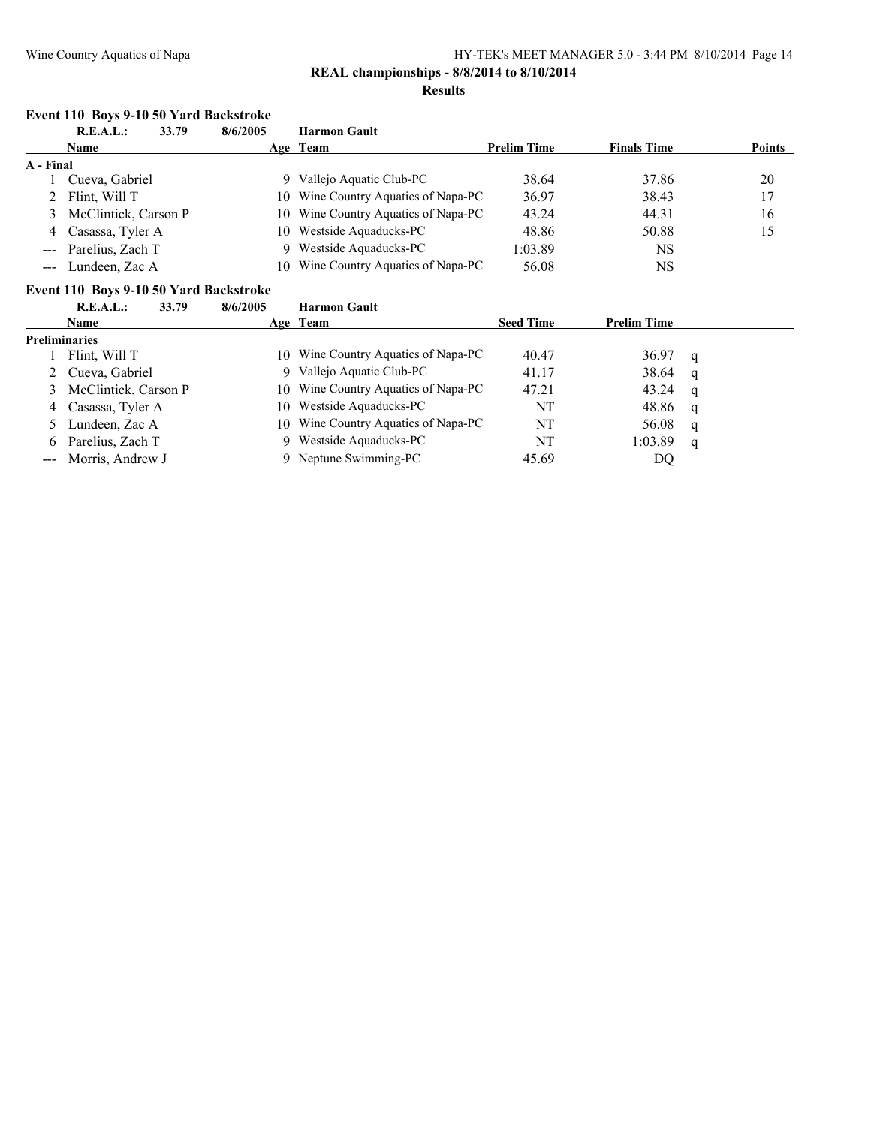### **REAL championships - 8/8/2014 to 8/10/2014**

#### **Results**

#### **Event 110 Boys 9-10 50 Yard Backstroke**

|           | R.E.A.L.:<br>33.79     | 8/6/2005 | <b>Harmon Gault</b>                 |                    |                    |               |
|-----------|------------------------|----------|-------------------------------------|--------------------|--------------------|---------------|
|           | <b>Name</b>            |          | Age Team                            | <b>Prelim Time</b> | <b>Finals Time</b> | <b>Points</b> |
| A - Final |                        |          |                                     |                    |                    |               |
|           | Cueva, Gabriel         | 9        | Vallejo Aquatic Club-PC             | 38.64              | 37.86              | 20            |
|           | 2 Flint, Will T        |          | 10 Wine Country Aquatics of Napa-PC | 36.97              | 38.43              | 17            |
|           | 3 McClintick, Carson P |          | 10 Wine Country Aquatics of Napa-PC | 43.24              | 44.31              | 16            |
|           | 4 Casassa, Tyler A     |          | 10 Westside Aquaducks-PC            | 48.86              | 50.88              | 15            |
|           | --- Parelius, Zach T   |          | 9 Westside Aquaducks-PC             | 1:03.89            | NS                 |               |
|           | --- Lundeen, Zac A     | 10.      | Wine Country Aquatics of Napa-PC    | 56.08              | NS                 |               |

#### **Event 110 Boys 9-10 50 Yard Backstroke**

|                      | R.E.A.L.:<br>33.79     | 8/6/2005 | <b>Harmon Gault</b>                 |                  |                    |   |
|----------------------|------------------------|----------|-------------------------------------|------------------|--------------------|---|
|                      | <b>Name</b>            |          | Age Team                            | <b>Seed Time</b> | <b>Prelim Time</b> |   |
| <b>Preliminaries</b> |                        |          |                                     |                  |                    |   |
|                      | Flint, Will T          | 10.      | Wine Country Aquatics of Napa-PC    | 40.47            | 36.97              | q |
|                      | 2 Cueva, Gabriel       |          | 9 Vallejo Aquatic Club-PC           | 41.17            | 38.64              | q |
|                      | 3 McClintick, Carson P |          | 10 Wine Country Aquatics of Napa-PC | 47.21            | 43.24              | q |
|                      | 4 Casassa, Tyler A     |          | 10 Westside Aquaducks-PC            | NT               | 48.86              | q |
|                      | 5 Lundeen, Zac A       |          | 10 Wine Country Aquatics of Napa-PC | NT               | 56.08              | q |
|                      | 6 Parelius, Zach T     | 9        | Westside Aquaducks-PC               | NT               | 1:03.89            | q |
|                      | --- Morris, Andrew J   | 9.       | Neptune Swimming-PC                 | 45.69            | DQ                 |   |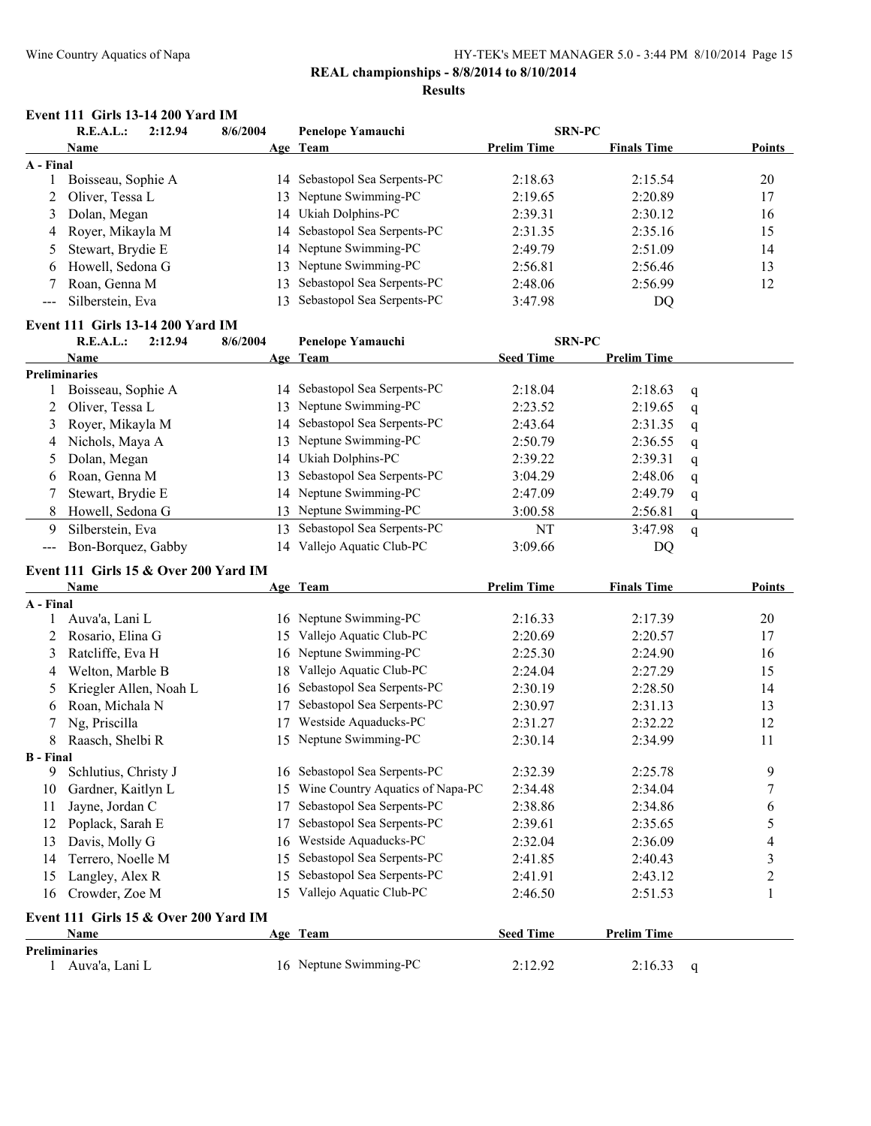# **REAL championships - 8/8/2014 to 8/10/2014**

#### **Results**

#### **Event 111 Girls 13-14 200 Yard IM**

| 2:12.94<br>R.E.A.L.: |                     | 8/6/2004 | Penelope Yamauchi             | <b>SRN-PC</b>      |                    |               |
|----------------------|---------------------|----------|-------------------------------|--------------------|--------------------|---------------|
|                      | <b>Name</b>         |          | Age Team                      | <b>Prelim Time</b> | <b>Finals Time</b> | <b>Points</b> |
| A - Final            |                     |          |                               |                    |                    |               |
|                      | Boisseau, Sophie A  | 14       | Sebastopol Sea Serpents-PC    | 2:18.63            | 2:15.54            | 20            |
|                      | 2 Oliver, Tessa L   |          | 13 Neptune Swimming-PC        | 2:19.65            | 2:20.89            | 17            |
|                      | 3 Dolan, Megan      |          | 14 Ukiah Dolphins-PC          | 2:39.31            | 2:30.12            | 16            |
|                      | 4 Royer, Mikayla M  |          | 14 Sebastopol Sea Serpents-PC | 2:31.35            | 2:35.16            | 15            |
|                      | 5 Stewart, Brydie E |          | 14 Neptune Swimming-PC        | 2:49.79            | 2:51.09            | 14            |
| 6                    | Howell, Sedona G    | 13.      | Neptune Swimming-PC           | 2:56.81            | 2:56.46            | 13            |
|                      | Roan, Genna M       | 13.      | Sebastopol Sea Serpents-PC    | 2:48.06            | 2:56.99            | 12            |
| ---                  | Silberstein, Eva    | 13       | Sebastopol Sea Serpents-PC    | 3:47.98            | DQ                 |               |

#### **Event 111 Girls 13-14 200 Yard IM**

|                                                                                                                                                                                                                                                                                                                                                                                                                                                                            | R.E.A.L.:<br>2:12.94 | 8/6/2004 | Penelope Yamauchi             | <b>SRN-PC</b>    |                    |   |
|----------------------------------------------------------------------------------------------------------------------------------------------------------------------------------------------------------------------------------------------------------------------------------------------------------------------------------------------------------------------------------------------------------------------------------------------------------------------------|----------------------|----------|-------------------------------|------------------|--------------------|---|
|                                                                                                                                                                                                                                                                                                                                                                                                                                                                            | Name                 |          | Age Team                      | <b>Seed Time</b> | <b>Prelim Time</b> |   |
|                                                                                                                                                                                                                                                                                                                                                                                                                                                                            | <b>Preliminaries</b> |          |                               |                  |                    |   |
|                                                                                                                                                                                                                                                                                                                                                                                                                                                                            | Boisseau, Sophie A   |          | 14 Sebastopol Sea Serpents-PC | 2:18.04          | 2:18.63            | q |
|                                                                                                                                                                                                                                                                                                                                                                                                                                                                            | 2 Oliver, Tessa L    |          | 13 Neptune Swimming-PC        | 2:23.52          | 2:19.65            | q |
|                                                                                                                                                                                                                                                                                                                                                                                                                                                                            | Royer, Mikayla M     |          | 14 Sebastopol Sea Serpents-PC | 2:43.64          | 2:31.35            | q |
| 4                                                                                                                                                                                                                                                                                                                                                                                                                                                                          | Nichols, Maya A      |          | 13 Neptune Swimming-PC        | 2:50.79          | 2:36.55            | q |
|                                                                                                                                                                                                                                                                                                                                                                                                                                                                            | Dolan, Megan         |          | 14 Ukiah Dolphins-PC          | 2:39.22          | 2:39.31            | q |
| b                                                                                                                                                                                                                                                                                                                                                                                                                                                                          | Roan, Genna M        | 13.      | Sebastopol Sea Serpents-PC    | 3:04.29          | 2:48.06            | q |
|                                                                                                                                                                                                                                                                                                                                                                                                                                                                            | Stewart, Brydie E    |          | 14 Neptune Swimming-PC        | 2:47.09          | 2:49.79            | a |
| 8                                                                                                                                                                                                                                                                                                                                                                                                                                                                          | Howell, Sedona G     |          | 13 Neptune Swimming-PC        | 3:00.58          | 2:56.81            |   |
| 9                                                                                                                                                                                                                                                                                                                                                                                                                                                                          | Silberstein, Eva     | 3        | Sebastopol Sea Serpents-PC    | NT               | 3:47.98            | q |
| $\frac{1}{2} \left( \frac{1}{2} \right) \left( \frac{1}{2} \right) \left( \frac{1}{2} \right) \left( \frac{1}{2} \right) \left( \frac{1}{2} \right) \left( \frac{1}{2} \right) \left( \frac{1}{2} \right) \left( \frac{1}{2} \right) \left( \frac{1}{2} \right) \left( \frac{1}{2} \right) \left( \frac{1}{2} \right) \left( \frac{1}{2} \right) \left( \frac{1}{2} \right) \left( \frac{1}{2} \right) \left( \frac{1}{2} \right) \left( \frac{1}{2} \right) \left( \frac$ | Bon-Borguez, Gabby   |          | 14 Vallejo Aquatic Club-PC    | 3:09.66          | DQ                 |   |

#### **Event 111 Girls 15 & Over 200 Yard IM**

|                  | <b>Name</b>                           |     | Age Team                         | <b>Prelim Time</b> | <b>Finals Time</b> | Points |
|------------------|---------------------------------------|-----|----------------------------------|--------------------|--------------------|--------|
| A - Final        |                                       |     |                                  |                    |                    |        |
|                  | Auva'a, Lani L                        | 16  | Neptune Swimming-PC              | 2:16.33            | 2:17.39            | 20     |
|                  | Rosario, Elina G                      | 15  | Vallejo Aquatic Club-PC          | 2:20.69            | 2:20.57            | 17     |
| 3                | Ratcliffe, Eva H                      | 16  | Neptune Swimming-PC              | 2:25.30            | 2:24.90            | 16     |
| 4                | Welton, Marble B                      | 18  | Vallejo Aquatic Club-PC          | 2:24.04            | 2:27.29            | 15     |
| 5                | Kriegler Allen, Noah L                | 16  | Sebastopol Sea Serpents-PC       | 2:30.19            | 2:28.50            | 14     |
| 6                | Roan, Michala N                       | 17  | Sebastopol Sea Serpents-PC       | 2:30.97            | 2:31.13            | 13     |
|                  | Ng, Priscilla                         | 17  | Westside Aquaducks-PC            | 2:31.27            | 2:32.22            | 12     |
| 8                | Raasch, Shelbi R                      | 15. | Neptune Swimming-PC              | 2:30.14            | 2:34.99            | 11     |
| <b>B</b> - Final |                                       |     |                                  |                    |                    |        |
| 9                | Schlutius, Christy J                  | 16  | Sebastopol Sea Serpents-PC       | 2:32.39            | 2:25.78            | 9      |
| 10               | Gardner, Kaitlyn L                    | 15  | Wine Country Aquatics of Napa-PC | 2:34.48            | 2:34.04            | 7      |
| 11               | Jayne, Jordan C                       | 17  | Sebastopol Sea Serpents-PC       | 2:38.86            | 2:34.86            | 6      |
| 12               | Poplack, Sarah E                      | 17  | Sebastopol Sea Serpents-PC       | 2:39.61            | 2:35.65            | 5      |
| 13               | Davis, Molly G                        | 16  | Westside Aquaducks-PC            | 2:32.04            | 2:36.09            | 4      |
| 14               | Terrero, Noelle M                     | 15  | Sebastopol Sea Serpents-PC       | 2:41.85            | 2:40.43            | 3      |
| 15               | Langley, Alex R                       | 15  | Sebastopol Sea Serpents-PC       | 2:41.91            | 2:43.12            | 2      |
| 16               | Crowder, Zoe M                        | 15. | Vallejo Aquatic Club-PC          | 2:46.50            | 2:51.53            | 1      |
|                  | Event 111 Girls 15 & Over 200 Yard IM |     |                                  |                    |                    |        |
|                  | <b>Name</b>                           |     | Age Team                         | <b>Seed Time</b>   | <b>Prelim Time</b> |        |
|                  | <b>Preliminaries</b>                  |     |                                  |                    |                    |        |
|                  | Auva'a, Lani L                        |     | 16 Neptune Swimming-PC           | 2:12.92            | 2:16.33            | q      |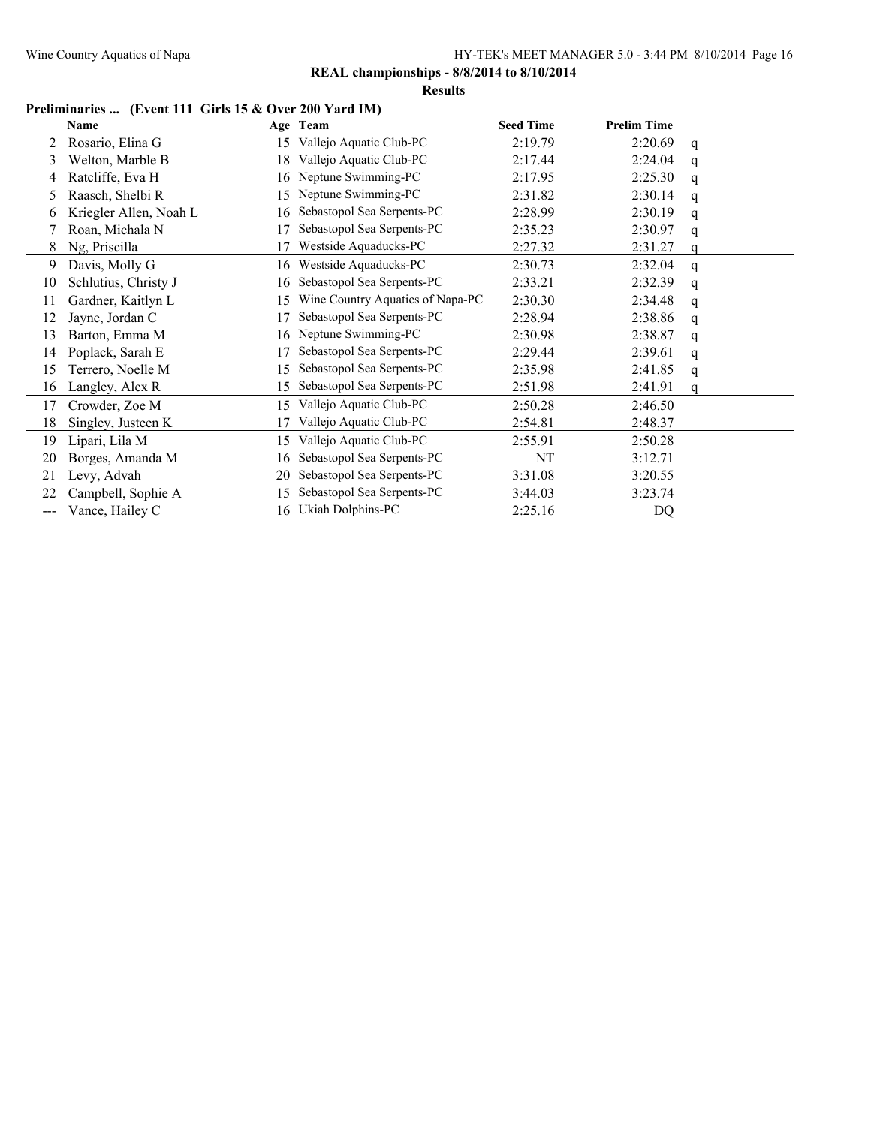**REAL championships - 8/8/2014 to 8/10/2014**

**Results**

### **Preliminaries ... (Event 111 Girls 15 & Over 200 Yard IM)**

|                   | <b>Name</b>            |    | Age Team                         | <b>Seed Time</b> | <b>Prelim Time</b> |   |
|-------------------|------------------------|----|----------------------------------|------------------|--------------------|---|
| 2                 | Rosario, Elina G       | 15 | Vallejo Aquatic Club-PC          | 2:19.79          | 2:20.69            | q |
| 3                 | Welton, Marble B       | 18 | Vallejo Aquatic Club-PC          | 2:17.44          | 2:24.04            | q |
| 4                 | Ratcliffe, Eva H       | 16 | Neptune Swimming-PC              | 2:17.95          | 2:25.30            | q |
| 5                 | Raasch, Shelbi R       | 15 | Neptune Swimming-PC              | 2:31.82          | 2:30.14            | q |
| 6                 | Kriegler Allen, Noah L | 16 | Sebastopol Sea Serpents-PC       | 2:28.99          | 2:30.19            | q |
|                   | Roan, Michala N        | 17 | Sebastopol Sea Serpents-PC       | 2:35.23          | 2:30.97            | q |
| 8                 | Ng, Priscilla          | 17 | Westside Aquaducks-PC            | 2:27.32          | 2:31.27            | q |
| 9                 | Davis, Molly G         | 16 | Westside Aquaducks-PC            | 2:30.73          | 2:32.04            | q |
| 10                | Schlutius, Christy J   | 16 | Sebastopol Sea Serpents-PC       | 2:33.21          | 2:32.39            | q |
| 11                | Gardner, Kaitlyn L     | 15 | Wine Country Aquatics of Napa-PC | 2:30.30          | 2:34.48            | q |
| 12                | Jayne, Jordan C        | 17 | Sebastopol Sea Serpents-PC       | 2:28.94          | 2:38.86            | q |
| 13                | Barton, Emma M         | 16 | Neptune Swimming-PC              | 2:30.98          | 2:38.87            | q |
| 14                | Poplack, Sarah E       | 17 | Sebastopol Sea Serpents-PC       | 2:29.44          | 2:39.61            | q |
| 15                | Terrero, Noelle M      | 15 | Sebastopol Sea Serpents-PC       | 2:35.98          | 2:41.85            | q |
| 16                | Langley, Alex R        | 15 | Sebastopol Sea Serpents-PC       | 2:51.98          | 2:41.91            | q |
| 17                | Crowder, Zoe M         | 15 | Vallejo Aquatic Club-PC          | 2:50.28          | 2:46.50            |   |
| 18                | Singley, Justeen K     | 17 | Vallejo Aquatic Club-PC          | 2:54.81          | 2:48.37            |   |
| 19                | Lipari, Lila M         | 15 | Vallejo Aquatic Club-PC          | 2:55.91          | 2:50.28            |   |
| 20                | Borges, Amanda M       | 16 | Sebastopol Sea Serpents-PC       | NT               | 3:12.71            |   |
| 21                | evy, Advah.            | 20 | Sebastopol Sea Serpents-PC       | 3:31.08          | 3:20.55            |   |
| 22                | Campbell, Sophie A     | 15 | Sebastopol Sea Serpents-PC       | 3:44.03          | 3:23.74            |   |
| $\qquad \qquad -$ | Vance, Hailey C        | 16 | Ukiah Dolphins-PC                | 2:25.16          | DQ                 |   |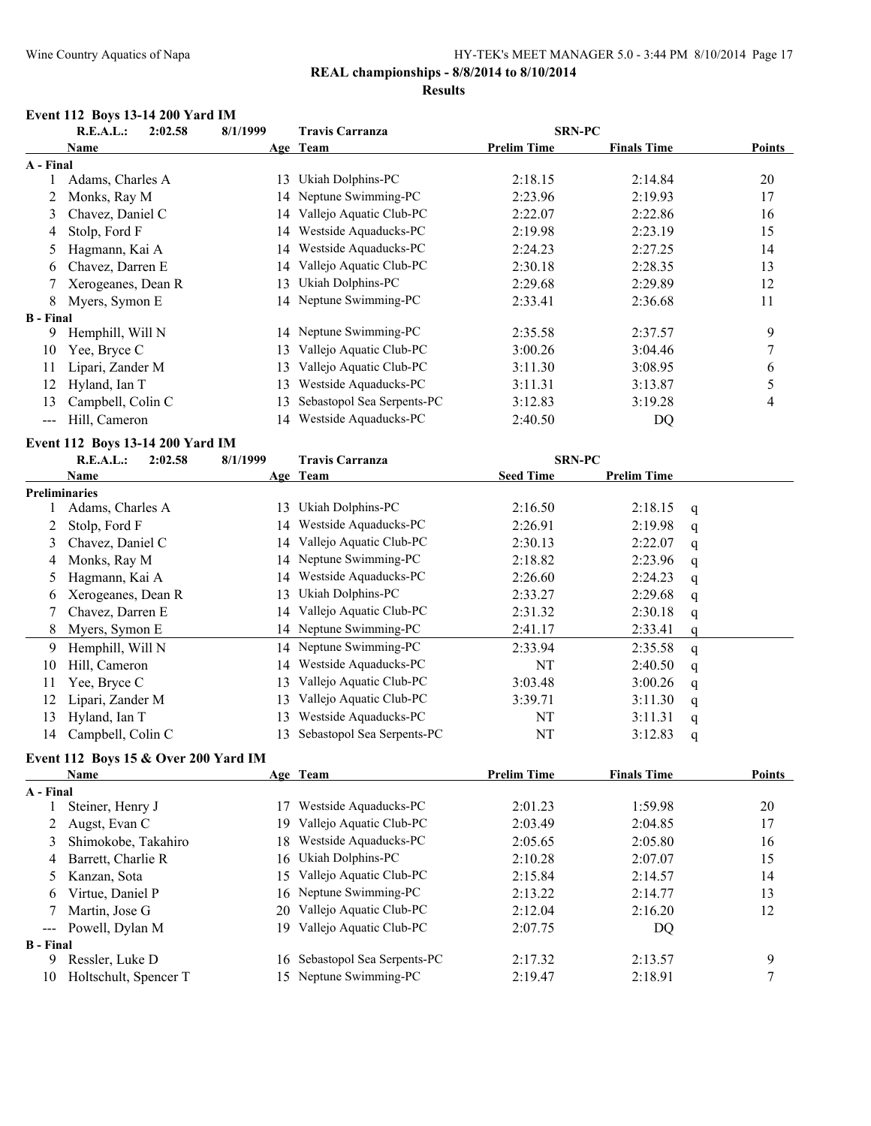### **REAL championships - 8/8/2014 to 8/10/2014**

#### **Results**

### **Event 112 Boys 13-14 200 Yard IM**

|                         | R.E.A.L.:                            | 2:02.58 | 8/1/1999 | <b>Travis Carranza</b>     | <b>SRN-PC</b>      |                    |              |                          |
|-------------------------|--------------------------------------|---------|----------|----------------------------|--------------------|--------------------|--------------|--------------------------|
|                         | Name                                 |         |          | Age Team                   | <b>Prelim Time</b> | <b>Finals Time</b> |              | <b>Points</b>            |
| A - Final               |                                      |         |          |                            |                    |                    |              |                          |
| 1                       | Adams, Charles A                     |         |          | 13 Ukiah Dolphins-PC       | 2:18.15            | 2:14.84            |              | $20\,$                   |
| 2                       | Monks, Ray M                         |         | 14       | Neptune Swimming-PC        | 2:23.96            | 2:19.93            |              | 17                       |
| 3                       | Chavez, Daniel C                     |         |          | 14 Vallejo Aquatic Club-PC | 2:22.07            | 2:22.86            |              | 16                       |
| 4                       | Stolp, Ford F                        |         | 14       | Westside Aquaducks-PC      | 2:19.98            | 2:23.19            |              | 15                       |
| 5                       | Hagmann, Kai A                       |         | 14       | Westside Aquaducks-PC      | 2:24.23            | 2:27.25            |              | 14                       |
| 6                       | Chavez, Darren E                     |         | 14       | Vallejo Aquatic Club-PC    | 2:30.18            | 2:28.35            |              | 13                       |
| 7                       | Xerogeanes, Dean R                   |         | 13       | Ukiah Dolphins-PC          | 2:29.68            | 2:29.89            |              | 12                       |
| 8                       | Myers, Symon E                       |         |          | 14 Neptune Swimming-PC     | 2:33.41            | 2:36.68            |              | 11                       |
| <b>B</b> - Final        |                                      |         |          |                            |                    |                    |              |                          |
| 9.                      | Hemphill, Will N                     |         |          | 14 Neptune Swimming-PC     | 2:35.58            | 2:37.57            |              | 9                        |
| 10                      | Yee, Bryce C                         |         | 13       | Vallejo Aquatic Club-PC    | 3:00.26            | 3:04.46            |              | 7                        |
| 11                      | Lipari, Zander M                     |         | 13       | Vallejo Aquatic Club-PC    | 3:11.30            | 3:08.95            |              | 6                        |
| 12                      | Hyland, Ian T                        |         | 13       | Westside Aquaducks-PC      | 3:11.31            | 3:13.87            |              | 5                        |
| 13                      | Campbell, Colin C                    |         | 13       | Sebastopol Sea Serpents-PC | 3:12.83            | 3:19.28            |              | $\overline{\mathcal{L}}$ |
| ---                     | Hill, Cameron                        |         | 14       | Westside Aquaducks-PC      | 2:40.50            | DQ                 |              |                          |
|                         | Event 112 Boys 13-14 200 Yard IM     |         |          |                            |                    |                    |              |                          |
|                         | R.E.A.L.:                            | 2:02.58 | 8/1/1999 | <b>Travis Carranza</b>     | <b>SRN-PC</b>      |                    |              |                          |
|                         | Name                                 |         |          | Age Team                   | <b>Seed Time</b>   | <b>Prelim Time</b> |              |                          |
|                         | Preliminaries                        |         |          |                            |                    |                    |              |                          |
| 1                       | Adams, Charles A                     |         | 13       | Ukiah Dolphins-PC          | 2:16.50            | 2:18.15            | $\mathbf{q}$ |                          |
| 2                       | Stolp, Ford F                        |         | 14       | Westside Aquaducks-PC      | 2:26.91            | 2:19.98            | q            |                          |
| 3                       | Chavez, Daniel C                     |         | 14       | Vallejo Aquatic Club-PC    | 2:30.13            | 2:22.07            | q            |                          |
| 4                       | Monks, Ray M                         |         | 14       | Neptune Swimming-PC        | 2:18.82            | 2:23.96            | q            |                          |
| 5                       | Hagmann, Kai A                       |         | 14       | Westside Aquaducks-PC      | 2:26.60            | 2:24.23            | q            |                          |
| 6                       | Xerogeanes, Dean R                   |         | 13       | Ukiah Dolphins-PC          | 2:33.27            | 2:29.68            | q            |                          |
| 7                       | Chavez, Darren E                     |         |          | 14 Vallejo Aquatic Club-PC | 2:31.32            | 2:30.18            | q            |                          |
| 8                       | Myers, Symon E                       |         |          | 14 Neptune Swimming-PC     | 2:41.17            | 2:33.41            | $\mathbf q$  |                          |
| 9                       | Hemphill, Will N                     |         |          | 14 Neptune Swimming-PC     | 2:33.94            | 2:35.58            | q            |                          |
| 10                      | Hill, Cameron                        |         |          | 14 Westside Aquaducks-PC   | NT                 | 2:40.50            | q            |                          |
| 11                      | Yee, Bryce C                         |         | 13       | Vallejo Aquatic Club-PC    | 3:03.48            | 3:00.26            | q            |                          |
| 12                      | Lipari, Zander M                     |         |          | 13 Vallejo Aquatic Club-PC | 3:39.71            | 3:11.30            | q            |                          |
| 13                      | Hyland, Ian T                        |         | 13       | Westside Aquaducks-PC      | NT                 | 3:11.31            | q            |                          |
| 14                      | Campbell, Colin C                    |         | 13       | Sebastopol Sea Serpents-PC | NT                 | 3:12.83            | q            |                          |
|                         | Event 112 Boys 15 & Over 200 Yard IM |         |          |                            |                    |                    |              |                          |
|                         | <b>Name</b>                          |         |          | Age Team                   | <b>Prelim Time</b> | <b>Finals Time</b> |              | Points                   |
| $\Lambda$ $\Gamma$ inal |                                      |         |          |                            |                    |                    |              |                          |

|                     | Name                  |     | Age leam                   | Prelim Time | <b>Finals</b> lime | roints |
|---------------------|-----------------------|-----|----------------------------|-------------|--------------------|--------|
| A Final             |                       |     |                            |             |                    |        |
|                     | Steiner, Henry J      | -7  | Westside Aquaducks-PC      | 2:01.23     | 1:59.98            | 20     |
|                     | Augst, Evan C         | 19. | Vallejo Aquatic Club-PC    | 2:03.49     | 2:04.85            | 17     |
|                     | Shimokobe, Takahiro   | 18. | Westside Aquaducks-PC      | 2:05.65     | 2:05.80            | 16     |
| 4                   | Barrett, Charlie R    |     | 16 Ukiah Dolphins-PC       | 2:10.28     | 2:07.07            | 15     |
| 5                   | Kanzan, Sota          | 15. | Vallejo Aquatic Club-PC    | 2:15.84     | 2:14.57            | 14     |
| 6                   | Virtue, Daniel P      |     | 16 Neptune Swimming-PC     | 2:13.22     | 2:14.77            | 13     |
|                     | Martin, Jose G        | 20  | Vallejo Aquatic Club-PC    | 2:12.04     | 2:16.20            | 12     |
| $\qquad \qquad - -$ | Powell, Dylan M       | 19. | Vallejo Aquatic Club-PC    | 2:07.75     | DO                 |        |
| <b>B</b> - Final    |                       |     |                            |             |                    |        |
| 9                   | Ressler, Luke D       | 16. | Sebastopol Sea Serpents-PC | 2:17.32     | 2:13.57            | 9      |
| 10                  | Holtschult, Spencer T |     | 15 Neptune Swimming-PC     | 2:19.47     | 2:18.91            |        |
|                     |                       |     |                            |             |                    |        |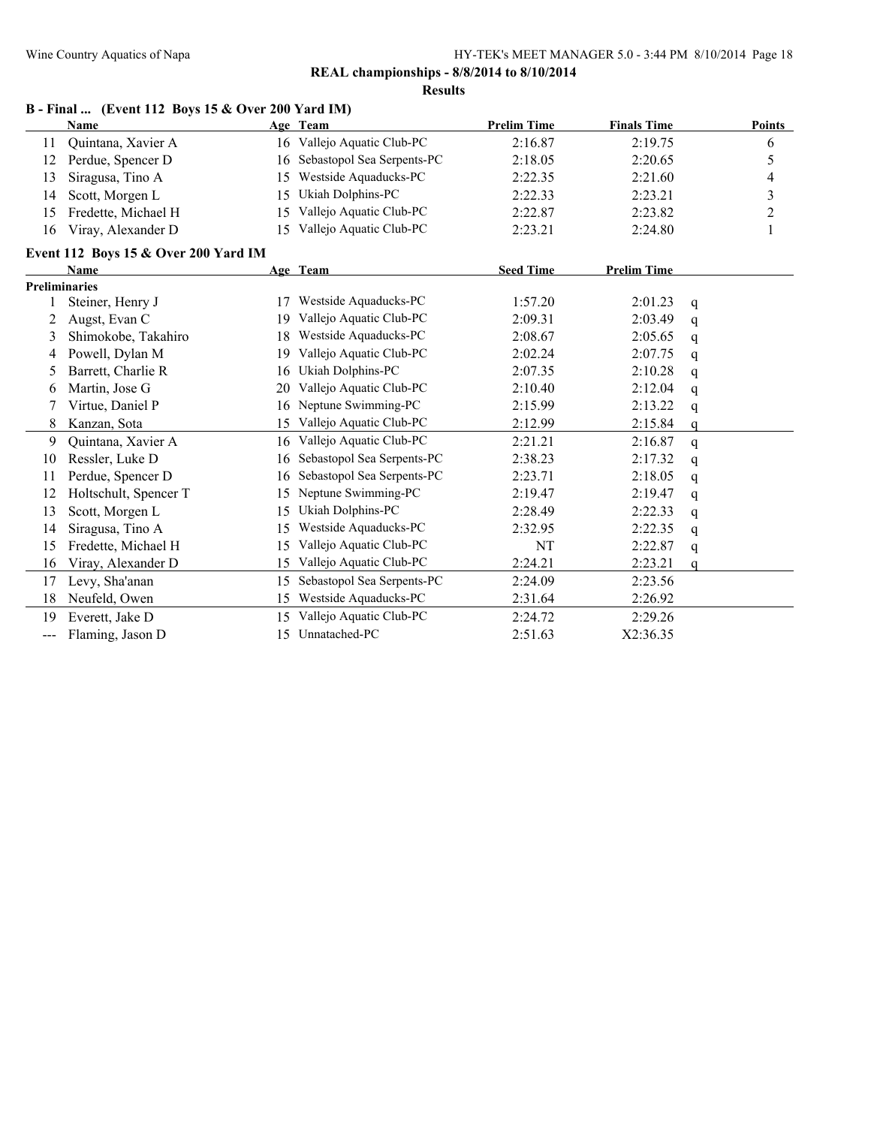**Results**

|                     | <b>Name</b>                          |    | Age Team                   | <b>Prelim Time</b> | <b>Finals Time</b> |             | Points         |
|---------------------|--------------------------------------|----|----------------------------|--------------------|--------------------|-------------|----------------|
| 11                  | Quintana, Xavier A                   | 16 | Vallejo Aquatic Club-PC    | 2:16.87            | 2:19.75            |             | 6              |
| 12                  | Perdue, Spencer D                    | 16 | Sebastopol Sea Serpents-PC | 2:18.05            | 2:20.65            |             | 5              |
| 13                  | Siragusa, Tino A                     | 15 | Westside Aquaducks-PC      | 2:22.35            | 2:21.60            |             | 4              |
| 14                  | Scott, Morgen L                      | 15 | Ukiah Dolphins-PC          | 2:22.33            | 2:23.21            |             | 3              |
| 15                  | Fredette, Michael H                  | 15 | Vallejo Aquatic Club-PC    | 2:22.87            | 2:23.82            |             | $\overline{c}$ |
| 16                  | Viray, Alexander D                   | 15 | Vallejo Aquatic Club-PC    | 2:23.21            | 2:24.80            |             | 1              |
|                     | Event 112 Boys 15 & Over 200 Yard IM |    |                            |                    |                    |             |                |
|                     | <b>Name</b>                          |    | Age Team                   | <b>Seed Time</b>   | <b>Prelim Time</b> |             |                |
|                     | <b>Preliminaries</b>                 |    |                            |                    |                    |             |                |
|                     | Steiner, Henry J                     | 17 | Westside Aquaducks-PC      | 1:57.20            | 2:01.23            | q           |                |
| 2                   | Augst, Evan C                        | 19 | Vallejo Aquatic Club-PC    | 2:09.31            | 2:03.49            | q           |                |
| 3                   | Shimokobe, Takahiro                  | 18 | Westside Aquaducks-PC      | 2:08.67            | 2:05.65            | q           |                |
| 4                   | Powell, Dylan M                      | 19 | Vallejo Aquatic Club-PC    | 2:02.24            | 2:07.75            | $\mathbf q$ |                |
| 5                   | Barrett, Charlie R                   | 16 | Ukiah Dolphins-PC          | 2:07.35            | 2:10.28            | q           |                |
| 6                   | Martin, Jose G                       | 20 | Vallejo Aquatic Club-PC    | 2:10.40            | 2:12.04            | q           |                |
| 7                   | Virtue, Daniel P                     | 16 | Neptune Swimming-PC        | 2:15.99            | 2:13.22            | q           |                |
| 8                   | Kanzan, Sota                         | 15 | Vallejo Aquatic Club-PC    | 2:12.99            | 2:15.84            | q           |                |
| 9                   | Quintana, Xavier A                   | 16 | Vallejo Aquatic Club-PC    | 2:21.21            | 2:16.87            | $\mathbf q$ |                |
| 10                  | Ressler, Luke D                      | 16 | Sebastopol Sea Serpents-PC | 2:38.23            | 2:17.32            | q           |                |
| 11                  | Perdue, Spencer D                    | 16 | Sebastopol Sea Serpents-PC | 2:23.71            | 2:18.05            | q           |                |
| 12                  | Holtschult, Spencer T                | 15 | Neptune Swimming-PC        | 2:19.47            | 2:19.47            | q           |                |
| 13                  | Scott, Morgen L                      | 15 | Ukiah Dolphins-PC          | 2:28.49            | 2:22.33            | q           |                |
| 14                  | Siragusa, Tino A                     | 15 | Westside Aquaducks-PC      | 2:32.95            | 2:22.35            | q           |                |
| 15                  | Fredette, Michael H                  | 15 | Vallejo Aquatic Club-PC    | NT                 | 2:22.87            | q           |                |
| 16                  | Viray, Alexander D                   | 15 | Vallejo Aquatic Club-PC    | 2:24.21            | 2:23.21            | $\alpha$    |                |
| 17                  | Levy, Sha'anan                       | 15 | Sebastopol Sea Serpents-PC | 2:24.09            | 2:23.56            |             |                |
| 18                  | Neufeld, Owen                        | 15 | Westside Aquaducks-PC      | 2:31.64            | 2:26.92            |             |                |
| 19                  | Everett, Jake D                      | 15 | Vallejo Aquatic Club-PC    | 2:24.72            | 2:29.26            |             |                |
| $\qquad \qquad - -$ | Flaming, Jason D                     | 15 | Unnatached-PC              | 2:51.63            | X2:36.35           |             |                |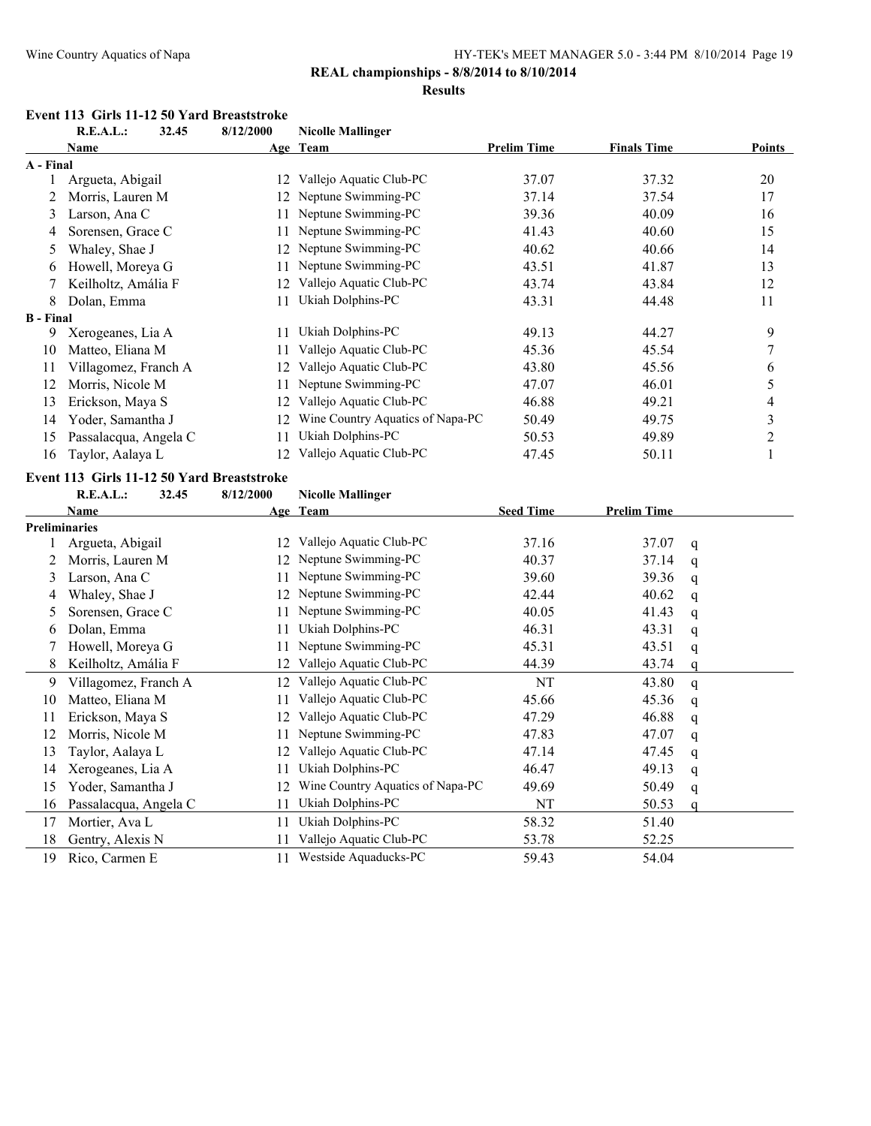#### **REAL championships - 8/8/2014 to 8/10/2014**

#### **Results**

#### **Event 113 Girls 11-12 50 Yard Breaststroke**

|                  | R.E.A.L.:                                  | 32.45 | 8/12/2000 | <b>Nicolle Mallinger</b>         |                    |                    |   |                         |
|------------------|--------------------------------------------|-------|-----------|----------------------------------|--------------------|--------------------|---|-------------------------|
|                  | <b>Name</b>                                |       |           | Age Team                         | <b>Prelim Time</b> | <b>Finals Time</b> |   | <b>Points</b>           |
| A - Final        |                                            |       |           |                                  |                    |                    |   |                         |
|                  | Argueta, Abigail                           |       |           | 12 Vallejo Aquatic Club-PC       | 37.07              | 37.32              |   | 20                      |
| 2                | Morris, Lauren M                           |       | 12        | Neptune Swimming-PC              | 37.14              | 37.54              |   | 17                      |
| 3                | Larson, Ana C                              |       | 11        | Neptune Swimming-PC              | 39.36              | 40.09              |   | 16                      |
| 4                | Sorensen, Grace C                          |       | 11        | Neptune Swimming-PC              | 41.43              | 40.60              |   | 15                      |
| 5                | Whaley, Shae J                             |       | 12        | Neptune Swimming-PC              | 40.62              | 40.66              |   | 14                      |
| 6                | Howell, Moreya G                           |       | 11        | Neptune Swimming-PC              | 43.51              | 41.87              |   | 13                      |
|                  | Keilholtz, Amália F                        |       | 12        | Vallejo Aquatic Club-PC          | 43.74              | 43.84              |   | 12                      |
| 8                | Dolan, Emma                                |       | 11        | Ukiah Dolphins-PC                | 43.31              | 44.48              |   | 11                      |
| <b>B</b> - Final |                                            |       |           |                                  |                    |                    |   |                         |
| 9                | Xerogeanes, Lia A                          |       | 11        | Ukiah Dolphins-PC                | 49.13              | 44.27              |   | 9                       |
| 10               | Matteo, Eliana M                           |       | 11        | Vallejo Aquatic Club-PC          | 45.36              | 45.54              |   | 7                       |
| 11               | Villagomez, Franch A                       |       | 12        | Vallejo Aquatic Club-PC          | 43.80              | 45.56              |   | 6                       |
| 12               | Morris, Nicole M                           |       | 11        | Neptune Swimming-PC              | 47.07              | 46.01              |   | 5                       |
| 13               | Erickson, Maya S                           |       | 12        | Vallejo Aquatic Club-PC          | 46.88              | 49.21              |   | 4                       |
| 14               | Yoder, Samantha J                          |       | 12        | Wine Country Aquatics of Napa-PC | 50.49              | 49.75              |   | $\overline{\mathbf{3}}$ |
| 15               | Passalacqua, Angela C                      |       | 11        | Ukiah Dolphins-PC                | 50.53              | 49.89              |   | $\overline{2}$          |
| 16               | Taylor, Aalaya L                           |       | 12        | Vallejo Aquatic Club-PC          | 47.45              | 50.11              |   | 1                       |
|                  | Event 113 Girls 11-12 50 Yard Breaststroke |       |           |                                  |                    |                    |   |                         |
|                  | R.E.A.L.:                                  | 32.45 | 8/12/2000 | <b>Nicolle Mallinger</b>         |                    |                    |   |                         |
|                  | <b>Name</b>                                |       |           | Age Team                         | <b>Seed Time</b>   | <b>Prelim Time</b> |   |                         |
|                  | <b>Preliminaries</b>                       |       |           |                                  |                    |                    |   |                         |
|                  | Argueta, Abigail                           |       | 12        | Vallejo Aquatic Club-PC          | 37.16              | 37.07              | q |                         |
| 2                | Morris, Lauren M                           |       | 12        | Neptune Swimming-PC              | 40.37              | 37.14              | q |                         |
| 3                | Larson, Ana C                              |       | 11        | Neptune Swimming-PC              | 39.60              | 39.36              | q |                         |
| 4                | Whaley, Shae J                             |       | 12        | Neptune Swimming-PC              | 42.44              | 40.62              | q |                         |
| 5                | Sorensen, Grace C                          |       | 11        | Neptune Swimming-PC              | 40.05              | 41.43              | q |                         |
| 6                | Dolan, Emma                                |       | 11        | Ukiah Dolphins-PC                | 46.31              | 43.31              | q |                         |
| 7                | Howell, Moreya G                           |       | 11        | Neptune Swimming-PC              | 45.31              | 43.51              | q |                         |

8 Keilholtz, Amália F 12 Vallejo Aquatic Club-PC 44.39 43.74 q 9 Villagomez, Franch A 12 Vallejo Aquatic Club-PC NT 43.80 q 10 Matteo, Eliana M 11 Vallejo Aquatic Club-PC 45.66 45.36 q 11 Erickson, Maya S 12 Vallejo Aquatic Club-PC 47.29 46.88 q 12 Morris, Nicole M 11 Neptune Swimming-PC 47.83 47.07 q 13 Taylor, Aalaya L 12 Vallejo Aquatic Club-PC 47.14 47.45 q 14 Xerogeanes, Lia A 11 Ukiah Dolphins-PC 46.47 49.13 q 15 Yoder, Samantha J 12 Wine Country Aquatics of Napa-PC 49.69 50.49 q 16 Passalacqua, Angela C 11 Ukiah Dolphins-PC NT 50.53 q 17 Mortier, Ava L 11 Ukiah Dolphins-PC 58.32 51.40 18 Gentry, Alexis N 11 Vallejo Aquatic Club-PC 53.78 52.25 19 Rico, Carmen E 11 Westside Aquaducks-PC 59.43 54.04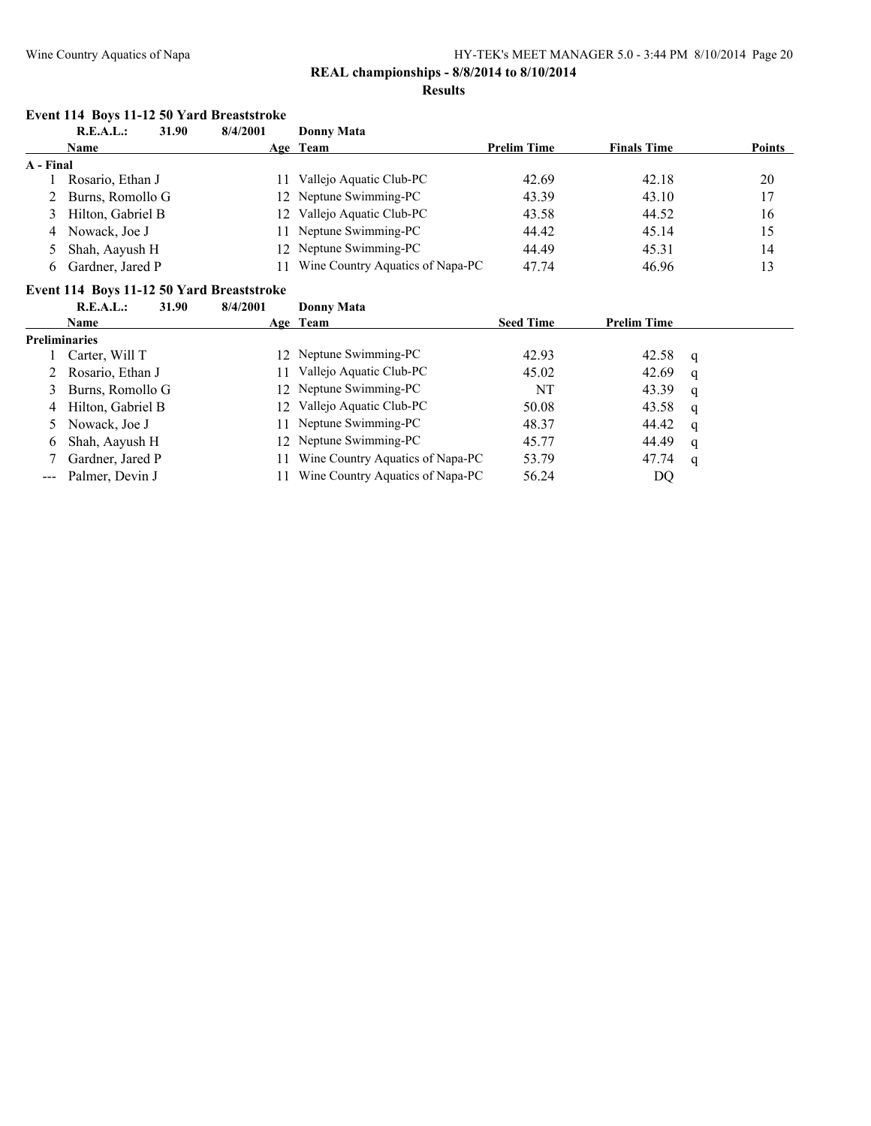### **Event 114 Boys 11-12 50 Yard Breaststroke**

|           | R.E.A.L.:<br>31.90  | 8/4/2001 | Donny Mata                       |                    |                    |               |
|-----------|---------------------|----------|----------------------------------|--------------------|--------------------|---------------|
|           | <b>Name</b>         |          | Age Team                         | <b>Prelim Time</b> | <b>Finals Time</b> | <b>Points</b> |
| A - Final |                     |          |                                  |                    |                    |               |
|           | Rosario, Ethan J    |          | Vallejo Aquatic Club-PC          | 42.69              | 42.18              | 20            |
|           | 2 Burns, Romollo G  |          | 12 Neptune Swimming-PC           | 43.39              | 43.10              | 17            |
|           | 3 Hilton, Gabriel B |          | 12 Vallejo Aquatic Club-PC       | 43.58              | 44.52              | 16            |
|           | 4 Nowack, Joe J     |          | 11 Neptune Swimming-PC           | 44.42              | 45.14              | 15            |
|           | 5 Shah, Aayush H    |          | 12 Neptune Swimming-PC           | 44.49              | 45.31              | 14            |
|           | Gardner, Jared P    |          | Wine Country Aquatics of Napa-PC | 47.74              | 46.96              | 13            |

#### **Event 114 Boys 11-12 50 Yard Breaststroke**

|                      | R.E.A.L.:           | 31.90<br>8/4/2001 | Donny Mata                       |                  |                    |          |
|----------------------|---------------------|-------------------|----------------------------------|------------------|--------------------|----------|
|                      | <b>Name</b>         |                   | Age Team                         | <b>Seed Time</b> | <b>Prelim Time</b> |          |
| <b>Preliminaries</b> |                     |                   |                                  |                  |                    |          |
|                      | Carter, Will T      |                   | 12 Neptune Swimming-PC           | 42.93            | 42.58              | <b>a</b> |
|                      | 2 Rosario, Ethan J  | 11.               | Vallejo Aquatic Club-PC          | 45.02            | 42.69              | q        |
|                      | 3 Burns, Romollo G  |                   | 12 Neptune Swimming-PC           | NT               | 43.39              | q        |
|                      | 4 Hilton, Gabriel B |                   | 12 Vallejo Aquatic Club-PC       | 50.08            | 43.58              | - q      |
|                      | 5 Nowack, Joe J     | 11                | Neptune Swimming-PC              | 48.37            | 44.42              | q        |
| 6                    | Shah, Aayush H      |                   | 12 Neptune Swimming-PC           | 45.77            | 44.49              | q        |
|                      | Gardner, Jared P    |                   | Wine Country Aquatics of Napa-PC | 53.79            | 47.74              | q        |
|                      | --- Palmer, Devin J |                   | Wine Country Aquatics of Napa-PC | 56.24            | DQ.                |          |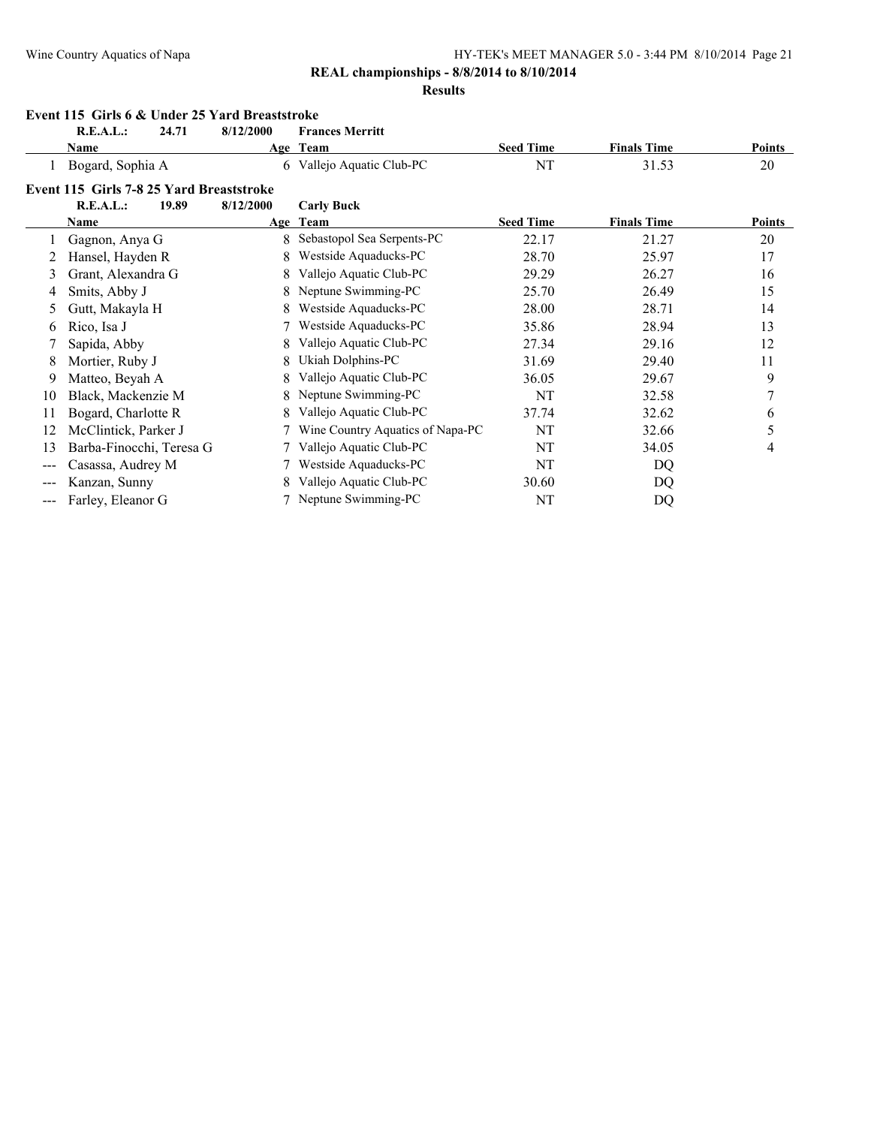#### **REAL championships - 8/8/2014 to 8/10/2014**

#### **Results**

|       | Event 115 Girls 6 & Under 25 Yard Breaststroke |       |           |                                  |                  |                    |               |  |  |  |
|-------|------------------------------------------------|-------|-----------|----------------------------------|------------------|--------------------|---------------|--|--|--|
|       | R.E.A.L.:                                      | 24.71 | 8/12/2000 | <b>Frances Merritt</b>           |                  |                    |               |  |  |  |
|       | Name                                           |       |           | Age Team                         | <b>Seed Time</b> | <b>Finals Time</b> | <b>Points</b> |  |  |  |
|       | Bogard, Sophia A                               |       |           | 6 Vallejo Aquatic Club-PC        | NT               | 31.53              | 20            |  |  |  |
|       | Event 115 Girls 7-8 25 Yard Breaststroke       |       |           |                                  |                  |                    |               |  |  |  |
|       | R.E.A.L.:                                      | 19.89 | 8/12/2000 | <b>Carly Buck</b>                |                  |                    |               |  |  |  |
|       | <b>Name</b>                                    |       |           | Age Team                         | <b>Seed Time</b> | <b>Finals Time</b> | Points        |  |  |  |
|       | Gagnon, Anya G                                 |       | 8         | Sebastopol Sea Serpents-PC       | 22.17            | 21.27              | 20            |  |  |  |
|       | Hansel, Hayden R                               |       | 8         | Westside Aquaducks-PC            | 28.70            | 25.97              | 17            |  |  |  |
| 3     | Grant, Alexandra G                             |       | 8         | Vallejo Aquatic Club-PC          | 29.29            | 26.27              | 16            |  |  |  |
| 4     | Smits, Abby J                                  |       | 8         | Neptune Swimming-PC              | 25.70            | 26.49              | 15            |  |  |  |
| 5     | Gutt, Makayla H                                |       | 8         | Westside Aquaducks-PC            | 28.00            | 28.71              | 14            |  |  |  |
| 6     | Rico, Isa J                                    |       |           | Westside Aquaducks-PC            | 35.86            | 28.94              | 13            |  |  |  |
|       | Sapida, Abby                                   |       | 8         | Vallejo Aquatic Club-PC          | 27.34            | 29.16              | 12            |  |  |  |
| 8     | Mortier, Ruby J                                |       | 8         | Ukiah Dolphins-PC                | 31.69            | 29.40              | 11            |  |  |  |
| 9     | Matteo, Beyah A                                |       | 8         | Vallejo Aquatic Club-PC          | 36.05            | 29.67              | 9             |  |  |  |
| 10    | Black, Mackenzie M                             |       | 8         | Neptune Swimming-PC              | NT               | 32.58              | 7             |  |  |  |
| 11    | Bogard, Charlotte R                            |       | 8         | Vallejo Aquatic Club-PC          | 37.74            | 32.62              | 6             |  |  |  |
| 12    | McClintick, Parker J                           |       |           | Wine Country Aquatics of Napa-PC | NT               | 32.66              | 5             |  |  |  |
| 13    | Barba-Finocchi, Teresa G                       |       |           | Vallejo Aquatic Club-PC          | NT               | 34.05              | 4             |  |  |  |
| $---$ | Casassa, Audrey M                              |       |           | Westside Aquaducks-PC            | NT               | DQ                 |               |  |  |  |
| ---   | Kanzan, Sunny                                  |       | 8         | Vallejo Aquatic Club-PC          | 30.60            | DQ                 |               |  |  |  |
| ---   | Farley, Eleanor G                              |       |           | 7 Neptune Swimming-PC            | NT               | DQ                 |               |  |  |  |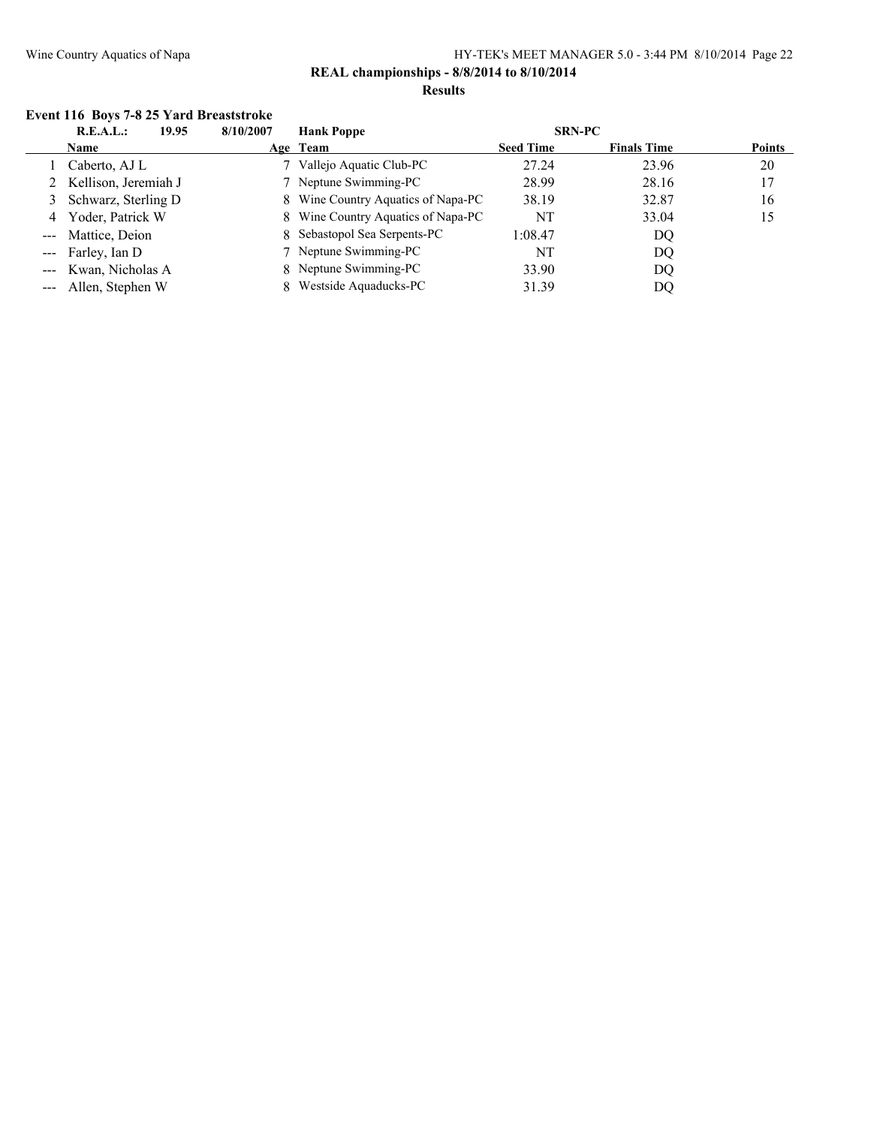#### **Event 116 Boys 7-8 25 Yard Breaststroke**

| 19.95<br>R.E.A.L.:     | 8/10/2007<br><b>Hank Poppe</b>     | <b>SRN-PC</b>                          |               |
|------------------------|------------------------------------|----------------------------------------|---------------|
| Name                   | Age Team                           | <b>Finals Time</b><br><b>Seed Time</b> | <b>Points</b> |
| Caberto, AJ L          | Vallejo Aquatic Club-PC            | 27.24<br>23.96                         | 20            |
| 2 Kellison, Jeremiah J | 7 Neptune Swimming-PC              | 28.99<br>28.16                         | 17            |
| 3 Schwarz, Sterling D  | 8 Wine Country Aquatics of Napa-PC | 38.19<br>32.87                         | 16            |
| 4 Yoder, Patrick W     | 8 Wine Country Aquatics of Napa-PC | NT<br>33.04                            | 15            |
| --- Mattice, Deion     | 8 Sebastopol Sea Serpents-PC       | 1:08.47<br>DQ                          |               |
| --- Farley, Ian D      | 7 Neptune Swimming-PC              | NT<br>DQ                               |               |
| --- Kwan, Nicholas A   | 8 Neptune Swimming-PC              | 33.90<br>DQ                            |               |
| --- Allen, Stephen W   | Westside Aquaducks-PC              | 31.39<br>DO                            |               |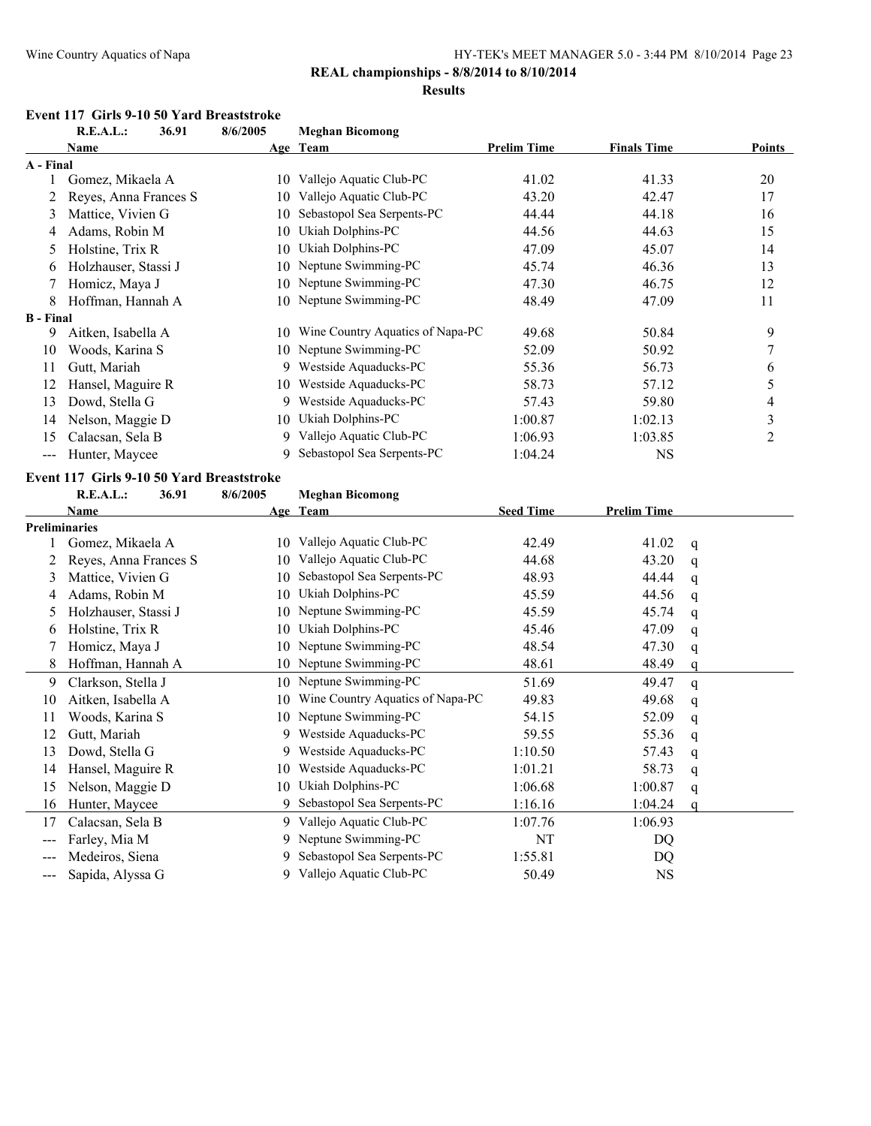#### **REAL championships - 8/8/2014 to 8/10/2014**

#### **Results**

# **Event 117 Girls 9-10 50 Yard Breaststroke**<br>**B E A L :** 36.91 8/6/2005

|                            | R.E.A.L.:                                 | 36.91 | 8/6/2005 | <b>Meghan Bicomong</b>           |                    |                    |               |
|----------------------------|-------------------------------------------|-------|----------|----------------------------------|--------------------|--------------------|---------------|
|                            | Name                                      |       |          | Age Team                         | <b>Prelim Time</b> | <b>Finals Time</b> | <b>Points</b> |
| A - Final                  |                                           |       |          |                                  |                    |                    |               |
|                            | Gomez, Mikaela A                          |       | 10       | Vallejo Aquatic Club-PC          | 41.02              | 41.33              | 20            |
|                            | Reyes, Anna Frances S                     |       | 10       | Vallejo Aquatic Club-PC          | 43.20              | 42.47              | 17            |
| 3                          | Mattice, Vivien G                         |       | 10       | Sebastopol Sea Serpents-PC       | 44.44              | 44.18              | 16            |
| 4                          | Adams, Robin M                            |       | 10       | Ukiah Dolphins-PC                | 44.56              | 44.63              | 15            |
| 5                          | Holstine, Trix R                          |       | 10       | Ukiah Dolphins-PC                | 47.09              | 45.07              | 14            |
| 6                          | Holzhauser, Stassi J                      |       | 10       | Neptune Swimming-PC              | 45.74              | 46.36              | 13            |
|                            | Homicz, Maya J                            |       | 10       | Neptune Swimming-PC              | 47.30              | 46.75              | 12            |
| 8                          | Hoffman, Hannah A                         |       | 10       | Neptune Swimming-PC              | 48.49              | 47.09              | 11            |
| <b>B</b> - Final           |                                           |       |          |                                  |                    |                    |               |
| 9                          | Aitken, Isabella A                        |       | 10       | Wine Country Aquatics of Napa-PC | 49.68              | 50.84              | 9             |
| 10                         | Woods, Karina S                           |       | 10       | Neptune Swimming-PC              | 52.09              | 50.92              | 7             |
| 11                         | Gutt, Mariah                              |       | 9        | Westside Aquaducks-PC            | 55.36              | 56.73              | 6             |
| 12                         | Hansel, Maguire R                         |       | 10       | Westside Aquaducks-PC            | 58.73              | 57.12              | 5             |
| 13                         | Dowd, Stella G                            |       | 9        | Westside Aquaducks-PC            | 57.43              | 59.80              | 4             |
| 14                         | Nelson, Maggie D                          |       | 10       | Ukiah Dolphins-PC                | 1:00.87            | 1:02.13            | 3             |
| 15                         | Calacsan, Sela B                          |       | 9        | Vallejo Aquatic Club-PC          | 1:06.93            | 1:03.85            | 2             |
| $\qquad \qquad \text{---}$ | Hunter, Maycee                            |       | 9        | Sebastopol Sea Serpents-PC       | 1:04.24            | <b>NS</b>          |               |
|                            | Event 117 Girls 9-10 50 Yard Breaststroke |       |          |                                  |                    |                    |               |
|                            | R.E.A.L.:                                 | 36.91 | 8/6/2005 | <b>Meghan Bicomong</b>           |                    |                    |               |

|               | <b>Name</b>           |    | Age Team                         | <b>Seed Time</b> | <b>Prelim Time</b> |   |
|---------------|-----------------------|----|----------------------------------|------------------|--------------------|---|
|               | <b>Preliminaries</b>  |    |                                  |                  |                    |   |
|               | Gomez, Mikaela A      | 10 | Vallejo Aquatic Club-PC          | 42.49            | 41.02              | q |
|               | Reyes, Anna Frances S | 10 | Vallejo Aquatic Club-PC          | 44.68            | 43.20              | q |
| 3             | Mattice, Vivien G     | 10 | Sebastopol Sea Serpents-PC       | 48.93            | 44.44              | q |
| 4             | Adams, Robin M        | 10 | Ukiah Dolphins-PC                | 45.59            | 44.56              | q |
| $\mathcal{D}$ | Holzhauser, Stassi J  | 10 | Neptune Swimming-PC              | 45.59            | 45.74              | q |
| 6             | Holstine, Trix R      | 10 | Ukiah Dolphins-PC                | 45.46            | 47.09              | q |
|               | Homicz, Maya J        | 10 | Neptune Swimming-PC              | 48.54            | 47.30              | q |
| 8             | Hoffman, Hannah A     | 10 | Neptune Swimming-PC              | 48.61            | 48.49              | a |
| 9             | Clarkson, Stella J    |    | 10 Neptune Swimming-PC           | 51.69            | 49.47              | q |
| 10            | Aitken, Isabella A    | 10 | Wine Country Aquatics of Napa-PC | 49.83            | 49.68              | q |
| 11            | Woods, Karina S       | 10 | Neptune Swimming-PC              | 54.15            | 52.09              | q |
| 12            | Gutt, Mariah          | 9  | Westside Aquaducks-PC            | 59.55            | 55.36              | q |
| 13            | Dowd, Stella G        | 9  | Westside Aquaducks-PC            | 1:10.50          | 57.43              | q |
| 14            | Hansel, Maguire R     | 10 | Westside Aquaducks-PC            | 1:01.21          | 58.73              | q |
| 15            | Nelson, Maggie D      | 10 | Ukiah Dolphins-PC                | 1:06.68          | 1:00.87            | q |
| 16            | Hunter, Maycee        | 9  | Sebastopol Sea Serpents-PC       | 1:16.16          | 1:04.24            |   |
| 17            | Calacsan, Sela B      | 9  | Vallejo Aquatic Club-PC          | 1:07.76          | 1:06.93            |   |
| $---$         | Farley, Mia M         | 9  | Neptune Swimming-PC              | NT               | DQ                 |   |
|               | Medeiros, Siena       | 9  | Sebastopol Sea Serpents-PC       | 1:55.81          | DQ                 |   |
| ---           | Sapida, Alyssa G      | 9  | Vallejo Aquatic Club-PC          | 50.49            | <b>NS</b>          |   |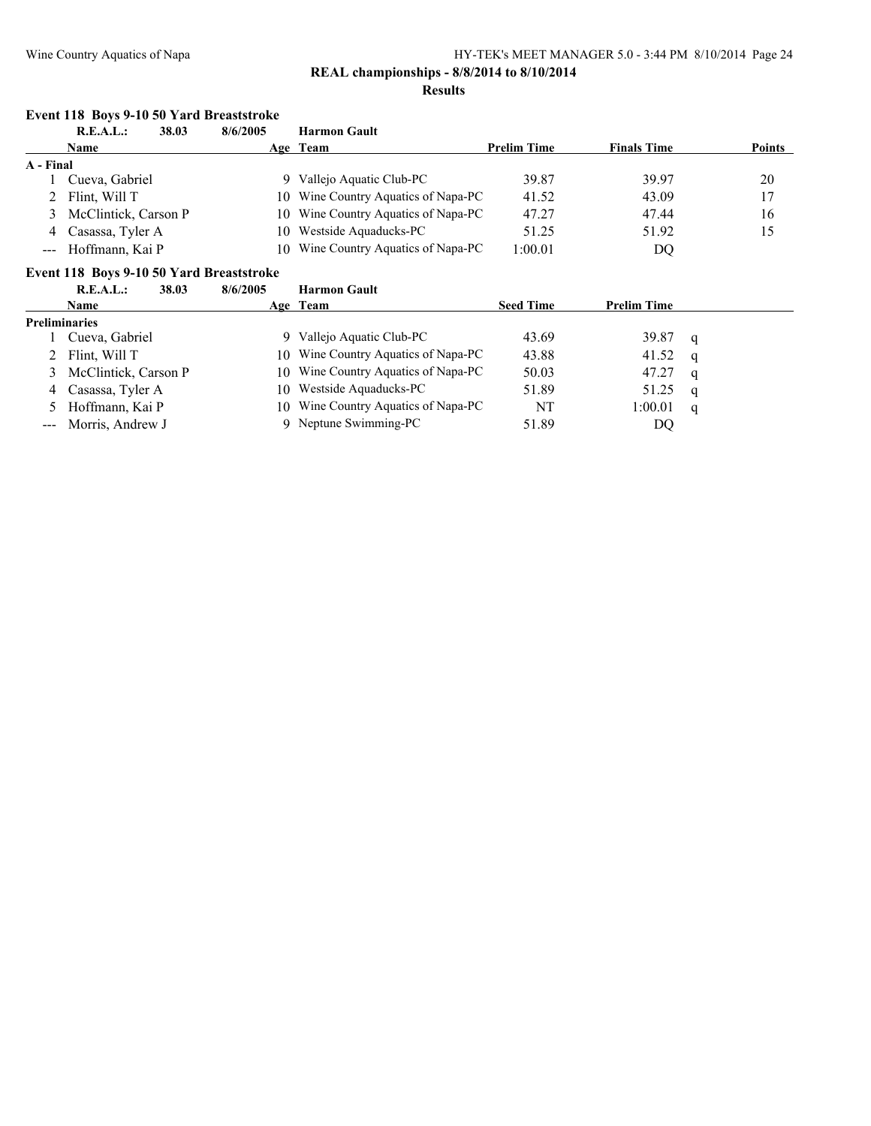### **REAL championships - 8/8/2014 to 8/10/2014**

#### **Results**

#### **Event 118 Boys 9-10 50 Yard Breaststroke**

|           | R.E.A.L.:<br>38.03     | 8/6/2005 | <b>Harmon Gault</b>                 |                    |                    |               |
|-----------|------------------------|----------|-------------------------------------|--------------------|--------------------|---------------|
|           | Name                   |          | Age Team                            | <b>Prelim Time</b> | <b>Finals Time</b> | <b>Points</b> |
| A - Final |                        |          |                                     |                    |                    |               |
|           | Cueva, Gabriel         |          | 9 Vallejo Aquatic Club-PC           | 39.87              | 39.97              | 20            |
|           | 2 Flint, Will T        |          | 10 Wine Country Aquatics of Napa-PC | 41.52              | 43.09              | 17            |
|           | 3 McClintick, Carson P |          | 10 Wine Country Aquatics of Napa-PC | 47.27              | 47.44              | 16            |
| 4         | Casassa, Tyler A       | 10.      | Westside Aquaducks-PC               | 51.25              | 51.92              | 15            |
|           | --- Hoffmann, Kai P    |          | 10 Wine Country Aquatics of Napa-PC | 1:00.01            | DQ                 |               |

#### **Event 118 Boys 9-10 50 Yard Breaststroke**

|   | R.E.A.L.:<br>38.03   | 8/6/2005 | <b>Harmon Gault</b>                 |                  |                    |   |
|---|----------------------|----------|-------------------------------------|------------------|--------------------|---|
|   | <b>Name</b>          |          | Age Team                            | <b>Seed Time</b> | <b>Prelim Time</b> |   |
|   | <b>Preliminaries</b> |          |                                     |                  |                    |   |
|   | Cueva, Gabriel       |          | Vallejo Aquatic Club-PC             | 43.69            | 39.87              | q |
|   | 2 Flint, Will T      |          | 10 Wine Country Aquatics of Napa-PC | 43.88            | 41.52              | q |
|   | McClintick, Carson P |          | 10 Wine Country Aquatics of Napa-PC | 50.03            | 47.27              | q |
| 4 | Casassa, Tyler A     |          | 10 Westside Aquaducks-PC            | 51.89            | 51.25              | q |
|   | 5 Hoffmann, Kai P    |          | 10 Wine Country Aquatics of Napa-PC | NT               | 1:00.01            | q |
|   | --- Morris, Andrew J |          | 9 Neptune Swimming-PC               | 51.89            | DO                 |   |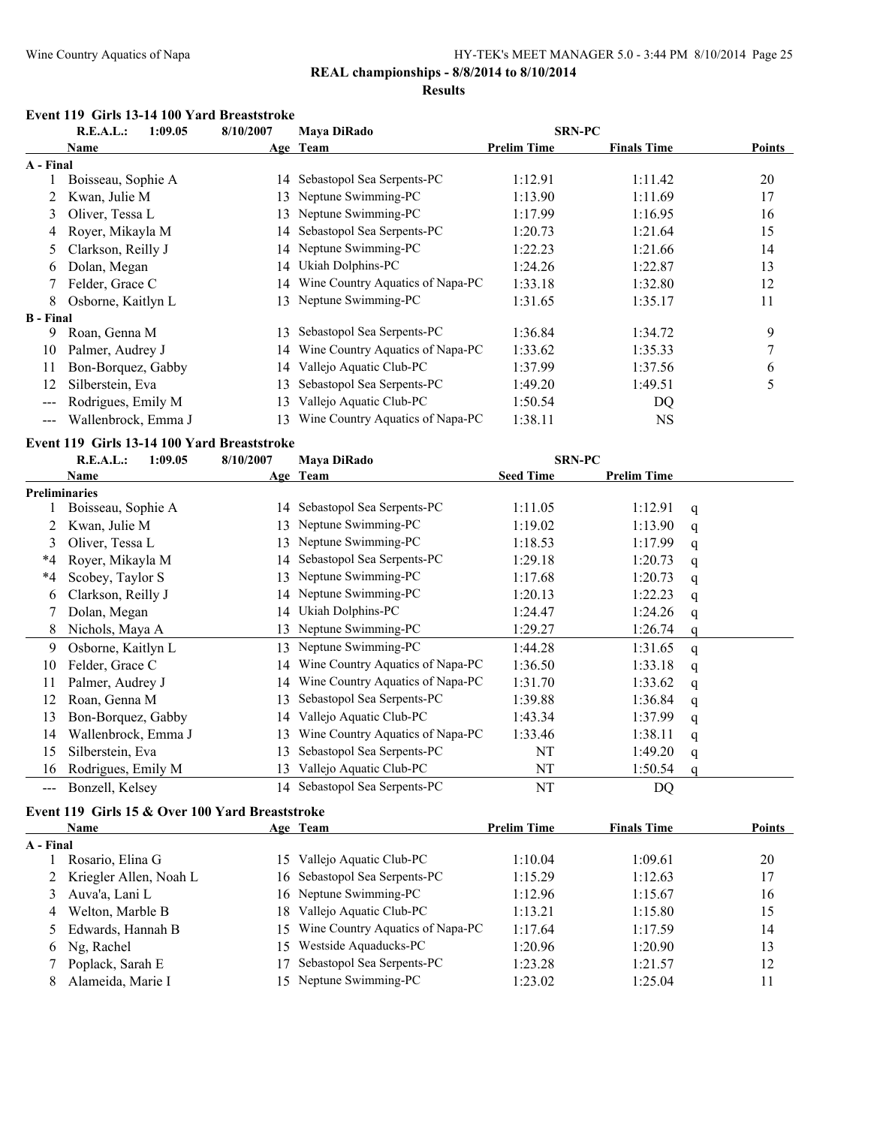#### **Results**

#### **Event 119 Girls 13-14 100 Yard Breaststroke**

|                     | R.E.A.L.:<br><b>Mava DiRado</b><br>1:09.05<br>8/10/2007 |    |                                  | <b>SRN-PC</b>      |                    |               |
|---------------------|---------------------------------------------------------|----|----------------------------------|--------------------|--------------------|---------------|
|                     | Name                                                    |    | Age Team                         | <b>Prelim Time</b> | <b>Finals Time</b> | <b>Points</b> |
| A - Final           |                                                         |    |                                  |                    |                    |               |
|                     | Boisseau, Sophie A                                      |    | 14 Sebastopol Sea Serpents-PC    | 1:12.91            | 1:11.42            | 20            |
|                     | Kwan, Julie M                                           | 13 | Neptune Swimming-PC              | 1:13.90            | 1:11.69            | 17            |
| 3                   | Oliver, Tessa L                                         | 13 | Neptune Swimming-PC              | 1:17.99            | 1:16.95            | 16            |
| 4                   | Royer, Mikayla M                                        |    | 14 Sebastopol Sea Serpents-PC    | 1:20.73            | 1:21.64            | 15            |
| 5                   | Clarkson, Reilly J                                      |    | 14 Neptune Swimming-PC           | 1:22.23            | 1:21.66            | 14            |
| 6                   | Dolan, Megan                                            | 14 | Ukiah Dolphins-PC                | 1:24.26            | 1:22.87            | 13            |
|                     | Felder, Grace C                                         | 14 | Wine Country Aquatics of Napa-PC | 1:33.18            | 1:32.80            | 12            |
| 8                   | Osborne, Kaitlyn L                                      | 13 | Neptune Swimming-PC              | 1:31.65            | 1:35.17            | 11            |
| <b>B</b> - Final    |                                                         |    |                                  |                    |                    |               |
| 9                   | Roan, Genna M                                           | 13 | Sebastopol Sea Serpents-PC       | 1:36.84            | 1:34.72            | 9             |
| 10                  | Palmer, Audrey J                                        | 14 | Wine Country Aquatics of Napa-PC | 1:33.62            | 1:35.33            | 7             |
| 11                  | Bon-Borquez, Gabby                                      | 14 | Vallejo Aquatic Club-PC          | 1:37.99            | 1:37.56            | 6             |
| 12                  | Silberstein, Eva                                        | 13 | Sebastopol Sea Serpents-PC       | 1:49.20            | 1:49.51            | 5             |
| $\qquad \qquad -$   | Rodrigues, Emily M                                      | 13 | Vallejo Aquatic Club-PC          | 1:50.54            | DQ                 |               |
| $\qquad \qquad - -$ | Wallenbrock, Emma J                                     | 13 | Wine Country Aquatics of Napa-PC | 1:38.11            | <b>NS</b>          |               |

#### **Event 119 Girls 13-14 100 Yard Breaststroke**

|                      | <b>SRN-PC</b><br>1:09.05<br>8/10/2007<br>Maya DiRado<br>R.E.A.L.: |     |                                  |                  |                    |   |
|----------------------|-------------------------------------------------------------------|-----|----------------------------------|------------------|--------------------|---|
|                      | Name                                                              |     | Age Team                         | <b>Seed Time</b> | <b>Prelim Time</b> |   |
| <b>Preliminaries</b> |                                                                   |     |                                  |                  |                    |   |
|                      | Boisseau, Sophie A                                                | 14  | Sebastopol Sea Serpents-PC       | 1:11.05          | 1:12.91            | q |
|                      | Kwan, Julie M                                                     | 13  | Neptune Swimming-PC              | 1:19.02          | 1:13.90            | q |
| 3                    | Oliver, Tessa L                                                   | 13. | Neptune Swimming-PC              | 1:18.53          | 1:17.99            | q |
| *4                   | Royer, Mikayla M                                                  | 14  | Sebastopol Sea Serpents-PC       | 1:29.18          | 1:20.73            | q |
| $*4$                 | Scobey, Taylor S                                                  | 13  | Neptune Swimming-PC              | 1:17.68          | 1:20.73            | q |
| 6                    | Clarkson, Reilly J                                                |     | 14 Neptune Swimming-PC           | 1:20.13          | 1:22.23            | q |
|                      | Dolan, Megan                                                      | 14  | Ukiah Dolphins-PC                | 1:24.47          | 1:24.26            | q |
| 8                    | Nichols, Maya A                                                   | 13. | Neptune Swimming-PC              | 1:29.27          | 1:26.74            |   |
| 9                    | Osborne, Kaitlyn L                                                | 13  | Neptune Swimming-PC              | 1:44.28          | 1:31.65            | q |
| 10                   | Felder, Grace C                                                   | 14  | Wine Country Aquatics of Napa-PC | 1:36.50          | 1:33.18            | q |
| 11                   | Palmer, Audrey J                                                  | 14  | Wine Country Aquatics of Napa-PC | 1:31.70          | 1:33.62            | q |
| 12                   | Roan, Genna M                                                     | 13  | Sebastopol Sea Serpents-PC       | 1:39.88          | 1:36.84            | q |
| 13                   | Bon-Borquez, Gabby                                                | 14  | Vallejo Aquatic Club-PC          | 1:43.34          | 1:37.99            | q |
| 14                   | Wallenbrock, Emma J                                               | 13  | Wine Country Aquatics of Napa-PC | 1:33.46          | 1:38.11            | q |
| 15                   | Silberstein, Eva                                                  | 13  | Sebastopol Sea Serpents-PC       | NT               | 1:49.20            | q |
| 16                   | Rodrigues, Emily M                                                | 13  | Vallejo Aquatic Club-PC          | NT               | 1:50.54            |   |
| $---$                | Bonzell, Kelsey                                                   | 14  | Sebastopol Sea Serpents-PC       | NT               | DQ                 |   |

#### **Event 119 Girls 15 & Over 100 Yard Breaststroke**

|           | <b>Name</b>              |     | Age Team                         | <b>Prelim Time</b> | <b>Finals Time</b> | <b>Points</b> |
|-----------|--------------------------|-----|----------------------------------|--------------------|--------------------|---------------|
| A - Final |                          |     |                                  |                    |                    |               |
|           | Rosario, Elina G         |     | 15 Vallejo Aquatic Club-PC       | 1:10.04            | 1:09.61            | 20            |
|           | 2 Kriegler Allen, Noah L |     | 16 Sebastopol Sea Serpents-PC    | 1:15.29            | 1:12.63            | 17            |
|           | 3 Auva'a, Lani L         |     | 16 Neptune Swimming-PC           | 1:12.96            | 1:15.67            | 16            |
|           | 4 Welton, Marble B       | 18. | Vallejo Aquatic Club-PC          | 1:13.21            | 1:15.80            | 15            |
|           | 5 Edwards, Hannah B      | 15. | Wine Country Aquatics of Napa-PC | 1:17.64            | 1:17.59            | 14            |
|           | 6 Ng, Rachel             | 15. | Westside Aquaducks-PC            | 1:20.96            | 1:20.90            | 13            |
|           | Poplack, Sarah E         |     | Sebastopol Sea Serpents-PC       | 1:23.28            | 1:21.57            | 12            |
|           | Alameida, Marie I        |     | 15 Neptune Swimming-PC           | 1:23.02            | 1:25.04            | 11            |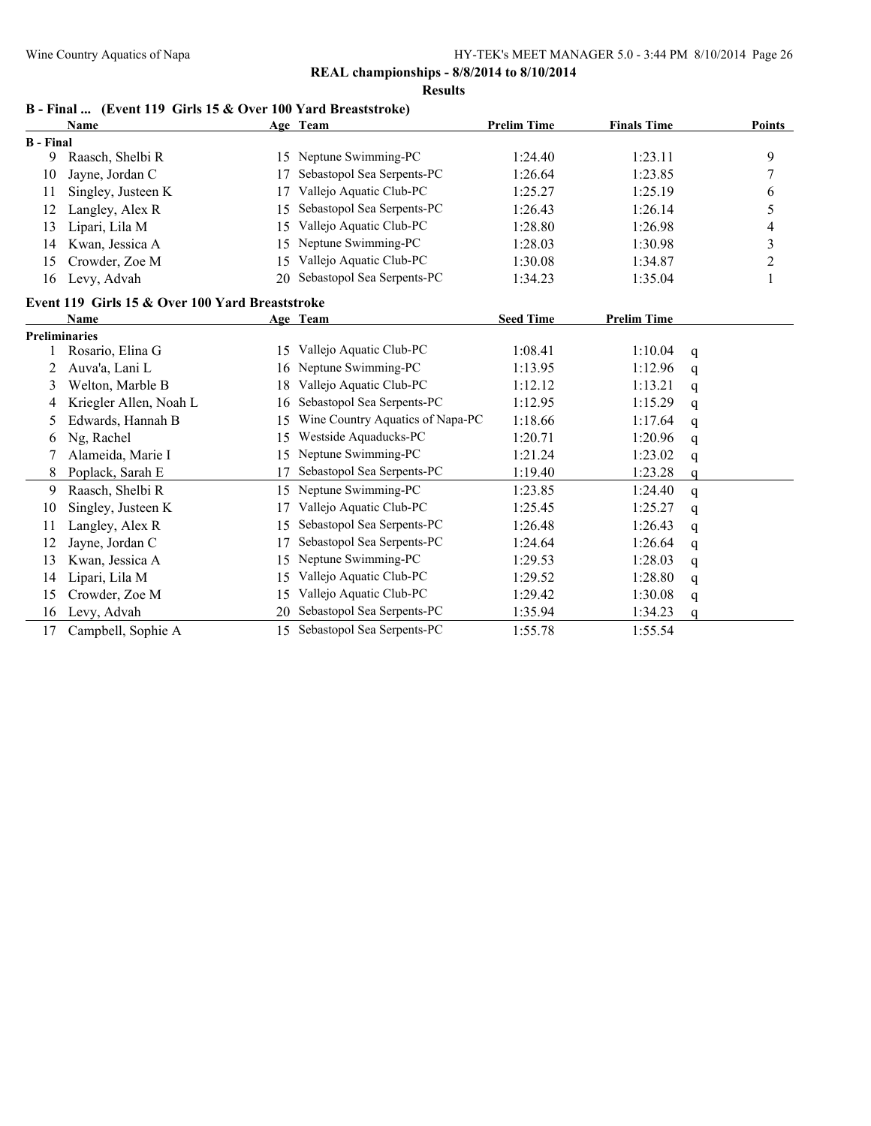**Results**

### **B - Final ... (Event 119 Girls 15 & Over 100 Yard Breaststroke)**

|                  | <b>Name</b>                                     |    | Age Team                         | <b>Prelim Time</b> | <b>Finals Time</b> |   | Points           |
|------------------|-------------------------------------------------|----|----------------------------------|--------------------|--------------------|---|------------------|
| <b>B</b> - Final |                                                 |    |                                  |                    |                    |   |                  |
| 9                | Raasch, Shelbi R                                | 15 | Neptune Swimming-PC              | 1:24.40            | 1:23.11            |   | 9                |
| 10               | Jayne, Jordan C                                 | 17 | Sebastopol Sea Serpents-PC       | 1:26.64            | 1:23.85            |   | $\boldsymbol{7}$ |
| 11               | Singley, Justeen K                              | 17 | Vallejo Aquatic Club-PC          | 1:25.27            | 1:25.19            |   | 6                |
| 12               | Langley, Alex R                                 | 15 | Sebastopol Sea Serpents-PC       | 1:26.43            | 1:26.14            |   | 5                |
| 13               | Lipari, Lila M                                  | 15 | Vallejo Aquatic Club-PC          | 1:28.80            | 1:26.98            |   | 4                |
| 14               | Kwan, Jessica A                                 | 15 | Neptune Swimming-PC              | 1:28.03            | 1:30.98            |   | $\mathfrak{Z}$   |
| 15               | Crowder, Zoe M                                  | 15 | Vallejo Aquatic Club-PC          | 1:30.08            | 1:34.87            |   | $\overline{c}$   |
| 16               | Levy, Advah                                     | 20 | Sebastopol Sea Serpents-PC       | 1:34.23            | 1:35.04            |   | 1                |
|                  | Event 119 Girls 15 & Over 100 Yard Breaststroke |    |                                  |                    |                    |   |                  |
|                  | <b>Name</b>                                     |    | Age Team                         | <b>Seed Time</b>   | <b>Prelim Time</b> |   |                  |
|                  | <b>Preliminaries</b>                            |    |                                  |                    |                    |   |                  |
|                  | Rosario, Elina G                                | 15 | Vallejo Aquatic Club-PC          | 1:08.41            | 1:10.04            | q |                  |
| 2                | Auva'a, Lani L                                  | 16 | Neptune Swimming-PC              | 1:13.95            | 1:12.96            | q |                  |
| 3                | Welton, Marble B                                | 18 | Vallejo Aquatic Club-PC          | 1:12.12            | 1:13.21            | q |                  |
| 4                | Kriegler Allen, Noah L                          | 16 | Sebastopol Sea Serpents-PC       | 1:12.95            | 1:15.29            | q |                  |
| 5                | Edwards, Hannah B                               | 15 | Wine Country Aquatics of Napa-PC | 1:18.66            | 1:17.64            | q |                  |
| 6                | Ng, Rachel                                      | 15 | Westside Aquaducks-PC            | 1:20.71            | 1:20.96            | q |                  |
| 7                | Alameida, Marie I                               | 15 | Neptune Swimming-PC              | 1:21.24            | 1:23.02            | q |                  |
| 8                | Poplack, Sarah E                                | 17 | Sebastopol Sea Serpents-PC       | 1:19.40            | 1:23.28            | q |                  |
| 9                | Raasch, Shelbi R                                | 15 | Neptune Swimming-PC              | 1:23.85            | 1:24.40            | q |                  |
| 10               | Singley, Justeen K                              | 17 | Vallejo Aquatic Club-PC          | 1:25.45            | 1:25.27            | q |                  |
| 11               | Langley, Alex R                                 | 15 | Sebastopol Sea Serpents-PC       | 1:26.48            | 1:26.43            | q |                  |
| 12               | Jayne, Jordan C                                 | 17 | Sebastopol Sea Serpents-PC       | 1:24.64            | 1:26.64            | q |                  |
| 13               | Kwan, Jessica A                                 | 15 | Neptune Swimming-PC              | 1:29.53            | 1:28.03            | q |                  |
| 14               | Lipari, Lila M                                  | 15 | Vallejo Aquatic Club-PC          | 1:29.52            | 1:28.80            | q |                  |
| 15               | Crowder, Zoe M                                  | 15 | Vallejo Aquatic Club-PC          | 1:29.42            | 1:30.08            | q |                  |
| 16               | Levy, Advah                                     | 20 | Sebastopol Sea Serpents-PC       | 1:35.94            | 1:34.23            | a |                  |
| 17               | Campbell, Sophie A                              | 15 | Sebastopol Sea Serpents-PC       | 1:55.78            | 1:55.54            |   |                  |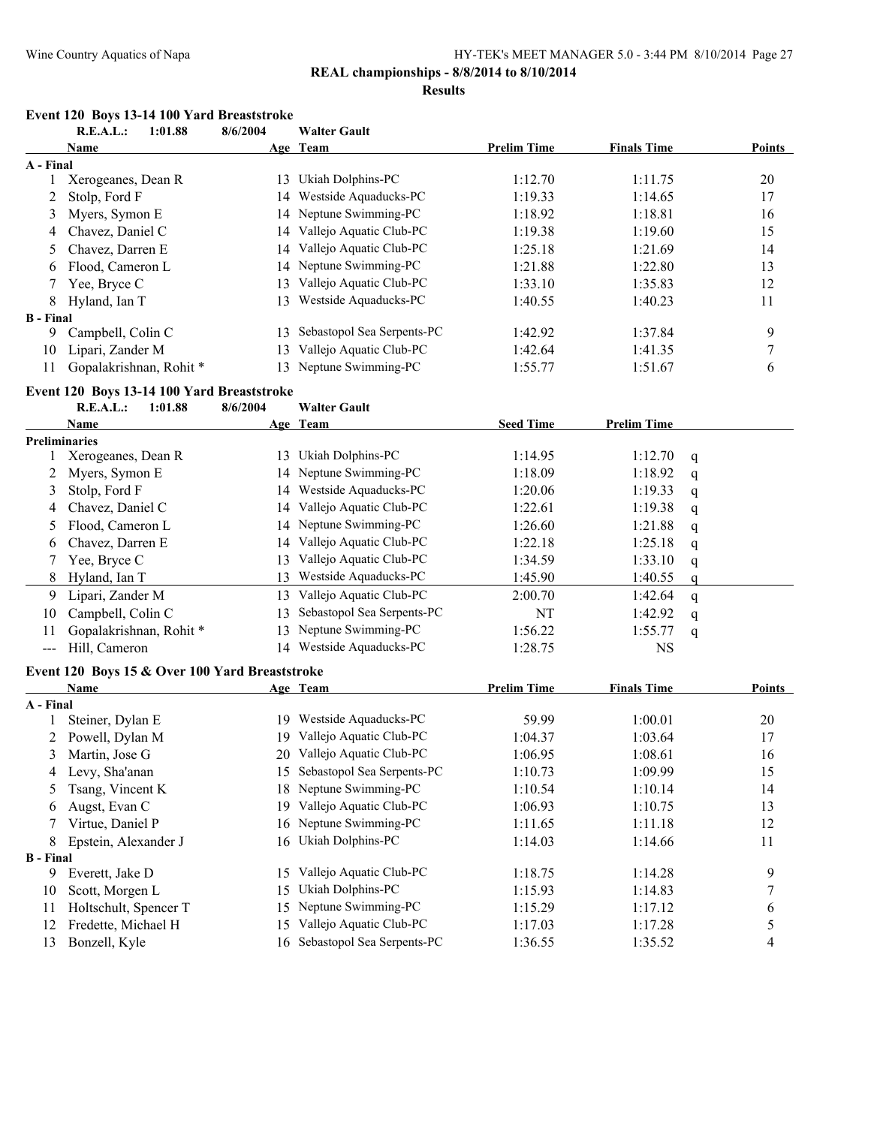#### **Results**

#### **Event 120 Boys 13-14 100 Yard Breaststroke**<br>**B E A L :** 1.01.88 **R.E.A.L.: 1:01.88 8/6/2004 Walter Gault**

|                            | <b>R.E.A.L.:</b><br>1:01.88                    | 8/6/2004 | Walter Gault                  |                    |                    |   |                  |
|----------------------------|------------------------------------------------|----------|-------------------------------|--------------------|--------------------|---|------------------|
|                            | <b>Name</b>                                    |          | Age Team                      | <b>Prelim Time</b> | <b>Finals Time</b> |   | <b>Points</b>    |
| A - Final                  |                                                |          |                               |                    |                    |   |                  |
| 1                          | Xerogeanes, Dean R                             |          | 13 Ukiah Dolphins-PC          | 1:12.70            | 1:11.75            |   | 20               |
| 2                          | Stolp, Ford F                                  |          | 14 Westside Aquaducks-PC      | 1:19.33            | 1:14.65            |   | 17               |
| 3                          | Myers, Symon E                                 |          | 14 Neptune Swimming-PC        | 1:18.92            | 1:18.81            |   | 16               |
| 4                          | Chavez, Daniel C                               |          | 14 Vallejo Aquatic Club-PC    | 1:19.38            | 1:19.60            |   | 15               |
| 5                          | Chavez, Darren E                               |          | 14 Vallejo Aquatic Club-PC    | 1:25.18            | 1:21.69            |   | 14               |
| 6                          | Flood, Cameron L                               |          | 14 Neptune Swimming-PC        | 1:21.88            | 1:22.80            |   | 13               |
| 7                          | Yee, Bryce C                                   | 13       | Vallejo Aquatic Club-PC       | 1:33.10            | 1:35.83            |   | 12               |
| 8                          | Hyland, Ian T                                  | 13       | Westside Aquaducks-PC         | 1:40.55            | 1:40.23            |   | 11               |
| <b>B</b> - Final           |                                                |          |                               |                    |                    |   |                  |
| 9                          | Campbell, Colin C                              | 13       | Sebastopol Sea Serpents-PC    | 1:42.92            | 1:37.84            |   | 9                |
| 10                         | Lipari, Zander M                               | 13       | Vallejo Aquatic Club-PC       | 1:42.64            | 1:41.35            |   | $\boldsymbol{7}$ |
| 11                         | Gopalakrishnan, Rohit*                         | 13       | Neptune Swimming-PC           | 1:55.77            | 1:51.67            |   | 6                |
|                            | Event 120 Boys 13-14 100 Yard Breaststroke     |          |                               |                    |                    |   |                  |
|                            | <b>R.E.A.L.:</b><br>1:01.88                    | 8/6/2004 | <b>Walter Gault</b>           |                    |                    |   |                  |
|                            | Name                                           |          | Age Team                      | <b>Seed Time</b>   | <b>Prelim Time</b> |   |                  |
|                            | <b>Preliminaries</b>                           |          |                               |                    |                    |   |                  |
|                            | Xerogeanes, Dean R                             |          | 13 Ukiah Dolphins-PC          | 1:14.95            | 1:12.70            | q |                  |
| 2                          | Myers, Symon E                                 |          | 14 Neptune Swimming-PC        | 1:18.09            | 1:18.92            | q |                  |
| 3                          | Stolp, Ford F                                  |          | 14 Westside Aquaducks-PC      | 1:20.06            | 1:19.33            | q |                  |
| 4                          | Chavez, Daniel C                               |          | 14 Vallejo Aquatic Club-PC    | 1:22.61            | 1:19.38            | q |                  |
| 5                          | Flood, Cameron L                               |          | 14 Neptune Swimming-PC        | 1:26.60            | 1:21.88            | q |                  |
| 6                          | Chavez, Darren E                               |          | 14 Vallejo Aquatic Club-PC    | 1:22.18            | 1:25.18            | q |                  |
| 7                          | Yee, Bryce C                                   |          | 13 Vallejo Aquatic Club-PC    | 1:34.59            | 1:33.10            | q |                  |
| 8                          | Hyland, Ian T                                  | 13       | Westside Aquaducks-PC         | 1:45.90            | 1:40.55            | q |                  |
| 9                          | Lipari, Zander M                               | 13       | Vallejo Aquatic Club-PC       | 2:00.70            | 1:42.64            | q |                  |
| 10                         | Campbell, Colin C                              | 13       | Sebastopol Sea Serpents-PC    | <b>NT</b>          | 1:42.92            | q |                  |
| 11                         | Gopalakrishnan, Rohit*                         | 13       | Neptune Swimming-PC           | 1:56.22            | 1:55.77            | q |                  |
| $\qquad \qquad \text{---}$ | Hill, Cameron                                  |          | 14 Westside Aquaducks-PC      | 1:28.75            | <b>NS</b>          |   |                  |
|                            | Event 120 Boys 15 & Over 100 Yard Breaststroke |          |                               |                    |                    |   |                  |
|                            | Name                                           |          | Age Team                      | <b>Prelim Time</b> | <b>Finals Time</b> |   | <b>Points</b>    |
| A - Final                  |                                                |          |                               |                    |                    |   |                  |
| 1                          | Steiner, Dylan E                               |          | 19 Westside Aquaducks-PC      | 59.99              | 1:00.01            |   | 20               |
| 2                          | Powell, Dylan M                                |          | 19 Vallejo Aquatic Club-PC    | 1:04.37            | 1:03.64            |   | 17               |
| 3                          | Martin, Jose G                                 |          | 20 Vallejo Aquatic Club-PC    | 1:06.95            | 1:08.61            |   | 16               |
| 4                          | Levy, Sha'anan                                 |          | 15 Sebastopol Sea Serpents-PC | 1:10.73            | 1:09.99            |   | 15               |
| 5                          | Tsang, Vincent K                               | 18       | Neptune Swimming-PC           | 1:10.54            | 1:10.14            |   | 14               |
| 6                          | Augst, Evan C                                  |          | 19 Vallejo Aquatic Club-PC    | 1:06.93            | 1:10.75            |   | 13               |
| 7                          | Virtue, Daniel P                               | 16       | Neptune Swimming-PC           | 1:11.65            | 1:11.18            |   | 12               |
| 8                          | Epstein, Alexander J                           |          | 16 Ukiah Dolphins-PC          | 1:14.03            | 1:14.66            |   | 11               |
| <b>B</b> - Final           |                                                |          |                               |                    |                    |   |                  |
| 9                          | Everett, Jake D                                | 15       | Vallejo Aquatic Club-PC       | 1:18.75            | 1:14.28            |   | 9                |
| 10                         | Scott, Morgen L                                | 15       | Ukiah Dolphins-PC             | 1:15.93            | 1:14.83            |   | 7                |
| 11                         | Holtschult, Spencer T                          | 15       | Neptune Swimming-PC           | 1:15.29            | 1:17.12            |   | 6                |
| 12                         | Fredette, Michael H                            | 15       | Vallejo Aquatic Club-PC       | 1:17.03            | 1:17.28            |   | 5                |
| 13                         | Bonzell, Kyle                                  |          | 16 Sebastopol Sea Serpents-PC | 1:36.55            | 1:35.52            |   | 4                |
|                            |                                                |          |                               |                    |                    |   |                  |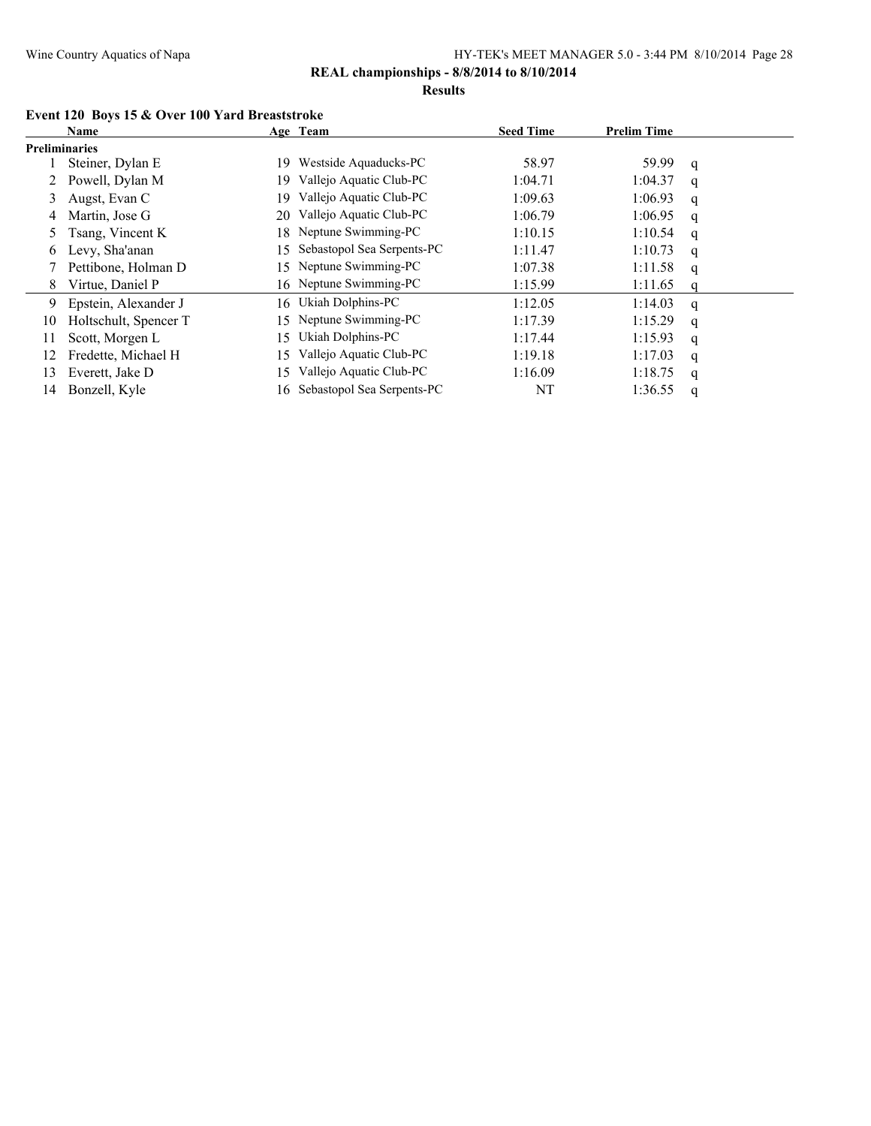**Results**

#### **Event 120 Boys 15 & Over 100 Yard Breaststroke**

|                      | Name                  |     | Age Team                      | <b>Seed Time</b> | <b>Prelim Time</b> |              |
|----------------------|-----------------------|-----|-------------------------------|------------------|--------------------|--------------|
| <b>Preliminaries</b> |                       |     |                               |                  |                    |              |
|                      | Steiner, Dylan E      | 19  | Westside Aquaducks-PC         | 58.97            | 59.99              | q            |
|                      | Powell, Dylan M       | 19. | Vallejo Aquatic Club-PC       | 1:04.71          | 1:04.37            | q            |
| 3                    | Augst, Evan C         | 19. | Vallejo Aquatic Club-PC       | 1:09.63          | 1:06.93            | q            |
| 4                    | Martin, Jose G        | 20  | Vallejo Aquatic Club-PC       | 1:06.79          | 1:06.95            | q            |
|                      | Tsang, Vincent K      |     | 18 Neptune Swimming-PC        | 1:10.15          | 1:10.54            | q            |
| 6                    | Levy, Sha'anan        | 15  | Sebastopol Sea Serpents-PC    | 1:11.47          | 1:10.73            | q            |
|                      | Pettibone, Holman D   |     | 15 Neptune Swimming-PC        | 1:07.38          | 1:11.58            | q            |
| 8                    | Virtue, Daniel P      |     | 16 Neptune Swimming-PC        | 1:15.99          | 1:11.65            |              |
| 9                    | Epstein, Alexander J  |     | 16 Ukiah Dolphins-PC          | 1:12.05          | 1:14.03            | q            |
| 10                   | Holtschult, Spencer T | 15. | Neptune Swimming-PC           | 1:17.39          | 1:15.29            | q            |
| 11                   | Scott, Morgen L       | I 5 | Ukiah Dolphins-PC             | 1:17.44          | 1:15.93            | q            |
| 12                   | Fredette, Michael H   | 15. | Vallejo Aquatic Club-PC       | 1:19.18          | 1:17.03            | q            |
| 13                   | Everett, Jake D       | 15. | Vallejo Aquatic Club-PC       | 1:16.09          | 1:18.75            | $\mathbf{q}$ |
| 14                   | Bonzell, Kyle         |     | 16 Sebastopol Sea Serpents-PC | NT               | 1:36.55            | q            |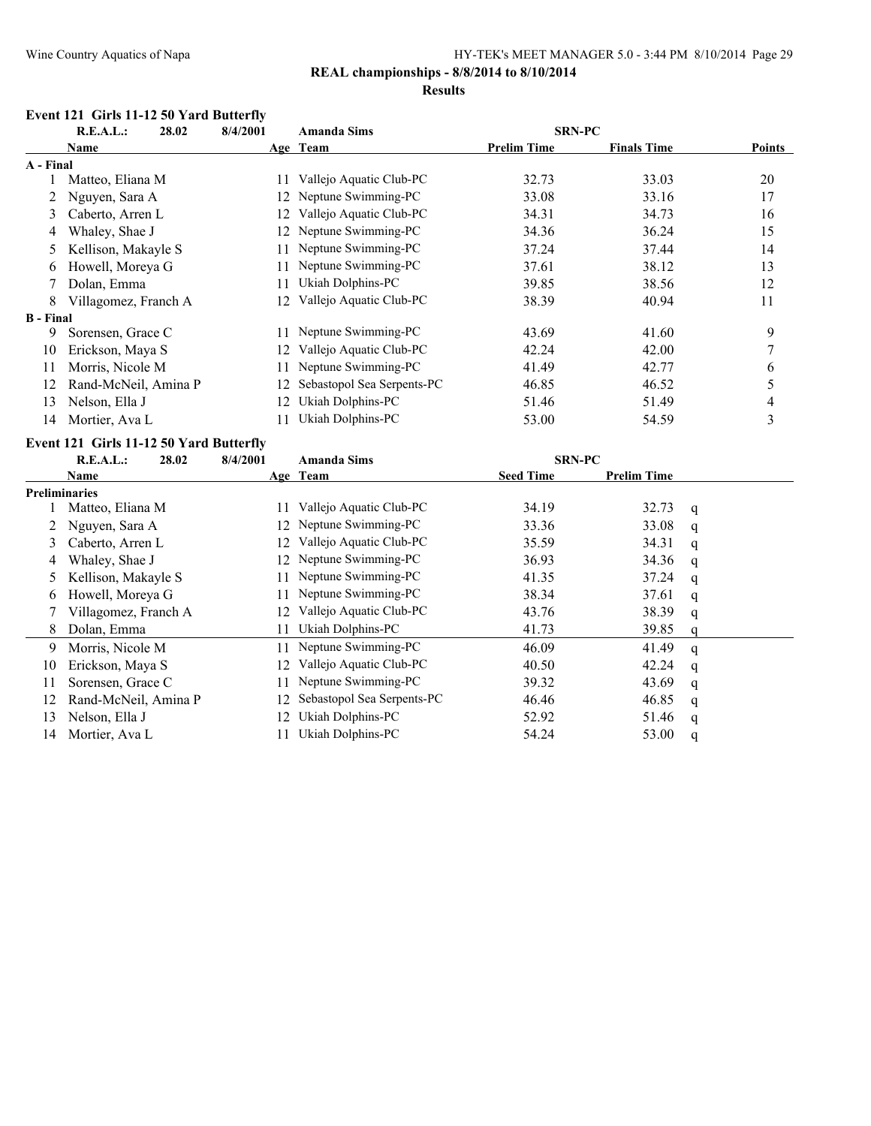### **REAL championships - 8/8/2014 to 8/10/2014**

#### **Results**

### **Event 121 Girls 11-12 50 Yard Butterfly**

|                  | R.E.A.L.:<br>28.02                      | 8/4/2001 | <b>Amanda Sims</b>         | <b>SRN-PC</b>      |                    |        |
|------------------|-----------------------------------------|----------|----------------------------|--------------------|--------------------|--------|
|                  | Name                                    |          | Age Team                   | <b>Prelim Time</b> | <b>Finals Time</b> | Points |
| A - Final        |                                         |          |                            |                    |                    |        |
|                  | Matteo, Eliana M                        | 11       | Vallejo Aquatic Club-PC    | 32.73              | 33.03              | 20     |
| 2                | Nguyen, Sara A                          | 12.      | Neptune Swimming-PC        | 33.08              | 33.16              | 17     |
| 3                | Caberto, Arren L                        | 12.      | Vallejo Aquatic Club-PC    | 34.31              | 34.73              | 16     |
| 4                | Whaley, Shae J                          | 12       | Neptune Swimming-PC        | 34.36              | 36.24              | 15     |
| 5.               | Kellison, Makayle S                     |          | Neptune Swimming-PC        | 37.24              | 37.44              | 14     |
| 6                | Howell, Moreya G                        |          | Neptune Swimming-PC        | 37.61              | 38.12              | 13     |
|                  | Dolan, Emma                             |          | Ukiah Dolphins-PC          | 39.85              | 38.56              | 12     |
| 8                | Villagomez, Franch A                    | 12       | Vallejo Aquatic Club-PC    | 38.39              | 40.94              | 11     |
| <b>B</b> - Final |                                         |          |                            |                    |                    |        |
| 9                | Sorensen, Grace C                       |          | Neptune Swimming-PC        | 43.69              | 41.60              | 9      |
| 10               | Erickson, Maya S                        | 12.      | Vallejo Aquatic Club-PC    | 42.24              | 42.00              | 7      |
| 11               | Morris, Nicole M                        | 11       | Neptune Swimming-PC        | 41.49              | 42.77              | 6      |
| 12               | Rand-McNeil, Amina P                    | 12.      | Sebastopol Sea Serpents-PC | 46.85              | 46.52              | 5      |
| 13               | Nelson, Ella J                          | 12       | Ukiah Dolphins-PC          | 51.46              | 51.49              | 4      |
| 14               | Mortier, Ava L                          | 11       | Ukiah Dolphins-PC          | 53.00              | 54.59              | 3      |
|                  | Event 121 Girls 11-12 50 Yard Butterfly |          |                            |                    |                    |        |
|                  | R.E.A.L.:<br>28.02                      | 8/4/2001 | <b>Amanda Sims</b>         | <b>SRN-PC</b>      |                    |        |
|                  | Name                                    |          | Age Team                   | <b>Seed Time</b>   | <b>Prelim Time</b> |        |
| n 11             |                                         |          |                            |                    |                    |        |

|    | гчаніс               |     | А2С геані                  | $5ct$ and $11$ | ттении типе |   |
|----|----------------------|-----|----------------------------|----------------|-------------|---|
|    | <b>Preliminaries</b> |     |                            |                |             |   |
|    | Matteo, Eliana M     |     | Vallejo Aquatic Club-PC    | 34.19          | 32.73       | q |
|    | Nguyen, Sara A       |     | 12 Neptune Swimming-PC     | 33.36          | 33.08       | q |
|    | Caberto, Arren L     |     | Vallejo Aquatic Club-PC    | 35.59          | 34.31       | q |
|    | Whaley, Shae J       |     | 12 Neptune Swimming-PC     | 36.93          | 34.36       | q |
|    | Kellison, Makayle S  |     | Neptune Swimming-PC        | 41.35          | 37.24       | q |
| 6. | Howell, Moreya G     | 11. | Neptune Swimming-PC        | 38.34          | 37.61       | q |
|    | Villagomez, Franch A |     | Vallejo Aquatic Club-PC    | 43.76          | 38.39       | q |
|    | Dolan, Emma          |     | Ukiah Dolphins-PC          | 41.73          | 39.85       | q |
| 9  | Morris, Nicole M     |     | 11 Neptune Swimming-PC     | 46.09          | 41.49       | q |
| 10 | Erickson, Maya S     | 12. | Vallejo Aquatic Club-PC    | 40.50          | 42.24       | q |
|    | Sorensen, Grace C    |     | Neptune Swimming-PC        | 39.32          | 43.69       | q |
| 12 | Rand-McNeil, Amina P | 12. | Sebastopol Sea Serpents-PC | 46.46          | 46.85       | q |
| 13 | Nelson, Ella J       |     | Ukiah Dolphins-PC          | 52.92          | 51.46       | q |
| 14 | Mortier, Ava L       |     | Ukiah Dolphins-PC          | 54.24          | 53.00       | q |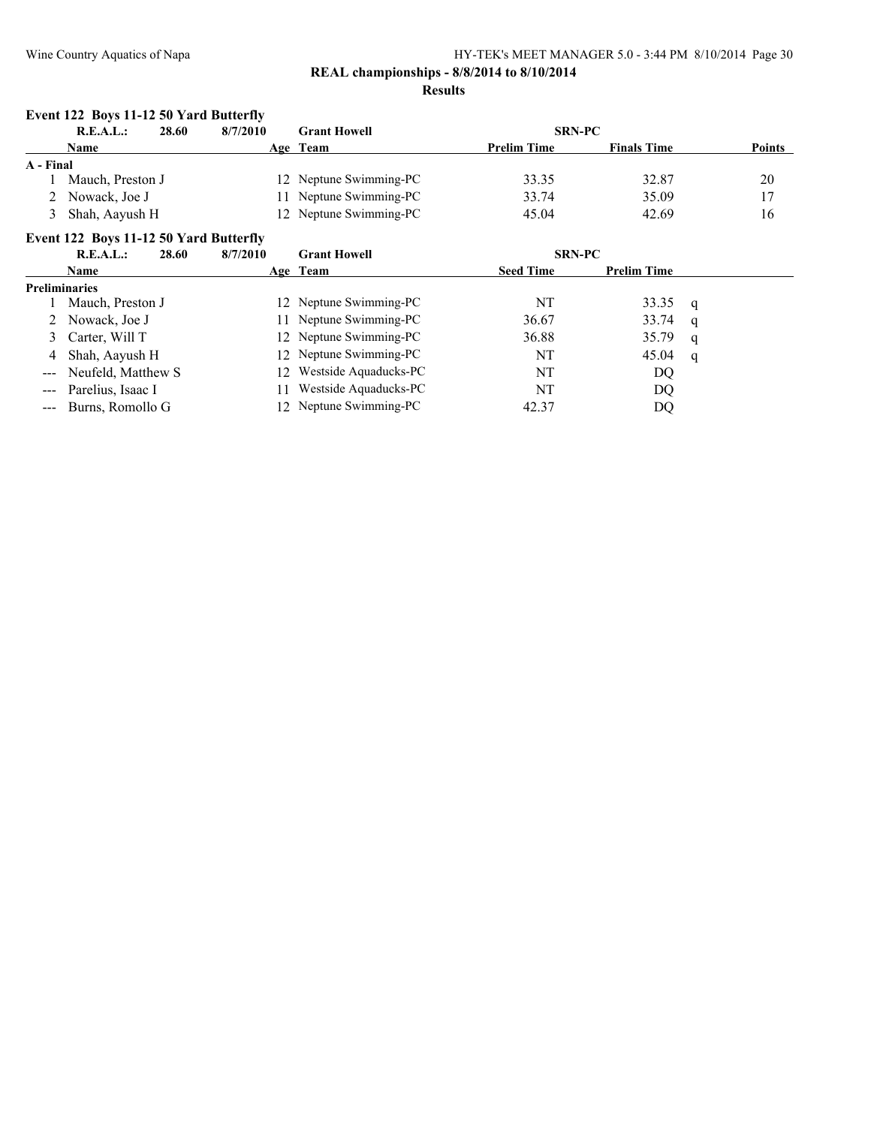### **REAL championships - 8/8/2014 to 8/10/2014**

#### **Results**

#### **Event 122 Boys 11-12 50 Yard Butterfly**

| R.E.A.L.:<br>28.60 |                  | 8/7/2010 | <b>Grant Howell</b> | <b>SRN-PC</b>          |                    |                    |               |
|--------------------|------------------|----------|---------------------|------------------------|--------------------|--------------------|---------------|
|                    | Name             |          |                     | Age Team               | <b>Prelim Time</b> | <b>Finals Time</b> | <b>Points</b> |
| A - Final          |                  |          |                     |                        |                    |                    |               |
|                    | Mauch, Preston J |          |                     | 12 Neptune Swimming-PC | 33.35              | 32.87              | 20            |
|                    | Nowack, Joe J    |          |                     | 11 Neptune Swimming-PC | 33.74              | 35.09              | 17            |
|                    | Shah, Aayush H   |          |                     | 12 Neptune Swimming-PC | 45.04              | 42.69              | 16            |

#### **Event 122 Boys 11-12 50 Yard Butterfly**

| R.E.A.L.:<br>28.60<br>8/7/2010 |  | <b>Grant Howell</b>      | <b>SRN-PC</b>    |                    |   |
|--------------------------------|--|--------------------------|------------------|--------------------|---|
| <b>Name</b>                    |  | Age Team                 | <b>Seed Time</b> | <b>Prelim Time</b> |   |
| <b>Preliminaries</b>           |  |                          |                  |                    |   |
| Mauch, Preston J               |  | 12 Neptune Swimming-PC   | NT               | 33.35              | q |
| 2 Nowack, Joe J                |  | 11 Neptune Swimming-PC   | 36.67            | 33.74              | q |
| 3 Carter, Will T               |  | 12 Neptune Swimming-PC   | 36.88            | 35.79              | a |
| 4 Shah, Aayush H               |  | 12 Neptune Swimming-PC   | NT               | 45.04              | q |
| --- Neufeld, Matthew S         |  | 12 Westside Aquaducks-PC | NT               | DQ                 |   |
| --- Parelius, Isaac I          |  | Westside Aquaducks-PC    | NT               | DQ                 |   |
| --- Burns, Romollo G           |  | 12 Neptune Swimming-PC   | 42.37            | DO                 |   |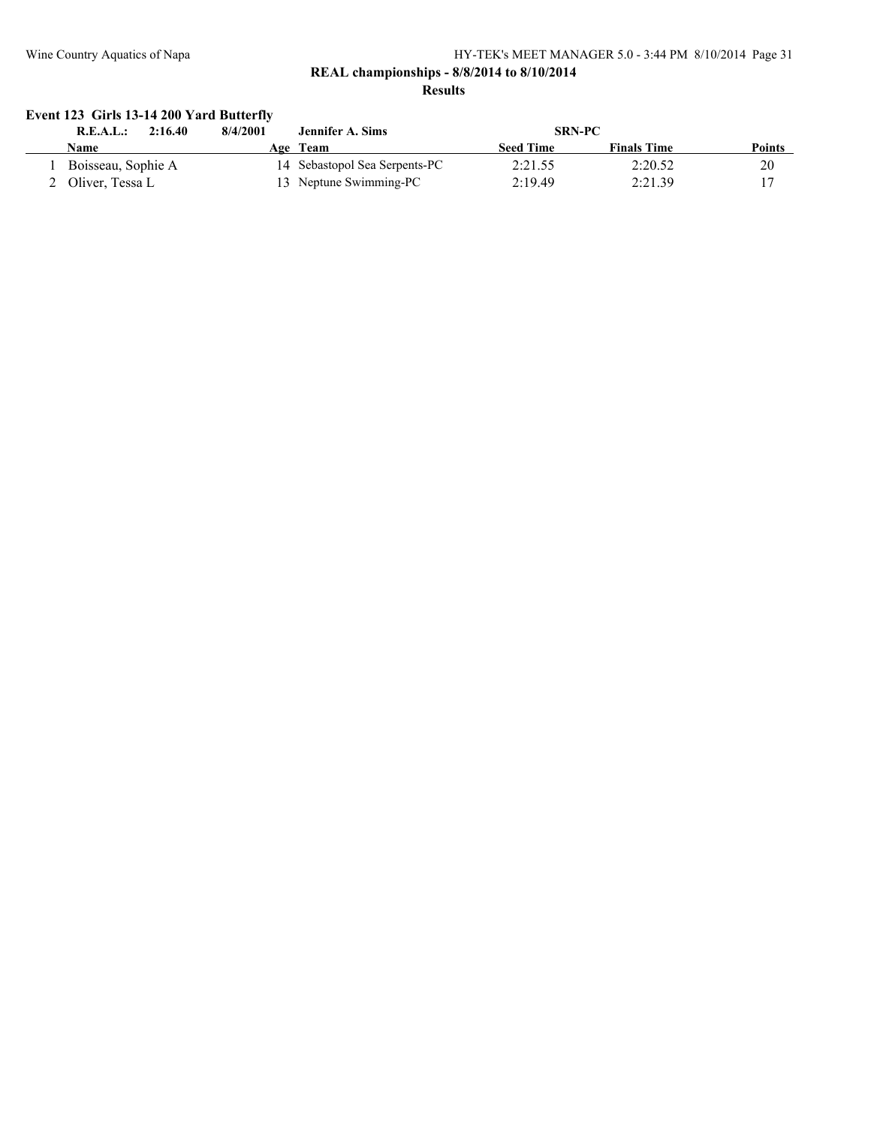#### **REAL championships - 8/8/2014 to 8/10/2014 Results**

### **Event 123 Girls 13-14 200 Yard Butterfly**

| R.E.A.L.:          | 2:16.40 | 8/4/2001 | Jennifer A. Sims              | <b>SRN-PC</b>    |                    |        |
|--------------------|---------|----------|-------------------------------|------------------|--------------------|--------|
| Name               |         |          | Age Team                      | <b>Seed Time</b> | <b>Finals Time</b> | Points |
| Boisseau, Sophie A |         |          | 14 Sebastopol Sea Serpents-PC | 2:21.55          | 2:20.52            | 20     |
| 2 Oliver. Tessa L  |         |          | 13 Neptune Swimming-PC        | 2:19.49          | 2:21.39            |        |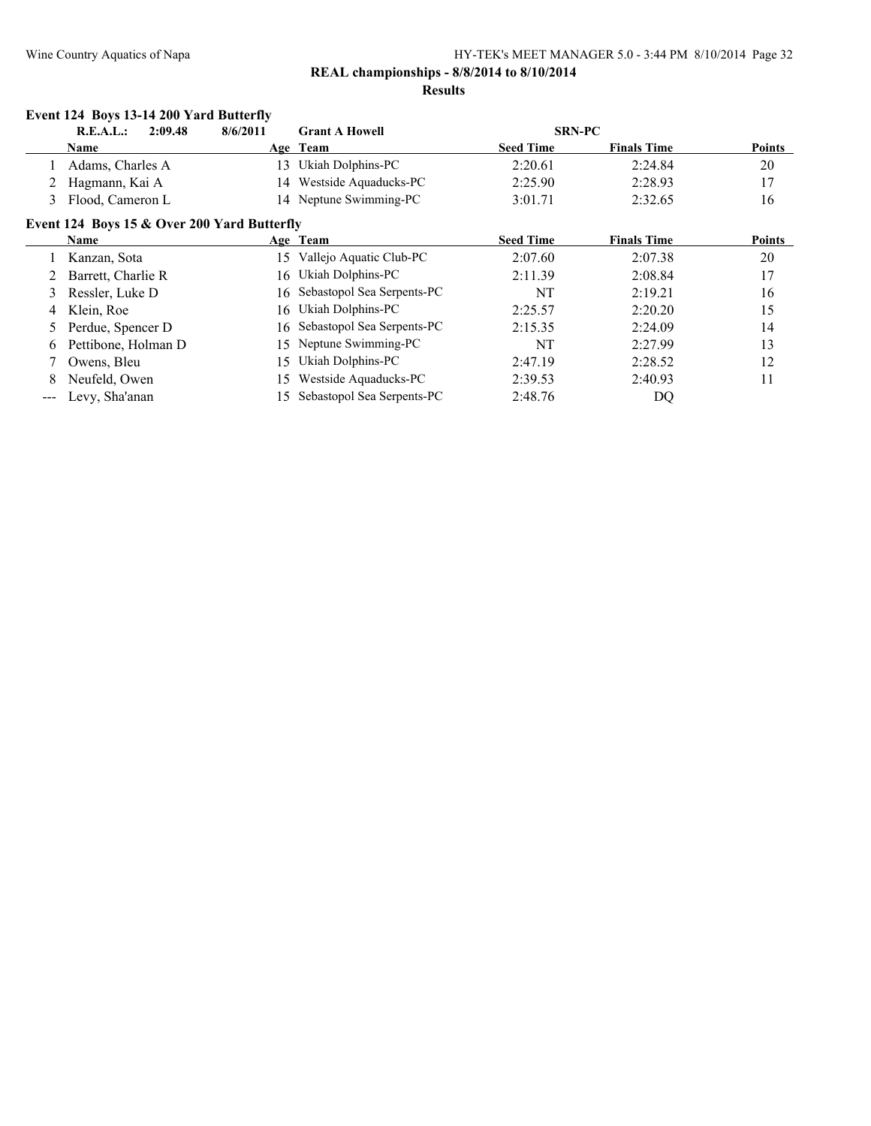|                   | Event 124 Boys 13-14 200 Yard Butterfly     |          |                               |                  |                    |        |
|-------------------|---------------------------------------------|----------|-------------------------------|------------------|--------------------|--------|
|                   | 2:09.48<br>R.E.A.L.:                        | 8/6/2011 | <b>Grant A Howell</b>         |                  | <b>SRN-PC</b>      |        |
|                   | Name                                        |          | Age Team                      | <b>Seed Time</b> | <b>Finals Time</b> | Points |
|                   | Adams, Charles A                            | 13       | Ukiah Dolphins-PC             | 2:20.61          | 2:24.84            | 20     |
|                   | Hagmann, Kai A                              | 14       | Westside Aquaducks-PC         | 2:25.90          | 2:28.93            | 17     |
| 3                 | Flood, Cameron L                            |          | 14 Neptune Swimming-PC        | 3:01.71          | 2:32.65            | 16     |
|                   | Event 124 Boys 15 & Over 200 Yard Butterfly |          |                               |                  |                    |        |
|                   | Name                                        |          | Age Team                      | <b>Seed Time</b> | <b>Finals Time</b> | Points |
|                   | Kanzan, Sota                                | 15       | Vallejo Aquatic Club-PC       | 2:07.60          | 2:07.38            | 20     |
|                   | Barrett, Charlie R                          | 16       | Ukiah Dolphins-PC             | 2:11.39          | 2:08.84            | 17     |
| 3                 | Ressler, Luke D                             |          | 16 Sebastopol Sea Serpents-PC | <b>NT</b>        | 2:19.21            | 16     |
| 4                 | Klein, Roe                                  | 16       | Ukiah Dolphins-PC             | 2:25.57          | 2:20.20            | 15     |
| 5.                | Perdue, Spencer D                           | 16       | Sebastopol Sea Serpents-PC    | 2:15.35          | 2:24.09            | 14     |
| 6                 | Pettibone, Holman D                         | 15       | Neptune Swimming-PC           | NT               | 2:27.99            | 13     |
|                   | Owens, Bleu                                 | 15       | Ukiah Dolphins-PC             | 2:47.19          | 2:28.52            | 12     |
| 8                 | Neufeld, Owen                               | 15       | Westside Aquaducks-PC         | 2:39.53          | 2:40.93            | 11     |
| $\qquad \qquad -$ | Levy, Sha'anan                              | 15       | Sebastopol Sea Serpents-PC    | 2:48.76          | DQ                 |        |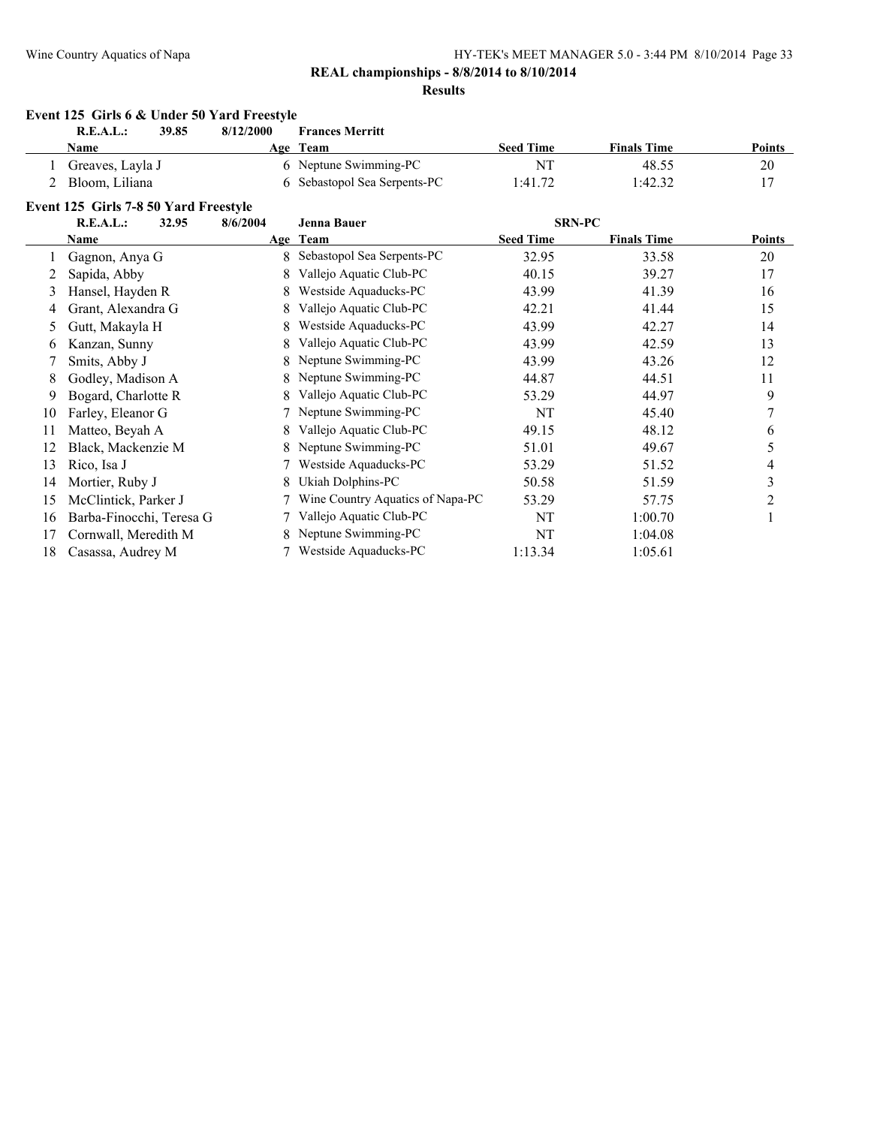### **REAL championships - 8/8/2014 to 8/10/2014**

#### **Results**

### **Event 125 Girls 6 & Under 50 Yard Freestyle R.E.A.L.: 39.85 8/12/2000 Frances Merritt**

| Name             | Age Team                     | <b>Seed Time</b> | <b>Finals Time</b> | <b>Points</b> |
|------------------|------------------------------|------------------|--------------------|---------------|
| Greaves, Layla J | 6 Neptune Swimming-PC        | N٦               | 48.55              | 20            |
| Bloom. Liliana   | 6 Sebastopol Sea Serpents-PC | 1:41.72          | :42.32             |               |

#### **Event 125 Girls 7-8 50 Yard Freestyle**

|                  | R.E.A.L.:                | 8/6/2004<br>32.95 | <b>SRN-PC</b><br><b>Jenna Bauer</b> |                  |                    |               |
|------------------|--------------------------|-------------------|-------------------------------------|------------------|--------------------|---------------|
|                  | Name                     |                   | Age Team                            | <b>Seed Time</b> | <b>Finals Time</b> | <b>Points</b> |
|                  | Gagnon, Anya G           | 8                 | Sebastopol Sea Serpents-PC          | 32.95            | 33.58              | 20            |
|                  | Sapida, Abby             | 8                 | Vallejo Aquatic Club-PC             | 40.15            | 39.27              | 17            |
| 3                | Hansel, Hayden R         | 8                 | Westside Aquaducks-PC               | 43.99            | 41.39              | 16            |
| 4                | Grant, Alexandra G       | 8                 | Vallejo Aquatic Club-PC             | 42.21            | 41.44              | 15            |
| $\mathfrak{S}^-$ | Gutt, Makayla H          | 8                 | Westside Aquaducks-PC               | 43.99            | 42.27              | 14            |
| 6.               | Kanzan, Sunny            | 8                 | Vallejo Aquatic Club-PC             | 43.99            | 42.59              | 13            |
|                  | Smits, Abby J            | 8                 | Neptune Swimming-PC                 | 43.99            | 43.26              | 12            |
| 8                | Godley, Madison A        | 8                 | Neptune Swimming-PC                 | 44.87            | 44.51              | 11            |
| 9                | Bogard, Charlotte R      | 8                 | Vallejo Aquatic Club-PC             | 53.29            | 44.97              | 9             |
| 10               | Farley, Eleanor G        |                   | Neptune Swimming-PC                 | NT               | 45.40              |               |
| 11               | Matteo, Beyah A          | 8                 | Vallejo Aquatic Club-PC             | 49.15            | 48.12              | 6             |
| 12               | Black, Mackenzie M       |                   | Neptune Swimming-PC                 | 51.01            | 49.67              | 5             |
| 13               | Rico, Isa J              |                   | Westside Aquaducks-PC               | 53.29            | 51.52              | 4             |
| 14               | Mortier, Ruby J          | 8                 | Ukiah Dolphins-PC                   | 50.58            | 51.59              | 3             |
| 15               | McClintick, Parker J     |                   | Wine Country Aquatics of Napa-PC    | 53.29            | 57.75              | 2             |
| 16               | Barba-Finocchi, Teresa G |                   | Vallejo Aquatic Club-PC             | NT               | 1:00.70            |               |
| 17               | Cornwall, Meredith M     | 8.                | Neptune Swimming-PC                 | NT               | 1:04.08            |               |
| 18               | Casassa, Audrey M        |                   | Westside Aquaducks-PC               | 1:13.34          | 1:05.61            |               |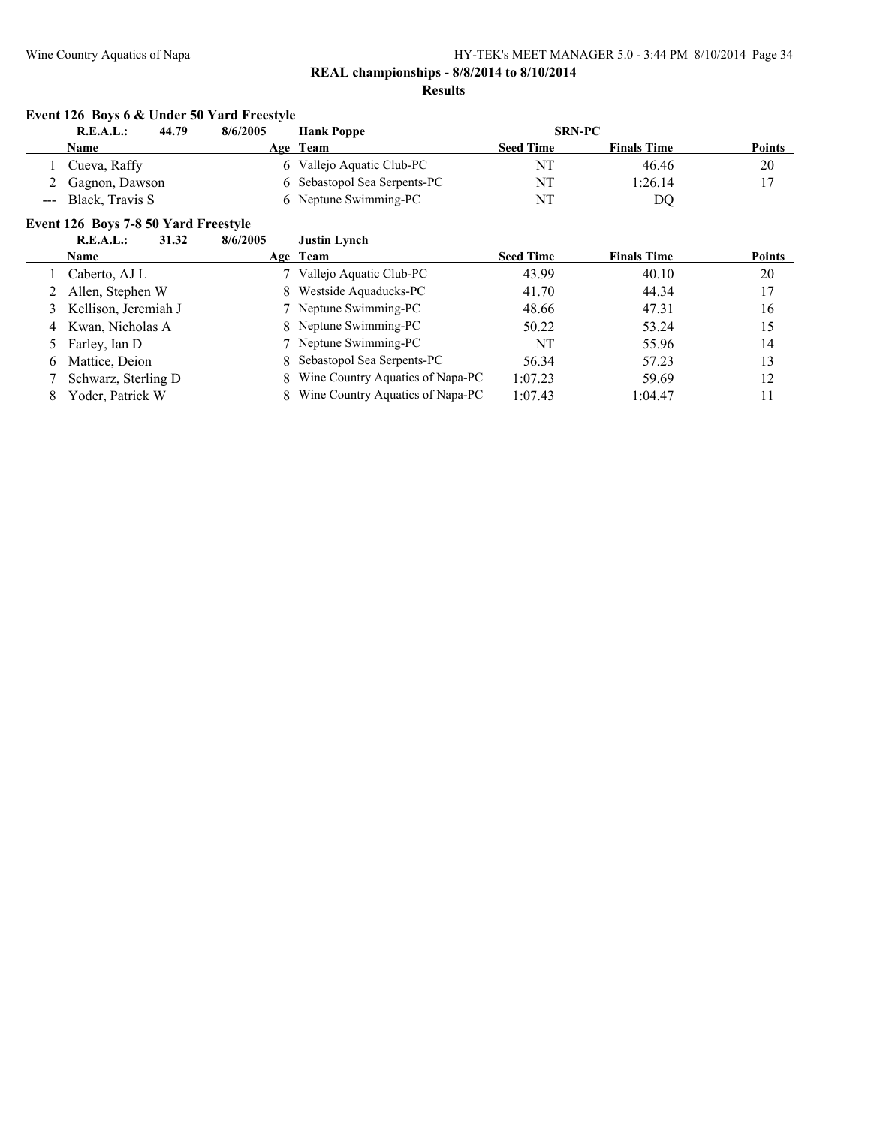# **Event 126 Boys 6 & Under 50 Yard Freestyle**

|                     | R.E.A.L.:<br>44.79<br>8/6/2005       |       |          | <b>Hank Poppe</b>                | <b>SRN-PC</b>    |                    |               |
|---------------------|--------------------------------------|-------|----------|----------------------------------|------------------|--------------------|---------------|
|                     | Name                                 |       |          | Age Team                         | <b>Seed Time</b> | <b>Finals Time</b> | <b>Points</b> |
|                     | Cueva, Raffy                         |       | 6        | Vallejo Aquatic Club-PC          | NT               | 46.46              | 20            |
| 2                   | Gagnon, Dawson                       |       |          | 6 Sebastopol Sea Serpents-PC     | NT               | 1:26.14            | 17            |
| $\qquad \qquad - -$ | Black, Travis S                      |       |          | 6 Neptune Swimming-PC            | NT               | DQ                 |               |
|                     | Event 126 Boys 7-8 50 Yard Freestyle |       |          |                                  |                  |                    |               |
|                     | R.E.A.L.:                            | 31.32 | 8/6/2005 | <b>Justin Lynch</b>              |                  |                    |               |
|                     | Name                                 |       |          | Age Team                         | <b>Seed Time</b> | <b>Finals Time</b> | <b>Points</b> |
|                     | Caberto, AJ L                        |       |          | Vallejo Aquatic Club-PC          | 43.99            | 40.10              | 20            |
|                     | Allen, Stephen W                     |       | 8.       | Westside Aquaducks-PC            | 41.70            | 44.34              | 17            |
| 3                   | Kellison, Jeremiah J                 |       |          | Neptune Swimming-PC              | 48.66            | 47.31              | 16            |
| 4                   | Kwan, Nicholas A                     |       |          | 8 Neptune Swimming-PC            | 50.22            | 53.24              | 15            |
| 5                   | Farley, Ian D                        |       |          | Neptune Swimming-PC              | NT               | 55.96              | 14            |
| 6                   | Mattice, Deion                       |       | 8        | Sebastopol Sea Serpents-PC       | 56.34            | 57.23              | 13            |
|                     | Schwarz, Sterling D                  |       | 8        | Wine Country Aquatics of Napa-PC | 1:07.23          | 59.69              | 12            |
| 8                   | Yoder, Patrick W                     |       |          | Wine Country Aquatics of Napa-PC | 1:07.43          | 1:04.47            | 11            |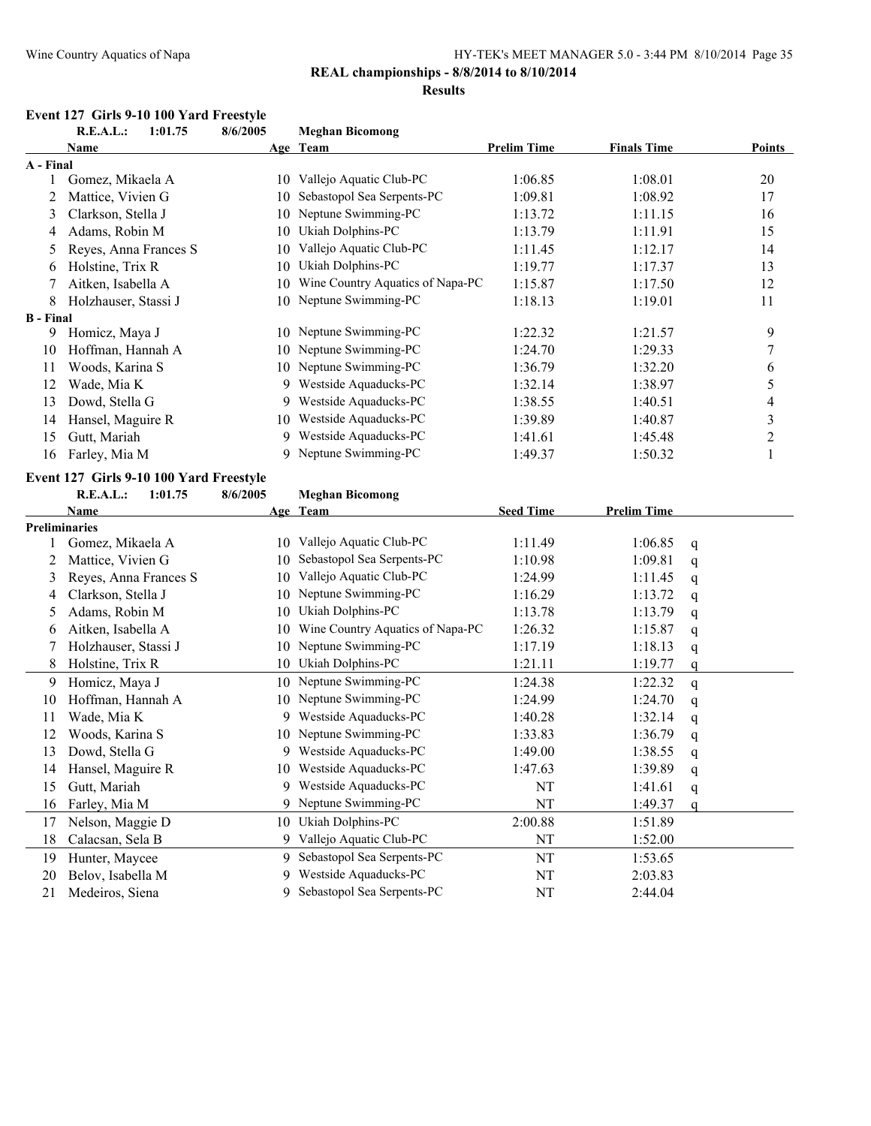#### **REAL championships - 8/8/2014 to 8/10/2014**

#### **Results**

# **Event 127 Girls 9-10 100 Yard Freestyle**<br>**REAL:** 1:01.75 8/6/2005

|                  | R.E.A.L.:<br>1:01.75                    | 8/6/2005 | <b>Meghan Bicomong</b>           |                    |                    |               |                |
|------------------|-----------------------------------------|----------|----------------------------------|--------------------|--------------------|---------------|----------------|
|                  | Name                                    |          | Age Team                         | <b>Prelim Time</b> | <b>Finals Time</b> |               | <b>Points</b>  |
| A - Final        |                                         |          |                                  |                    |                    |               |                |
| 1                | Gomez, Mikaela A                        |          | 10 Vallejo Aquatic Club-PC       | 1:06.85            | 1:08.01            |               | 20             |
| 2                | Mattice, Vivien G                       | 10       | Sebastopol Sea Serpents-PC       | 1:09.81            | 1:08.92            |               | 17             |
| 3                | Clarkson, Stella J                      |          | 10 Neptune Swimming-PC           | 1:13.72            | 1:11.15            |               | 16             |
| 4                | Adams, Robin M                          |          | 10 Ukiah Dolphins-PC             | 1:13.79            | 1:11.91            |               | 15             |
| 5                | Reyes, Anna Frances S                   | 10       | Vallejo Aquatic Club-PC          | 1:11.45            | 1:12.17            |               | 14             |
| 6                | Holstine, Trix R                        | 10       | Ukiah Dolphins-PC                | 1:19.77            | 1:17.37            |               | 13             |
| 7                | Aitken, Isabella A                      | 10       | Wine Country Aquatics of Napa-PC | 1:15.87            | 1:17.50            |               | 12             |
| 8                | Holzhauser, Stassi J                    |          | 10 Neptune Swimming-PC           | 1:18.13            | 1:19.01            |               | 11             |
| <b>B</b> - Final |                                         |          |                                  |                    |                    |               |                |
| 9                | Homicz, Maya J                          |          | 10 Neptune Swimming-PC           | 1:22.32            | 1:21.57            |               | 9              |
| 10               | Hoffman, Hannah A                       |          | 10 Neptune Swimming-PC           | 1:24.70            | 1:29.33            |               | $\overline{7}$ |
| 11               | Woods, Karina S                         |          | 10 Neptune Swimming-PC           | 1:36.79            | 1:32.20            |               | 6              |
| 12               | Wade, Mia K                             |          | 9 Westside Aquaducks-PC          | 1:32.14            | 1:38.97            |               | 5              |
| 13               | Dowd, Stella G                          | 9        | Westside Aquaducks-PC            | 1:38.55            | 1:40.51            |               | 4              |
| 14               | Hansel, Maguire R                       | 10       | Westside Aquaducks-PC            | 1:39.89            | 1:40.87            |               | $\mathfrak{Z}$ |
| 15               | Gutt, Mariah                            |          | 9 Westside Aquaducks-PC          | 1:41.61            | 1:45.48            |               | $\mathfrak{2}$ |
| 16               | Farley, Mia M                           |          | 9 Neptune Swimming-PC            | 1:49.37            | 1:50.32            |               | 1              |
|                  | Event 127 Girls 9-10 100 Yard Freestyle |          |                                  |                    |                    |               |                |
|                  | <b>R.E.A.L.:</b><br>1:01.75             | 8/6/2005 | <b>Meghan Bicomong</b>           |                    |                    |               |                |
|                  | Name                                    |          | Age Team                         | <b>Seed Time</b>   | <b>Prelim Time</b> |               |                |
|                  | <b>Preliminaries</b>                    |          |                                  |                    |                    |               |                |
| 1                | Gomez, Mikaela A                        |          | 10 Vallejo Aquatic Club-PC       | 1:11.49            | 1:06.85            | q             |                |
| 2                | Mattice, Vivien G                       | 10       | Sebastopol Sea Serpents-PC       | 1:10.98            | 1:09.81            | q             |                |
| 3                | Reyes, Anna Frances S                   | 10       | Vallejo Aquatic Club-PC          | 1:24.99            | 1:11.45            | q             |                |
| 4                | Clarkson, Stella J                      |          | 10 Neptune Swimming-PC           | 1:16.29            | 1:13.72            | q             |                |
| 5                | Adams, Robin M                          |          | 10 Ukiah Dolphins-PC             | 1:13.78            | 1:13.79            | q             |                |
| 6                | Aitken, Isabella A                      | 10       | Wine Country Aquatics of Napa-PC | 1:26.32            | 1:15.87            | q             |                |
| 7                | Holzhauser, Stassi J                    | 10       | Neptune Swimming-PC              | 1:17.19            | 1:18.13            | q             |                |
| 8                | Holstine, Trix R                        |          | 10 Ukiah Dolphins-PC             | 1:21.11            | 1:19.77            | q             |                |
| 9                | Homicz, Maya J                          |          | 10 Neptune Swimming-PC           | 1:24.38            | 1:22.32            | $\mathsf{q}$  |                |
| 10               | Hoffman, Hannah A                       |          | 10 Neptune Swimming-PC           | 1:24.99            | 1:24.70            | q             |                |
| 11               | Wade, Mia K                             | 9        | Westside Aquaducks-PC            | 1:40.28            | 1:32.14            | q             |                |
| 12               | Woods, Karina S                         |          | 10 Neptune Swimming-PC           | 1:33.83            | 1:36.79            | q             |                |
| 13               | Dowd, Stella G                          | 9        | Westside Aquaducks-PC            | 1:49.00            | 1:38.55            | q             |                |
| 14               | Hansel, Maguire R                       |          | 10 Westside Aquaducks-PC         | 1:47.63            | 1:39.89            | $\mathfrak q$ |                |
| 15               | Gutt, Mariah                            | 9        | Westside Aquaducks-PC            | NT                 | 1:41.61            | q             |                |
| 16               | Farley, Mia M                           |          | 9 Neptune Swimming-PC            | NT                 | 1:49.37            | q             |                |
| 17               | Nelson, Maggie D                        |          | 10 Ukiah Dolphins-PC             | 2:00.88            | 1:51.89            |               |                |
| 18               | Calacsan, Sela B                        | 9        | Vallejo Aquatic Club-PC          | NT                 | 1:52.00            |               |                |
| 19               | Hunter, Maycee                          |          | 9 Sebastopol Sea Serpents-PC     | NT                 | 1:53.65            |               |                |
| 20               | Belov, Isabella M                       |          | 9 Westside Aquaducks-PC          | $\rm{NT}$          | 2:03.83            |               |                |

Medeiros, Siena 9 Sebastopol Sea Serpents-PC NT 2:44.04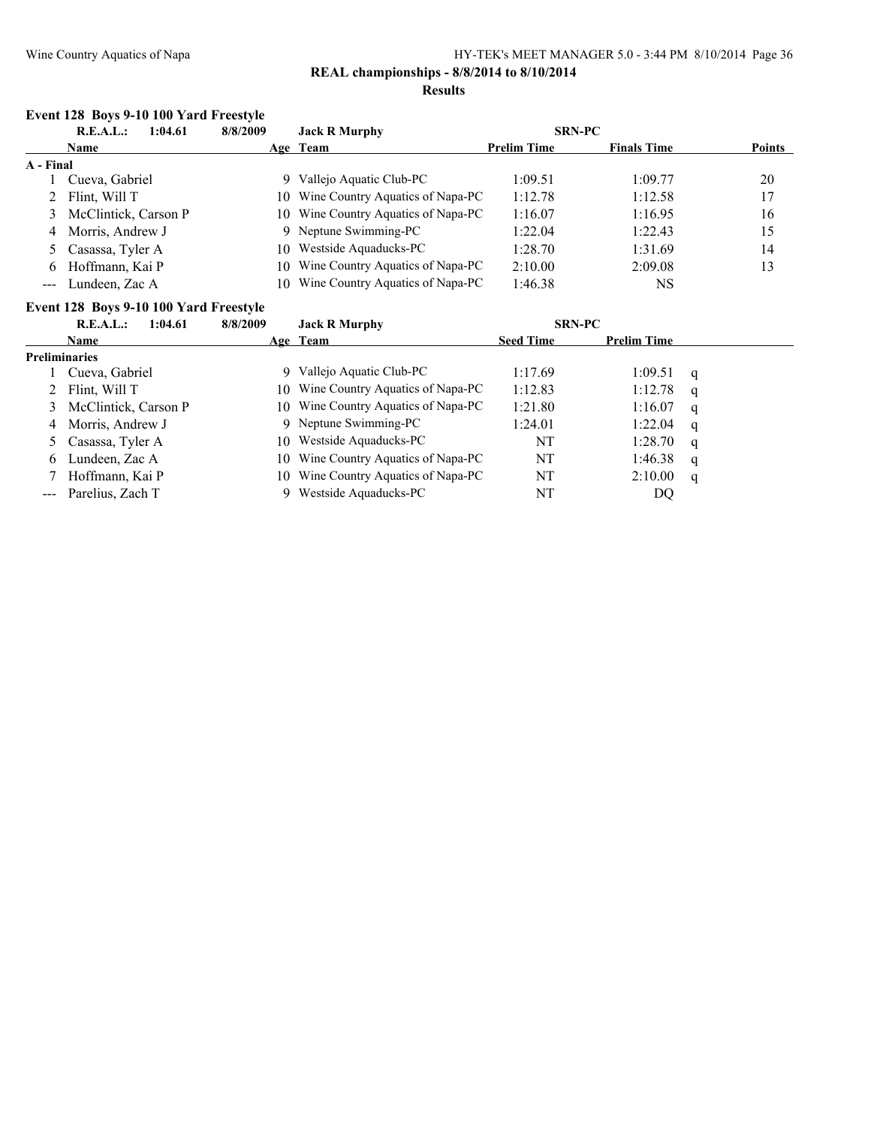#### **REAL championships - 8/8/2014 to 8/10/2014 Results**

### **Event 128 Boys 9-10 100 Yard Freestyle**

|           | R.E.A.L.:<br>1:04.61   |     | <b>Jack R Murphy</b><br>8/8/2009    |                    | <b>SRN-PC</b>      |               |
|-----------|------------------------|-----|-------------------------------------|--------------------|--------------------|---------------|
|           | <b>Name</b>            |     | Age Team                            | <b>Prelim Time</b> | <b>Finals Time</b> | <b>Points</b> |
| A - Final |                        |     |                                     |                    |                    |               |
|           | Cueva, Gabriel         |     | 9 Vallejo Aquatic Club-PC           | 1:09.51            | 1:09.77            | 20            |
|           | 2 Flint, Will T        | 10- | Wine Country Aquatics of Napa-PC    | 1:12.78            | 1:12.58            | 17            |
|           | 3 McClintick, Carson P |     | 10 Wine Country Aquatics of Napa-PC | 1:16.07            | 1:16.95            | 16            |
|           | 4 Morris, Andrew J     |     | 9 Neptune Swimming-PC               | 1:22.04            | 1:22.43            | 15            |
|           | 5 Casassa, Tyler A     | 10  | Westside Aquaducks-PC               | 1:28.70            | 1:31.69            | 14            |
| 6.        | Hoffmann, Kai P        | 10  | Wine Country Aquatics of Napa-PC    | 2:10.00            | 2:09.08            | 13            |
|           | --- Lundeen, Zac A     | 10  | Wine Country Aquatics of Napa-PC    | 1:46.38            | NS                 |               |

#### **Event 128 Boys 9-10 100 Yard Freestyle**

|                      | R.E.A.L.:<br>1:04.61   | 8/8/2009 | <b>Jack R Murphy</b>                | <b>SRN-PC</b>    |                    |   |
|----------------------|------------------------|----------|-------------------------------------|------------------|--------------------|---|
|                      | <b>Name</b>            |          | Age Team                            | <b>Seed Time</b> | <b>Prelim Time</b> |   |
| <b>Preliminaries</b> |                        |          |                                     |                  |                    |   |
|                      | Cueva, Gabriel         |          | Vallejo Aquatic Club-PC             | 1:17.69          | 1:09.51            | q |
|                      | 2 Flint, Will T        | 10.      | Wine Country Aquatics of Napa-PC    | 1:12.83          | 1:12.78            | q |
|                      | 3 McClintick, Carson P |          | 10 Wine Country Aquatics of Napa-PC | 1:21.80          | 1:16.07            | q |
|                      | 4 Morris, Andrew J     |          | 9 Neptune Swimming-PC               | 1:24.01          | 1:22.04            | q |
|                      | 5 Casassa, Tyler A     | 10.      | Westside Aquaducks-PC               | NT               | 1:28.70            | q |
| 6                    | Lundeen, Zac A         | 10.      | Wine Country Aquatics of Napa-PC    | NT               | 1:46.38            | q |
|                      | Hoffmann, Kai P        |          | 10 Wine Country Aquatics of Napa-PC | NT               | 2:10.00            | q |
|                      | --- Parelius, Zach T   |          | Westside Aquaducks-PC               | NT               | DQ                 |   |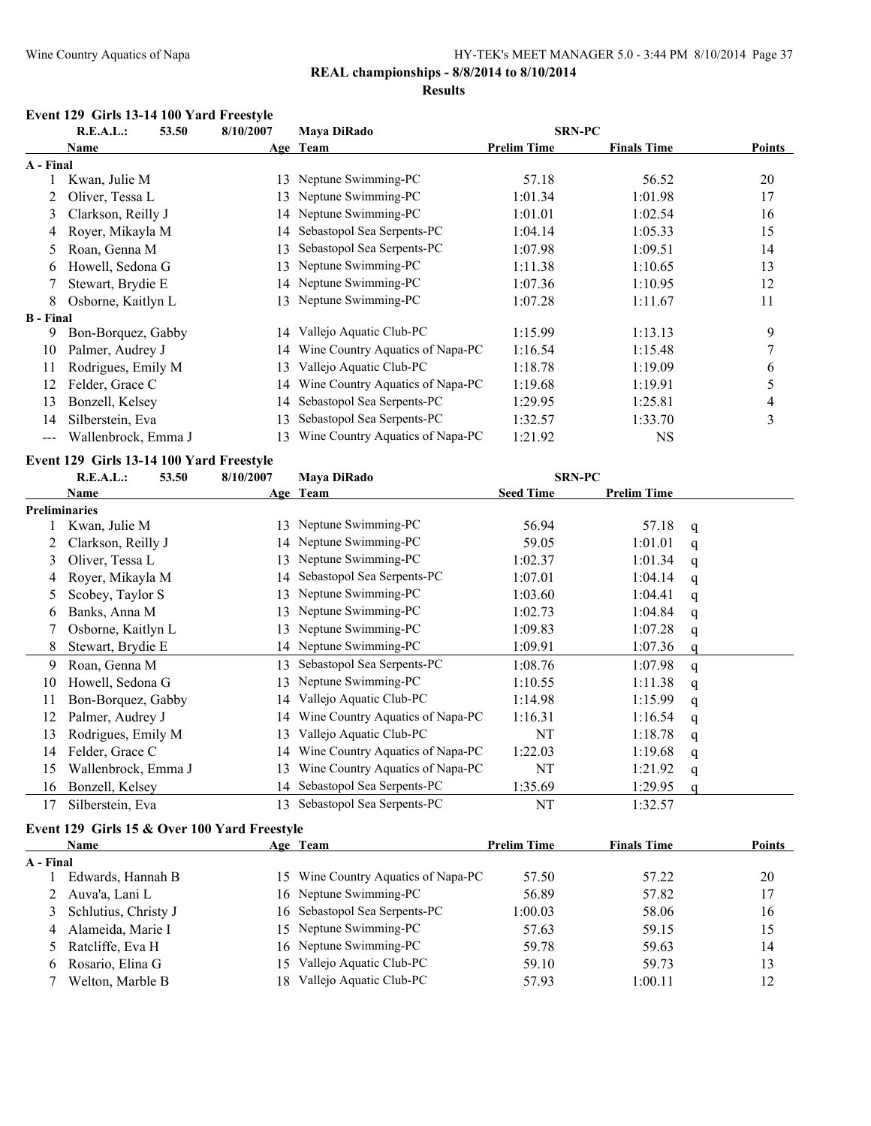# **REAL championships - 8/8/2014 to 8/10/2014**

#### **Results**

#### **Event 129 Girls 13-14 100 Yard Freestyle**

|                  | R.E.A.L.:<br>53.50  | 8/10/2007 | <b>Mava DiRado</b>               | <b>SRN-PC</b>      |                    |                |
|------------------|---------------------|-----------|----------------------------------|--------------------|--------------------|----------------|
|                  | Name                |           | Age Team                         | <b>Prelim Time</b> | <b>Finals Time</b> | <b>Points</b>  |
| A - Final        |                     |           |                                  |                    |                    |                |
|                  | Kwan, Julie M       | 13        | Neptune Swimming-PC              | 57.18              | 56.52              | 20             |
|                  | Oliver, Tessa L     | 13        | Neptune Swimming-PC              | 1:01.34            | 1:01.98            | 17             |
| 3                | Clarkson, Reilly J  |           | 14 Neptune Swimming-PC           | 1:01.01            | 1:02.54            | 16             |
| 4                | Royer, Mikayla M    | 14        | Sebastopol Sea Serpents-PC       | 1:04.14            | 1:05.33            | 15             |
| 5                | Roan, Genna M       | 13        | Sebastopol Sea Serpents-PC       | 1:07.98            | 1:09.51            | 14             |
| 6                | Howell, Sedona G    | 13.       | Neptune Swimming-PC              | 1:11.38            | 1:10.65            | 13             |
|                  | Stewart, Brydie E   |           | 14 Neptune Swimming-PC           | 1:07.36            | 1:10.95            | 12             |
| 8                | Osborne, Kaitlyn L  | 13        | Neptune Swimming-PC              | 1:07.28            | 1:11.67            | 11             |
| <b>B</b> - Final |                     |           |                                  |                    |                    |                |
| 9                | Bon-Borquez, Gabby  | 14        | Vallejo Aquatic Club-PC          | 1:15.99            | 1:13.13            | 9              |
| 10               | Palmer, Audrey J    | 14        | Wine Country Aquatics of Napa-PC | 1:16.54            | 1:15.48            | 7              |
| 11               | Rodrigues, Emily M  | 13        | Vallejo Aquatic Club-PC          | 1:18.78            | 1:19.09            | 6              |
| 12               | Felder, Grace C     | 14        | Wine Country Aquatics of Napa-PC | 1:19.68            | 1:19.91            | 5              |
| 13               | Bonzell, Kelsey     | 14        | Sebastopol Sea Serpents-PC       | 1:29.95            | 1:25.81            | $\overline{4}$ |
| 14               | Silberstein, Eva    | 13        | Sebastopol Sea Serpents-PC       | 1:32.57            | 1:33.70            | 3              |
| ---              | Wallenbrock, Emma J | 13        | Wine Country Aquatics of Napa-PC | 1:21.92            | <b>NS</b>          |                |

# **Event 129 Girls 13-14 100 Yard Freestyle**

|    | R.E.A.L.:            | 8/10/2007<br>53.50 | Maya DiRado                      | <b>SRN-PC</b>    |                    |   |
|----|----------------------|--------------------|----------------------------------|------------------|--------------------|---|
|    | Name                 |                    | Age Team                         | <b>Seed Time</b> | <b>Prelim Time</b> |   |
|    | <b>Preliminaries</b> |                    |                                  |                  |                    |   |
|    | Kwan, Julie M        | 13                 | Neptune Swimming-PC              | 56.94            | 57.18              | q |
|    | Clarkson, Reilly J   |                    | 14 Neptune Swimming-PC           | 59.05            | 1:01.01            | q |
| 3  | Oliver, Tessa L      | 13                 | Neptune Swimming-PC              | 1:02.37          | 1:01.34            | q |
| 4  | Royer, Mikayla M     | 14                 | Sebastopol Sea Serpents-PC       | 1:07.01          | 1:04.14            | q |
| 5  | Scobey, Taylor S     | 13                 | Neptune Swimming-PC              | 1:03.60          | 1:04.41            | q |
| 6  | Banks, Anna M        | 13                 | Neptune Swimming-PC              | 1:02.73          | 1:04.84            | q |
|    | Osborne, Kaitlyn L   | 13                 | Neptune Swimming-PC              | 1:09.83          | 1:07.28            | q |
| 8  | Stewart, Brydie E    | 14                 | Neptune Swimming-PC              | 1:09.91          | 1:07.36            |   |
| 9  | Roan, Genna M        | 13                 | Sebastopol Sea Serpents-PC       | 1:08.76          | 1:07.98            | q |
| 10 | Howell, Sedona G     | 13                 | Neptune Swimming-PC              | 1:10.55          | 1:11.38            | q |
| 11 | Bon-Borquez, Gabby   | 14                 | Vallejo Aquatic Club-PC          | 1:14.98          | 1:15.99            | q |
| 12 | Palmer, Audrey J     | 14                 | Wine Country Aquatics of Napa-PC | 1:16.31          | 1:16.54            | q |
| 13 | Rodrigues, Emily M   | 13                 | Vallejo Aquatic Club-PC          | NT               | 1:18.78            | q |
| 14 | Felder, Grace C      | 14                 | Wine Country Aquatics of Napa-PC | 1:22.03          | 1:19.68            | q |
| 15 | Wallenbrock, Emma J  | 13                 | Wine Country Aquatics of Napa-PC | NT               | 1:21.92            | q |
| 16 | Bonzell, Kelsey      | 14                 | Sebastopol Sea Serpents-PC       | 1:35.69          | 1:29.95            |   |
| 17 | Silberstein, Eva     | 13                 | Sebastopol Sea Serpents-PC       | NT               | 1:32.57            |   |

#### **Event 129 Girls 15 & Over 100 Yard Freestyle**

| <b>Name</b>            |     |                         | <b>Prelim Time</b>                                                                                                             | <b>Finals Time</b>                  | <b>Points</b> |
|------------------------|-----|-------------------------|--------------------------------------------------------------------------------------------------------------------------------|-------------------------------------|---------------|
| A - Final              |     |                         |                                                                                                                                |                                     |               |
| Edwards, Hannah B      |     |                         | 57.50                                                                                                                          | 57.22                               | 20            |
| Auva'a, Lani L         |     |                         | 56.89                                                                                                                          | 57.82                               | 17            |
| 3 Schlutius, Christy J |     |                         | 1:00.03                                                                                                                        | 58.06                               | 16            |
| Alameida, Marie I<br>4 |     |                         | 57.63                                                                                                                          | 59.15                               | 15            |
| 5 Ratcliffe, Eva H     |     |                         | 59.78                                                                                                                          | 59.63                               | 14            |
| Rosario, Elina G<br>6. | 15. | Vallejo Aquatic Club-PC | 59.10                                                                                                                          | 59.73                               | 13            |
| Welton, Marble B       |     | Vallejo Aquatic Club-PC | 57.93                                                                                                                          | 1:00.11                             | 12            |
|                        |     |                         | Age Team<br>16 Neptune Swimming-PC<br>16 Sebastopol Sea Serpents-PC<br>15 Neptune Swimming-PC<br>16 Neptune Swimming-PC<br>18. | 15 Wine Country Aquatics of Napa-PC |               |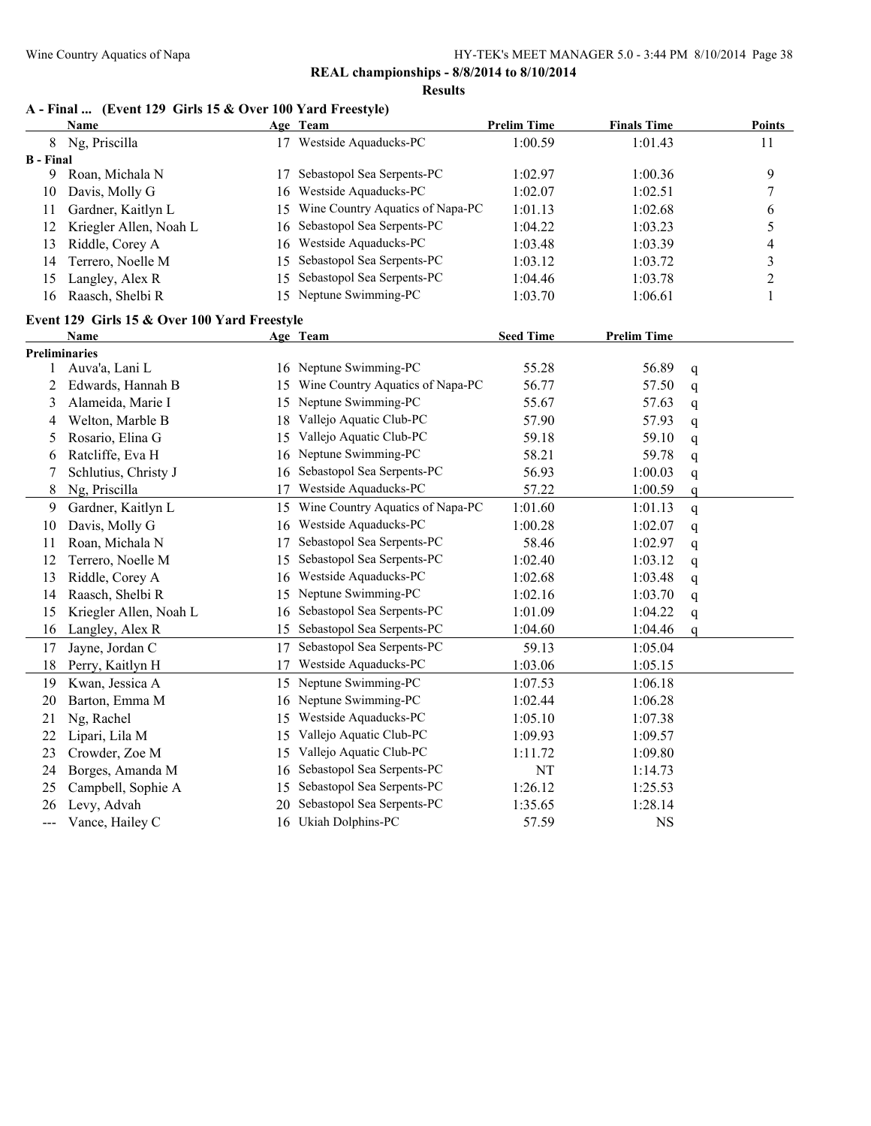**Results**

# **A - Final ... (Event 129 Girls 15 & Over 100 Yard Freestyle)**

|                  | <b>Name</b>                                  |    | Age Team                         | <b>Prelim Time</b> | <b>Finals Time</b> |             | <b>Points</b>            |
|------------------|----------------------------------------------|----|----------------------------------|--------------------|--------------------|-------------|--------------------------|
| 8                | Ng, Priscilla                                |    | 17 Westside Aquaducks-PC         | 1:00.59            | 1:01.43            |             | 11                       |
| <b>B</b> - Final |                                              |    |                                  |                    |                    |             |                          |
| 9                | Roan, Michala N                              | 17 | Sebastopol Sea Serpents-PC       | 1:02.97            | 1:00.36            |             | 9                        |
| 10               | Davis, Molly G                               | 16 | Westside Aquaducks-PC            | 1:02.07            | 1:02.51            |             | $\boldsymbol{7}$         |
| 11               | Gardner, Kaitlyn L                           | 15 | Wine Country Aquatics of Napa-PC | 1:01.13            | 1:02.68            |             | 6                        |
| 12               | Kriegler Allen, Noah L                       | 16 | Sebastopol Sea Serpents-PC       | 1:04.22            | 1:03.23            |             | 5                        |
| 13               | Riddle, Corey A                              | 16 | Westside Aquaducks-PC            | 1:03.48            | 1:03.39            |             | $\overline{\mathcal{L}}$ |
| 14               | Terrero, Noelle M                            | 15 | Sebastopol Sea Serpents-PC       | 1:03.12            | 1:03.72            |             | $\overline{\mathbf{3}}$  |
| 15               | Langley, Alex R                              | 15 | Sebastopol Sea Serpents-PC       | 1:04.46            | 1:03.78            |             | $\overline{c}$           |
| 16               | Raasch, Shelbi R                             |    | 15 Neptune Swimming-PC           | 1:03.70            | 1:06.61            |             | $\mathbf{1}$             |
|                  | Event 129 Girls 15 & Over 100 Yard Freestyle |    |                                  |                    |                    |             |                          |
|                  | <b>Name</b>                                  |    | Age Team                         | <b>Seed Time</b>   | <b>Prelim Time</b> |             |                          |
|                  | <b>Preliminaries</b>                         |    |                                  |                    |                    |             |                          |
| 1                | Auva'a, Lani L                               |    | 16 Neptune Swimming-PC           | 55.28              | 56.89              | q           |                          |
| 2                | Edwards, Hannah B                            | 15 | Wine Country Aquatics of Napa-PC | 56.77              | 57.50              | q           |                          |
| 3                | Alameida, Marie I                            |    | 15 Neptune Swimming-PC           | 55.67              | 57.63              | q           |                          |
| 4                | Welton, Marble B                             | 18 | Vallejo Aquatic Club-PC          | 57.90              | 57.93              | q           |                          |
| 5                | Rosario, Elina G                             | 15 | Vallejo Aquatic Club-PC          | 59.18              | 59.10              | q           |                          |
| 6                | Ratcliffe, Eva H                             |    | 16 Neptune Swimming-PC           | 58.21              | 59.78              | q           |                          |
| 7                | Schlutius, Christy J                         | 16 | Sebastopol Sea Serpents-PC       | 56.93              | 1:00.03            | q           |                          |
| 8                | Ng, Priscilla                                | 17 | Westside Aquaducks-PC            | 57.22              | 1:00.59            | q           |                          |
| 9                | Gardner, Kaitlyn L                           | 15 | Wine Country Aquatics of Napa-PC | 1:01.60            | 1:01.13            | q           |                          |
| 10               | Davis, Molly G                               | 16 | Westside Aquaducks-PC            | 1:00.28            | 1:02.07            | q           |                          |
| 11               | Roan, Michala N                              | 17 | Sebastopol Sea Serpents-PC       | 58.46              | 1:02.97            | q           |                          |
| 12               | Terrero, Noelle M                            | 15 | Sebastopol Sea Serpents-PC       | 1:02.40            | 1:03.12            | q           |                          |
| 13               | Riddle, Corey A                              | 16 | Westside Aquaducks-PC            | 1:02.68            | 1:03.48            | q           |                          |
| 14               | Raasch, Shelbi R                             | 15 | Neptune Swimming-PC              | 1:02.16            | 1:03.70            | q           |                          |
| 15               | Kriegler Allen, Noah L                       | 16 | Sebastopol Sea Serpents-PC       | 1:01.09            | 1:04.22            | q           |                          |
| 16               | Langley, Alex R                              | 15 | Sebastopol Sea Serpents-PC       | 1:04.60            | 1:04.46            | $\mathbf q$ |                          |
| 17               | Jayne, Jordan C                              | 17 | Sebastopol Sea Serpents-PC       | 59.13              | 1:05.04            |             |                          |
| 18               | Perry, Kaitlyn H                             | 17 | Westside Aquaducks-PC            | 1:03.06            | 1:05.15            |             |                          |
| 19               | Kwan, Jessica A                              |    | 15 Neptune Swimming-PC           | 1:07.53            | 1:06.18            |             |                          |
| 20               | Barton, Emma M                               |    | 16 Neptune Swimming-PC           | 1:02.44            | 1:06.28            |             |                          |
| 21               | Ng, Rachel                                   | 15 | Westside Aquaducks-PC            | 1:05.10            | 1:07.38            |             |                          |
| 22               | Lipari, Lila M                               | 15 | Vallejo Aquatic Club-PC          | 1:09.93            | 1:09.57            |             |                          |
| 23               | Crowder, Zoe M                               | 15 | Vallejo Aquatic Club-PC          | 1:11.72            | 1:09.80            |             |                          |
| 24               | Borges, Amanda M                             | 16 | Sebastopol Sea Serpents-PC       | NT                 | 1:14.73            |             |                          |
| 25               | Campbell, Sophie A                           | 15 | Sebastopol Sea Serpents-PC       | 1:26.12            | 1:25.53            |             |                          |
| 26               | Levy, Advah                                  |    | 20 Sebastopol Sea Serpents-PC    | 1:35.65            | 1:28.14            |             |                          |
| $---$            | Vance, Hailey C                              |    | 16 Ukiah Dolphins-PC             | 57.59              | <b>NS</b>          |             |                          |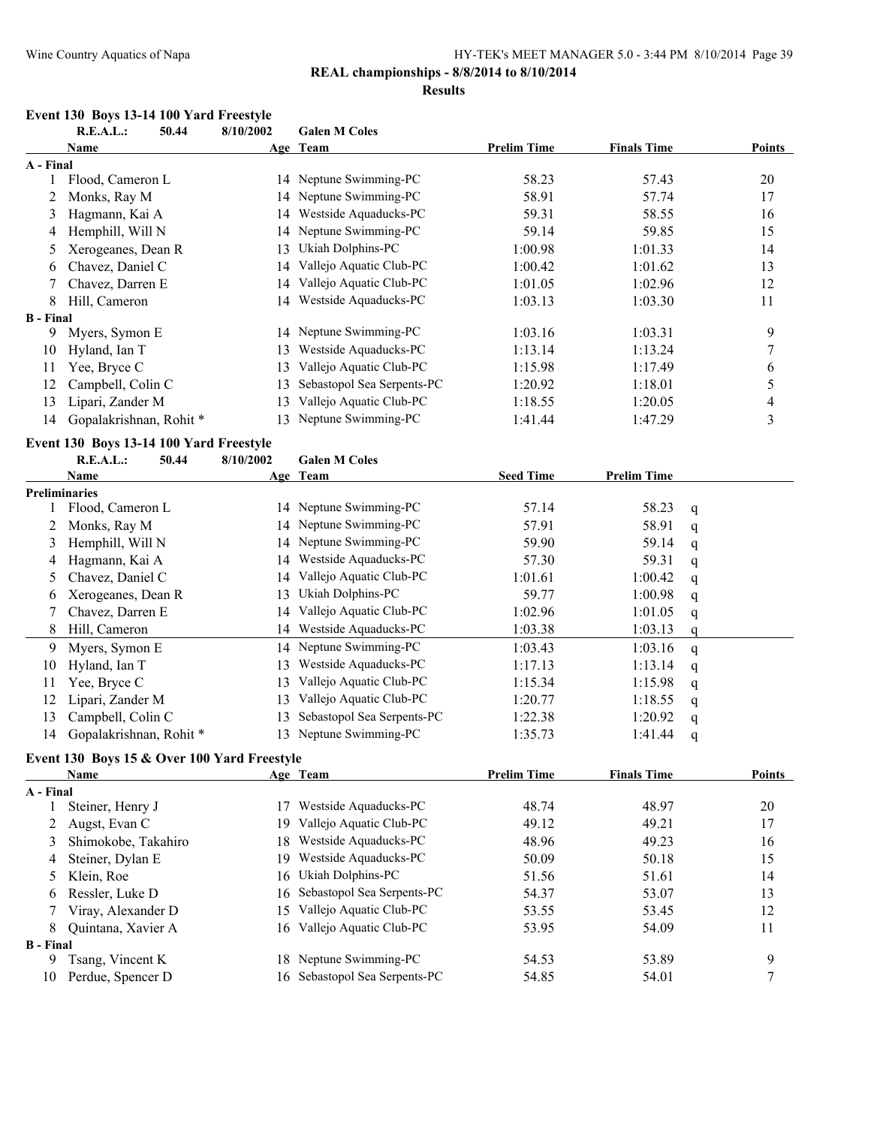#### **REAL championships - 8/8/2014 to 8/10/2014**

#### **Results**

#### **Event 130 Boys 13-14 100 Yard Freestyle**

**R.E.A.L.: 50.44 8/10/2002 Galen M Coles**

|                  | <b>Name</b>                                 |           | Age Team                   | <b>Prelim Time</b> | <b>Finals Time</b> |   | <b>Points</b>           |
|------------------|---------------------------------------------|-----------|----------------------------|--------------------|--------------------|---|-------------------------|
| A - Final        |                                             |           |                            |                    |                    |   |                         |
| 1                | Flood, Cameron L                            |           | 14 Neptune Swimming-PC     | 58.23              | 57.43              |   | 20                      |
| 2                | Monks, Ray M                                | 14        | Neptune Swimming-PC        | 58.91              | 57.74              |   | 17                      |
| 3                | Hagmann, Kai A                              | 14        | Westside Aquaducks-PC      | 59.31              | 58.55              |   | 16                      |
| 4                | Hemphill, Will N                            | 14        | Neptune Swimming-PC        | 59.14              | 59.85              |   | 15                      |
| 5                | Xerogeanes, Dean R                          | 13        | Ukiah Dolphins-PC          | 1:00.98            | 1:01.33            |   | 14                      |
| 6                | Chavez, Daniel C                            | 14        | Vallejo Aquatic Club-PC    | 1:00.42            | 1:01.62            |   | 13                      |
| 7                | Chavez, Darren E                            | 14        | Vallejo Aquatic Club-PC    | 1:01.05            | 1:02.96            |   | 12                      |
| 8                | Hill, Cameron                               |           | 14 Westside Aquaducks-PC   | 1:03.13            | 1:03.30            |   | 11                      |
| <b>B</b> - Final |                                             |           |                            |                    |                    |   |                         |
| 9                | Myers, Symon E                              | 14        | Neptune Swimming-PC        | 1:03.16            | 1:03.31            |   | 9                       |
| 10               | Hyland, Ian T                               | 13        | Westside Aquaducks-PC      | 1:13.14            | 1:13.24            |   | 7                       |
| 11               | Yee, Bryce C                                | 13        | Vallejo Aquatic Club-PC    | 1:15.98            | 1:17.49            |   | 6                       |
| 12               | Campbell, Colin C                           | 13        | Sebastopol Sea Serpents-PC | 1:20.92            | 1:18.01            |   | 5                       |
| 13               | Lipari, Zander M                            | 13        | Vallejo Aquatic Club-PC    | 1:18.55            | 1:20.05            |   | 4                       |
| 14               | Gopalakrishnan, Rohit*                      | 13        | Neptune Swimming-PC        | 1:41.44            | 1:47.29            |   | $\overline{\mathbf{3}}$ |
|                  | Event 130 Boys 13-14 100 Yard Freestyle     |           |                            |                    |                    |   |                         |
|                  | <b>R.E.A.L.:</b><br>50.44                   | 8/10/2002 | <b>Galen M Coles</b>       |                    |                    |   |                         |
|                  | <b>Name</b>                                 |           | Age Team                   | <b>Seed Time</b>   | <b>Prelim Time</b> |   |                         |
|                  | <b>Preliminaries</b>                        |           |                            |                    |                    |   |                         |
| 1                | Flood, Cameron L                            |           | 14 Neptune Swimming-PC     | 57.14              | 58.23              | q |                         |
| 2                | Monks, Ray M                                |           | 14 Neptune Swimming-PC     | 57.91              | 58.91              | q |                         |
| 3                | Hemphill, Will N                            |           | 14 Neptune Swimming-PC     | 59.90              | 59.14              | q |                         |
| 4                | Hagmann, Kai A                              |           | 14 Westside Aquaducks-PC   | 57.30              | 59.31              | q |                         |
| 5                | Chavez, Daniel C                            |           | 14 Vallejo Aquatic Club-PC | 1:01.61            | 1:00.42            | q |                         |
| 6                | Xerogeanes, Dean R                          | 13        | Ukiah Dolphins-PC          | 59.77              | 1:00.98            | q |                         |
| 7                | Chavez, Darren E                            |           | 14 Vallejo Aquatic Club-PC | 1:02.96            | 1:01.05            | q |                         |
| 8                | Hill, Cameron                               |           | 14 Westside Aquaducks-PC   | 1:03.38            | 1:03.13            | q |                         |
| 9                | Myers, Symon E                              | 14        | Neptune Swimming-PC        | 1:03.43            | 1:03.16            | q |                         |
| 10               | Hyland, Ian T                               | 13        | Westside Aquaducks-PC      | 1:17.13            | 1:13.14            | q |                         |
| 11               | Yee, Bryce C                                | 13        | Vallejo Aquatic Club-PC    | 1:15.34            | 1:15.98            | q |                         |
| 12               | Lipari, Zander M                            | 13        | Vallejo Aquatic Club-PC    | 1:20.77            | 1:18.55            |   |                         |
| 13               | Campbell, Colin C                           | 13        | Sebastopol Sea Serpents-PC | 1:22.38            | 1:20.92            | q |                         |
| 14               | Gopalakrishnan, Rohit*                      | 13        | Neptune Swimming-PC        | 1:35.73            | 1:41.44            | q |                         |
|                  |                                             |           |                            |                    |                    | q |                         |
|                  | Event 130 Boys 15 & Over 100 Yard Freestyle |           |                            |                    |                    |   |                         |
|                  | <b>Name</b>                                 |           | Age Team                   | <b>Prelim Time</b> | <b>Finals Time</b> |   | <b>Points</b>           |
| A - Final        |                                             |           |                            |                    |                    |   |                         |
| 1                | Steiner, Henry J                            | 17        | Westside Aquaducks-PC      | 48.74              | 48.97              |   | 20                      |
| 2                | Augst, Evan C                               | 19        | Vallejo Aquatic Club-PC    | 49.12              | 49.21              |   | 17                      |
| 3                | Shimokobe, Takahiro                         | 18        | Westside Aquaducks-PC      | 48.96              | 49.23              |   | 16                      |
| 4                | Steiner, Dylan E                            | 19        | Westside Aquaducks-PC      | 50.09              | 50.18              |   | 15                      |
| 5                | Klein, Roe                                  | 16        | Ukiah Dolphins-PC          | 51.56              | 51.61              |   | 14                      |
| 6                | Ressler, Luke D                             | 16        | Sebastopol Sea Serpents-PC | 54.37              | 53.07              |   | 13                      |
| 7                | Viray, Alexander D                          | 15        | Vallejo Aquatic Club-PC    | 53.55              | 53.45              |   | 12                      |
| 8                | Quintana, Xavier A                          | 16        | Vallejo Aquatic Club-PC    | 53.95              | 54.09              |   | 11                      |
| <b>B</b> - Final |                                             |           |                            |                    |                    |   |                         |
| 9                | Tsang, Vincent K                            |           | 18 Neptune Swimming-PC     | 54.53              | 53.89              |   | 9                       |

10 Perdue, Spencer D 16 Sebastopol Sea Serpents-PC 54.85 54.01 7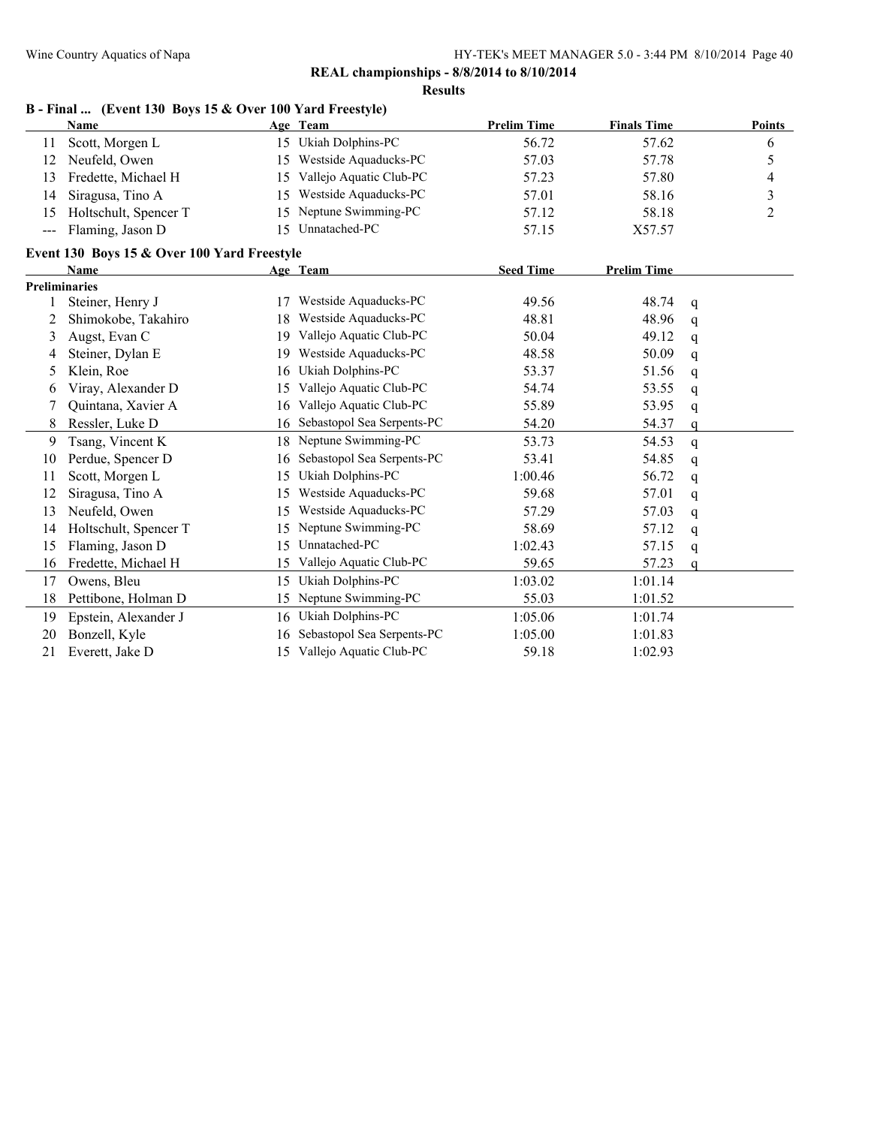**Results**

|                                          | Name                                        |    | Age Team                   | <b>Prelim Time</b> | <b>Finals Time</b> |             | Points         |
|------------------------------------------|---------------------------------------------|----|----------------------------|--------------------|--------------------|-------------|----------------|
| 11                                       | Scott, Morgen L                             |    | 15 Ukiah Dolphins-PC       | 56.72              | 57.62              |             | 6              |
| 12                                       | Neufeld, Owen                               | 15 | Westside Aquaducks-PC      | 57.03              | 57.78              |             | 5              |
| 13                                       | Fredette, Michael H                         | 15 | Vallejo Aquatic Club-PC    | 57.23              | 57.80              |             | 4              |
| 14                                       | Siragusa, Tino A                            | 15 | Westside Aquaducks-PC      | 57.01              | 58.16              |             | $\mathfrak{Z}$ |
| 15                                       | Holtschult, Spencer T                       | 15 | Neptune Swimming-PC        | 57.12              | 58.18              |             | $\overline{2}$ |
| $\hspace{0.05cm} \ldots \hspace{0.05cm}$ | Flaming, Jason D                            | 15 | Unnatached-PC              | 57.15              | X57.57             |             |                |
|                                          | Event 130 Boys 15 & Over 100 Yard Freestyle |    |                            |                    |                    |             |                |
|                                          | <b>Name</b>                                 |    | Age Team                   | <b>Seed Time</b>   | <b>Prelim Time</b> |             |                |
|                                          | <b>Preliminaries</b>                        |    |                            |                    |                    |             |                |
|                                          | Steiner, Henry J                            |    | Westside Aquaducks-PC      | 49.56              | 48.74              | q           |                |
| 2                                        | Shimokobe, Takahiro                         | 18 | Westside Aquaducks-PC      | 48.81              | 48.96              | q           |                |
| 3                                        | Augst, Evan C                               | 19 | Vallejo Aquatic Club-PC    | 50.04              | 49.12              | q           |                |
| 4                                        | Steiner, Dylan E                            | 19 | Westside Aquaducks-PC      | 48.58              | 50.09              | q           |                |
| 5                                        | Klein, Roe                                  | 16 | Ukiah Dolphins-PC          | 53.37              | 51.56              | q           |                |
| 6                                        | Viray, Alexander D                          | 15 | Vallejo Aquatic Club-PC    | 54.74              | 53.55              | q           |                |
|                                          | Quintana, Xavier A                          | 16 | Vallejo Aquatic Club-PC    | 55.89              | 53.95              | q           |                |
| 8                                        | Ressler, Luke D                             | 16 | Sebastopol Sea Serpents-PC | 54.20              | 54.37              | q           |                |
| 9                                        | Tsang, Vincent K                            | 18 | Neptune Swimming-PC        | 53.73              | 54.53              | $\mathbf q$ |                |
| 10                                       | Perdue, Spencer D                           | 16 | Sebastopol Sea Serpents-PC | 53.41              | 54.85              | q           |                |
| 11                                       | Scott, Morgen L                             | 15 | Ukiah Dolphins-PC          | 1:00.46            | 56.72              | q           |                |
| 12                                       | Siragusa, Tino A                            | 15 | Westside Aquaducks-PC      | 59.68              | 57.01              | q           |                |
| 13                                       | Neufeld, Owen                               | 15 | Westside Aquaducks-PC      | 57.29              | 57.03              | q           |                |
| 14                                       | Holtschult, Spencer T                       | 15 | Neptune Swimming-PC        | 58.69              | 57.12              | q           |                |
| 15                                       | Flaming, Jason D                            | 15 | Unnatached-PC              | 1:02.43            | 57.15              | q           |                |
| 16                                       | Fredette, Michael H                         | 15 | Vallejo Aquatic Club-PC    | 59.65              | 57.23              | a           |                |
| 17                                       | Owens, Bleu                                 | 15 | Ukiah Dolphins-PC          | 1:03.02            | 1:01.14            |             |                |
| 18                                       | Pettibone, Holman D                         | 15 | Neptune Swimming-PC        | 55.03              | 1:01.52            |             |                |
| 19                                       | Epstein, Alexander J                        | 16 | Ukiah Dolphins-PC          | 1:05.06            | 1:01.74            |             |                |
| 20                                       | Bonzell, Kyle                               | 16 | Sebastopol Sea Serpents-PC | 1:05.00            | 1:01.83            |             |                |
| 21                                       | Everett, Jake D                             | 15 | Vallejo Aquatic Club-PC    | 59.18              | 1:02.93            |             |                |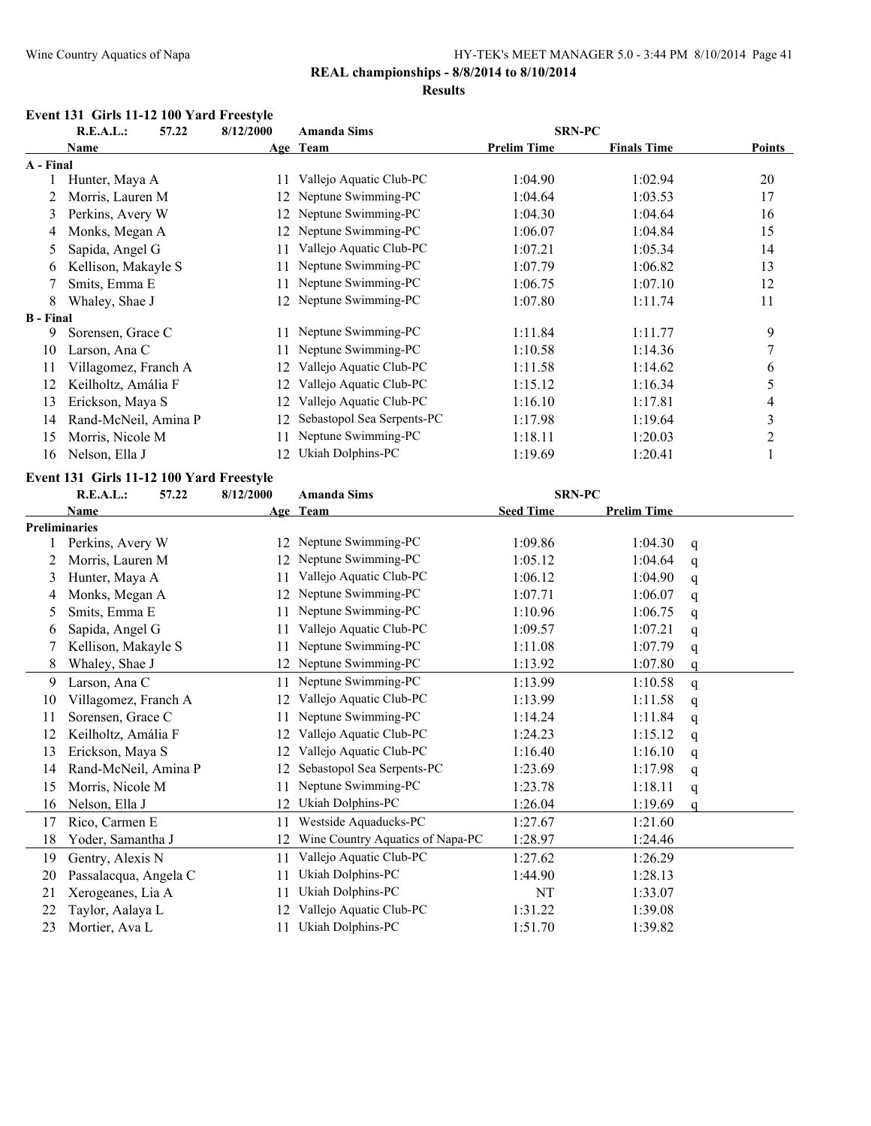# **REAL championships - 8/8/2014 to 8/10/2014**

#### **Results**

#### **Event 131 Girls 11-12 100 Yard Freestyle**

|                  | R.E.A.L.:<br>57.22   | 8/12/2000 | <b>Amanda Sims</b>         | <b>SRN-PC</b>      |                    |               |
|------------------|----------------------|-----------|----------------------------|--------------------|--------------------|---------------|
|                  | Name                 |           | Age Team                   | <b>Prelim Time</b> | <b>Finals Time</b> | <b>Points</b> |
| A - Final        |                      |           |                            |                    |                    |               |
|                  | Hunter, Maya A       | 11        | Vallejo Aquatic Club-PC    | 1:04.90            | 1:02.94            | 20            |
|                  | Morris, Lauren M     | 12        | Neptune Swimming-PC        | 1:04.64            | 1:03.53            | 17            |
| 3                | Perkins, Avery W     | 12        | Neptune Swimming-PC        | 1:04.30            | 1:04.64            | 16            |
| 4                | Monks, Megan A       | 12        | Neptune Swimming-PC        | 1:06.07            | 1:04.84            | 15            |
| 5                | Sapida, Angel G      | 11        | Vallejo Aquatic Club-PC    | 1:07.21            | 1:05.34            | 14            |
| 6                | Kellison, Makayle S  | 11        | Neptune Swimming-PC        | 1:07.79            | 1:06.82            | 13            |
|                  | Smits, Emma E        |           | Neptune Swimming-PC        | 1:06.75            | 1:07.10            | 12            |
| 8                | Whaley, Shae J       | 12.       | Neptune Swimming-PC        | 1:07.80            | 1:11.74            | 11            |
| <b>B</b> - Final |                      |           |                            |                    |                    |               |
| 9                | Sorensen, Grace C    |           | Neptune Swimming-PC        | 1:11.84            | 1:11.77            | 9             |
| 10               | Larson, Ana C        |           | Neptune Swimming-PC        | 1:10.58            | 1:14.36            | 7             |
| 11               | Villagomez, Franch A |           | Vallejo Aquatic Club-PC    | 1:11.58            | 1:14.62            | 6             |
| 12               | Keilholtz, Amália F  | 12        | Vallejo Aquatic Club-PC    | 1:15.12            | 1:16.34            | 5             |
| 13               | Erickson, Maya S     | 12        | Vallejo Aquatic Club-PC    | 1:16.10            | 1:17.81            | 4             |
| 14               | Rand-McNeil, Amina P | 12        | Sebastopol Sea Serpents-PC | 1:17.98            | 1:19.64            | 3             |
| 15               | Morris, Nicole M     |           | Neptune Swimming-PC        | 1:18.11            | 1:20.03            | 2             |
| 16               | Nelson, Ella J       | 12.       | Ukiah Dolphins-PC          | 1:19.69            | 1:20.41            |               |

#### **Event 131 Girls 11-12 100 Yard Freestyle**

|    | R.E.A.L.:<br>57.22    | 8/12/2000 | <b>Amanda Sims</b>               | <b>SRN-PC</b>    |                    |              |
|----|-----------------------|-----------|----------------------------------|------------------|--------------------|--------------|
|    | Name                  |           | Age Team                         | <b>Seed Time</b> | <b>Prelim Time</b> |              |
|    | <b>Preliminaries</b>  |           |                                  |                  |                    |              |
|    | Perkins, Avery W      | 12        | Neptune Swimming-PC              | 1:09.86          | 1:04.30            | $\mathbf{q}$ |
| 2  | Morris, Lauren M      | 12        | Neptune Swimming-PC              | 1:05.12          | 1:04.64            | q            |
| 3  | Hunter, Maya A        | 11        | Vallejo Aquatic Club-PC          | 1:06.12          | 1:04.90            | q            |
| 4  | Monks, Megan A        | 12        | Neptune Swimming-PC              | 1:07.71          | 1:06.07            | q            |
| 5  | Smits, Emma E         |           | Neptune Swimming-PC              | 1:10.96          | 1:06.75            | q            |
| 6  | Sapida, Angel G       | 11        | Vallejo Aquatic Club-PC          | 1:09.57          | 1:07.21            | q            |
| 7  | Kellison, Makayle S   | 11        | Neptune Swimming-PC              | 1:11.08          | 1:07.79            | q            |
| 8  | Whaley, Shae J        | 12        | Neptune Swimming-PC              | 1:13.92          | 1:07.80            | a            |
| 9  | Larson, Ana C         | 11        | Neptune Swimming-PC              | 1:13.99          | 1:10.58            | q            |
| 10 | Villagomez, Franch A  | 12        | Vallejo Aquatic Club-PC          | 1:13.99          | 1:11.58            | q            |
| 11 | Sorensen, Grace C     |           | Neptune Swimming-PC              | 1:14.24          | 1:11.84            | q            |
| 12 | Keilholtz, Amália F   | 12        | Vallejo Aquatic Club-PC          | 1:24.23          | 1:15.12            | q            |
| 13 | Erickson, Maya S      | 12        | Vallejo Aquatic Club-PC          | 1:16.40          | 1:16.10            | q            |
| 14 | Rand-McNeil, Amina P  | 12        | Sebastopol Sea Serpents-PC       | 1:23.69          | 1:17.98            | q            |
| 15 | Morris, Nicole M      | 11        | Neptune Swimming-PC              | 1:23.78          | 1:18.11            | q            |
| 16 | Nelson, Ella J        | 12        | Ukiah Dolphins-PC                | 1:26.04          | 1:19.69            | $\Omega$     |
| 17 | Rico, Carmen E        | 11        | Westside Aquaducks-PC            | 1:27.67          | 1:21.60            |              |
| 18 | Yoder, Samantha J     | 12        | Wine Country Aquatics of Napa-PC | 1:28.97          | 1:24.46            |              |
| 19 | Gentry, Alexis N      | 11        | Vallejo Aquatic Club-PC          | 1:27.62          | 1:26.29            |              |
| 20 | Passalacqua, Angela C | 11        | Ukiah Dolphins-PC                | 1:44.90          | 1:28.13            |              |
| 21 | Xerogeanes, Lia A     | 11        | Ukiah Dolphins-PC                | NT               | 1:33.07            |              |
| 22 | Taylor, Aalaya L      | 12        | Vallejo Aquatic Club-PC          | 1:31.22          | 1:39.08            |              |
| 23 | Mortier, Ava L        | 11        | Ukiah Dolphins-PC                | 1:51.70          | 1:39.82            |              |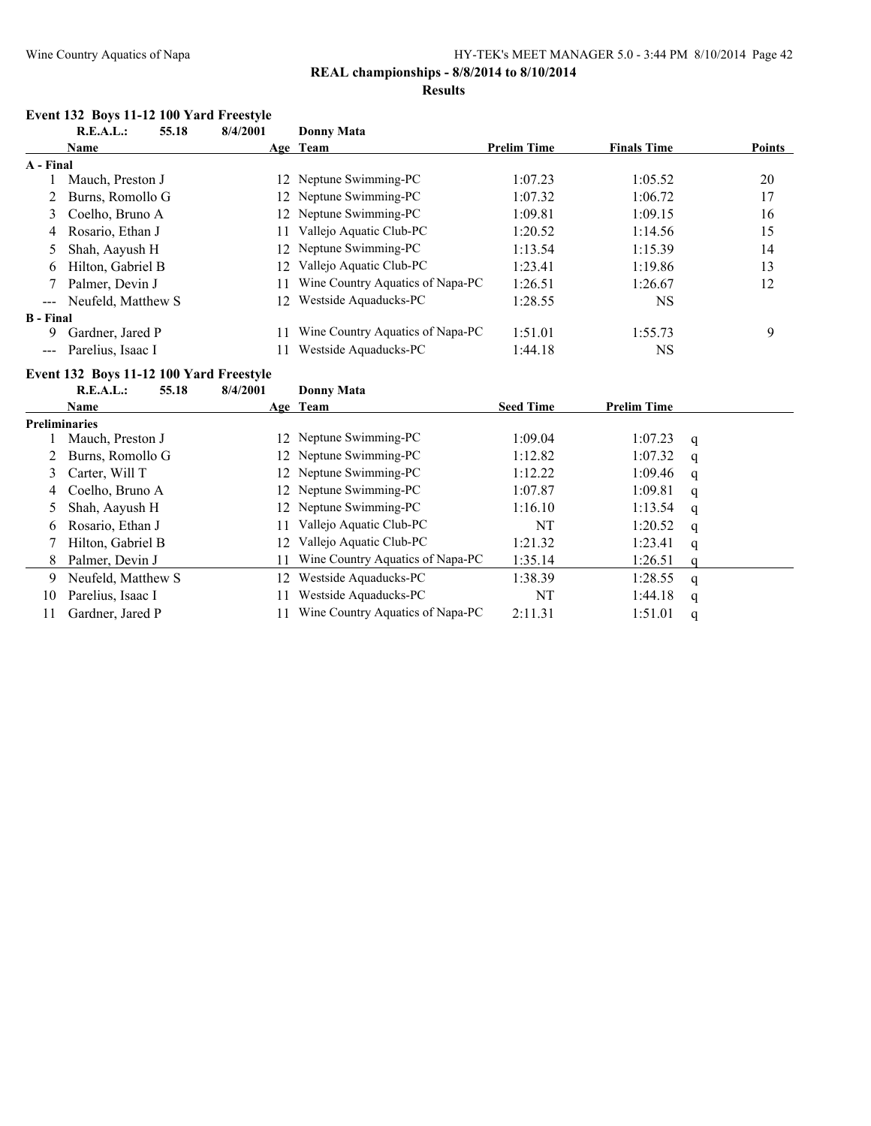#### **REAL championships - 8/8/2014 to 8/10/2014 Results**

# **Event 132 Boys 11-12 100 Yard Freestyle**

|                  | <b>R.E.A.L.:</b>                        | 55.18 | 8/4/2001 | <b>Donny Mata</b>                |                    |                    |             |        |
|------------------|-----------------------------------------|-------|----------|----------------------------------|--------------------|--------------------|-------------|--------|
|                  | <b>Name</b>                             |       |          | Age Team                         | <b>Prelim Time</b> | <b>Finals Time</b> |             | Points |
| A - Final        |                                         |       |          |                                  |                    |                    |             |        |
|                  | Mauch, Preston J                        |       | 12       | Neptune Swimming-PC              | 1:07.23            | 1:05.52            |             | 20     |
| 2                | Burns, Romollo G                        |       | 12       | Neptune Swimming-PC              | 1:07.32            | 1:06.72            |             | 17     |
| 3                | Coelho, Bruno A                         |       | 12       | Neptune Swimming-PC              | 1:09.81            | 1:09.15            |             | 16     |
| 4                | Rosario, Ethan J                        |       | 11       | Vallejo Aquatic Club-PC          | 1:20.52            | 1:14.56            |             | 15     |
| 5                | Shah, Aayush H                          |       | 12       | Neptune Swimming-PC              | 1:13.54            | 1:15.39            |             | 14     |
| 6                | Hilton, Gabriel B                       |       | 12       | Vallejo Aquatic Club-PC          | 1:23.41            | 1:19.86            |             | 13     |
|                  | Palmer, Devin J                         |       | 11       | Wine Country Aquatics of Napa-PC | 1:26.51            | 1:26.67            |             | 12     |
|                  | Neufeld, Matthew S                      |       | 12       | Westside Aquaducks-PC            | 1:28.55            | <b>NS</b>          |             |        |
| <b>B</b> - Final |                                         |       |          |                                  |                    |                    |             |        |
| 9                | Gardner, Jared P                        |       | 11       | Wine Country Aquatics of Napa-PC | 1:51.01            | 1:55.73            |             | 9      |
|                  | Parelius, Isaac I                       |       | 11       | Westside Aquaducks-PC            | 1:44.18            | <b>NS</b>          |             |        |
|                  | Event 132 Boys 11-12 100 Yard Freestyle |       |          |                                  |                    |                    |             |        |
|                  | R.E.A.L.:                               | 55.18 | 8/4/2001 | Donny Mata                       |                    |                    |             |        |
|                  | <b>Name</b>                             |       |          | Age Team                         | <b>Seed Time</b>   | <b>Prelim Time</b> |             |        |
|                  | <b>Preliminaries</b>                    |       |          |                                  |                    |                    |             |        |
|                  | Mauch, Preston J                        |       | 12       | Neptune Swimming-PC              | 1:09.04            | 1:07.23            | q           |        |
|                  | Burns, Romollo G                        |       | 12       | Neptune Swimming-PC              | 1:12.82            | 1:07.32            | q           |        |
| 3                | Carter, Will T                          |       | 12       | Neptune Swimming-PC              | 1:12.22            | 1:09.46            | q           |        |
| 4                | Coelho, Bruno A                         |       | 12       | Neptune Swimming-PC              | 1:07.87            | 1:09.81            | q           |        |
| 5                | Shah, Aayush H                          |       | 12       | Neptune Swimming-PC              | 1:16.10            | 1:13.54            | q           |        |
| 6                | Rosario, Ethan J                        |       | 11       | Vallejo Aquatic Club-PC          | NT                 | 1:20.52            | q           |        |
| 7                | Hilton, Gabriel B                       |       | 12       | Vallejo Aquatic Club-PC          | 1:21.32            | 1:23.41            | q           |        |
| 8                | Palmer, Devin J                         |       | 11       | Wine Country Aquatics of Napa-PC | 1:35.14            | 1:26.51            | $\mathbf q$ |        |
| 9                | Neufeld, Matthew S                      |       | 12       | Westside Aquaducks-PC            | 1:38.39            | 1:28.55            | q           |        |
| 10               | Parelius, Isaac I                       |       | 11       | Westside Aquaducks-PC            | NT                 | 1:44.18            | q           |        |
| 11               | Gardner, Jared P                        |       | 11       | Wine Country Aquatics of Napa-PC | 2:11.31            | 1:51.01            | a           |        |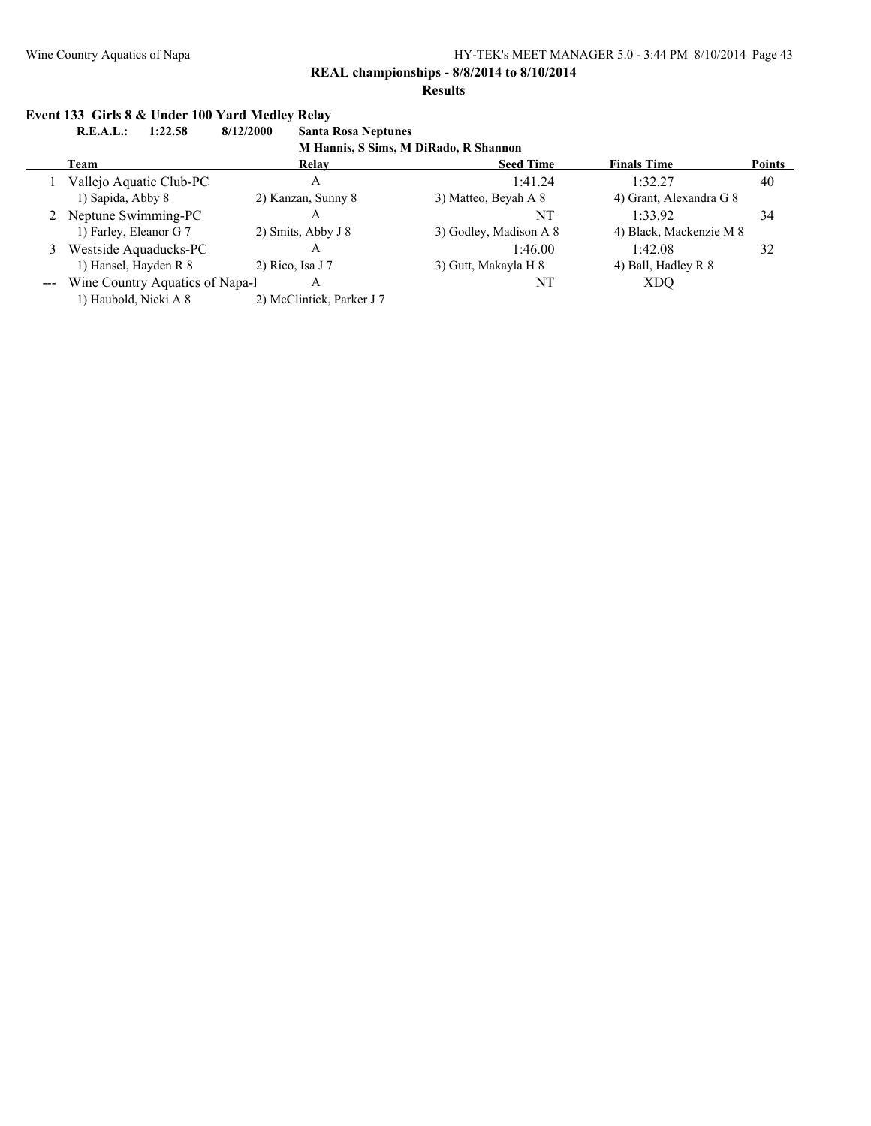#### **Results**

### **Event 133 Girls 8 & Under 100 Yard Medley Relay**

**R.E.A.L.: 1:22.58 8/12/2000 Santa Rosa Neptunes M Hannis, S Sims, M DiRado, R Shannon**

|                     | $1.1 - 1.1$                     |                           |                        |                         |               |  |  |  |  |  |
|---------------------|---------------------------------|---------------------------|------------------------|-------------------------|---------------|--|--|--|--|--|
|                     | Team                            | <b>Relav</b>              | <b>Seed Time</b>       | <b>Finals Time</b>      | <b>Points</b> |  |  |  |  |  |
|                     | Vallejo Aquatic Club-PC         | А                         | 1:41.24                | 1:32.27                 | 40            |  |  |  |  |  |
|                     | 1) Sapida, Abby 8               | 2) Kanzan, Sunny 8        | 3) Matteo, Beyah A 8   | 4) Grant, Alexandra G 8 |               |  |  |  |  |  |
|                     | 2 Neptune Swimming-PC           | А                         | NT                     | 1:33.92                 | 34            |  |  |  |  |  |
|                     | 1) Farley, Eleanor G 7          | 2) Smits, Abby J 8        | 3) Godley, Madison A 8 | 4) Black, Mackenzie M 8 |               |  |  |  |  |  |
|                     | Westside Aquaducks-PC           | А                         | 1:46.00                | 1:42.08                 | 32            |  |  |  |  |  |
|                     | 1) Hansel, Hayden R 8           | 2) Rico, Isa J $7$        | 3) Gutt, Makayla H 8   | 4) Ball, Hadley R 8     |               |  |  |  |  |  |
| $\qquad \qquad - -$ | Wine Country Aquatics of Napa-l | А                         | NT                     | XDO                     |               |  |  |  |  |  |
|                     | 1) Haubold, Nicki A 8           | 2) McClintick, Parker J 7 |                        |                         |               |  |  |  |  |  |
|                     |                                 |                           |                        |                         |               |  |  |  |  |  |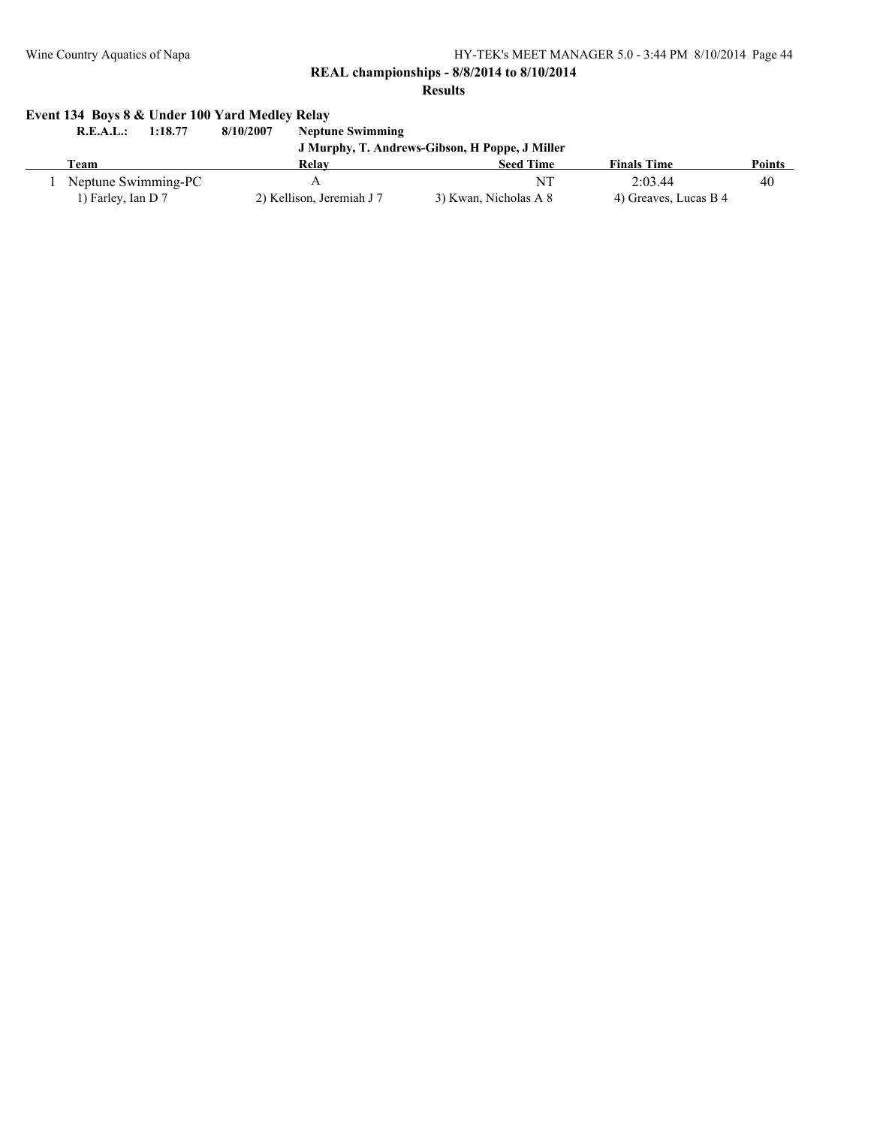**REAL championships - 8/8/2014 to 8/10/2014**

**Results**

# **Event 134 Boys 8 & Under 100 Yard Medley Relay**

| 1:18.77<br>R.E.A.L.: | 8/10/2007<br><b>Neptune Swimming</b> |                                                |                       |               |  |  |
|----------------------|--------------------------------------|------------------------------------------------|-----------------------|---------------|--|--|
|                      |                                      | J Murphy, T. Andrews-Gibson, H Poppe, J Miller |                       |               |  |  |
| Team                 | Relay                                | <b>Seed Time</b>                               | <b>Finals Time</b>    | <b>Points</b> |  |  |
| Neptune Swimming-PC  |                                      | NT                                             | 2.0344                | 40            |  |  |
| 1) Farley, Ian D 7   | 2) Kellison, Jeremiah J 7            | 3) Kwan, Nicholas A 8                          | 4) Greaves, Lucas B 4 |               |  |  |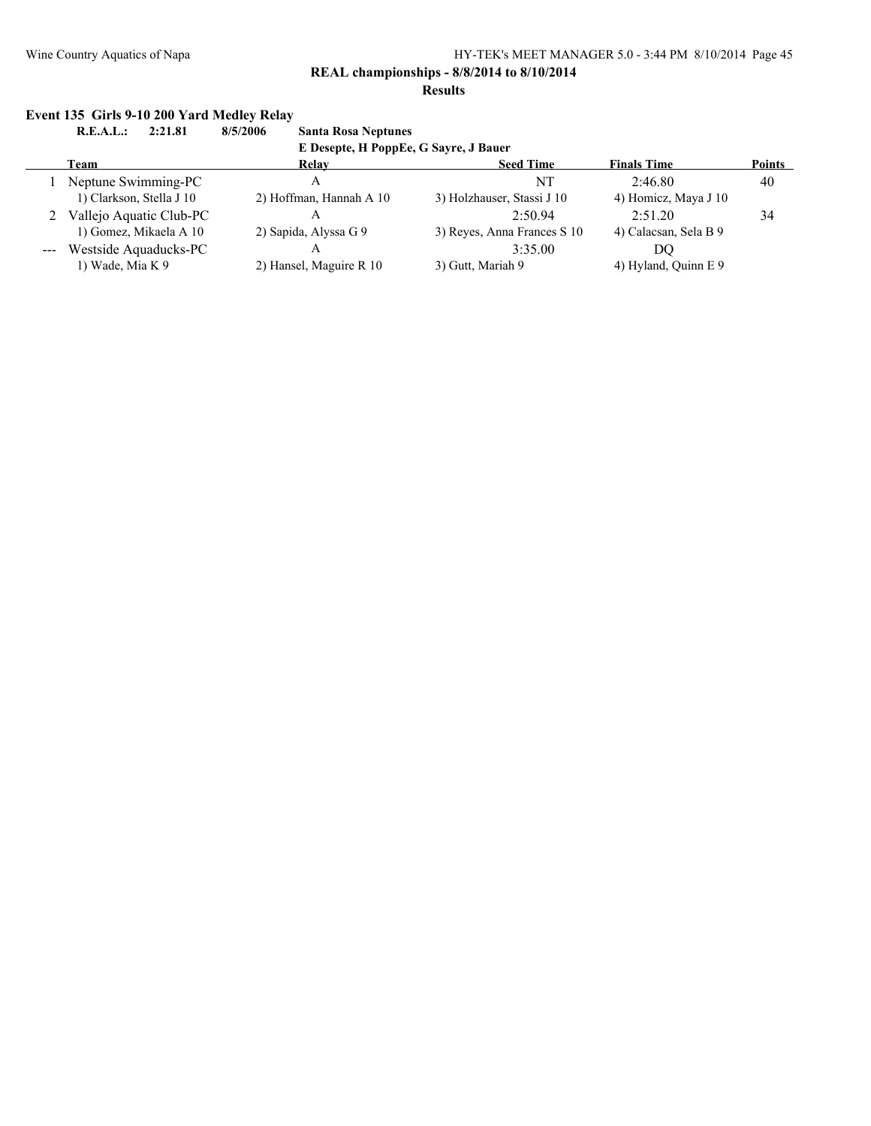#### **Results**

# **Event 135 Girls 9-10 200 Yard Medley Relay<br>R.E.A.L.: 2:21.81 8/5/2006**

**R.E.A.L.: 2:21.81 8/5/2006 Santa Rosa Neptunes**

**E Desepte, H PoppEe, G Sayre, J Bauer**

| Team                      | Relav                   | <b>Seed Time</b>            | <b>Finals Time</b>    | <b>Points</b> |
|---------------------------|-------------------------|-----------------------------|-----------------------|---------------|
| Neptune Swimming-PC       | A                       | NT                          | 2.4680                | 40            |
| 1) Clarkson, Stella J 10  | 2) Hoffman, Hannah A 10 | 3) Holzhauser, Stassi J 10  | 4) Homicz, Maya J 10  |               |
| 2 Vallejo Aquatic Club-PC |                         | 2.5094                      | 2:51.20               | 34            |
| 1) Gomez, Mikaela A 10    | 2) Sapida, Alyssa G 9   | 3) Reyes, Anna Frances S 10 | 4) Calacsan, Sela B 9 |               |
| --- Westside Aquaducks-PC |                         | 3:35.00                     | DO                    |               |
| 1) Wade, Mia K 9          | 2) Hansel, Maguire R 10 | 3) Gutt, Mariah 9           | 4) Hyland, Quinn E 9  |               |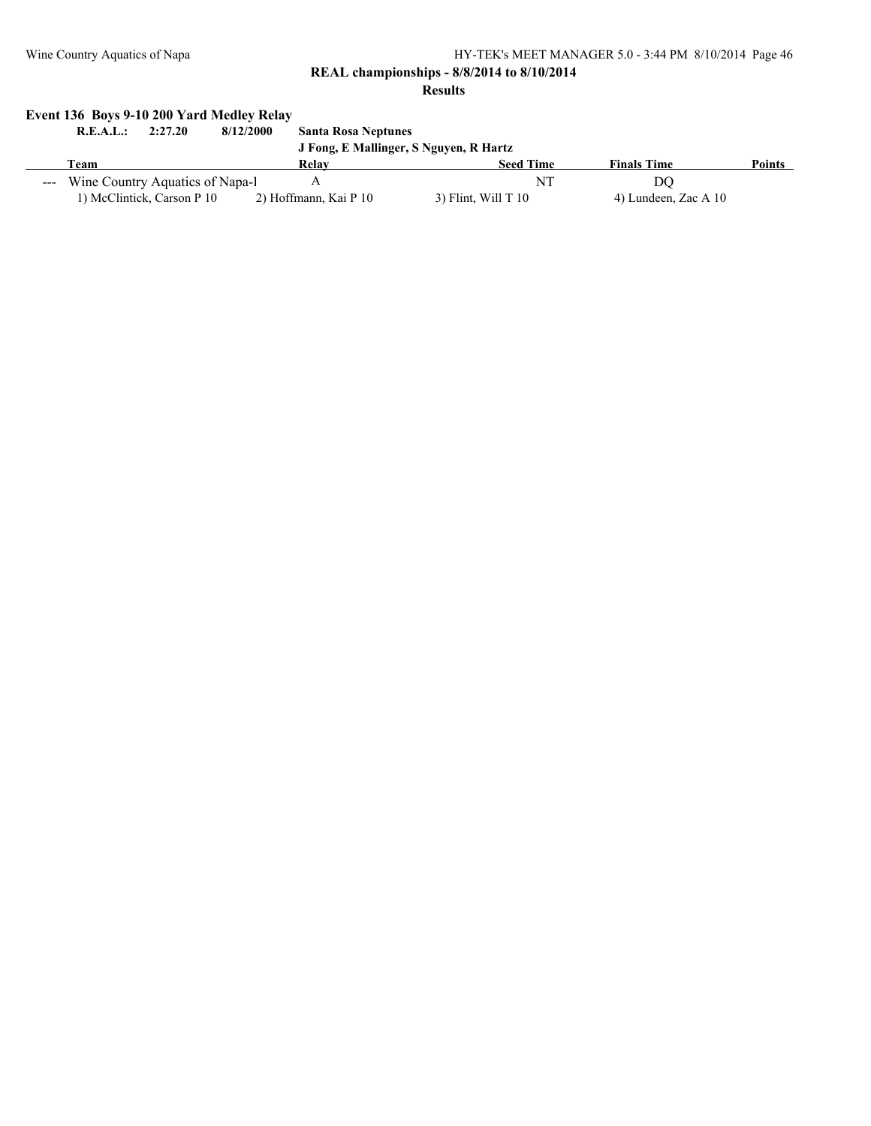#### **REAL championships - 8/8/2014 to 8/10/2014**

**Results**

# **Event 136 Boys 9-10 200 Yard Medley Relay**

| R.E.A.L.: | 2:27.20                             | 8/12/2000 | <b>Santa Rosa Neptunes</b> |                                        |                      |               |
|-----------|-------------------------------------|-----------|----------------------------|----------------------------------------|----------------------|---------------|
|           |                                     |           |                            | J Fong, E Mallinger, S Nguyen, R Hartz |                      |               |
| l`eam     |                                     |           | Relay                      | <b>Seed Time</b>                       | <b>Finals Time</b>   | <b>Points</b> |
|           | --- Wine Country Aquatics of Napa-1 |           |                            | NΊ                                     | DO                   |               |
|           | 1) McClintick, Carson P 10          |           | 2) Hoffmann, Kai P 10      | $3)$ Flint, Will T 10                  | 4) Lundeen, Zac A 10 |               |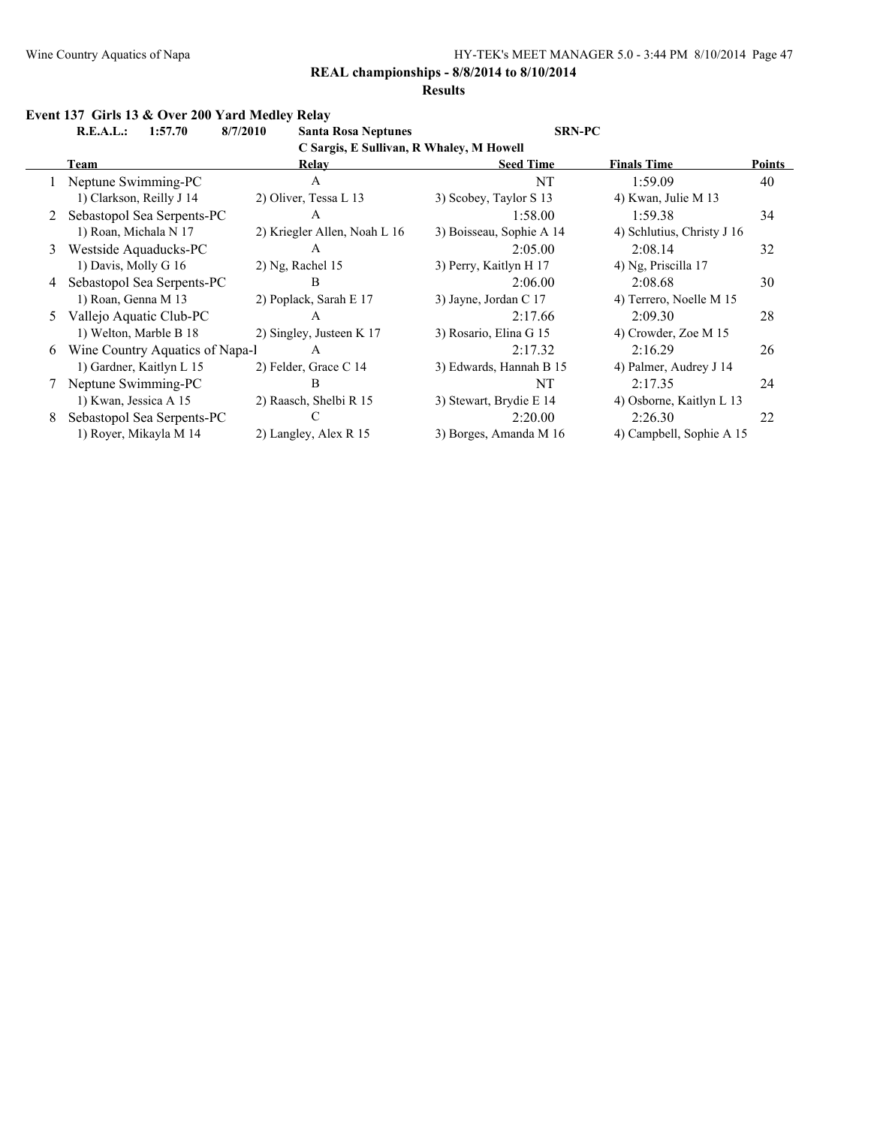#### **Results**

#### **Event 137 Girls 13 & Over 200 Yard Medley Relay**

**R.E.A.L.: 1:57.70 8/7/2010 Santa Rosa Neptunes SRN-PC**

**C Sargis, E Sullivan, R Whaley, M Howell**

|   | Team                            | Relay                        | <b>Seed Time</b>         | <b>Finals Time</b>         | <b>Points</b> |  |  |  |  |  |
|---|---------------------------------|------------------------------|--------------------------|----------------------------|---------------|--|--|--|--|--|
|   | Neptune Swimming-PC             | А                            | NT                       | 1:59.09                    | 40            |  |  |  |  |  |
|   | 1) Clarkson, Reilly J 14        | 2) Oliver, Tessa L 13        | 3) Scobey, Taylor S 13   | 4) Kwan, Julie M 13        |               |  |  |  |  |  |
|   | Sebastopol Sea Serpents-PC      | A                            | 1:58.00                  | 1:59.38                    | 34            |  |  |  |  |  |
|   | 1) Roan, Michala N 17           | 2) Kriegler Allen, Noah L 16 | 3) Boisseau, Sophie A 14 | 4) Schlutius, Christy J 16 |               |  |  |  |  |  |
| 3 | Westside Aquaducks-PC           | А                            | 2:05.00                  | 2:08.14                    | 32            |  |  |  |  |  |
|   | 1) Davis, Molly G 16            | $2)$ Ng, Rachel 15           | 3) Perry, Kaitlyn H 17   | 4) Ng, Priscilla 17        |               |  |  |  |  |  |
| 4 | Sebastopol Sea Serpents-PC      | В                            | 2:06.00                  | 2:08.68                    | 30            |  |  |  |  |  |
|   | 1) Roan, Genna M 13             | 2) Poplack, Sarah E 17       | 3) Jayne, Jordan C 17    | 4) Terrero, Noelle M 15    |               |  |  |  |  |  |
| 5 | Vallejo Aquatic Club-PC         | A                            | 2:17.66                  | 2:09.30                    | 28            |  |  |  |  |  |
|   | 1) Welton, Marble B 18          | 2) Singley, Justeen K 17     | 3) Rosario, Elina G 15   | 4) Crowder, Zoe M 15       |               |  |  |  |  |  |
| 6 | Wine Country Aquatics of Napa-1 | A                            | 2:17.32                  | 2:16.29                    | 26            |  |  |  |  |  |
|   | 1) Gardner, Kaitlyn L 15        | 2) Felder, Grace C 14        | 3) Edwards, Hannah B 15  | 4) Palmer, Audrey J 14     |               |  |  |  |  |  |
|   | Neptune Swimming-PC             | В                            | NT                       | 2:17.35                    | 24            |  |  |  |  |  |
|   | 1) Kwan, Jessica A 15           | 2) Raasch, Shelbi R 15       | 3) Stewart, Brydie E 14  | 4) Osborne, Kaitlyn L 13   |               |  |  |  |  |  |
| 8 | Sebastopol Sea Serpents-PC      |                              | 2:20.00                  | 2:26.30                    | 22            |  |  |  |  |  |
|   | 1) Royer, Mikayla M 14          | 2) Langley, Alex R 15        | 3) Borges, Amanda M 16   | 4) Campbell, Sophie A 15   |               |  |  |  |  |  |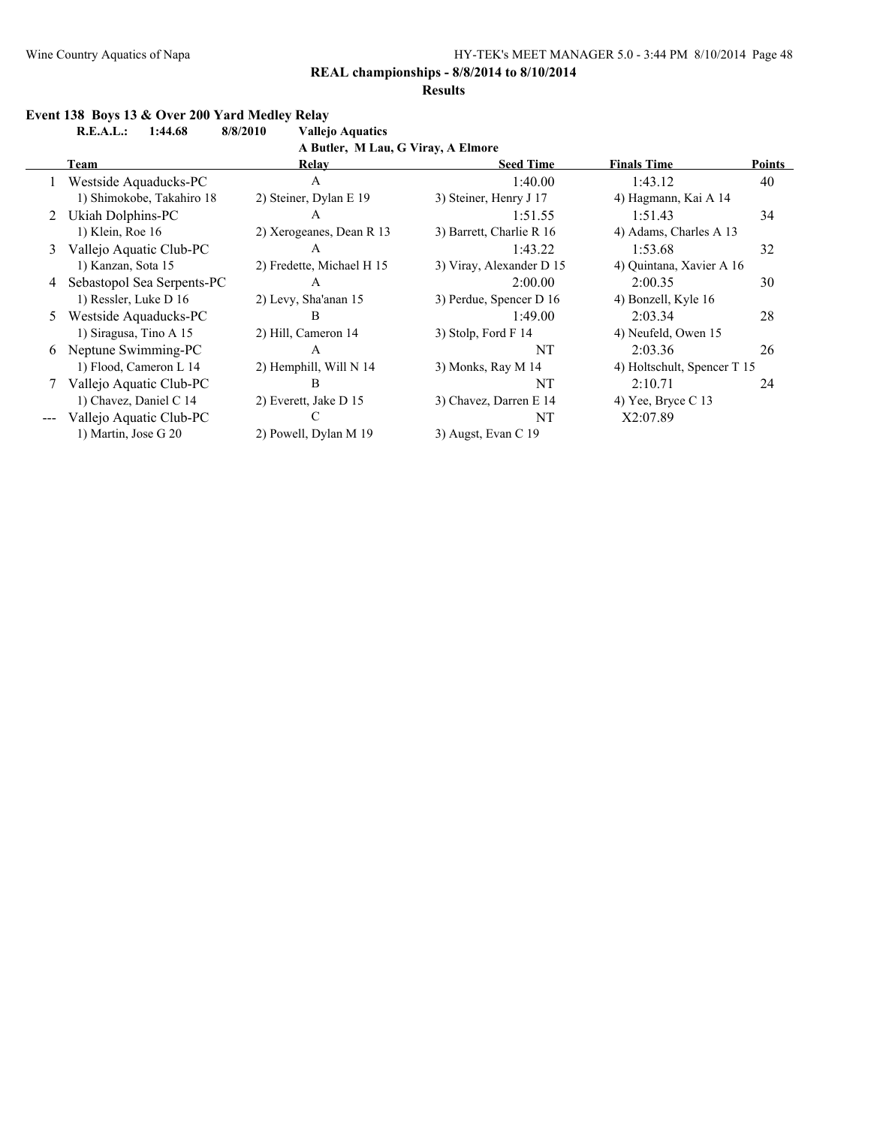#### **Results**

# **Event 138 Boys 13 & Over 200 Yard Medley Relay<br>R.E.A.L.: 1:44.68 8/8/2010 Vallejo Aquatics**

**R.E.A.L.: 1:44.68 8/8/2010** 

**A Butler, M Lau, G Viray, A Elmore**

|   | Team                       | Relay                     | <b>Seed Time</b>         | <b>Finals Time</b>          | <b>Points</b> |
|---|----------------------------|---------------------------|--------------------------|-----------------------------|---------------|
|   | Westside Aquaducks-PC      | A                         | 1:40.00                  | 1:43.12                     | 40            |
|   | 1) Shimokobe, Takahiro 18  | 2) Steiner, Dylan E 19    | 3) Steiner, Henry J 17   | 4) Hagmann, Kai A 14        |               |
|   | 2 Ukiah Dolphins-PC        | A                         | 1:51.55                  | 1:51.43                     | 34            |
|   | 1) Klein, Roe 16           | 2) Xerogeanes, Dean R 13  | 3) Barrett, Charlie R 16 | 4) Adams, Charles A 13      |               |
| 3 | Vallejo Aquatic Club-PC    | A                         | 1:43.22                  | 1:53.68                     | 32            |
|   | 1) Kanzan, Sota 15         | 2) Fredette, Michael H 15 | 3) Viray, Alexander D 15 | 4) Quintana, Xavier A 16    |               |
| 4 | Sebastopol Sea Serpents-PC | A                         | 2:00.00                  | 2:00.35                     | 30            |
|   | 1) Ressler, Luke D 16      | 2) Levy, Sha'anan 15      | 3) Perdue, Spencer D 16  | 4) Bonzell, Kyle 16         |               |
| 5 | Westside Aquaducks-PC      | B                         | 1:49.00                  | 2:03.34                     | 28            |
|   | 1) Siragusa, Tino A 15     | 2) Hill, Cameron 14       | 3) Stolp, Ford $F$ 14    | 4) Neufeld, Owen 15         |               |
|   | 6 Neptune Swimming-PC      | A                         | NT                       | 2:03.36                     | 26            |
|   | 1) Flood, Cameron L 14     | 2) Hemphill, Will N 14    | 3) Monks, Ray M 14       | 4) Holtschult, Spencer T 15 |               |
|   | Vallejo Aquatic Club-PC    | B                         | NT                       | 2:10.71                     | 24            |
|   | 1) Chavez, Daniel C 14     | 2) Everett, Jake D 15     | 3) Chavez, Darren E 14   | 4) Yee, Bryce $C$ 13        |               |
|   | Vallejo Aquatic Club-PC    |                           | NT                       | X2:07.89                    |               |
|   | 1) Martin, Jose G 20       | 2) Powell, Dylan M 19     | 3) Augst, Evan C 19      |                             |               |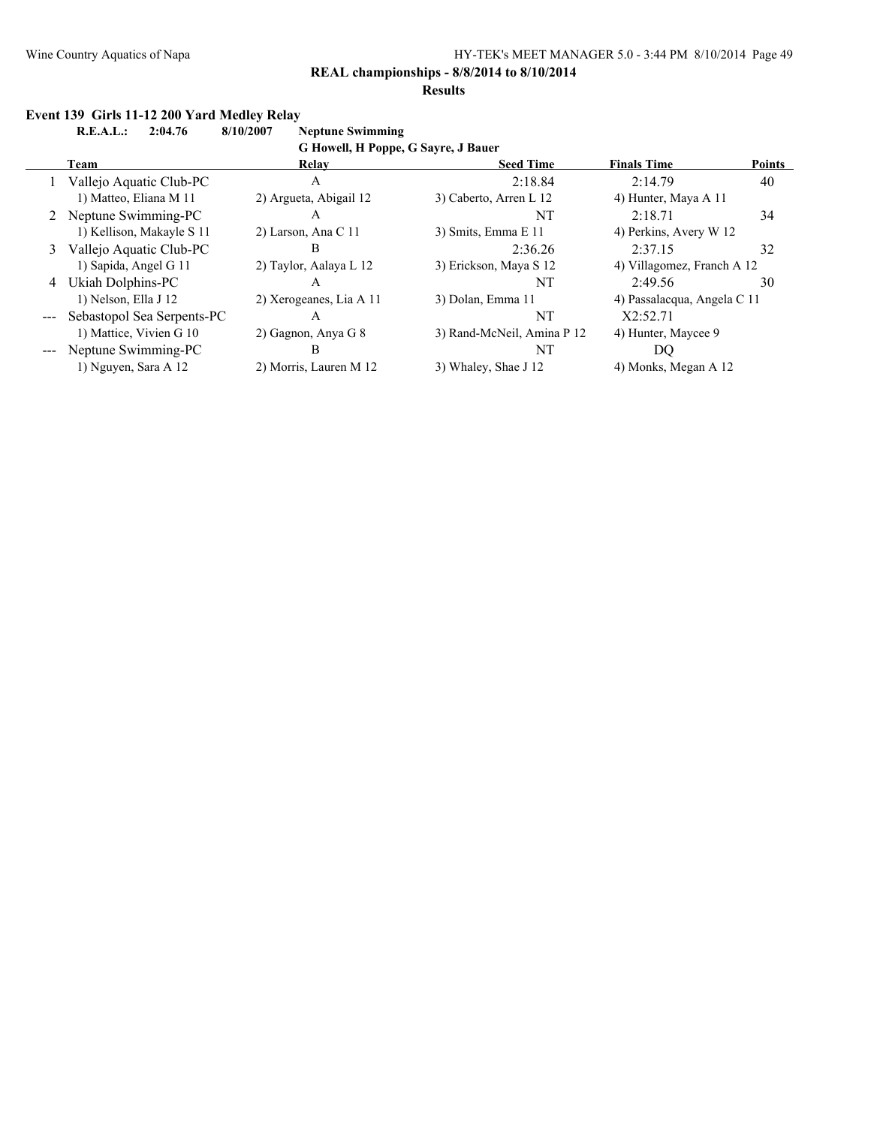**Results**

**R.E.A.L.: 2:04.76 8/10/2007 Neptune Swimming**

|               | G Howell, H Poppe, G Sayre, J Bauer |                         |                            |                             |               |  |  |  |  |  |
|---------------|-------------------------------------|-------------------------|----------------------------|-----------------------------|---------------|--|--|--|--|--|
|               | Team                                | Relay                   | <b>Seed Time</b>           | <b>Finals Time</b>          | <b>Points</b> |  |  |  |  |  |
|               | Vallejo Aquatic Club-PC             | А                       | 2:18.84                    | 2:14.79                     | 40            |  |  |  |  |  |
|               | 1) Matteo, Eliana M 11              | 2) Argueta, Abigail 12  | 3) Caberto, Arren L 12     | 4) Hunter, Maya A 11        |               |  |  |  |  |  |
|               | 2 Neptune Swimming-PC               | A                       | NT                         | 2:18.71                     | 34            |  |  |  |  |  |
|               | 1) Kellison, Makayle S 11           | 2) Larson, Ana C 11     | 3) Smits, Emma E 11        | 4) Perkins, Avery W 12      |               |  |  |  |  |  |
| 3             | Vallejo Aquatic Club-PC             | В                       | 2:36.26                    | 2:37.15                     | 32            |  |  |  |  |  |
|               | 1) Sapida, Angel G 11               | 2) Taylor, Aalaya L 12  | 3) Erickson, Maya S 12     | 4) Villagomez, Franch A 12  |               |  |  |  |  |  |
|               | 4 Ukiah Dolphins-PC                 | А                       | NT                         | 2:49.56                     | 30            |  |  |  |  |  |
|               | 1) Nelson, Ella J 12                | 2) Xerogeanes, Lia A 11 | 3) Dolan, Emma 11          | 4) Passalacqua, Angela C 11 |               |  |  |  |  |  |
|               | Sebastopol Sea Serpents-PC          | А                       | NT                         | X2:52.71                    |               |  |  |  |  |  |
|               | 1) Mattice, Vivien G 10             | 2) Gagnon, Anya G 8     | 3) Rand-McNeil, Amina P 12 | 4) Hunter, Maycee 9         |               |  |  |  |  |  |
| $\frac{1}{2}$ | Neptune Swimming-PC                 | В                       | NT                         | DO.                         |               |  |  |  |  |  |
|               | 1) Nguyen, Sara A 12                | 2) Morris, Lauren M 12  | 3) Whaley, Shae J 12       | 4) Monks, Megan A 12        |               |  |  |  |  |  |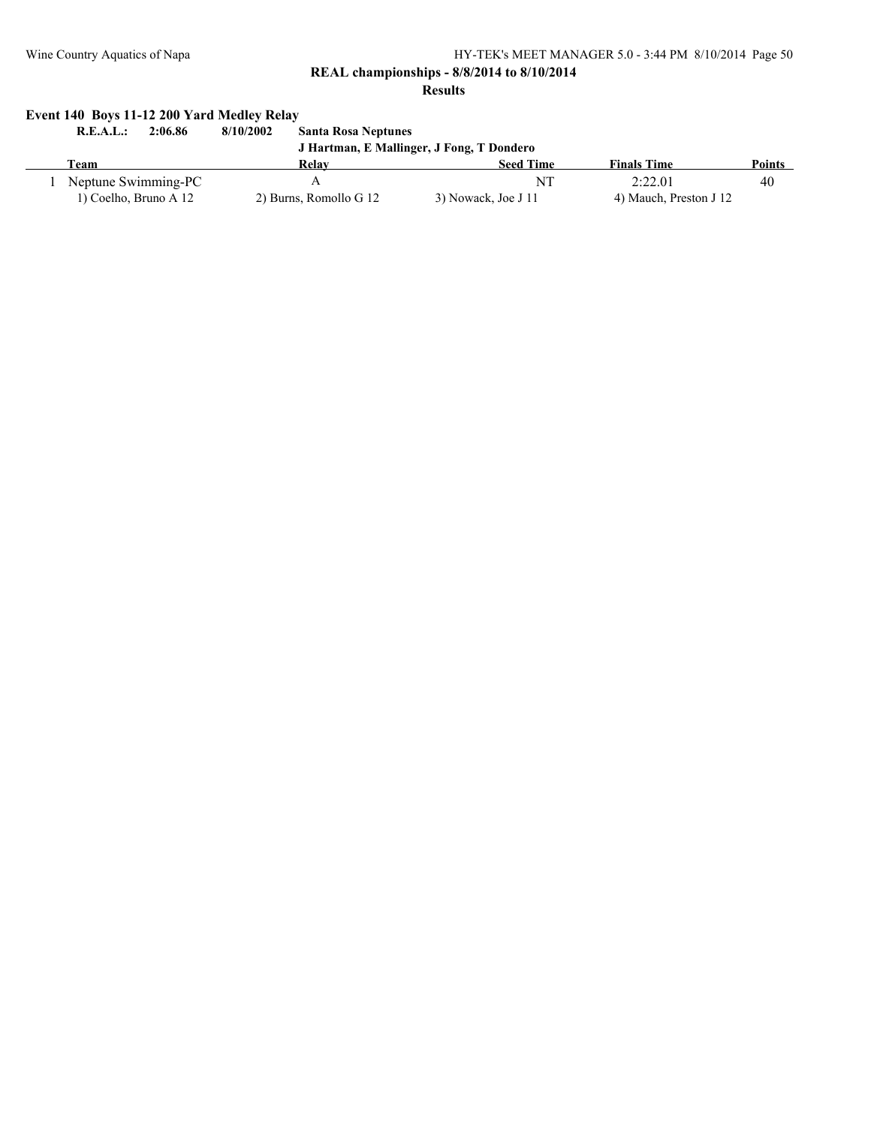**REAL championships - 8/8/2014 to 8/10/2014**

**Results**

# **Event 140 Boys 11-12 200 Yard Medley Relay**

**R.E.A.L.: 2:06.86 8/10/2002 Santa Rosa Neptunes J Hartman, E Mallinger, J Fong, T Dondero Team Relay Seed Time Finals Time Points** 1 Neptune Swimming-PC A NT 2:22.01 40 1) Coelho, Bruno A 12 2) Burns, Romollo G 12 3) Nowack, Joe J 11 4) Mauch, Preston J 12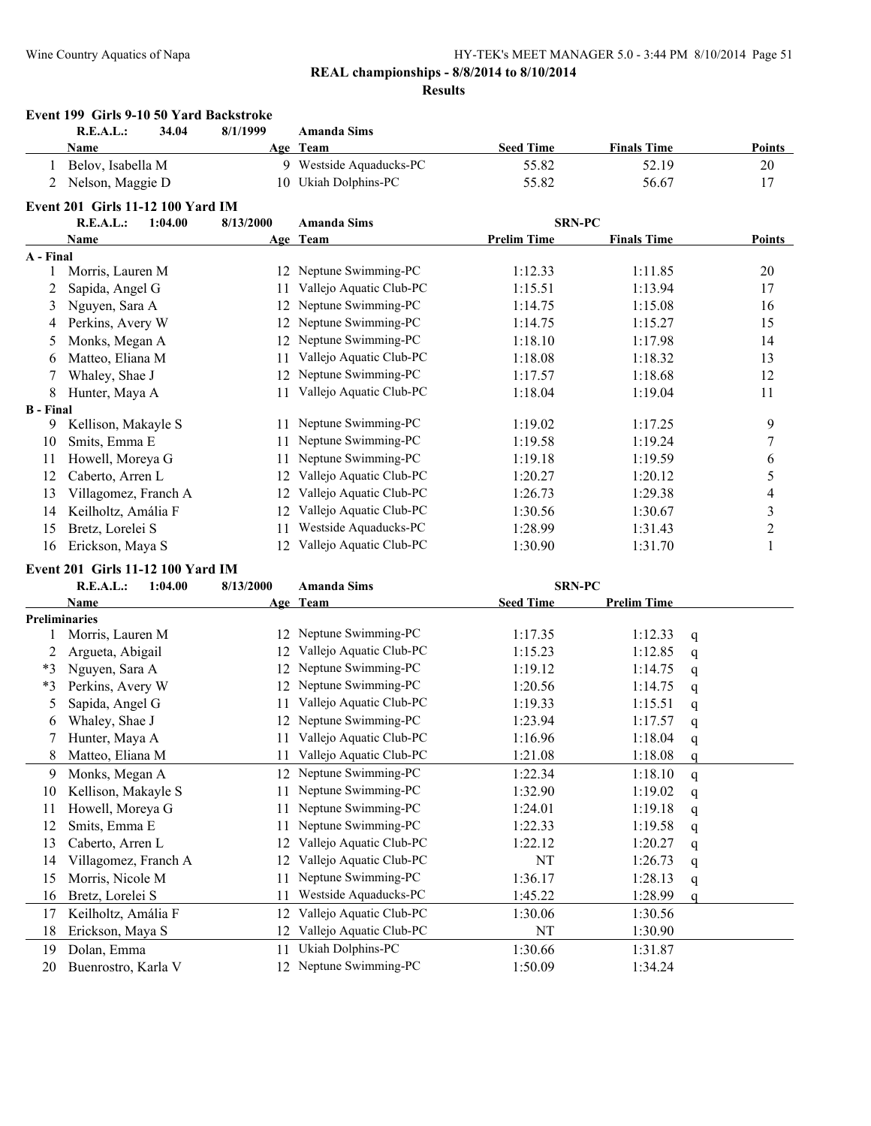#### **REAL championships - 8/8/2014 to 8/10/2014 Results**

#### **Event 199 Girls 9-10 50 Yard Backstroke R.E.A.L.: 34.04 8/1/1999 Amanda Sims Name Age Team Seed Time Finals Time Points** 1 Belov, Isabella M 9 Westside Aquaducks-PC 55.82 52.19 52.19 20 2 Nelson, Maggie D 10 Ukiah Dolphins-PC 55.82 56.67 17 **Event 201 Girls 11-12 100 Yard IM R.E.A.L.: 1:04.00 8/13/2000 Amanda Sims SRN-PC Name Age Team Prelim Time Finals Time Points A - Final** 1 Morris, Lauren M 12 Neptune Swimming-PC 1:12.33 1:11.85 20 2 Sapida, Angel G 11 Vallejo Aquatic Club-PC 1:15.51 1:13.94 17 3 Nguyen, Sara A 12 Neptune Swimming-PC 1:14.75 1:15.08 16 4 Perkins, Avery W 12 Neptune Swimming-PC 1:14.75 1:15.27 15 5 Monks, Megan A 12 Neptune Swimming-PC 1:18.10 1:17.98 14 6 Matteo, Eliana M 11 Vallejo Aquatic Club-PC 1:18.08 1:18.32 13 7 Whaley, Shae J 12 Neptune Swimming-PC 1:17.57 1:18.68 12 8 Hunter, Maya A 11 Vallejo Aquatic Club-PC 1:18.04 1:19.04 11 **B - Final** 9 Kellison, Makayle S 11 Neptune Swimming-PC 1:19.02 1:17.25 9 10 Smits, Emma E 11 Neptune Swimming-PC 1:19.58 1:19.24 7 11 Howell, Moreya G 11 Neptune Swimming-PC 1:19.18 1:19.59 6 12 Caberto, Arren L 12 Vallejo Aquatic Club-PC 1:20.27 1:20.12 5 13 Villagomez, Franch A 12 Vallejo Aquatic Club-PC 1:26.73 1:29.38 4 14 Keilholtz, Amália F 12 Vallejo Aquatic Club-PC 1:30.56 1:30.67 3 15 Bretz, Lorelei S 11 Westside Aquaducks-PC 1:28.99 1:31.43 2 16 Erickson, Maya S 12 Vallejo Aquatic Club-PC 1:30.90 1:31.70 1

#### **Event 201 Girls 11-12 100 Yard IM**

| <b>R.E.A.L.:</b><br>1:04.00 | 8/13/2000 | <b>Amanda Sims</b>      |                       |                    |               |
|-----------------------------|-----------|-------------------------|-----------------------|--------------------|---------------|
| Name                        |           |                         | <b>Seed Time</b>      | <b>Prelim Time</b> |               |
| <b>Preliminaries</b>        |           |                         |                       |                    |               |
| Morris, Lauren M            | 12        | Neptune Swimming-PC     | 1:17.35               | 1:12.33            | q             |
| Argueta, Abigail            | 12        | Vallejo Aquatic Club-PC | 1:15.23               | 1:12.85            | q             |
| Nguyen, Sara A              | 12        | Neptune Swimming-PC     | 1:19.12               | 1:14.75            | q             |
| Perkins, Avery W            | 12        | Neptune Swimming-PC     | 1:20.56               | 1:14.75            | q             |
| Sapida, Angel G             | 11        | Vallejo Aquatic Club-PC | 1:19.33               | 1:15.51            | q             |
| Whaley, Shae J              | 12        | Neptune Swimming-PC     | 1:23.94               | 1:17.57            | q             |
| Hunter, Maya A              | 11        | Vallejo Aquatic Club-PC | 1:16.96               | 1:18.04            | $\mathbf q$   |
| Matteo, Eliana M            | 11        | Vallejo Aquatic Club-PC | 1:21.08               | 1:18.08            |               |
| Monks, Megan A              | 12        | Neptune Swimming-PC     | 1:22.34               | 1:18.10            | q             |
| Kellison, Makayle S         | 11        | Neptune Swimming-PC     | 1:32.90               | 1:19.02            | q             |
| Howell, Moreya G            |           | Neptune Swimming-PC     | 1:24.01               | 1:19.18            | q             |
| Smits, Emma E               |           | Neptune Swimming-PC     | 1:22.33               | 1:19.58            | q             |
| Caberto, Arren L            | 12        | Vallejo Aquatic Club-PC | 1:22.12               | 1:20.27            | q             |
| Villagomez, Franch A        | 12.       | Vallejo Aquatic Club-PC | NT                    | 1:26.73            | q             |
| Morris, Nicole M            |           | Neptune Swimming-PC     | 1:36.17               | 1:28.13            | q             |
| Bretz, Lorelei S            | 11        | Westside Aquaducks-PC   | 1:45.22               | 1:28.99            | q             |
| Keilholtz, Amália F         |           | Vallejo Aquatic Club-PC | 1:30.06               | 1:30.56            |               |
| Erickson, Maya S            | 12        | Vallejo Aquatic Club-PC | NT                    | 1:30.90            |               |
| Dolan, Emma                 |           | Ukiah Dolphins-PC       | 1:30.66               | 1:31.87            |               |
| Buenrostro, Karla V         | 12.       | Neptune Swimming-PC     | 1:50.09               | 1:34.24            |               |
|                             |           |                         | Age Team<br>12.<br>11 |                    | <b>SRN-PC</b> |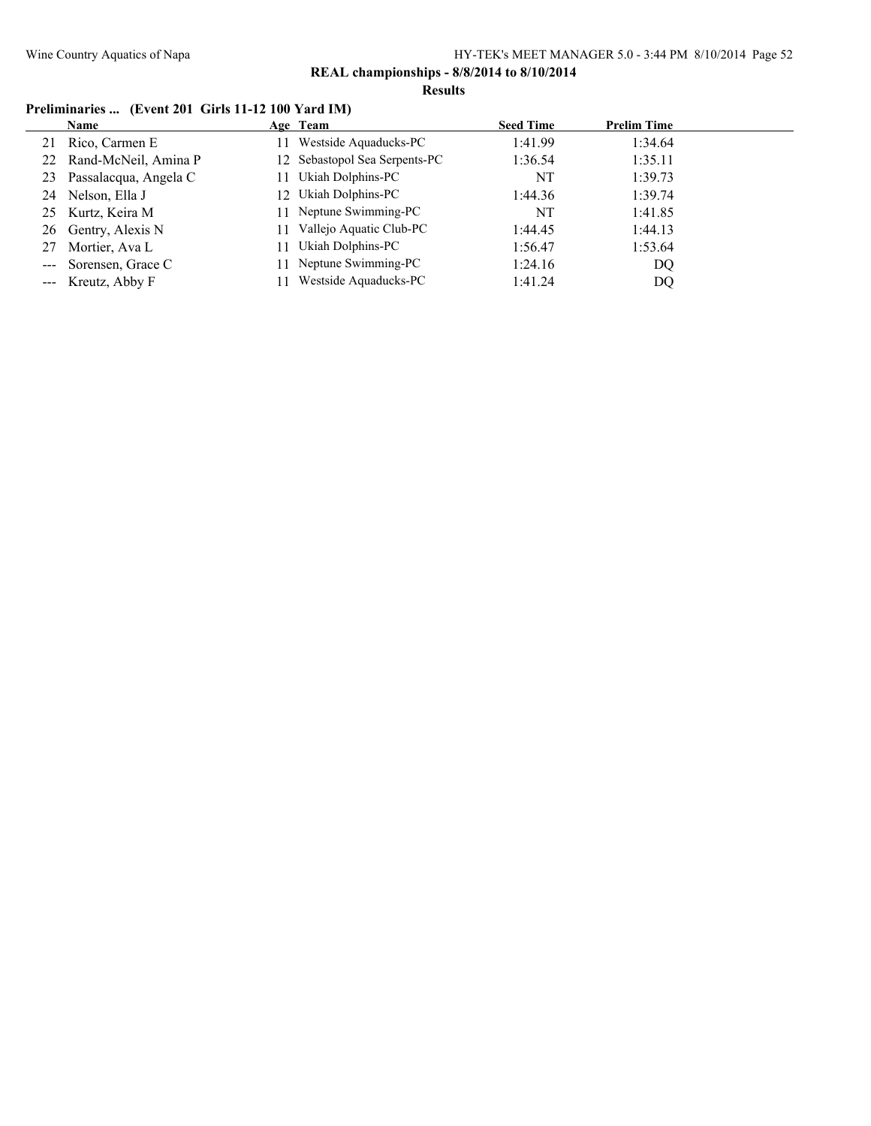**Results**

# **Preliminaries ... (Event 201 Girls 11-12 100 Yard IM)**

|                                                                                                                                                                                                                                                                                                                                                                                              | Name                    | Age Team                      | <b>Seed Time</b> | <b>Prelim Time</b> |  |
|----------------------------------------------------------------------------------------------------------------------------------------------------------------------------------------------------------------------------------------------------------------------------------------------------------------------------------------------------------------------------------------------|-------------------------|-------------------------------|------------------|--------------------|--|
| 21                                                                                                                                                                                                                                                                                                                                                                                           | Rico, Carmen E          | Westside Aquaducks-PC         | 1:41.99          | 1:34.64            |  |
|                                                                                                                                                                                                                                                                                                                                                                                              | 22 Rand-McNeil, Amina P | 12 Sebastopol Sea Serpents-PC | 1:36.54          | 1:35.11            |  |
| 23                                                                                                                                                                                                                                                                                                                                                                                           | Passalacqua, Angela C   | Ukiah Dolphins-PC             | NT               | 1:39.73            |  |
| 24                                                                                                                                                                                                                                                                                                                                                                                           | Nelson, Ella J          | 12 Ukiah Dolphins-PC          | 1:44.36          | 1:39.74            |  |
| 25                                                                                                                                                                                                                                                                                                                                                                                           | Kurtz, Keira M          | 11 Neptune Swimming-PC        | NT               | 1:41.85            |  |
|                                                                                                                                                                                                                                                                                                                                                                                              | 26 Gentry, Alexis N     | Vallejo Aquatic Club-PC       | 1:44.45          | 1:44.13            |  |
| 27                                                                                                                                                                                                                                                                                                                                                                                           | Mortier, Ava L          | Ukiah Dolphins-PC             | 1:56.47          | 1:53.64            |  |
| $\frac{1}{2} \frac{1}{2} \frac{1}{2} \frac{1}{2} \frac{1}{2} \frac{1}{2} \frac{1}{2} \frac{1}{2} \frac{1}{2} \frac{1}{2} \frac{1}{2} \frac{1}{2} \frac{1}{2} \frac{1}{2} \frac{1}{2} \frac{1}{2} \frac{1}{2} \frac{1}{2} \frac{1}{2} \frac{1}{2} \frac{1}{2} \frac{1}{2} \frac{1}{2} \frac{1}{2} \frac{1}{2} \frac{1}{2} \frac{1}{2} \frac{1}{2} \frac{1}{2} \frac{1}{2} \frac{1}{2} \frac{$ | Sorensen, Grace C       | 11 Neptune Swimming-PC        | 1:24.16          | DQ                 |  |
|                                                                                                                                                                                                                                                                                                                                                                                              | --- Kreutz, Abby F      | Westside Aquaducks-PC         | 1:41.24          | DQ                 |  |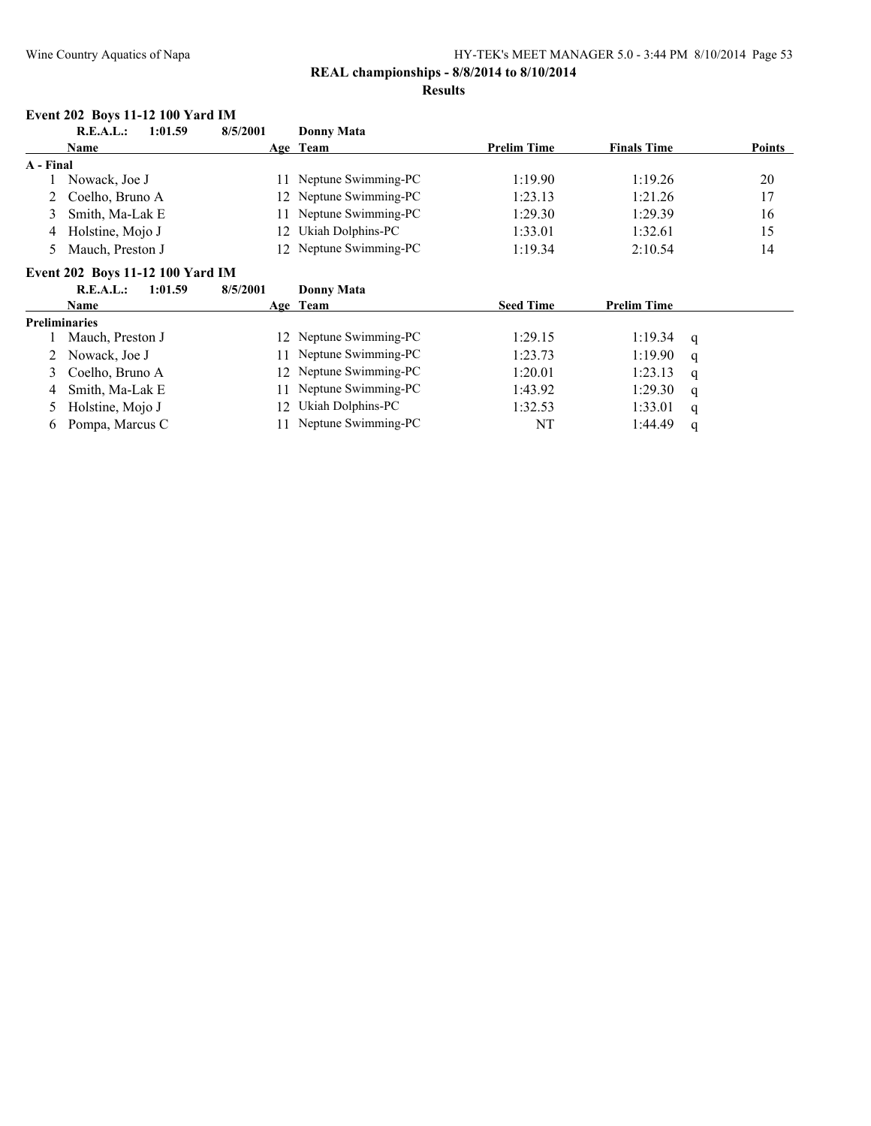#### **Results**

#### **Event 202 Boys 11-12 100 Yard IM**

|         | R.E.A.L.:<br>1:01.59                    | 8/5/2001 | Donny Mata             |                    |                    |               |
|---------|-----------------------------------------|----------|------------------------|--------------------|--------------------|---------------|
|         | <b>Name</b>                             |          | Age Team               | <b>Prelim Time</b> | <b>Finals Time</b> | <b>Points</b> |
| A Final |                                         |          |                        |                    |                    |               |
|         | Nowack, Joe J                           |          | 11 Neptune Swimming-PC | 1:19.90            | 1:19.26            | 20            |
|         | 2 Coelho, Bruno A                       |          | 12 Neptune Swimming-PC | 1:23.13            | 1:21.26            | 17            |
|         | Smith, Ma-Lak E                         |          | 11 Neptune Swimming-PC | 1:29.30            | 1:29.39            | 16            |
| 4       | Holstine, Mojo J                        |          | 12 Ukiah Dolphins-PC   | 1:33.01            | 1:32.61            | 15            |
|         | Mauch, Preston J                        |          | 12 Neptune Swimming-PC | 1:19.34            | 2:10.54            | 14            |
|         | <b>Event 202 Boys 11-12 100 Yard IM</b> |          |                        |                    |                    |               |

# **R.E.A.L.: 1:01.59 8/5/2001 Donny Mata**

|   | K.L.A.L.:<br>1391.39 | 8/3/2001 | DONNY MATA             |                  |                    |     |
|---|----------------------|----------|------------------------|------------------|--------------------|-----|
|   | <b>Name</b>          |          | Age Team               | <b>Seed Time</b> | <b>Prelim Time</b> |     |
|   | <b>Preliminaries</b> |          |                        |                  |                    |     |
|   | Mauch, Preston J     |          | 12 Neptune Swimming-PC | 1:29.15          | 1:19.34            | - q |
|   | 2 Nowack, Joe J      |          | 11 Neptune Swimming-PC | 1:23.73          | 1:19.90            | q   |
|   | 3 Coelho, Bruno A    |          | 12 Neptune Swimming-PC | 1:20.01          | 1:23.13            | q   |
| 4 | Smith, Ma-Lak E      |          | 11 Neptune Swimming-PC | 1:43.92          | 1:29.30            | q   |
|   | Holstine, Mojo J     |          | 12 Ukiah Dolphins-PC   | 1:32.53          | 1:33.01            | q   |
| 6 | Pompa, Marcus C      |          | Neptune Swimming-PC    | NT               | 1:44.49            |     |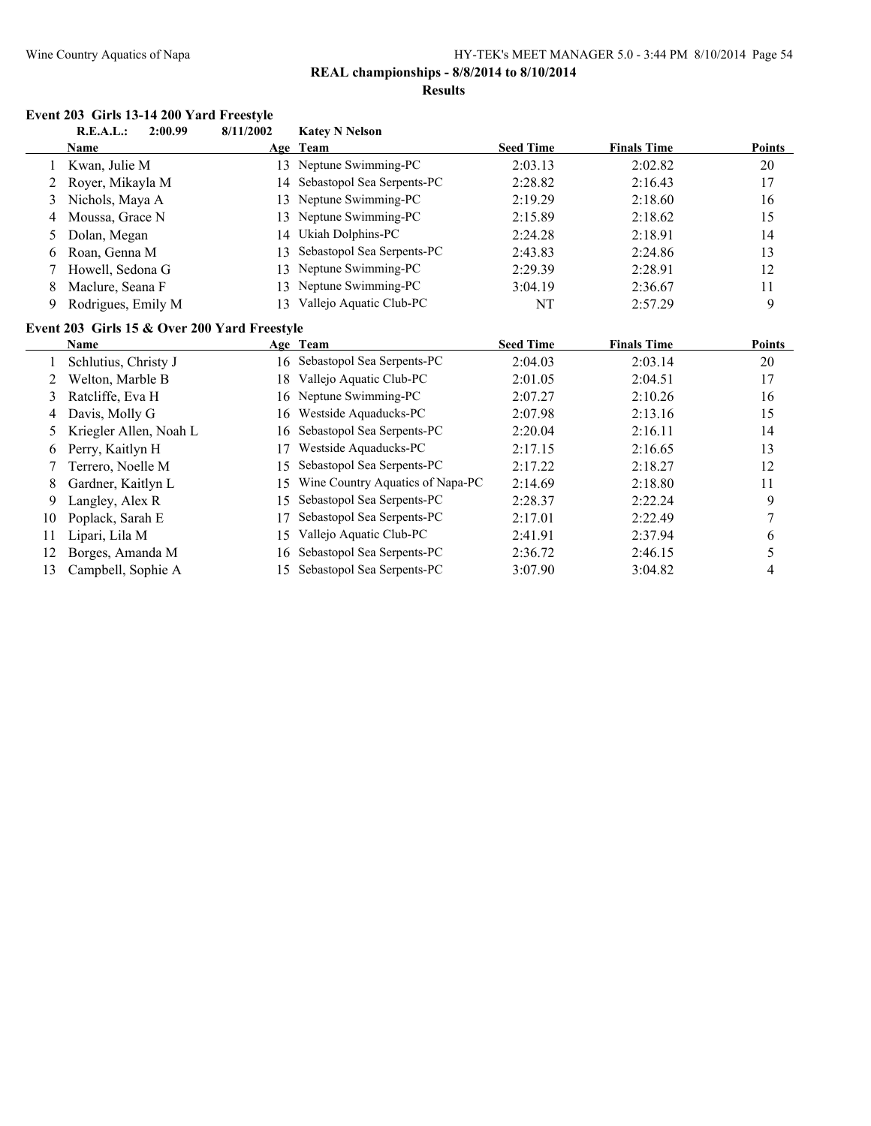**REAL championships - 8/8/2014 to 8/10/2014**

#### **Results**

# **Event 203 Girls 13-14 200 Yard Freestyle**<br>**EAL**: 2:00.00 8/11/2002

|               | EVCHI 200   CHIS 10-14 200   LATU FICCSIVIC<br>R.E.A.L.:<br>2:00.99 | 8/11/2002 | <b>Katey N Nelson</b>            |                  |                    |               |
|---------------|---------------------------------------------------------------------|-----------|----------------------------------|------------------|--------------------|---------------|
|               | Name                                                                | Age       | Team                             | <b>Seed Time</b> | <b>Finals Time</b> | Points        |
|               | Kwan, Julie M                                                       | 13        | Neptune Swimming-PC              | 2:03.13          | 2:02.82            | 20            |
| 2             | Royer, Mikayla M                                                    | 14        | Sebastopol Sea Serpents-PC       | 2:28.82          | 2:16.43            | 17            |
| 3             | Nichols, Maya A                                                     | 13        | Neptune Swimming-PC              | 2:19.29          | 2:18.60            | 16            |
| 4             | Moussa, Grace N                                                     | 13        | Neptune Swimming-PC              | 2:15.89          | 2:18.62            | 15            |
| $\mathcal{D}$ | Dolan, Megan                                                        | 14        | Ukiah Dolphins-PC                | 2:24.28          | 2:18.91            | 14            |
| 6             | Roan, Genna M                                                       | 13        | Sebastopol Sea Serpents-PC       | 2:43.83          | 2:24.86            | 13            |
|               | Howell, Sedona G                                                    | 13        | Neptune Swimming-PC              | 2:29.39          | 2:28.91            | 12            |
| 8             | Maclure, Seana F                                                    | 13        | Neptune Swimming-PC              | 3:04.19          | 2:36.67            | 11            |
| 9             | Rodrigues, Emily M                                                  | 13        | Vallejo Aquatic Club-PC          | NT               | 2:57.29            | 9             |
|               | Event 203 Girls 15 & Over 200 Yard Freestyle                        |           |                                  |                  |                    |               |
|               | <b>Name</b>                                                         |           | Age Team                         | <b>Seed Time</b> | <b>Finals Time</b> | <b>Points</b> |
|               | Schlutius, Christy J                                                | 16        | Sebastopol Sea Serpents-PC       | 2:04.03          | 2:03.14            | 20            |
| 2             | Welton, Marble B                                                    | 18        | Vallejo Aquatic Club-PC          | 2:01.05          | 2:04.51            | 17            |
| 3             | Ratcliffe, Eva H                                                    | 16        | Neptune Swimming-PC              | 2:07.27          | 2:10.26            | 16            |
| 4             | Davis, Molly G                                                      | 16        | Westside Aquaducks-PC            | 2:07.98          | 2:13.16            | 15            |
| 5             | Kriegler Allen, Noah L                                              | 16        | Sebastopol Sea Serpents-PC       | 2:20.04          | 2:16.11            | 14            |
| 6             | Perry, Kaitlyn H                                                    | 17        | Westside Aquaducks-PC            | 2:17.15          | 2:16.65            | 13            |
|               | Terrero, Noelle M                                                   | 15        | Sebastopol Sea Serpents-PC       | 2:17.22          | 2:18.27            | 12            |
| 8             | Gardner, Kaitlyn L                                                  | 15        | Wine Country Aquatics of Napa-PC | 2:14.69          | 2:18.80            | 11            |
| 9             | Langley, Alex R                                                     | 15        | Sebastopol Sea Serpents-PC       | 2:28.37          | 2:22.24            | 9             |
| 10            | Poplack, Sarah E                                                    | 17        | Sebastopol Sea Serpents-PC       | 2:17.01          | 2:22.49            | 7             |
| 11            | Lipari, Lila M                                                      | 15        | Vallejo Aquatic Club-PC          | 2:41.91          | 2:37.94            | 6             |
| 12            | Borges, Amanda M                                                    | 16        | Sebastopol Sea Serpents-PC       | 2:36.72          | 2:46.15            | 5             |
| 13            | Campbell, Sophie A                                                  | 15        | Sebastopol Sea Serpents-PC       | 3:07.90          | 3:04.82            | 4             |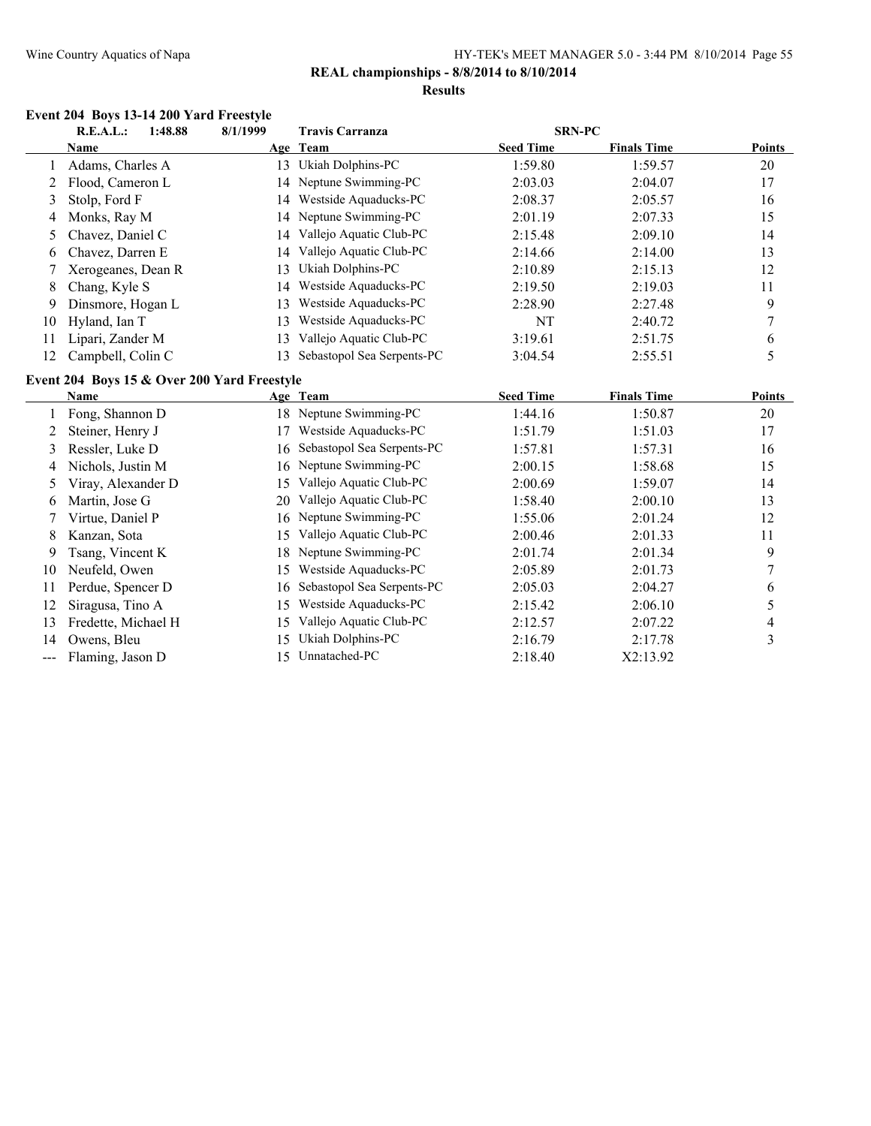#### **REAL championships - 8/8/2014 to 8/10/2014 Results**

#### **Event 204 Boys 13-14 200 Yard Freestyle**

|    | 1:48.88<br>R.E.A.L.: | 8/1/1999 | <b>Travis Carranza</b>     | <b>SRN-PC</b>    |                    |               |
|----|----------------------|----------|----------------------------|------------------|--------------------|---------------|
|    | Name                 |          | Age Team                   | <b>Seed Time</b> | <b>Finals Time</b> | <b>Points</b> |
|    | Adams, Charles A     | 13       | Ukiah Dolphins-PC          | 1:59.80          | 1:59.57            | 20            |
|    | Flood, Cameron L     |          | 14 Neptune Swimming-PC     | 2:03.03          | 2:04.07            | 17            |
| 3  | Stolp, Ford F        | 14       | Westside Aquaducks-PC      | 2:08.37          | 2:05.57            | 16            |
| 4  | Monks, Ray M         |          | 14 Neptune Swimming-PC     | 2:01.19          | 2:07.33            | 15            |
|    | 5 Chavez, Daniel C   |          | 14 Vallejo Aquatic Club-PC | 2:15.48          | 2:09.10            | 14            |
| 6  | Chavez, Darren E     | 14       | Vallejo Aquatic Club-PC    | 2:14.66          | 2:14.00            | 13            |
|    | Xerogeanes, Dean R   | 13.      | Ukiah Dolphins-PC          | 2:10.89          | 2:15.13            | 12            |
| 8  | Chang, Kyle S        | 14       | Westside Aquaducks-PC      | 2:19.50          | 2:19.03            | 11            |
| 9  | Dinsmore, Hogan L    | 13.      | Westside Aquaducks-PC      | 2:28.90          | 2:27.48            | 9             |
| 10 | Hyland, Ian T        | 13       | Westside Aquaducks-PC      | NT               | 2:40.72            |               |
| 11 | Lipari, Zander M     | 13.      | Vallejo Aquatic Club-PC    | 3:19.61          | 2:51.75            | 6             |
| 12 | Campbell, Colin C    | 13.      | Sebastopol Sea Serpents-PC | 3:04.54          | 2:55.51            |               |

#### **Event 204 Boys 15 & Over 200 Yard Freestyle**

|                | Name                |     | Age Team                      | <b>Seed Time</b> | <b>Finals Time</b> | <b>Points</b> |
|----------------|---------------------|-----|-------------------------------|------------------|--------------------|---------------|
|                | Fong, Shannon D     |     | 18 Neptune Swimming-PC        | 1:44.16          | 1:50.87            | 20            |
| $\overline{2}$ | Steiner, Henry J    | 17  | Westside Aquaducks-PC         | 1:51.79          | 1:51.03            | 17            |
| 3              | Ressler, Luke D     |     | 16 Sebastopol Sea Serpents-PC | 1:57.81          | 1:57.31            | 16            |
| 4              | Nichols, Justin M   |     | 16 Neptune Swimming-PC        | 2:00.15          | 1:58.68            | 15            |
|                | Viray, Alexander D  | 15. | Vallejo Aquatic Club-PC       | 2:00.69          | 1:59.07            | 14            |
| 6              | Martin, Jose G      | 20  | Vallejo Aquatic Club-PC       | 1:58.40          | 2:00.10            | 13            |
|                | Virtue, Daniel P    |     | 16 Neptune Swimming-PC        | 1:55.06          | 2:01.24            | 12            |
| 8              | Kanzan, Sota        | 15. | Vallejo Aquatic Club-PC       | 2:00.46          | 2:01.33            | 11            |
| 9              | Tsang, Vincent K    |     | 18 Neptune Swimming-PC        | 2:01.74          | 2:01.34            | 9             |
| 10             | Neufeld, Owen       | 15  | Westside Aquaducks-PC         | 2:05.89          | 2:01.73            | 7             |
| 11             | Perdue, Spencer D   |     | 16 Sebastopol Sea Serpents-PC | 2:05.03          | 2:04.27            | 6             |
| 12             | Siragusa, Tino A    | 15. | Westside Aquaducks-PC         | 2:15.42          | 2:06.10            | 5             |
| 13             | Fredette, Michael H | 15  | Vallejo Aquatic Club-PC       | 2:12.57          | 2:07.22            | 4             |
| 14             | Owens, Bleu         | 15  | Ukiah Dolphins-PC             | 2:16.79          | 2:17.78            | 3             |
|                | Flaming, Jason D    | 15. | Unnatached-PC                 | 2:18.40          | X2:13.92           |               |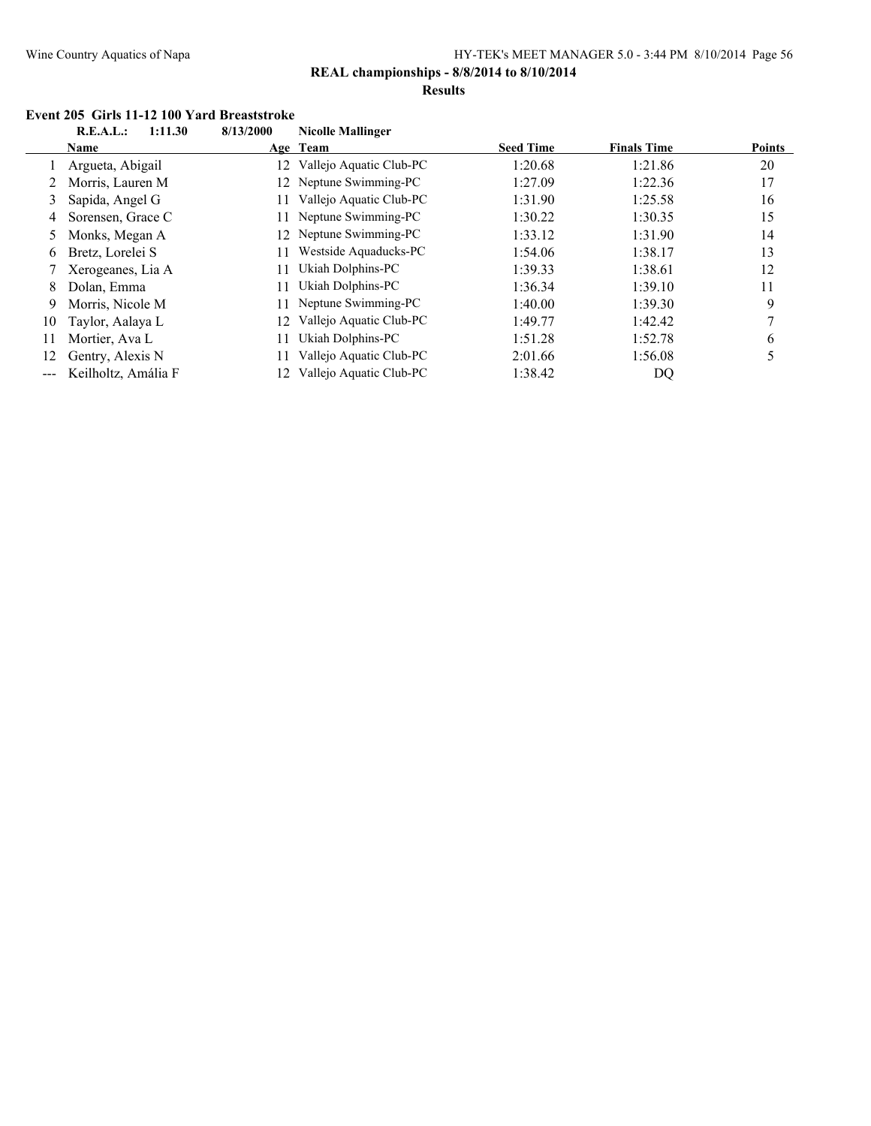**REAL championships - 8/8/2014 to 8/10/2014**

#### **Results**

#### **Event 205 Girls 11-12 100 Yard Breaststroke**<br>**REAL:** 1:11.30 8/13/2000 Nicella Mellinger **R.E.A.L.: 1:11.30 8/13/2000 Nicolle Mallinger**

|    | K.L.A.L.:<br>111.90 | <b>8/13/2000</b> | гуісоне іманшает        |                  |                    |               |
|----|---------------------|------------------|-------------------------|------------------|--------------------|---------------|
|    | <b>Name</b>         |                  | Age Team                | <b>Seed Time</b> | <b>Finals Time</b> | <b>Points</b> |
|    | Argueta, Abigail    | 12.              | Vallejo Aquatic Club-PC | 1:20.68          | 1:21.86            | 20            |
|    | Morris, Lauren M    |                  | 12 Neptune Swimming-PC  | 1:27.09          | 1:22.36            | 17            |
| 3  | Sapida, Angel G     |                  | Vallejo Aquatic Club-PC | 1:31.90          | 1:25.58            | 16            |
| 4  | Sorensen, Grace C   | 11               | Neptune Swimming-PC     | 1:30.22          | 1:30.35            | 15            |
| 5. | Monks, Megan A      | 12               | Neptune Swimming-PC     | 1:33.12          | 1:31.90            | 14            |
| 6  | Bretz, Lorelei S    | 11               | Westside Aquaducks-PC   | 1:54.06          | 1:38.17            | 13            |
|    | Xerogeanes, Lia A   | 11               | Ukiah Dolphins-PC       | 1:39.33          | 1:38.61            | 12            |
| 8  | Dolan, Emma         | 11               | Ukiah Dolphins-PC       | 1:36.34          | 1:39.10            | 11            |
| 9  | Morris, Nicole M    |                  | Neptune Swimming-PC     | 1:40.00          | 1:39.30            | 9             |
| 10 | Taylor, Aalaya L    | 12.              | Vallejo Aquatic Club-PC | 1:49.77          | 1:42.42            |               |
| 11 | Mortier, Ava L      | 11               | Ukiah Dolphins-PC       | 1:51.28          | 1:52.78            | 6             |
| 12 | Gentry, Alexis N    |                  | Vallejo Aquatic Club-PC | 2:01.66          | 1:56.08            |               |
|    | Keilholtz, Amália F |                  | Vallejo Aquatic Club-PC | 1:38.42          | DQ                 |               |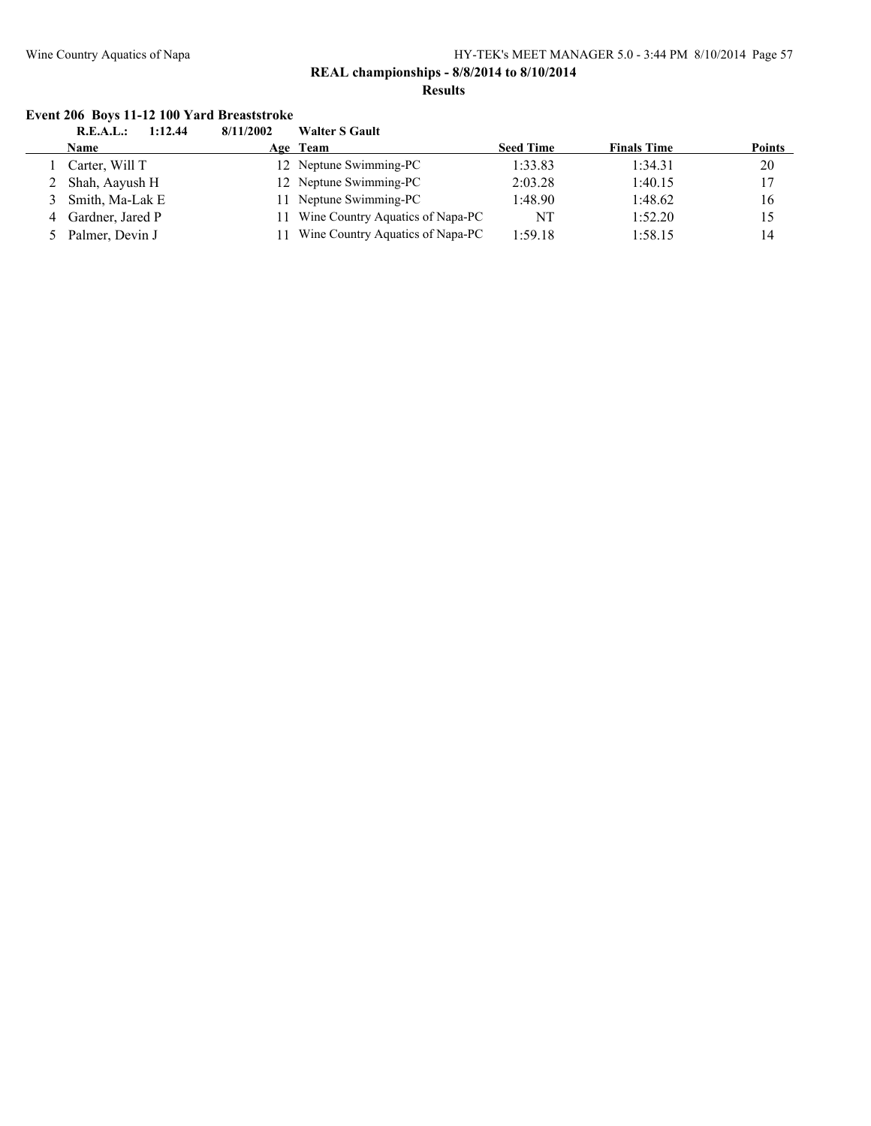#### **REAL championships - 8/8/2014 to 8/10/2014 Results**

#### **Event 206 Boys 11-12 100 Yard Breaststroke**

| R.E.A.L.:<br>1:12.44 | 8/11/2002 | <b>Walter S Gault</b>            |                                                                                        |                    |               |
|----------------------|-----------|----------------------------------|----------------------------------------------------------------------------------------|--------------------|---------------|
| <b>Name</b>          |           |                                  | <b>Seed Time</b>                                                                       | <b>Finals Time</b> | <b>Points</b> |
| Carter, Will T       |           |                                  | 1:33.83                                                                                | 1:34.31            | 20            |
| Shah, Aayush H       |           |                                  | 2:03.28                                                                                | 1:40.15            | 17            |
| Smith, Ma-Lak E      |           |                                  | 1:48.90                                                                                | 1:48.62            | 16            |
| Gardner, Jared P     |           | Wine Country Aquatics of Napa-PC | NT                                                                                     | 1:52.20            | 15            |
| Palmer, Devin J      |           | Wine Country Aquatics of Napa-PC | 1:59.18                                                                                | 1:58.15            | 14            |
|                      |           |                                  | Age Team<br>12 Neptune Swimming-PC<br>12 Neptune Swimming-PC<br>11 Neptune Swimming-PC |                    |               |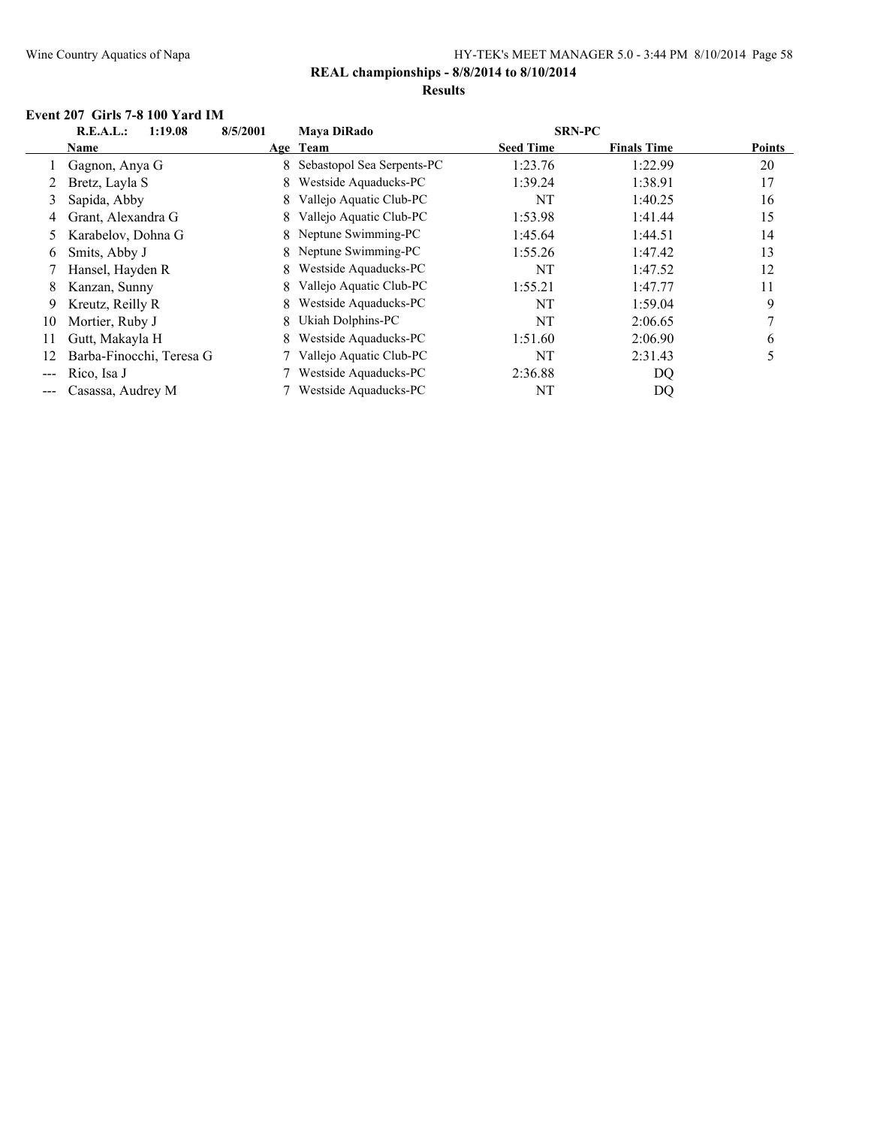### **REAL championships - 8/8/2014 to 8/10/2014**

### **Results**

#### **Event 207 Girls 7-8 100 Yard IM**

|    | R.E.A.L.:<br>1:19.08     | 8/5/2001 | <b>Mava DiRado</b>         | <b>SRN-PC</b>    |                    |               |
|----|--------------------------|----------|----------------------------|------------------|--------------------|---------------|
|    | Name                     |          | Age Team                   | <b>Seed Time</b> | <b>Finals Time</b> | <b>Points</b> |
|    | Gagnon, Anya G           | 8.       | Sebastopol Sea Serpents-PC | 1:23.76          | 1:22.99            | 20            |
|    | Bretz, Layla S           | 8.       | Westside Aquaducks-PC      | 1:39.24          | 1:38.91            | 17            |
| 3  | Sapida, Abby             | 8.       | Vallejo Aquatic Club-PC    | NT               | 1:40.25            | 16            |
| 4  | Grant, Alexandra G       | 8        | Vallejo Aquatic Club-PC    | 1:53.98          | 1:41.44            | 15            |
| 5  | Karabelov, Dohna G       |          | 8 Neptune Swimming-PC      | 1:45.64          | 1:44.51            | 14            |
| 6  | Smits, Abby J            |          | 8 Neptune Swimming-PC      | 1:55.26          | 1:47.42            | 13            |
|    | Hansel, Hayden R         | 8.       | Westside Aquaducks-PC      | NT               | 1:47.52            | 12            |
| 8  | Kanzan, Sunny            | 8.       | Vallejo Aquatic Club-PC    | 1:55.21          | 1:47.77            | 11            |
| 9  | Kreutz, Reilly R         | 8.       | Westside Aquaducks-PC      | NT               | 1:59.04            | 9             |
| 10 | Mortier, Ruby J          | 8.       | Ukiah Dolphins-PC          | NT               | 2:06.65            |               |
| 11 | Gutt, Makayla H          | 8.       | Westside Aquaducks-PC      | 1:51.60          | 2:06.90            | 6             |
| 12 | Barba-Finocchi, Teresa G |          | Vallejo Aquatic Club-PC    | NT               | 2:31.43            | 5             |
|    | Rico, Isa J              |          | Westside Aquaducks-PC      | 2:36.88          | DQ                 |               |
|    | Casassa, Audrey M        |          | Westside Aquaducks-PC      | NΤ               | DQ                 |               |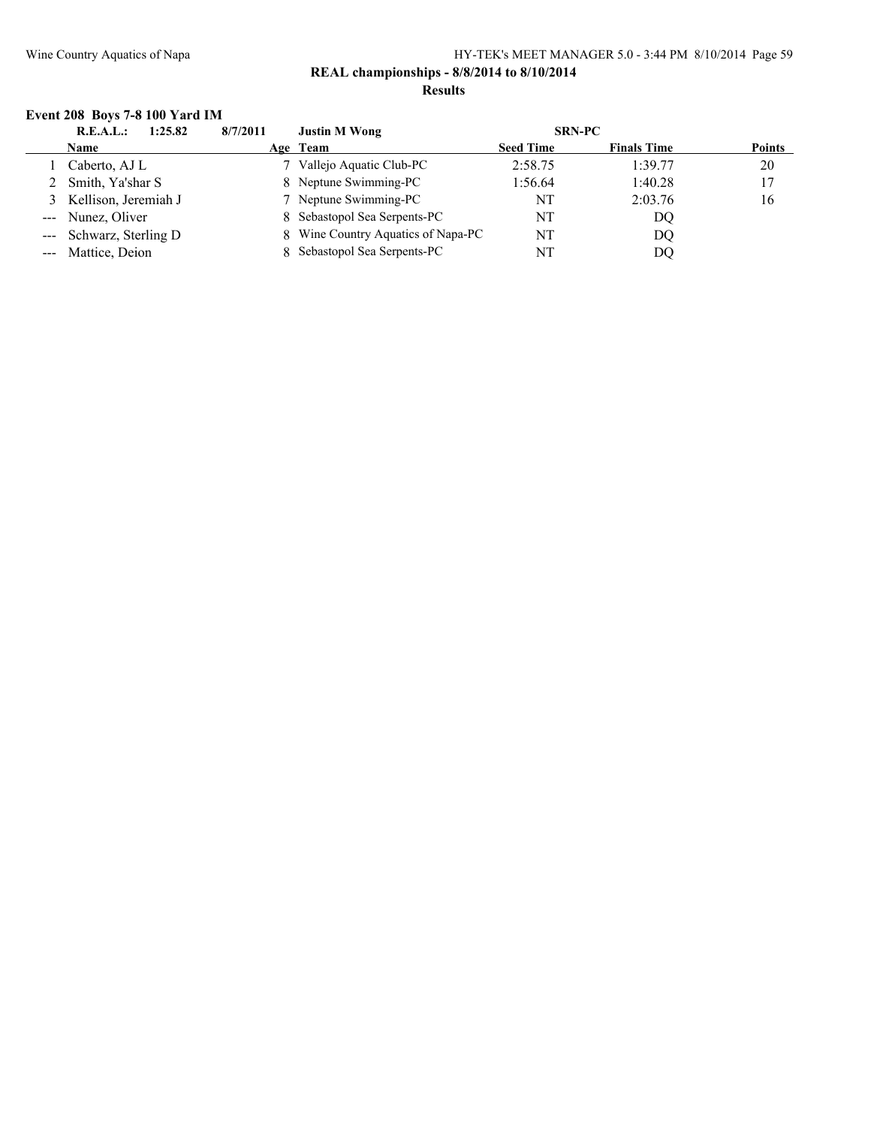#### **REAL championships - 8/8/2014 to 8/10/2014 Results**

# **Event 208 Boys 7-8 100 Yard IM**

| 1:25.82<br>R.E.A.L.:    | 8/7/2011 | <b>Justin M Wong</b>               | <b>SRN-PC</b>    |                    |               |
|-------------------------|----------|------------------------------------|------------------|--------------------|---------------|
| <b>Name</b>             |          | Age Team                           | <b>Seed Time</b> | <b>Finals Time</b> | <b>Points</b> |
| Caberto, AJ L           |          | Vallejo Aquatic Club-PC            | 2:58.75          | 1:39.77            | 20            |
| 2 Smith, Ya'shar S      |          | 8 Neptune Swimming-PC              | 1:56.64          | 1:40.28            | 17            |
| 3 Kellison, Jeremiah J  |          | 7 Neptune Swimming-PC              | NT               | 2:03.76            | 16            |
| --- Nunez, Oliver       |          | 8 Sebastopol Sea Serpents-PC       | NT               | DQ                 |               |
| --- Schwarz, Sterling D |          | 8 Wine Country Aquatics of Napa-PC | NT               | DQ                 |               |
| --- Mattice, Deion      |          | Sebastopol Sea Serpents-PC         | NT               | DO                 |               |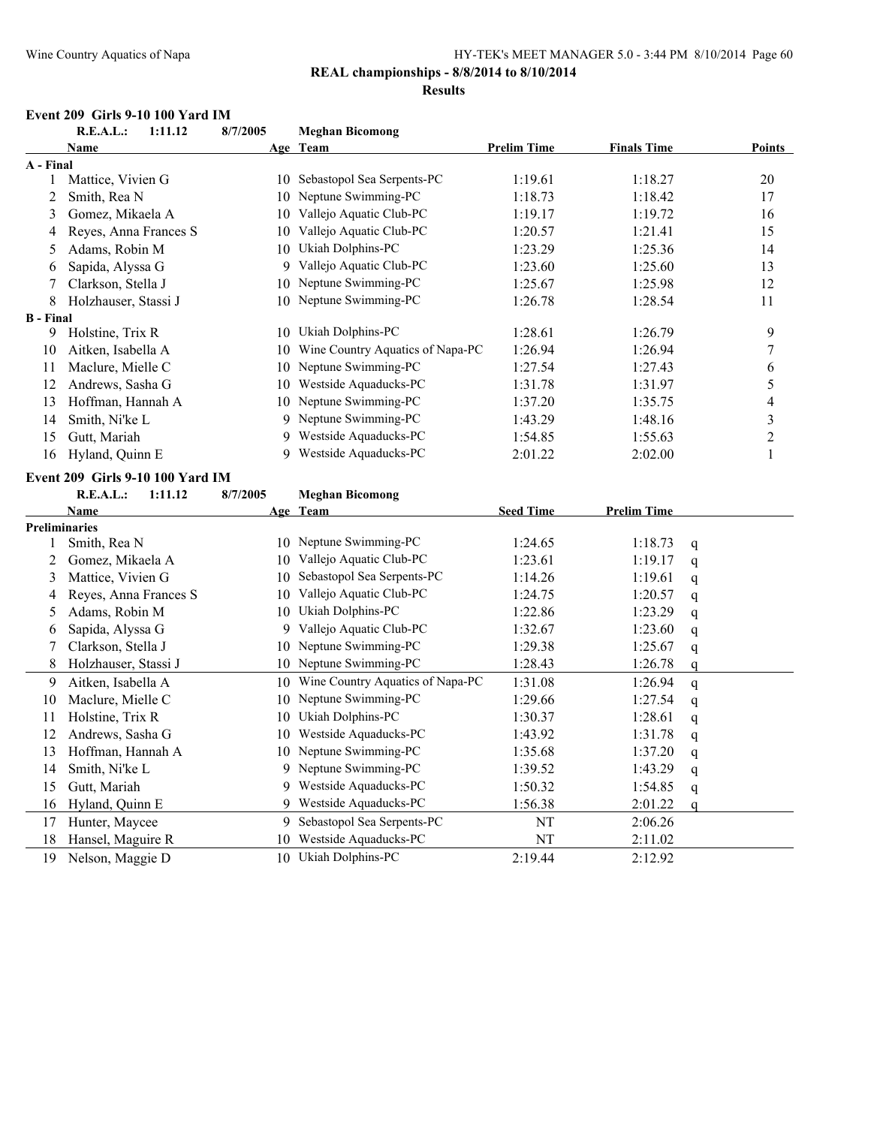#### **REAL championships - 8/8/2014 to 8/10/2014**

#### **Results**

#### **Event 209 Girls 9-10 100 Yard IM**

|                  | R.E.A.L.:<br>1:11.12             | 8/7/2005 | <b>Meghan Bicomong</b>              |                    |                    |               |                  |
|------------------|----------------------------------|----------|-------------------------------------|--------------------|--------------------|---------------|------------------|
|                  | <b>Name</b>                      |          | Age Team                            | <b>Prelim Time</b> | <b>Finals Time</b> |               | <b>Points</b>    |
| A - Final        |                                  |          |                                     |                    |                    |               |                  |
| $\mathbf{1}$     | Mattice, Vivien G                |          | 10 Sebastopol Sea Serpents-PC       | 1:19.61            | 1:18.27            |               | 20               |
| $\overline{c}$   | Smith, Rea N                     |          | 10 Neptune Swimming-PC              | 1:18.73            | 1:18.42            |               | 17               |
| 3                | Gomez, Mikaela A                 |          | 10 Vallejo Aquatic Club-PC          | 1:19.17            | 1:19.72            |               | 16               |
| 4                | Reyes, Anna Frances S            |          | 10 Vallejo Aquatic Club-PC          | 1:20.57            | 1:21.41            |               | 15               |
| 5                | Adams, Robin M                   |          | 10 Ukiah Dolphins-PC                | 1:23.29            | 1:25.36            |               | 14               |
| 6                | Sapida, Alyssa G                 |          | 9 Vallejo Aquatic Club-PC           | 1:23.60            | 1:25.60            |               | 13               |
| 7                | Clarkson, Stella J               |          | 10 Neptune Swimming-PC              | 1:25.67            | 1:25.98            |               | 12               |
| 8                | Holzhauser, Stassi J             |          | 10 Neptune Swimming-PC              | 1:26.78            | 1:28.54            |               | 11               |
| <b>B</b> - Final |                                  |          |                                     |                    |                    |               |                  |
| 9                | Holstine, Trix R                 |          | 10 Ukiah Dolphins-PC                | 1:28.61            | 1:26.79            |               | 9                |
| 10               | Aitken, Isabella A               | 10       | Wine Country Aquatics of Napa-PC    | 1:26.94            | 1:26.94            |               | $\overline{7}$   |
| 11               | Maclure, Mielle C                |          | 10 Neptune Swimming-PC              | 1:27.54            | 1:27.43            |               | 6                |
| 12               | Andrews, Sasha G                 | 10       | Westside Aquaducks-PC               | 1:31.78            | 1:31.97            |               | 5                |
| 13               | Hoffman, Hannah A                |          | 10 Neptune Swimming-PC              | 1:37.20            | 1:35.75            |               | $\overline{4}$   |
| 14               | Smith, Ni'ke L                   |          | 9 Neptune Swimming-PC               | 1:43.29            | 1:48.16            |               | $\mathfrak{Z}$   |
| 15               | Gutt, Mariah                     |          | 9 Westside Aquaducks-PC             | 1:54.85            | 1:55.63            |               | $\boldsymbol{2}$ |
| 16               | Hyland, Quinn E                  |          | 9 Westside Aquaducks-PC             | 2:01.22            | 2:02.00            |               | $\mathbf{1}$     |
|                  | Event 209 Girls 9-10 100 Yard IM |          |                                     |                    |                    |               |                  |
|                  | R.E.A.L.:<br>1:11.12             | 8/7/2005 | <b>Meghan Bicomong</b>              |                    |                    |               |                  |
|                  | <b>Name</b>                      |          | Age Team                            | <b>Seed Time</b>   | <b>Prelim Time</b> |               |                  |
|                  | Preliminaries                    |          |                                     |                    |                    |               |                  |
| 1                | Smith, Rea N                     |          | 10 Neptune Swimming-PC              | 1:24.65            | 1:18.73            | q             |                  |
| 2                | Gomez, Mikaela A                 |          | 10 Vallejo Aquatic Club-PC          | 1:23.61            | 1:19.17            | q             |                  |
| 3                | Mattice, Vivien G                |          | 10 Sebastopol Sea Serpents-PC       | 1:14.26            | 1:19.61            | q             |                  |
| 4                | Reyes, Anna Frances S            |          | 10 Vallejo Aquatic Club-PC          | 1:24.75            | 1:20.57            | q             |                  |
| 5                | Adams, Robin M                   | 10       | Ukiah Dolphins-PC                   | 1:22.86            | 1:23.29            | q             |                  |
| 6                | Sapida, Alyssa G                 |          | 9 Vallejo Aquatic Club-PC           | 1:32.67            | 1:23.60            | q             |                  |
| 7                | Clarkson, Stella J               |          | 10 Neptune Swimming-PC              | 1:29.38            | 1:25.67            | q             |                  |
| 8                | Holzhauser, Stassi J             |          | 10 Neptune Swimming-PC              | 1:28.43            | 1:26.78            | q             |                  |
| 9                | Aitken, Isabella A               |          | 10 Wine Country Aquatics of Napa-PC | 1:31.08            | 1:26.94            | q             |                  |
| 10               | Maclure, Mielle C                |          | 10 Neptune Swimming-PC              | 1:29.66            | 1:27.54            | q             |                  |
| 11               | Holstine, Trix R                 |          | 10 Ukiah Dolphins-PC                | 1:30.37            | 1:28.61            | q             |                  |
| 12               | Andrews, Sasha G                 |          | 10 Westside Aquaducks-PC            | 1:43.92            | 1:31.78            | $\mathfrak q$ |                  |
| 13               | Hoffman, Hannah A                |          | 10 Neptune Swimming-PC              | 1:35.68            | 1:37.20            | q             |                  |
| 14               | Smith, Ni'ke L                   |          | 9 Neptune Swimming-PC               | 1:39.52            | 1:43.29            | q             |                  |
| 15               | Gutt, Mariah                     | 9        | Westside Aquaducks-PC               | 1:50.32            | 1:54.85            | $\mathbf q$   |                  |
| 16               | Hyland, Quinn E                  | 9        | Westside Aquaducks-PC               | 1:56.38            | 2:01.22            | $\mathsf{q}$  |                  |
| 17               | Hunter, Maycee                   |          | 9 Sebastopol Sea Serpents-PC        | NT                 | 2:06.26            |               |                  |
| 18               | Hansel, Maguire R                | 10       | Westside Aquaducks-PC               | NT                 | 2:11.02            |               |                  |
| 19               | Nelson, Maggie D                 |          | 10 Ukiah Dolphins-PC                | 2:19.44            | 2:12.92            |               |                  |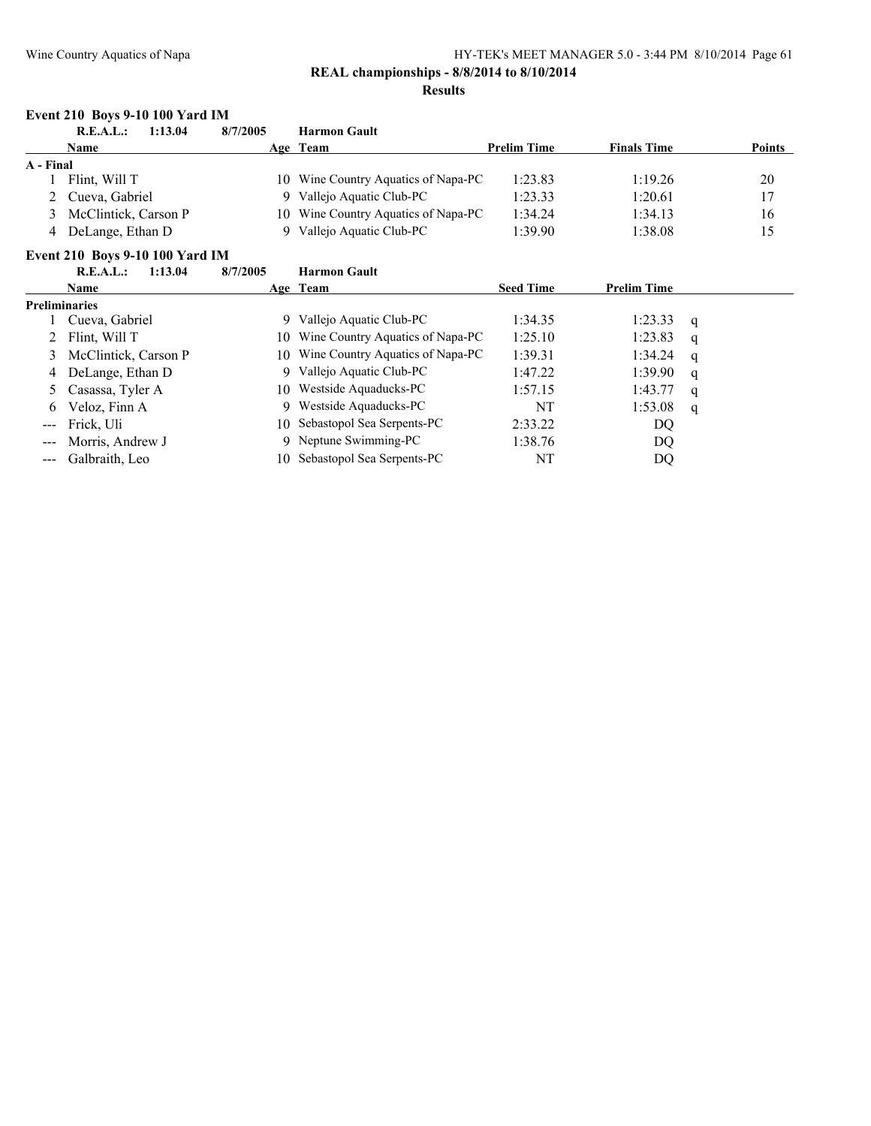### **REAL championships - 8/8/2014 to 8/10/2014**

#### **Results**

#### **Event 210 Boys 9-10 100 Yard IM**

|           | 1:13.04<br>R.E.A.L.: | 8/7/2005 | <b>Harmon Gault</b>                 |                    |                    |               |
|-----------|----------------------|----------|-------------------------------------|--------------------|--------------------|---------------|
|           | <b>Name</b>          |          | Age Team                            | <b>Prelim Time</b> | <b>Finals Time</b> | <b>Points</b> |
| A - Final |                      |          |                                     |                    |                    |               |
|           | Flint, Will T        |          | 10 Wine Country Aquatics of Napa-PC | 1:23.83            | 1:19.26            | 20            |
|           | 2 Cueva, Gabriel     |          | Vallejo Aquatic Club-PC             | 1:23.33            | 1:20.61            | 17            |
| $\sim$    | McClintick, Carson P |          | 10 Wine Country Aquatics of Napa-PC | 1:34.24            | 1:34.13            | 16            |
| 4         | DeLange, Ethan D     |          | Vallejo Aquatic Club-PC             | 1:39.90            | 1:38.08            | 15            |

#### **Event 210 Boys 9-10 100 Yard IM**

|                                                                                                                                                                                                                                                                                                                                                                                                                                                                            | 1:13.04<br>R.E.A.L.:   | 8/7/2005 | <b>Harmon Gault</b>              |                  |                    |   |
|----------------------------------------------------------------------------------------------------------------------------------------------------------------------------------------------------------------------------------------------------------------------------------------------------------------------------------------------------------------------------------------------------------------------------------------------------------------------------|------------------------|----------|----------------------------------|------------------|--------------------|---|
|                                                                                                                                                                                                                                                                                                                                                                                                                                                                            | <b>Name</b>            |          | Age Team                         | <b>Seed Time</b> | <b>Prelim Time</b> |   |
|                                                                                                                                                                                                                                                                                                                                                                                                                                                                            | <b>Preliminaries</b>   |          |                                  |                  |                    |   |
|                                                                                                                                                                                                                                                                                                                                                                                                                                                                            | Cueva, Gabriel         | 9.       | Vallejo Aquatic Club-PC          | 1:34.35          | 1:23.33            | q |
|                                                                                                                                                                                                                                                                                                                                                                                                                                                                            | 2 Flint, Will T        | 10.      | Wine Country Aquatics of Napa-PC | 1:25.10          | 1:23.83            | q |
|                                                                                                                                                                                                                                                                                                                                                                                                                                                                            | 3 McClintick, Carson P | 10.      | Wine Country Aquatics of Napa-PC | 1:39.31          | 1:34.24            | q |
|                                                                                                                                                                                                                                                                                                                                                                                                                                                                            | 4 DeLange, Ethan D     |          | Vallejo Aquatic Club-PC          | 1:47.22          | 1:39.90            | q |
|                                                                                                                                                                                                                                                                                                                                                                                                                                                                            | 5 Casassa, Tyler A     | 10       | Westside Aquaducks-PC            | 1:57.15          | 1:43.77            | q |
| 6                                                                                                                                                                                                                                                                                                                                                                                                                                                                          | Veloz, Finn A          | 9        | Westside Aquaducks-PC            | NT               | 1:53.08            | q |
| $\frac{1}{2} \left( \frac{1}{2} \right) \left( \frac{1}{2} \right) \left( \frac{1}{2} \right) \left( \frac{1}{2} \right) \left( \frac{1}{2} \right) \left( \frac{1}{2} \right) \left( \frac{1}{2} \right) \left( \frac{1}{2} \right) \left( \frac{1}{2} \right) \left( \frac{1}{2} \right) \left( \frac{1}{2} \right) \left( \frac{1}{2} \right) \left( \frac{1}{2} \right) \left( \frac{1}{2} \right) \left( \frac{1}{2} \right) \left( \frac{1}{2} \right) \left( \frac$ | Frick, Uli             | 10.      | Sebastopol Sea Serpents-PC       | 2:33.22          | DQ                 |   |
|                                                                                                                                                                                                                                                                                                                                                                                                                                                                            | Morris, Andrew J       |          | 9 Neptune Swimming-PC            | 1:38.76          | DQ                 |   |
|                                                                                                                                                                                                                                                                                                                                                                                                                                                                            | --- Galbraith, Leo     | 10.      | Sebastopol Sea Serpents-PC       | NT               | DQ                 |   |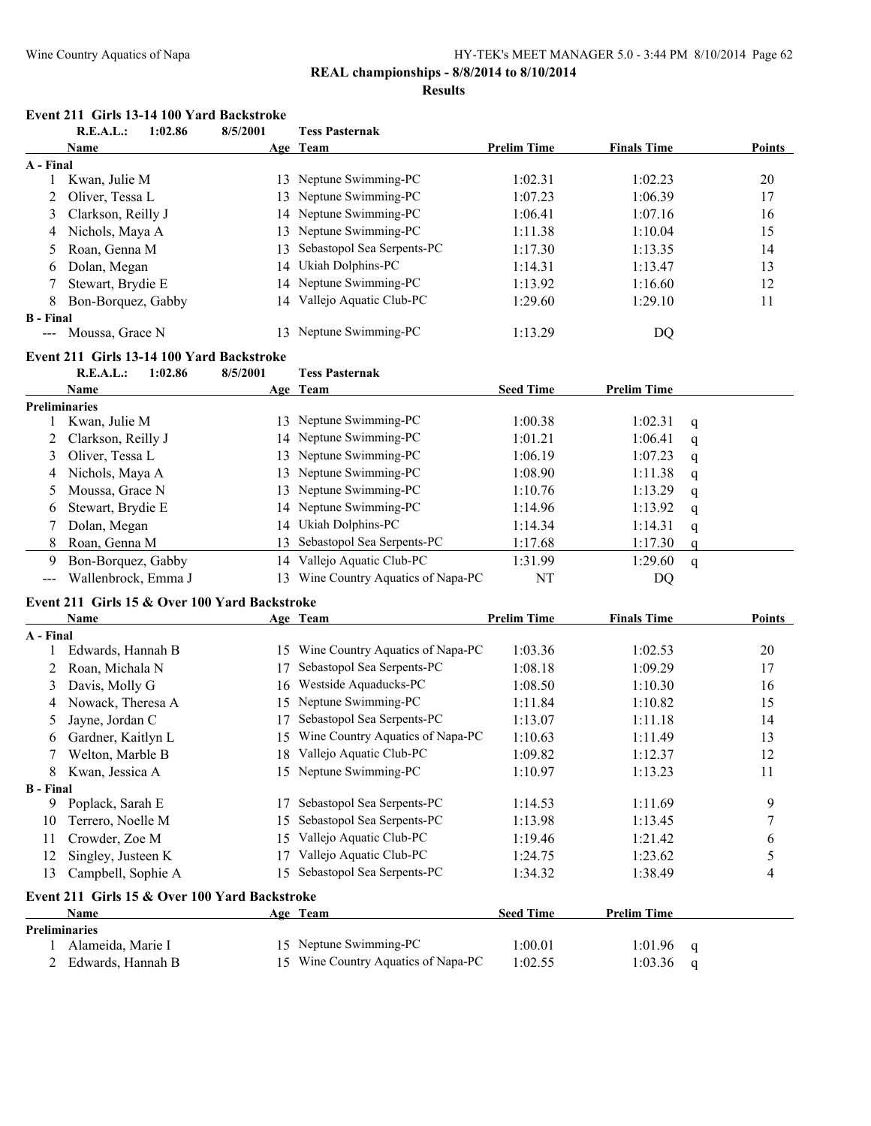### **REAL championships - 8/8/2014 to 8/10/2014**

#### **Results**

|                    | Event 211 Girls 13-14 100 Yard Backstroke |                |
|--------------------|-------------------------------------------|----------------|
| D E A I . 1.02 Q C | Q/E/M001                                  | Togg Doctownal |

|                                          | K.L.A.L.:<br>1:02.80                          | <b>9/3/2001</b> | <b>Tess Pasternak</b>               |                    |                    |              |        |
|------------------------------------------|-----------------------------------------------|-----------------|-------------------------------------|--------------------|--------------------|--------------|--------|
|                                          | <b>Name</b>                                   |                 | Age Team                            | <b>Prelim Time</b> | <b>Finals Time</b> |              | Points |
| A - Final                                |                                               |                 |                                     |                    |                    |              |        |
| $\mathbf{1}$                             | Kwan, Julie M                                 |                 | 13 Neptune Swimming-PC              | 1:02.31            | 1:02.23            |              | 20     |
| 2                                        | Oliver, Tessa L                               | 13              | Neptune Swimming-PC                 | 1:07.23            | 1:06.39            |              | 17     |
| 3                                        | Clarkson, Reilly J                            |                 | 14 Neptune Swimming-PC              | 1:06.41            | 1:07.16            |              | 16     |
| 4                                        | Nichols, Maya A                               | 13              | Neptune Swimming-PC                 | 1:11.38            | 1:10.04            |              | 15     |
| 5                                        | Roan, Genna M                                 | 13              | Sebastopol Sea Serpents-PC          | 1:17.30            | 1:13.35            |              | 14     |
| 6                                        | Dolan, Megan                                  | 14              | Ukiah Dolphins-PC                   | 1:14.31            | 1:13.47            |              | 13     |
| 7                                        | Stewart, Brydie E                             | 14              | Neptune Swimming-PC                 | 1:13.92            | 1:16.60            |              | 12     |
| 8                                        | Bon-Borquez, Gabby                            | 14              | Vallejo Aquatic Club-PC             | 1:29.60            | 1:29.10            |              | 11     |
| <b>B</b> - Final                         |                                               |                 |                                     |                    |                    |              |        |
| $\scriptstyle \cdots$                    | Moussa, Grace N                               |                 | 13 Neptune Swimming-PC              | 1:13.29            | DQ                 |              |        |
|                                          | Event 211 Girls 13-14 100 Yard Backstroke     |                 |                                     |                    |                    |              |        |
|                                          | R.E.A.L.:<br>1:02.86                          | 8/5/2001        | <b>Tess Pasternak</b>               |                    |                    |              |        |
|                                          | Name                                          |                 | Age Team                            | <b>Seed Time</b>   | <b>Prelim Time</b> |              |        |
|                                          | <b>Preliminaries</b>                          |                 |                                     |                    |                    |              |        |
|                                          | Kwan, Julie M                                 |                 | 13 Neptune Swimming-PC              | 1:00.38            | 1:02.31            | q            |        |
| 2                                        | Clarkson, Reilly J                            |                 | 14 Neptune Swimming-PC              | 1:01.21            | 1:06.41            | q            |        |
| 3                                        | Oliver, Tessa L                               |                 | 13 Neptune Swimming-PC              | 1:06.19            | 1:07.23            | q            |        |
| 4                                        | Nichols, Maya A                               | 13              | Neptune Swimming-PC                 | 1:08.90            | 1:11.38            | q            |        |
| 5                                        | Moussa, Grace N                               | 13              | Neptune Swimming-PC                 | 1:10.76            | 1:13.29            | q            |        |
| 6                                        | Stewart, Brydie E                             |                 | 14 Neptune Swimming-PC              | 1:14.96            | 1:13.92            | q            |        |
| 7                                        | Dolan, Megan                                  |                 | 14 Ukiah Dolphins-PC                | 1:14.34            | 1:14.31            | q            |        |
| 8                                        | Roan, Genna M                                 | 13              | Sebastopol Sea Serpents-PC          | 1:17.68            | 1:17.30            |              |        |
|                                          |                                               |                 | 14 Vallejo Aquatic Club-PC          |                    |                    | $\mathbf q$  |        |
| 9                                        | Bon-Borquez, Gabby                            |                 |                                     | 1:31.99            | 1:29.60            | $\mathbf{q}$ |        |
| $\hspace{0.05cm} \ldots \hspace{0.05cm}$ | Wallenbrock, Emma J                           |                 | 13 Wine Country Aquatics of Napa-PC | NT                 | DQ                 |              |        |
|                                          | Event 211 Girls 15 & Over 100 Yard Backstroke |                 |                                     |                    |                    |              |        |
|                                          | Name                                          |                 | Age Team                            | <b>Prelim Time</b> | <b>Finals Time</b> |              | Points |
| A - Final                                |                                               |                 |                                     |                    |                    |              |        |
| 1                                        | Edwards, Hannah B                             |                 | 15 Wine Country Aquatics of Napa-PC | 1:03.36            | 1:02.53            |              | 20     |
| 2                                        | Roan, Michala N                               | 17              | Sebastopol Sea Serpents-PC          | 1:08.18            | 1:09.29            |              | 17     |
| 3                                        | Davis, Molly G                                | 16              | Westside Aquaducks-PC               | 1:08.50            | 1:10.30            |              | 16     |
| 4                                        | Nowack, Theresa A                             | 15              | Neptune Swimming-PC                 | 1:11.84            | 1:10.82            |              | 15     |
| 5                                        | Jayne, Jordan C                               | 17              | Sebastopol Sea Serpents-PC          | 1:13.07            | 1:11.18            |              | 14     |
| 6                                        | Gardner, Kaitlyn L                            | 15              | Wine Country Aquatics of Napa-PC    | 1:10.63            | 1:11.49            |              | 13     |
| 7                                        | Welton, Marble B                              |                 | 18 Vallejo Aquatic Club-PC          | 1:09.82            | 1:12.37            |              | 12     |
| 8                                        | Kwan, Jessica A                               |                 | 15 Neptune Swimming-PC              | 1:10.97            | 1:13.23            |              | 11     |
| <b>B</b> - Final                         |                                               |                 |                                     |                    |                    |              |        |
|                                          | 9 Poplack, Sarah E                            | 17              | Sebastopol Sea Serpents-PC          | 1:14.53            | 1:11.69            |              | 9      |
| 10                                       | Terrero, Noelle M                             | 15              | Sebastopol Sea Serpents-PC          | 1:13.98            | 1:13.45            |              | 7      |
| 11                                       | Crowder, Zoe M                                |                 | 15 Vallejo Aquatic Club-PC          | 1:19.46            | 1:21.42            |              | 6      |
| 12                                       | Singley, Justeen K                            | 17              | Vallejo Aquatic Club-PC             | 1:24.75            | 1:23.62            |              | 5      |
| 13                                       | Campbell, Sophie A                            |                 | 15 Sebastopol Sea Serpents-PC       | 1:34.32            | 1:38.49            |              | 4      |
|                                          | Event 211 Girls 15 & Over 100 Yard Backstroke |                 |                                     |                    |                    |              |        |
|                                          | Name                                          |                 | Age Team                            | <b>Seed Time</b>   | <b>Prelim Time</b> |              |        |
|                                          | <b>Preliminaries</b>                          |                 |                                     |                    |                    |              |        |
|                                          | Alameida, Marie I                             |                 | 15 Neptune Swimming-PC              | 1:00.01            | 1:01.96            |              |        |
| 2                                        | Edwards, Hannah B                             |                 | 15 Wine Country Aquatics of Napa-PC | 1:02.55            | 1:03.36            | q            |        |
|                                          |                                               |                 |                                     |                    |                    | q            |        |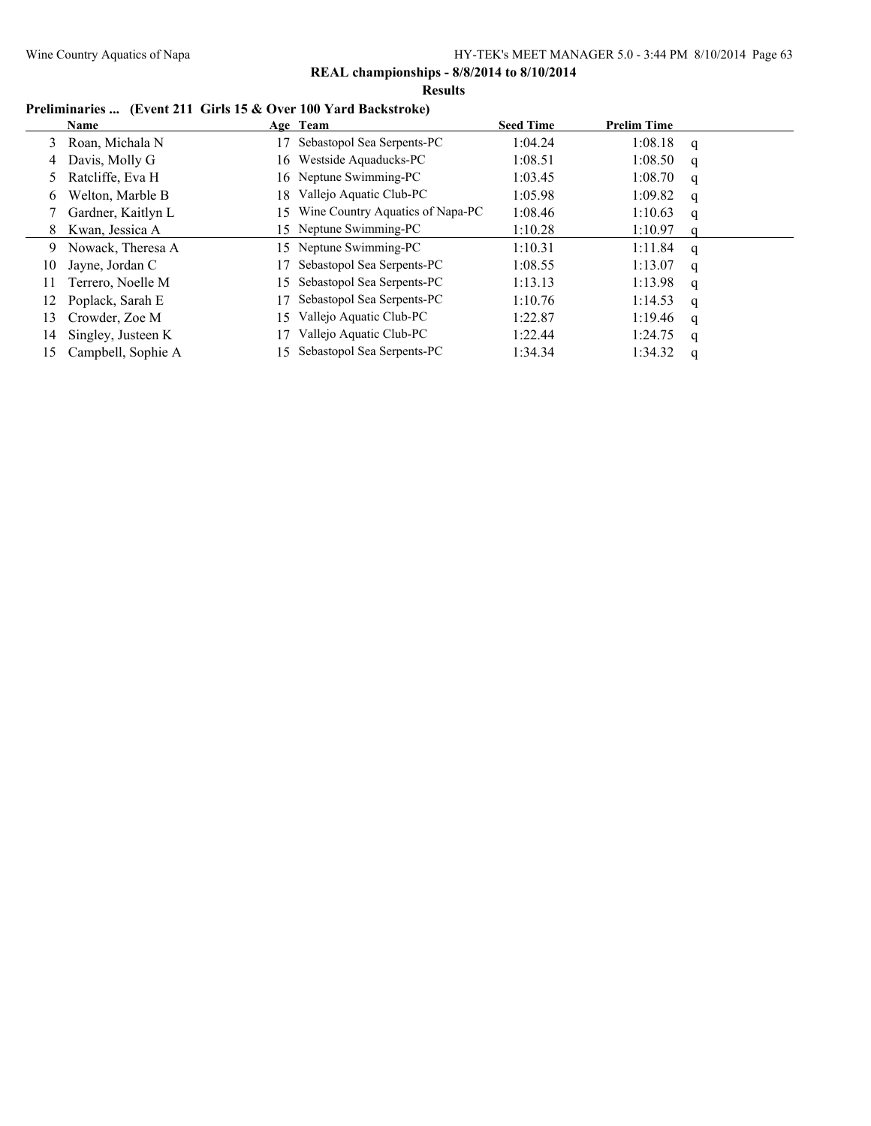#### **Results**

# **Preliminaries ... (Event 211 Girls 15 & Over 100 Yard Backstroke)**

|    | Name               |     | Age Team                         | <b>Seed Time</b> | <b>Prelim Time</b> |   |
|----|--------------------|-----|----------------------------------|------------------|--------------------|---|
| 3  | Roan, Michala N    |     | Sebastopol Sea Serpents-PC       | 1:04.24          | 1:08.18            | q |
| 4  | Davis, Molly G     | 16. | Westside Aquaducks-PC            | 1:08.51          | 1:08.50            | q |
| 5  | Ratcliffe, Eva H   |     | 16 Neptune Swimming-PC           | 1:03.45          | 1:08.70            | q |
| 6  | Welton, Marble B   | 18. | Vallejo Aquatic Club-PC          | 1:05.98          | 1:09.82            | q |
|    | Gardner, Kaitlyn L | 15. | Wine Country Aquatics of Napa-PC | 1:08.46          | 1:10.63            | q |
| 8  | Kwan, Jessica A    |     | 15 Neptune Swimming-PC           | 1:10.28          | 1:10.97            | a |
| 9  | Nowack, Theresa A  | 15. | Neptune Swimming-PC              | 1:10.31          | 1:11.84            | q |
| 10 | Jayne, Jordan C    |     | Sebastopol Sea Serpents-PC       | 1:08.55          | 1:13.07            | q |
| 11 | Terrero, Noelle M  | 15  | Sebastopol Sea Serpents-PC       | 1:13.13          | 1:13.98            | q |
| 12 | Poplack, Sarah E   |     | Sebastopol Sea Serpents-PC       | 1:10.76          | 1:14.53            | q |
| 13 | Crowder, Zoe M     | 15  | Vallejo Aquatic Club-PC          | 1:22.87          | 1:19.46            | q |
| 14 | Singley, Justeen K |     | Vallejo Aquatic Club-PC          | 1:22.44          | 1:24.75            | q |
| 15 | Campbell, Sophie A | 15. | Sebastopol Sea Serpents-PC       | 1:34.34          | 1:34.32            | a |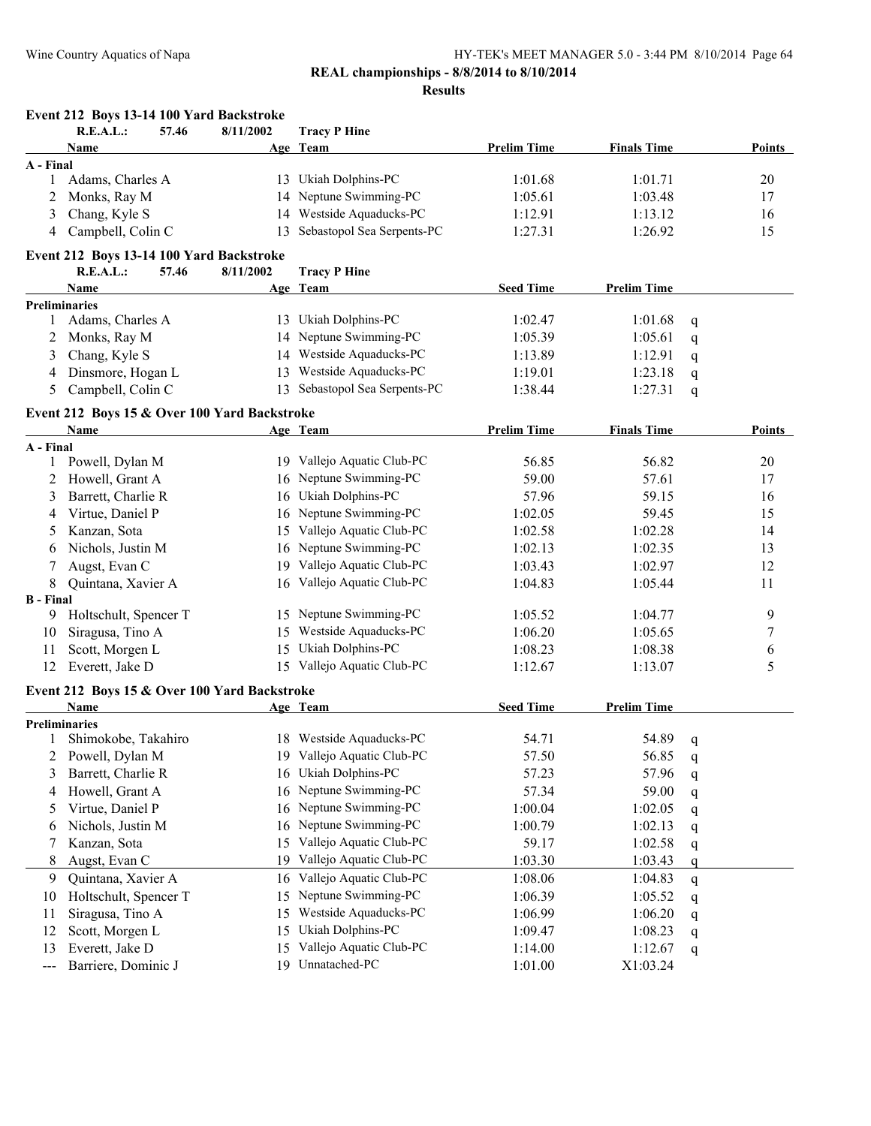### **Results**

|                  | Event 212 Boys 13-14 100 Yard Backstroke     |           |                            |                    |                    |              |        |
|------------------|----------------------------------------------|-----------|----------------------------|--------------------|--------------------|--------------|--------|
|                  | R.E.A.L.:<br>57.46                           | 8/11/2002 | <b>Tracy P Hine</b>        |                    |                    |              |        |
|                  | Name                                         |           | Age Team                   | <b>Prelim Time</b> | <b>Finals Time</b> |              | Points |
| A - Final        |                                              |           |                            |                    |                    |              |        |
| 1                | Adams, Charles A                             |           | 13 Ukiah Dolphins-PC       | 1:01.68            | 1:01.71            |              | 20     |
| 2                | Monks, Ray M                                 | 14        | Neptune Swimming-PC        | 1:05.61            | 1:03.48            |              | 17     |
| 3                | Chang, Kyle S                                |           | 14 Westside Aquaducks-PC   | 1:12.91            | 1:13.12            |              | 16     |
|                  | 4 Campbell, Colin C                          | 13        | Sebastopol Sea Serpents-PC | 1:27.31            | 1:26.92            |              | 15     |
|                  | Event 212 Boys 13-14 100 Yard Backstroke     |           |                            |                    |                    |              |        |
|                  | R.E.A.L.:<br>57.46                           | 8/11/2002 | <b>Tracy P Hine</b>        |                    |                    |              |        |
|                  | Name                                         |           | Age Team                   | <b>Seed Time</b>   | <b>Prelim Time</b> |              |        |
|                  | <b>Preliminaries</b>                         |           |                            |                    |                    |              |        |
| $\mathbf{1}$     | Adams, Charles A                             |           | 13 Ukiah Dolphins-PC       | 1:02.47            | 1:01.68            | q            |        |
| 2                | Monks, Ray M                                 |           | 14 Neptune Swimming-PC     | 1:05.39            | 1:05.61            | q            |        |
| 3                | Chang, Kyle S                                |           | 14 Westside Aquaducks-PC   | 1:13.89            | 1:12.91            | $\mathbf q$  |        |
| 4                | Dinsmore, Hogan L                            | 13        | Westside Aquaducks-PC      | 1:19.01            | 1:23.18            | q            |        |
| 5                | Campbell, Colin C                            | 13        | Sebastopol Sea Serpents-PC | 1:38.44            | 1:27.31            | q            |        |
|                  | Event 212 Boys 15 & Over 100 Yard Backstroke |           |                            |                    |                    |              |        |
|                  | <b>Name</b>                                  |           | Age Team                   | <b>Prelim Time</b> | <b>Finals Time</b> |              | Points |
| A - Final        |                                              |           |                            |                    |                    |              |        |
| 1                | Powell, Dylan M                              |           | 19 Vallejo Aquatic Club-PC | 56.85              | 56.82              |              | 20     |
| 2                | Howell, Grant A                              |           | 16 Neptune Swimming-PC     | 59.00              | 57.61              |              | 17     |
| 3                | Barrett, Charlie R                           |           | 16 Ukiah Dolphins-PC       | 57.96              | 59.15              |              | 16     |
| 4                | Virtue, Daniel P                             |           | 16 Neptune Swimming-PC     | 1:02.05            | 59.45              |              | 15     |
| 5                | Kanzan, Sota                                 | 15        | Vallejo Aquatic Club-PC    | 1:02.58            | 1:02.28            |              | 14     |
| 6                | Nichols, Justin M                            |           | 16 Neptune Swimming-PC     | 1:02.13            | 1:02.35            |              | 13     |
| 7                | Augst, Evan C                                |           | 19 Vallejo Aquatic Club-PC | 1:03.43            | 1:02.97            |              | 12     |
| 8                | Quintana, Xavier A                           |           | 16 Vallejo Aquatic Club-PC | 1:04.83            | 1:05.44            |              | 11     |
| <b>B</b> - Final |                                              |           |                            |                    |                    |              |        |
| 9                | Holtschult, Spencer T                        |           | 15 Neptune Swimming-PC     | 1:05.52            | 1:04.77            |              | 9      |
| 10               | Siragusa, Tino A                             | 15        | Westside Aquaducks-PC      | 1:06.20            | 1:05.65            |              | 7      |
| 11               | Scott, Morgen L                              | 15        | Ukiah Dolphins-PC          | 1:08.23            | 1:08.38            |              | 6      |
| 12               | Everett, Jake D                              |           | 15 Vallejo Aquatic Club-PC | 1:12.67            | 1:13.07            |              | 5      |
|                  | Event 212 Boys 15 & Over 100 Yard Backstroke |           |                            |                    |                    |              |        |
|                  | Name                                         |           | Age Team                   | <b>Seed Time</b>   | <b>Prelim Time</b> |              |        |
|                  | <b>Preliminaries</b>                         |           |                            |                    |                    |              |        |
|                  | 1 Shimokobe, Takahiro                        |           | 18 Westside Aquaducks-PC   | 54.71              | 54.89              | $\mathbf{q}$ |        |
| 2                | Powell, Dylan M                              |           | 19 Vallejo Aquatic Club-PC | 57.50              | 56.85              | q            |        |
| 3                | Barrett, Charlie R                           | 16        | Ukiah Dolphins-PC          | 57.23              | 57.96              | q            |        |
| 4                | Howell, Grant A                              | 16        | Neptune Swimming-PC        | 57.34              | 59.00              | q            |        |
| 5                | Virtue, Daniel P                             | 16        | Neptune Swimming-PC        | 1:00.04            | 1:02.05            | q            |        |
| 6                | Nichols, Justin M                            | 16        | Neptune Swimming-PC        | 1:00.79            | 1:02.13            | q            |        |
| 7                | Kanzan, Sota                                 | 15        | Vallejo Aquatic Club-PC    | 59.17              | 1:02.58            | q            |        |
| 8                | Augst, Evan C                                | 19        | Vallejo Aquatic Club-PC    | 1:03.30            | 1:03.43            | q            |        |
| 9                | Quintana, Xavier A                           | 16        | Vallejo Aquatic Club-PC    | 1:08.06            | 1:04.83            | q            |        |
| 10               | Holtschult, Spencer T                        | 15        | Neptune Swimming-PC        | 1:06.39            | 1:05.52            | q            |        |
| 11               | Siragusa, Tino A                             | 15        | Westside Aquaducks-PC      | 1:06.99            | 1:06.20            | q            |        |
| 12               | Scott, Morgen L                              | 15        | Ukiah Dolphins-PC          | 1:09.47            | 1:08.23            | q            |        |
| 13               | Everett, Jake D                              | 15        | Vallejo Aquatic Club-PC    | 1:14.00            | 1:12.67            | q            |        |
| ---              | Barriere, Dominic J                          | 19        | Unnatached-PC              | 1:01.00            | X1:03.24           |              |        |
|                  |                                              |           |                            |                    |                    |              |        |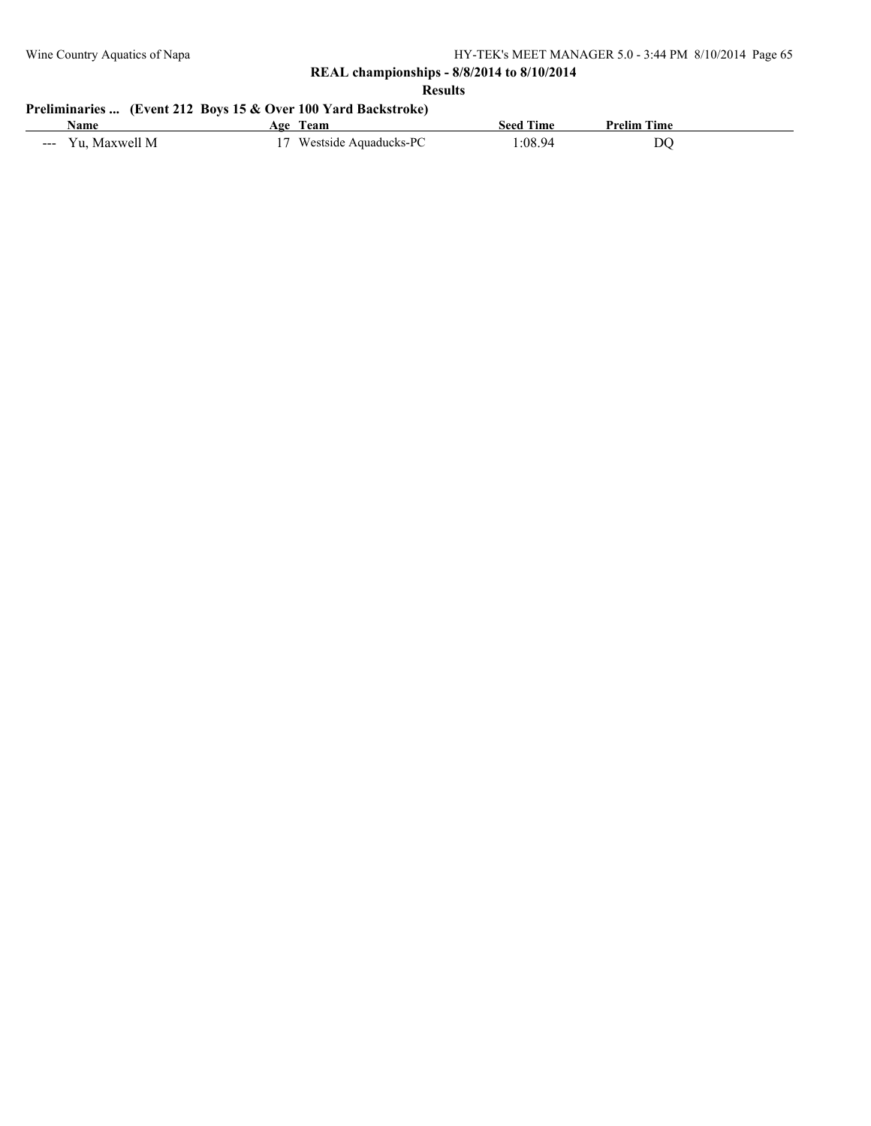**Results**

# **Preliminaries ... (Event 212 Boys 15 & Over 100 Yard Backstroke)**

| .Name                                                       | i oe<br><b>Leam</b>      | seed<br><b>Ime</b> | <b>Prelim Time</b> |  |
|-------------------------------------------------------------|--------------------------|--------------------|--------------------|--|
| V 11<br>-N/<br>$M$ <sub>2</sub> $N$<br>$\sim$ $\sim$ $\sim$ | .cmaducks-PC<br>estside/ | :08<br>-94         | DO                 |  |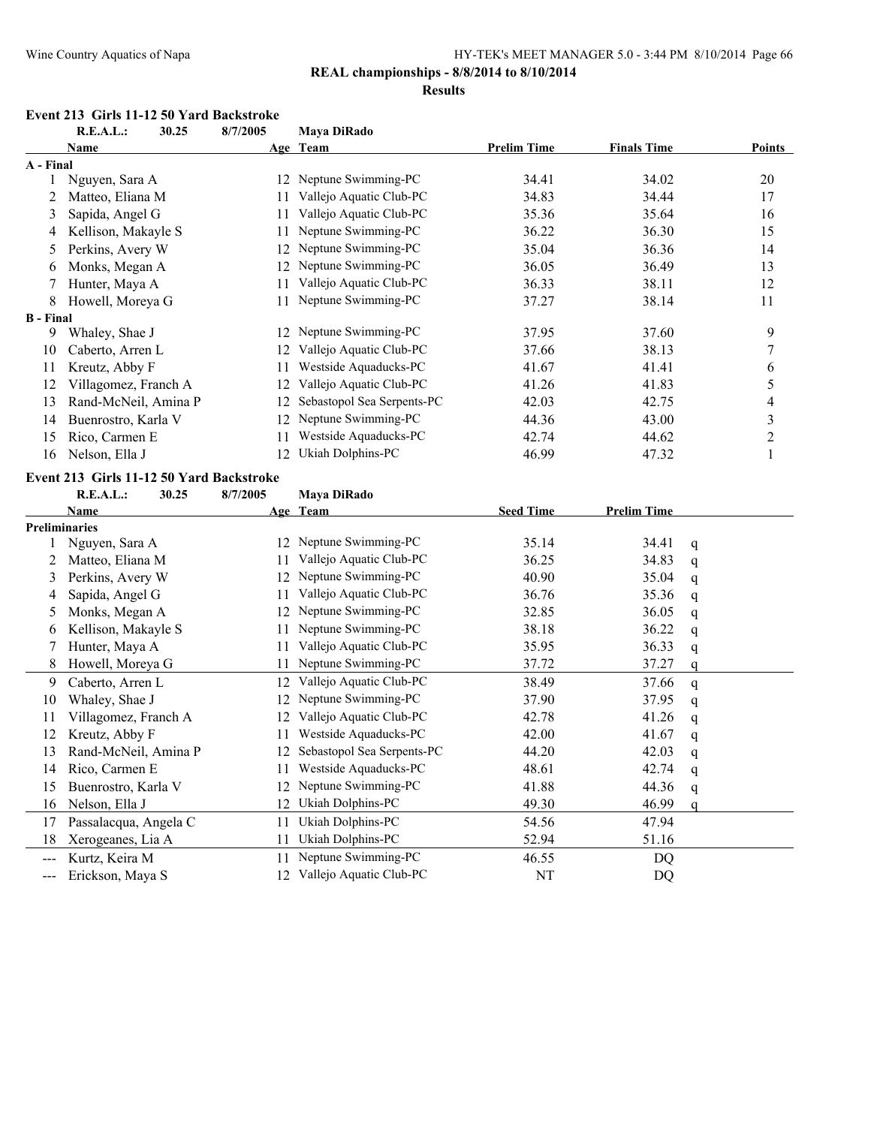### **REAL championships - 8/8/2014 to 8/10/2014**

#### **Results**

#### **Event 213 Girls 11-12 50 Yard Backstroke**

|                   | <b>R.E.A.L.:</b><br>30.25                | 8/7/2005 | Maya DiRado                   |                    |                    |             |                |
|-------------------|------------------------------------------|----------|-------------------------------|--------------------|--------------------|-------------|----------------|
|                   | Name                                     |          | Age Team                      | <b>Prelim Time</b> | <b>Finals Time</b> |             | <b>Points</b>  |
| A - Final         |                                          |          |                               |                    |                    |             |                |
|                   | Nguyen, Sara A                           |          | 12 Neptune Swimming-PC        | 34.41              | 34.02              |             | 20             |
| 2                 | Matteo, Eliana M                         | 11       | Vallejo Aquatic Club-PC       | 34.83              | 34.44              |             | 17             |
| 3                 | Sapida, Angel G                          | 11       | Vallejo Aquatic Club-PC       | 35.36              | 35.64              |             | 16             |
| 4                 | Kellison, Makayle S                      | 11       | Neptune Swimming-PC           | 36.22              | 36.30              |             | 15             |
| $\mathcal{L}$     | Perkins, Avery W                         | 12       | Neptune Swimming-PC           | 35.04              | 36.36              |             | 14             |
| 6                 | Monks, Megan A                           | 12       | Neptune Swimming-PC           | 36.05              | 36.49              |             | 13             |
| 7                 | Hunter, Maya A                           | 11       | Vallejo Aquatic Club-PC       | 36.33              | 38.11              |             | 12             |
| 8                 | Howell, Moreya G                         | 11       | Neptune Swimming-PC           | 37.27              | 38.14              |             | 11             |
| <b>B</b> - Final  |                                          |          |                               |                    |                    |             |                |
| 9                 | Whaley, Shae J                           |          | 12 Neptune Swimming-PC        | 37.95              | 37.60              |             | 9              |
| 10                | Caberto, Arren L                         | 12       | Vallejo Aquatic Club-PC       | 37.66              | 38.13              |             | 7              |
| 11                | Kreutz, Abby F                           | 11       | Westside Aquaducks-PC         | 41.67              | 41.41              |             | 6              |
| 12                | Villagomez, Franch A                     | 12       | Vallejo Aquatic Club-PC       | 41.26              | 41.83              |             | 5              |
| 13                | Rand-McNeil, Amina P                     | 12       | Sebastopol Sea Serpents-PC    | 42.03              | 42.75              |             | 4              |
| 14                | Buenrostro, Karla V                      | 12       | Neptune Swimming-PC           | 44.36              | 43.00              |             | 3              |
| 15                | Rico, Carmen E                           | 11       | Westside Aquaducks-PC         | 42.74              | 44.62              |             | $\overline{c}$ |
| 16                | Nelson, Ella J                           | 12       | Ukiah Dolphins-PC             | 46.99              | 47.32              |             | 1              |
|                   | Event 213 Girls 11-12 50 Yard Backstroke |          |                               |                    |                    |             |                |
|                   | <b>R.E.A.L.:</b><br>30.25                | 8/7/2005 | Maya DiRado                   |                    |                    |             |                |
|                   | Name                                     |          | Age Team                      | <b>Seed Time</b>   | <b>Prelim Time</b> |             |                |
|                   | Preliminaries                            |          |                               |                    |                    |             |                |
| 1                 | Nguyen, Sara A                           | 12       | Neptune Swimming-PC           | 35.14              | 34.41              | q           |                |
| 2                 | Matteo, Eliana M                         | 11       | Vallejo Aquatic Club-PC       | 36.25              | 34.83              | q           |                |
| 3                 | Perkins, Avery W                         | 12       | Neptune Swimming-PC           | 40.90              | 35.04              | q           |                |
| 4                 | Sapida, Angel G                          | 11       | Vallejo Aquatic Club-PC       | 36.76              | 35.36              | q           |                |
| 5                 | Monks, Megan A                           | 12       | Neptune Swimming-PC           | 32.85              | 36.05              | q           |                |
| 6                 | Kellison, Makayle S                      | 11       | Neptune Swimming-PC           | 38.18              | 36.22              | q           |                |
| 7                 | Hunter, Maya A                           | 11       | Vallejo Aquatic Club-PC       | 35.95              | 36.33              | q           |                |
| 8                 | Howell, Moreya G                         | 11       | Neptune Swimming-PC           | 37.72              | 37.27              | q           |                |
| 9                 | Caberto, Arren L                         | 12       | Vallejo Aquatic Club-PC       | 38.49              | 37.66              | q           |                |
| 10                | Whaley, Shae J                           | 12       | Neptune Swimming-PC           | 37.90              | 37.95              | q           |                |
| 11                | Villagomez, Franch A                     | 12       | Vallejo Aquatic Club-PC       | 42.78              | 41.26              | q           |                |
| 12                | Kreutz, Abby F                           | 11       | Westside Aquaducks-PC         | 42.00              | 41.67              | q           |                |
| 13                | Rand-McNeil, Amina P                     |          | 12 Sebastopol Sea Serpents-PC | 44.20              | 42.03              | q           |                |
| 14                | Rico, Carmen E                           |          | Westside Aquaducks-PC         | 48.61              | 42.74              |             |                |
| 15                | Buenrostro, Karla V                      | 12       | Neptune Swimming-PC           | 41.88              | 44.36              | q           |                |
| 16                | Nelson, Ella J                           | 12       | Ukiah Dolphins-PC             | 49.30              | 46.99              | q           |                |
| 17                | Passalacqua, Angela C                    | 11       | Ukiah Dolphins-PC             | 54.56              | 47.94              | $\mathbf q$ |                |
|                   | Xerogeanes, Lia A                        |          | Ukiah Dolphins-PC             | 52.94              | 51.16              |             |                |
| 18                |                                          | 11       | Neptune Swimming-PC           |                    |                    |             |                |
| $\qquad \qquad -$ | Kurtz, Keira M                           | 11       |                               | 46.55              | <b>DQ</b>          |             |                |
| ---               | Erickson, Maya S                         |          | 12 Vallejo Aquatic Club-PC    | $\rm{NT}$          | <b>DQ</b>          |             |                |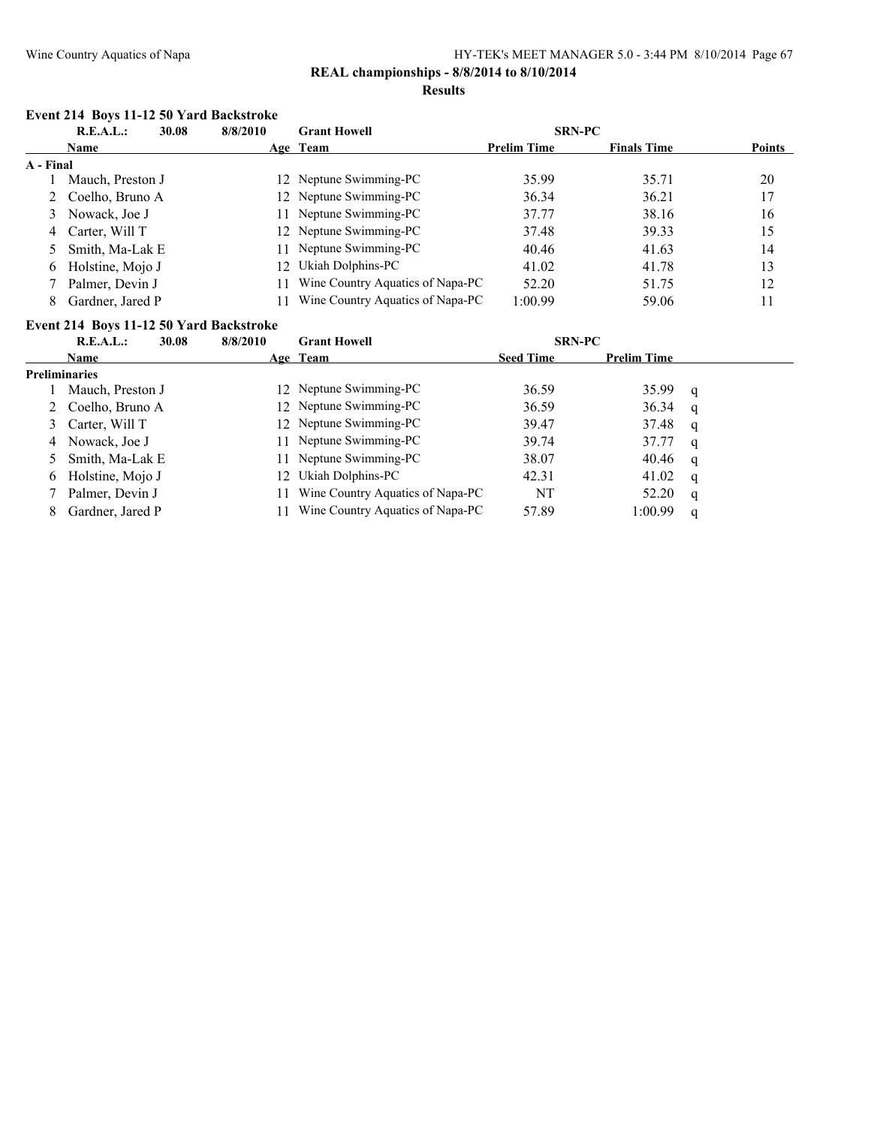# **REAL championships - 8/8/2014 to 8/10/2014**

#### **Results**

#### **Event 214 Boys 11-12 50 Yard Backstroke**

| R.E.A.L.:<br>30.08 |                   | <b>Grant Howell</b><br>8/8/2010 |                                  |                    | <b>SRN-PC</b>      |               |
|--------------------|-------------------|---------------------------------|----------------------------------|--------------------|--------------------|---------------|
|                    | <b>Name</b>       |                                 | Age Team                         | <b>Prelim Time</b> | <b>Finals Time</b> | <b>Points</b> |
| A - Final          |                   |                                 |                                  |                    |                    |               |
|                    | Mauch, Preston J  |                                 | 12 Neptune Swimming-PC           | 35.99              | 35.71              | 20            |
|                    | 2 Coelho, Bruno A |                                 | 12 Neptune Swimming-PC           | 36.34              | 36.21              | 17            |
|                    | 3 Nowack, Joe J   |                                 | Neptune Swimming-PC              | 37.77              | 38.16              | 16            |
|                    | 4 Carter, Will T  |                                 | 12 Neptune Swimming-PC           | 37.48              | 39.33              | 15            |
|                    | 5 Smith, Ma-Lak E |                                 | Neptune Swimming-PC              | 40.46              | 41.63              | 14            |
| 6                  | Holstine, Mojo J  |                                 | 12 Ukiah Dolphins-PC             | 41.02              | 41.78              | 13            |
|                    | Palmer, Devin J   |                                 | Wine Country Aquatics of Napa-PC | 52.20              | 51.75              | 12            |
| 8                  | Gardner, Jared P  |                                 | Wine Country Aquatics of Napa-PC | 1:00.99            | 59.06              | 11            |
|                    |                   |                                 |                                  |                    |                    |               |

#### **Event 214 Boys 11-12 50 Yard Backstroke**

|   | R.E.A.L.:        | 30.08 | 8/8/2010 | <b>Grant Howell</b>              | <b>SRN-PC</b>    |                    |   |  |
|---|------------------|-------|----------|----------------------------------|------------------|--------------------|---|--|
|   | Name             |       |          | Age Team                         | <b>Seed Time</b> | <b>Prelim Time</b> |   |  |
|   | Preliminaries    |       |          |                                  |                  |                    |   |  |
|   | Mauch, Preston J |       |          | 12 Neptune Swimming-PC           | 36.59            | 35.99              | q |  |
|   | Coelho, Bruno A  |       |          | 12 Neptune Swimming-PC           | 36.59            | 36.34              | q |  |
| 3 | Carter, Will T   |       |          | 12 Neptune Swimming-PC           | 39.47            | 37.48              | q |  |
| 4 | Nowack, Joe J    |       |          | 11 Neptune Swimming-PC           | 39.74            | 37.77              | q |  |
|   | Smith, Ma-Lak E  |       |          | 11 Neptune Swimming-PC           | 38.07            | 40.46              | q |  |
| 6 | Holstine, Mojo J |       | 12       | Ukiah Dolphins-PC                | 42.31            | 41.02              | q |  |
|   | Palmer, Devin J  |       |          | Wine Country Aquatics of Napa-PC | NT               | 52.20              | q |  |
| 8 | Gardner, Jared P |       |          | Wine Country Aquatics of Napa-PC | 57.89            | 1:00.99            | q |  |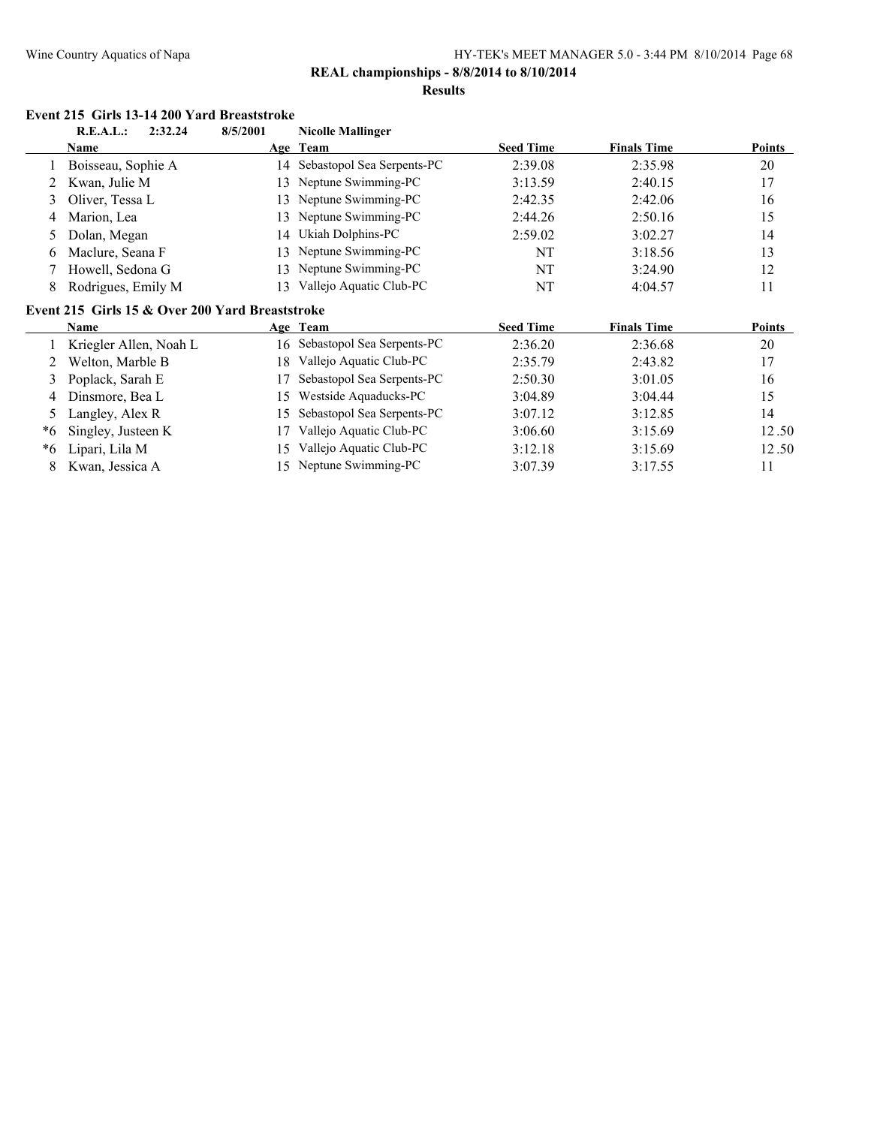# **REAL championships - 8/8/2014 to 8/10/2014**

#### **Results**

# **Event 215 Girls 13-14 200 Yard Breaststroke**<br>**B E A L :** 2:32.24 8/5/2001 Nicollo Melli

|    | R.E.A.L.:<br>2:32.24                            | 8/5/2001 | <b>Nicolle Mallinger</b>      |                  |                    |               |
|----|-------------------------------------------------|----------|-------------------------------|------------------|--------------------|---------------|
|    | Name                                            |          | Age Team                      | <b>Seed Time</b> | <b>Finals Time</b> | <b>Points</b> |
|    | Boisseau, Sophie A                              | 14       | Sebastopol Sea Serpents-PC    | 2:39.08          | 2:35.98            | 20            |
|    | Kwan, Julie M                                   | 13       | Neptune Swimming-PC           | 3:13.59          | 2:40.15            | 17            |
| 3  | Oliver, Tessa L                                 | 13       | Neptune Swimming-PC           | 2:42.35          | 2:42.06            | 16            |
| 4  | Marion, Lea                                     | 13       | Neptune Swimming-PC           | 2:44.26          | 2:50.16            | 15            |
| 5  | Dolan, Megan                                    | 14       | Ukiah Dolphins-PC             | 2:59.02          | 3:02.27            | 14            |
| 6  | Maclure, Seana F                                | 13       | Neptune Swimming-PC           | NT               | 3:18.56            | 13            |
|    | Howell, Sedona G                                | 13       | Neptune Swimming-PC           | NT               | 3:24.90            | 12            |
| 8  | Rodrigues, Emily M                              | 13       | Vallejo Aquatic Club-PC       | NT               | 4:04.57            | 11            |
|    | Event 215 Girls 15 & Over 200 Yard Breaststroke |          |                               |                  |                    |               |
|    |                                                 |          |                               |                  |                    |               |
|    | <b>Name</b>                                     |          | Age Team                      | <b>Seed Time</b> | <b>Finals Time</b> | <b>Points</b> |
|    | Kriegler Allen, Noah L                          |          | 16 Sebastopol Sea Serpents-PC | 2:36.20          | 2:36.68            | 20            |
| 2  | Welton, Marble B                                | 18       | Vallejo Aquatic Club-PC       | 2:35.79          | 2:43.82            | 17            |
| 3  | Poplack, Sarah E                                |          | Sebastopol Sea Serpents-PC    | 2:50.30          | 3:01.05            | 16            |
| 4  | Dinsmore, Bea L                                 | 15       | Westside Aquaducks-PC         | 3:04.89          | 3:04.44            | 15            |
| 5  | Langley, Alex R                                 | 15       | Sebastopol Sea Serpents-PC    | 3:07.12          | 3:12.85            | 14            |
| *6 | Singley, Justeen K                              | 17       | Vallejo Aquatic Club-PC       | 3:06.60          | 3:15.69            | 12.50         |
| *6 | Lipari, Lila M                                  | 15       | Vallejo Aquatic Club-PC       | 3:12.18          | 3:15.69            | 12.50         |
| 8  | Kwan, Jessica A                                 | 15       | Neptune Swimming-PC           | 3:07.39          | 3:17.55            | 11            |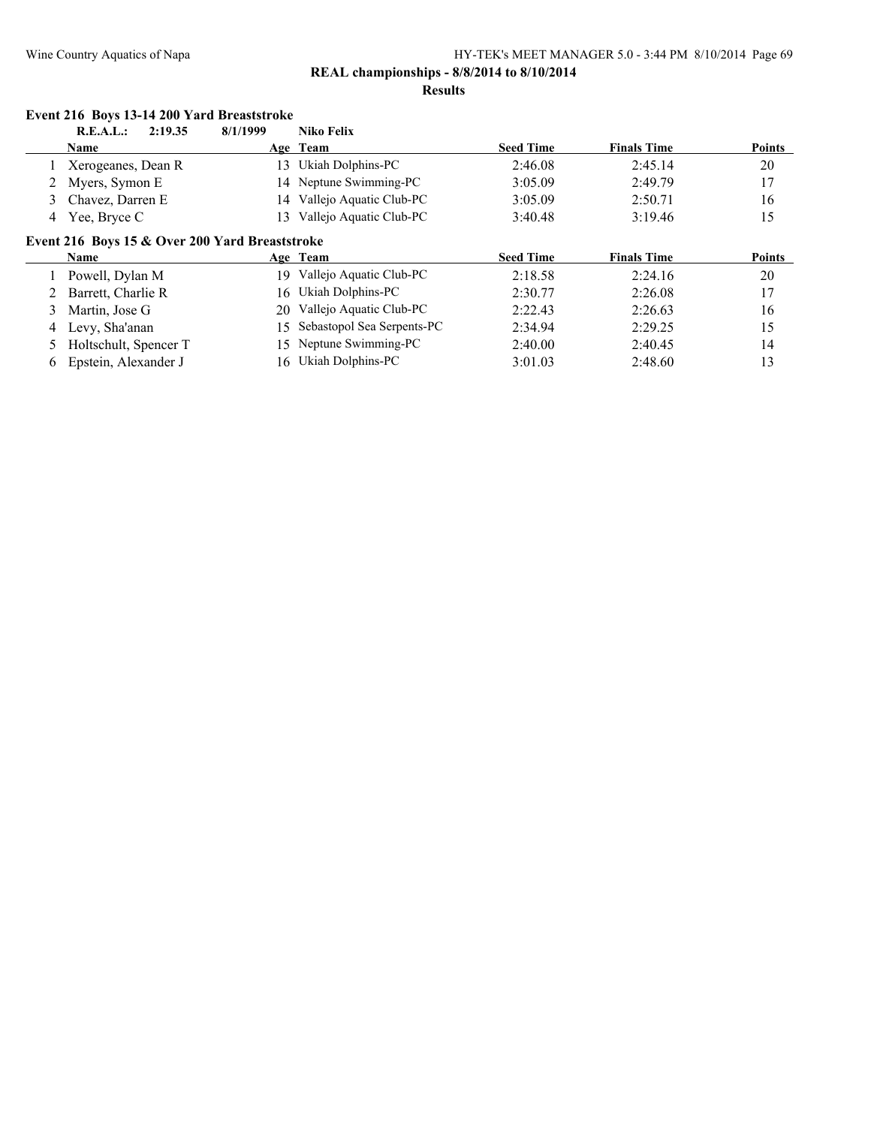#### **Results**

|   | Event 216 Boys 13-14 200 Yard Breaststroke     |          |                            |                  |                    |               |
|---|------------------------------------------------|----------|----------------------------|------------------|--------------------|---------------|
|   | R.E.A.L.:<br>2:19.35                           | 8/1/1999 | Niko Felix                 |                  |                    |               |
|   | <b>Name</b>                                    |          | Age Team                   | <b>Seed Time</b> | <b>Finals Time</b> | <b>Points</b> |
|   | Xerogeanes, Dean R                             | 13       | Ukiah Dolphins-PC          | 2:46.08          | 2:45.14            | 20            |
|   | Myers, Symon E                                 |          | 14 Neptune Swimming-PC     | 3:05.09          | 2:49.79            | 17            |
| 3 | Chavez, Darren E                               | 14       | Vallejo Aquatic Club-PC    | 3:05.09          | 2:50.71            | 16            |
| 4 | Yee, Bryce C                                   | 13       | Vallejo Aquatic Club-PC    | 3:40.48          | 3:19.46            | 15            |
|   | Event 216 Boys 15 & Over 200 Yard Breaststroke |          |                            |                  |                    |               |
|   | <b>Name</b>                                    |          | Age Team                   | <b>Seed Time</b> | <b>Finals Time</b> | Points        |
|   | Powell, Dylan M                                | 19       | Vallejo Aquatic Club-PC    | 2:18.58          | 2:24.16            | 20            |
|   | Barrett, Charlie R                             | 16       | Ukiah Dolphins-PC          | 2:30.77          | 2:26.08            | 17            |
| 3 | Martin, Jose G                                 | 20       | Vallejo Aquatic Club-PC    | 2:22.43          | 2:26.63            | 16            |
| 4 | Levy, Sha'anan                                 | 15.      | Sebastopol Sea Serpents-PC | 2:34.94          | 2:29.25            | 15            |
|   | Holtschult, Spencer T                          | 15.      | Neptune Swimming-PC        | 2:40.00          | 2:40.45            | 14            |
| 6 | Epstein, Alexander J                           | 16       | Ukiah Dolphins-PC          | 3:01.03          | 2:48.60            | 13            |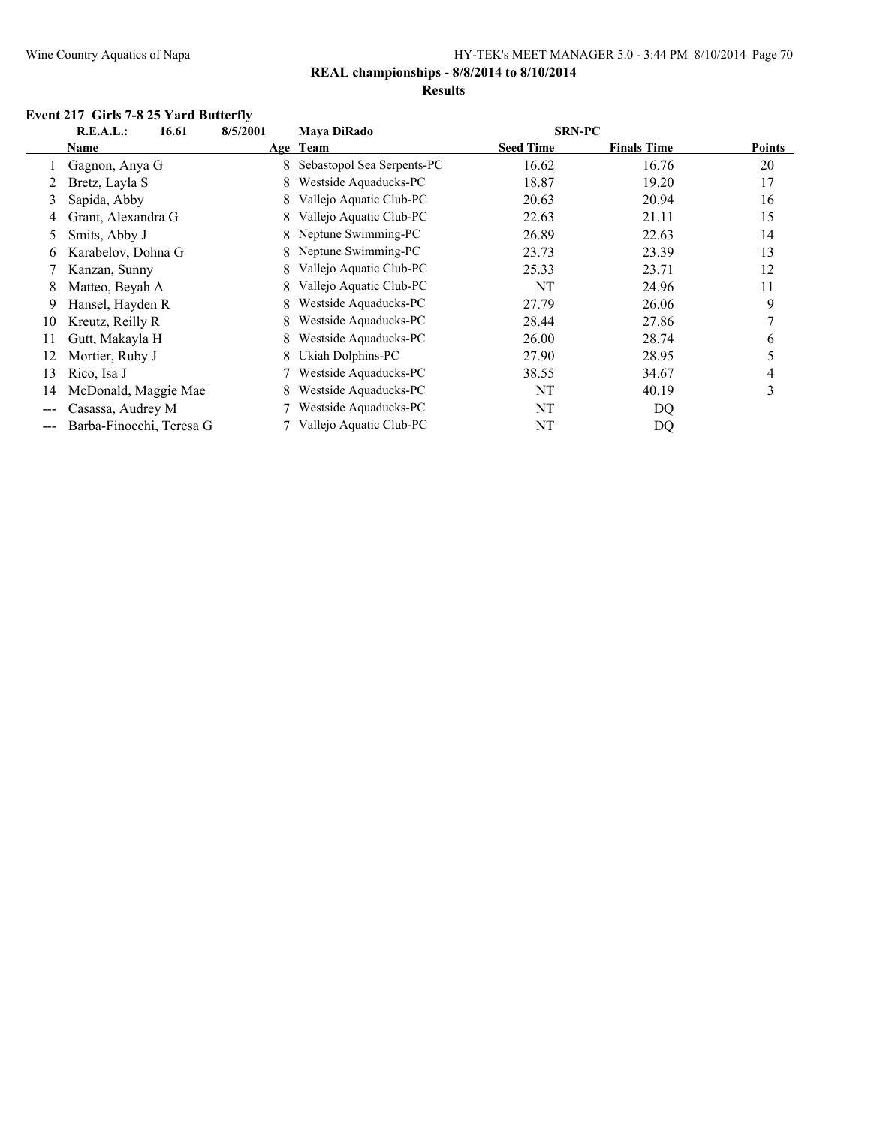# **REAL championships - 8/8/2014 to 8/10/2014**

#### **Results**

# **Event 217 Girls 7-8 25 Yard Butterfly**

|                            | R.E.A.L.:<br>16.61       | 8/5/2001 | <b>Mava DiRado</b>         | <b>SRN-PC</b>    |                    |               |
|----------------------------|--------------------------|----------|----------------------------|------------------|--------------------|---------------|
|                            | Name                     |          | Age Team                   | <b>Seed Time</b> | <b>Finals Time</b> | <b>Points</b> |
|                            | Gagnon, Anya G           | 8.       | Sebastopol Sea Serpents-PC | 16.62            | 16.76              | 20            |
|                            | Bretz, Layla S           | 8        | Westside Aquaducks-PC      | 18.87            | 19.20              | 17            |
| 3                          | Sapida, Abby             | 8.       | Vallejo Aquatic Club-PC    | 20.63            | 20.94              | 16            |
| 4                          | Grant, Alexandra G       | 8        | Vallejo Aquatic Club-PC    | 22.63            | 21.11              | 15            |
| 5                          | Smits, Abby J            | 8.       | Neptune Swimming-PC        | 26.89            | 22.63              | 14            |
| 6                          | Karabelov, Dohna G       |          | 8 Neptune Swimming-PC      | 23.73            | 23.39              | 13            |
|                            | Kanzan, Sunny            | 8.       | Vallejo Aquatic Club-PC    | 25.33            | 23.71              | 12            |
| 8                          | Matteo, Beyah A          | 8.       | Vallejo Aquatic Club-PC    | NT               | 24.96              | 11            |
| 9                          | Hansel, Hayden R         | 8.       | Westside Aquaducks-PC      | 27.79            | 26.06              | 9             |
| 10                         | Kreutz, Reilly R         | 8.       | Westside Aquaducks-PC      | 28.44            | 27.86              |               |
| 11                         | Gutt, Makayla H          | 8.       | Westside Aquaducks-PC      | 26.00            | 28.74              | 6             |
| 12                         | Mortier, Ruby J          | 8.       | Ukiah Dolphins-PC          | 27.90            | 28.95              | 5             |
| 13                         | Rico, Isa J              |          | Westside Aquaducks-PC      | 38.55            | 34.67              | 4             |
| 14                         | McDonald, Maggie Mae     |          | Westside Aquaducks-PC      | NT               | 40.19              | 3             |
| $\qquad \qquad - \qquad -$ | Casassa, Audrey M        |          | Westside Aquaducks-PC      | NT               | DQ                 |               |
| $\qquad \qquad -$          | Barba-Finocchi, Teresa G |          | Vallejo Aquatic Club-PC    | NT               | DQ                 |               |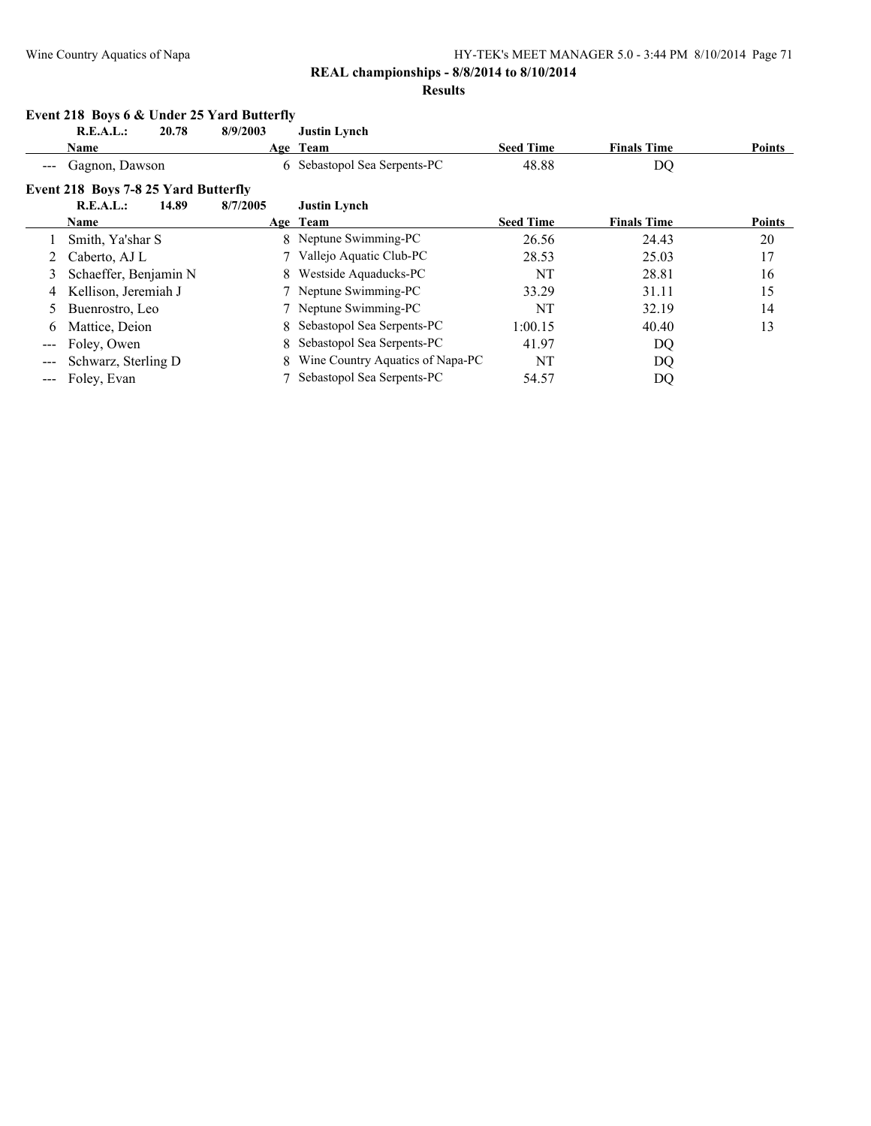# **REAL championships - 8/8/2014 to 8/10/2014**

#### **Results**

|                                                                                                | Event 218 Boys 6 & Under 25 Yard Butterfly  |       |          |                                  |                  |                    |               |  |  |
|------------------------------------------------------------------------------------------------|---------------------------------------------|-------|----------|----------------------------------|------------------|--------------------|---------------|--|--|
|                                                                                                | R.E.A.L.:                                   | 20.78 | 8/9/2003 | <b>Justin Lynch</b>              |                  |                    |               |  |  |
|                                                                                                | Name                                        |       |          | Age Team                         | <b>Seed Time</b> | <b>Finals Time</b> | Points        |  |  |
|                                                                                                | Gagnon, Dawson                              |       |          | 6 Sebastopol Sea Serpents-PC     | 48.88            | DQ                 |               |  |  |
|                                                                                                | <b>Event 218 Boys 7-8 25 Yard Butterfly</b> |       |          |                                  |                  |                    |               |  |  |
|                                                                                                | R.E.A.L.:                                   | 14.89 | 8/7/2005 | <b>Justin Lynch</b>              |                  |                    |               |  |  |
|                                                                                                | Name                                        |       |          | Age Team                         | <b>Seed Time</b> | <b>Finals Time</b> | <b>Points</b> |  |  |
|                                                                                                | Smith, Ya'shar S                            |       |          | 8 Neptune Swimming-PC            | 26.56            | 24.43              | 20            |  |  |
|                                                                                                | Caberto, AJ L                               |       |          | 7 Vallejo Aquatic Club-PC        | 28.53            | 25.03              | 17            |  |  |
| 3                                                                                              | Schaeffer, Benjamin N                       |       |          | 8 Westside Aquaducks-PC          | NT               | 28.81              | 16            |  |  |
| 4                                                                                              | Kellison, Jeremiah J                        |       |          | 7 Neptune Swimming-PC            | 33.29            | 31.11              | 15            |  |  |
| 5.                                                                                             | Buenrostro, Leo                             |       |          | 7 Neptune Swimming-PC            | NT               | 32.19              | 14            |  |  |
| 6                                                                                              | Mattice, Deion                              |       |          | 8 Sebastopol Sea Serpents-PC     | 1:00.15          | 40.40              | 13            |  |  |
| $- - -$                                                                                        | Foley, Owen                                 |       |          | 8 Sebastopol Sea Serpents-PC     | 41.97            | DQ                 |               |  |  |
|                                                                                                | Schwarz, Sterling D                         |       |          | Wine Country Aquatics of Napa-PC | NT               | DQ                 |               |  |  |
| $\frac{1}{2} \left( \frac{1}{2} \right) \left( \frac{1}{2} \right) \left( \frac{1}{2} \right)$ | Foley, Evan                                 |       |          | Sebastopol Sea Serpents-PC       | 54.57            | DQ                 |               |  |  |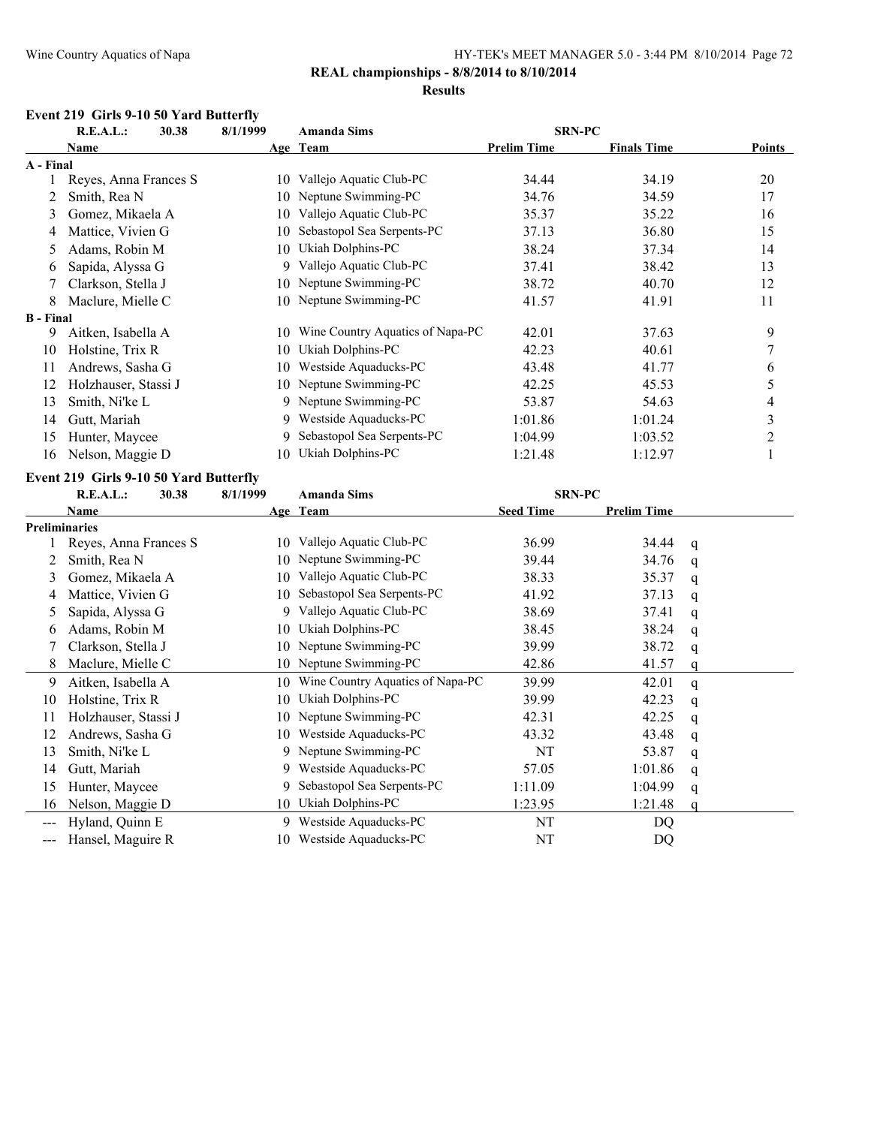# **REAL championships - 8/8/2014 to 8/10/2014**

#### **Results**

#### **Event 219 Girls 9-10 50 Yard Butterfly**

| R.E.A.L.:<br>30.38 |                       | 8/1/1999 | <b>Amanda Sims</b>               | <b>SRN-PC</b>      |                    |               |  |
|--------------------|-----------------------|----------|----------------------------------|--------------------|--------------------|---------------|--|
|                    | Name                  |          | Age Team                         | <b>Prelim Time</b> | <b>Finals Time</b> | <b>Points</b> |  |
| A - Final          |                       |          |                                  |                    |                    |               |  |
|                    | Reyes, Anna Frances S | 10       | Vallejo Aquatic Club-PC          | 34.44              | 34.19              | 20            |  |
|                    | Smith, Rea N          | 10       | Neptune Swimming-PC              | 34.76              | 34.59              | 17            |  |
| 3                  | Gomez, Mikaela A      | 10       | Vallejo Aquatic Club-PC          | 35.37              | 35.22              | 16            |  |
| 4                  | Mattice, Vivien G     | 10       | Sebastopol Sea Serpents-PC       | 37.13              | 36.80              | 15            |  |
| 5.                 | Adams, Robin M        | 10       | Ukiah Dolphins-PC                | 38.24              | 37.34              | 14            |  |
| 6                  | Sapida, Alyssa G      | 9        | Vallejo Aquatic Club-PC          | 37.41              | 38.42              | 13            |  |
|                    | Clarkson, Stella J    | 10       | Neptune Swimming-PC              | 38.72              | 40.70              | 12            |  |
| 8                  | Maclure, Mielle C     | 10-      | Neptune Swimming-PC              | 41.57              | 41.91              | 11            |  |
| <b>B</b> - Final   |                       |          |                                  |                    |                    |               |  |
| 9                  | Aitken, Isabella A    | 10       | Wine Country Aquatics of Napa-PC | 42.01              | 37.63              | 9             |  |
| 10                 | Holstine, Trix R      | 10       | Ukiah Dolphins-PC                | 42.23              | 40.61              | 7             |  |
| 11                 | Andrews, Sasha G      | 10       | Westside Aquaducks-PC            | 43.48              | 41.77              | 6             |  |
| 12                 | Holzhauser, Stassi J  | 10       | Neptune Swimming-PC              | 42.25              | 45.53              | 5             |  |
| 13                 | Smith, Ni'ke L        |          | 9 Neptune Swimming-PC            | 53.87              | 54.63              | 4             |  |
| 14                 | Gutt, Mariah          | 9        | Westside Aquaducks-PC            | 1:01.86            | 1:01.24            | 3             |  |
| 15                 | Hunter, Maycee        | 9        | Sebastopol Sea Serpents-PC       | 1:04.99            | 1:03.52            | 2             |  |
| 16                 | Nelson, Maggie D      | 10       | Ukiah Dolphins-PC                | 1:21.48            | 1:12.97            |               |  |

#### **Event 219 Girls 9-10 50 Yard Butterfly**

|                      | R.E.A.L.:             | 30.38 | 8/1/1999 | <b>Amanda Sims</b>               |                  | <b>SRN-PC</b>      |   |  |
|----------------------|-----------------------|-------|----------|----------------------------------|------------------|--------------------|---|--|
|                      | Name                  |       |          | Age Team                         | <b>Seed Time</b> | <b>Prelim Time</b> |   |  |
| <b>Preliminaries</b> |                       |       |          |                                  |                  |                    |   |  |
|                      | Reyes, Anna Frances S |       | 10       | Vallejo Aquatic Club-PC          | 36.99            | 34.44              | q |  |
|                      | Smith, Rea N          |       | 10       | Neptune Swimming-PC              | 39.44            | 34.76              | q |  |
| 3                    | Gomez, Mikaela A      |       | 10       | Vallejo Aquatic Club-PC          | 38.33            | 35.37              | q |  |
| 4                    | Mattice, Vivien G     |       | 10       | Sebastopol Sea Serpents-PC       | 41.92            | 37.13              | q |  |
| 5.                   | Sapida, Alyssa G      |       | 9        | Vallejo Aquatic Club-PC          | 38.69            | 37.41              | q |  |
| 6                    | Adams, Robin M        |       | 10       | Ukiah Dolphins-PC                | 38.45            | 38.24              | q |  |
|                      | Clarkson, Stella J    |       | 10       | Neptune Swimming-PC              | 39.99            | 38.72              | q |  |
| 8                    | Maclure, Mielle C     |       | 10       | Neptune Swimming-PC              | 42.86            | 41.57              | q |  |
| 9                    | Aitken, Isabella A    |       | 10       | Wine Country Aquatics of Napa-PC | 39.99            | 42.01              | q |  |
| 10                   | Holstine, Trix R      |       | 10       | Ukiah Dolphins-PC                | 39.99            | 42.23              | q |  |
| 11                   | Holzhauser, Stassi J  |       | 10.      | Neptune Swimming-PC              | 42.31            | 42.25              | q |  |
| 12                   | Andrews, Sasha G      |       | 10       | Westside Aquaducks-PC            | 43.32            | 43.48              | q |  |
| 13                   | Smith, Ni'ke L        |       | 9.       | Neptune Swimming-PC              | NT               | 53.87              | q |  |
| 14                   | Gutt, Mariah          |       | 9        | Westside Aquaducks-PC            | 57.05            | 1:01.86            | q |  |
| 15                   | Hunter, Maycee        |       | 9.       | Sebastopol Sea Serpents-PC       | 1:11.09          | 1:04.99            | q |  |
| 16                   | Nelson, Maggie D      |       | 10       | Ukiah Dolphins-PC                | 1:23.95          | 1:21.48            | a |  |
| $---$                | Hyland, Quinn E       |       | 9.       | Westside Aquaducks-PC            | NT               | DQ                 |   |  |
|                      | Hansel, Maguire R     |       | 10       | Westside Aquaducks-PC            | NT               | DQ                 |   |  |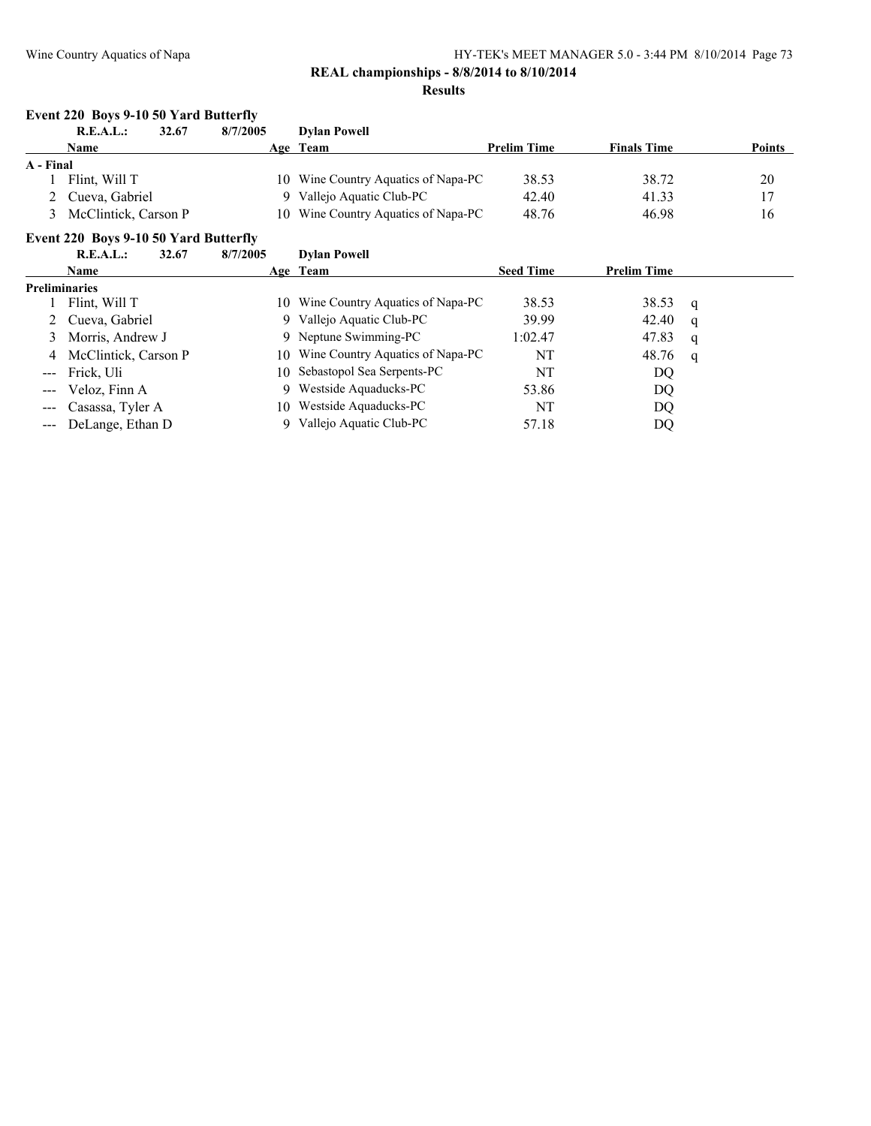#### **REAL championships - 8/8/2014 to 8/10/2014 Results**

#### **Event 220 Boys 9-10 50 Yard Butterfly**

|           | R.E.A.L.:                             | 32.67 | 8/7/2005 | <b>Dylan Powell</b>                 |                    |                    |               |
|-----------|---------------------------------------|-------|----------|-------------------------------------|--------------------|--------------------|---------------|
|           | Name                                  |       |          | Age Team                            | <b>Prelim Time</b> | <b>Finals Time</b> | <b>Points</b> |
| A - Final |                                       |       |          |                                     |                    |                    |               |
|           | Flint. Will T                         |       |          | 10 Wine Country Aquatics of Napa-PC | 38.53              | 38.72              | 20            |
|           | 2 Cueva, Gabriel                      |       | Q.       | Vallejo Aquatic Club-PC             | 42.40              | 41.33              | 17            |
|           | 3 McClintick, Carson P                |       |          | 10 Wine Country Aquatics of Napa-PC | 48.76              | 46.98              | 16            |
|           | Event 220 Boys 9-10 50 Yard Butterfly |       |          |                                     |                    |                    |               |

### **R.E.A.L.: 32.67 8/7/2005 Dylan Powell Name Age Team Seed Time Prelim Time Preliminaries**<br>1 Flint, Will T 10 Wine Country Aquatics of Napa-PC 38.53 38.53 q 2 Cueva, Gabriel 9 Vallejo Aquatic Club-PC 39.99 42.40 q 3 Morris, Andrew J 9 Neptune Swimming-PC 1:02.47 47.83 q 4 McClintick, Carson P 10 Wine Country Aquatics of Napa-PC NT 48.76 q --- Frick, Uli 10 Sebastopol Sea Serpents-PC NT DQ -- Veloz, Finn A 9 Westside Aquaducks-PC 53.86 DQ --- Casassa, Tyler A 10 Westside Aquaducks-PC NT NT DQ --- DeLange, Ethan D 9 Vallejo Aquatic Club-PC 57.18 DQ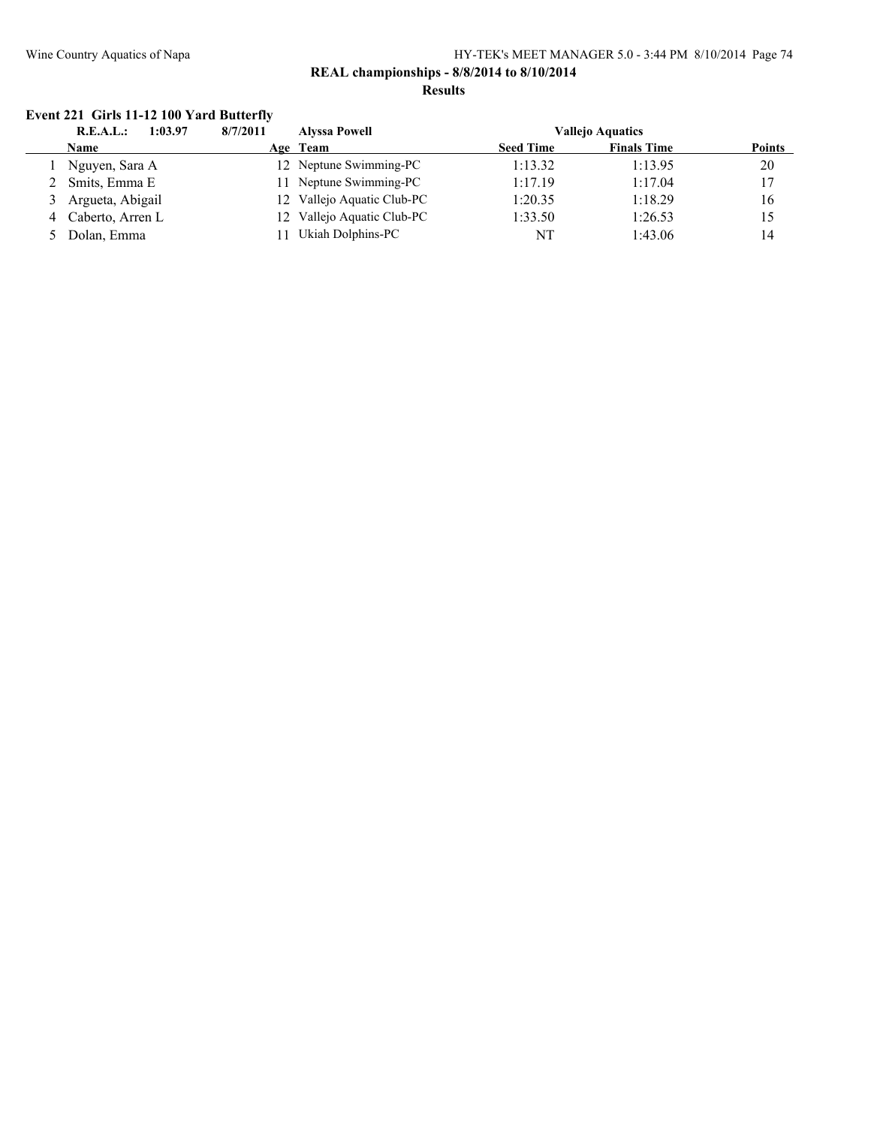### **REAL championships - 8/8/2014 to 8/10/2014 Results**

# **Event 221 Girls 11-12 100 Yard Butterfly**

| <b>R.E.A.L.:</b><br>8/7/2011<br>1:03.97 |     | <b>Alyssa Powell</b>       |                  | <b>Vallejo Aquatics</b> |               |  |
|-----------------------------------------|-----|----------------------------|------------------|-------------------------|---------------|--|
| <b>Name</b>                             |     | Age Team                   | <b>Seed Time</b> | <b>Finals Time</b>      | <b>Points</b> |  |
| Nguyen, Sara A                          |     | 12 Neptune Swimming-PC     | 1:13.32          | 1:13.95                 | 20            |  |
| 2 Smits, Emma E                         | 11  | Neptune Swimming-PC        | 1:17.19          | 1:17.04                 | 17            |  |
| 3 Argueta, Abigail                      |     | 12 Vallejo Aquatic Club-PC | 1:20.35          | 1:18.29                 | 16            |  |
| Caberto, Arren L                        |     | 12 Vallejo Aquatic Club-PC | 1:33.50          | 1:26.53                 | 15            |  |
| 5 Dolan, Emma                           | 11. | Ukiah Dolphins-PC          | NT               | 1:43.06                 | 14            |  |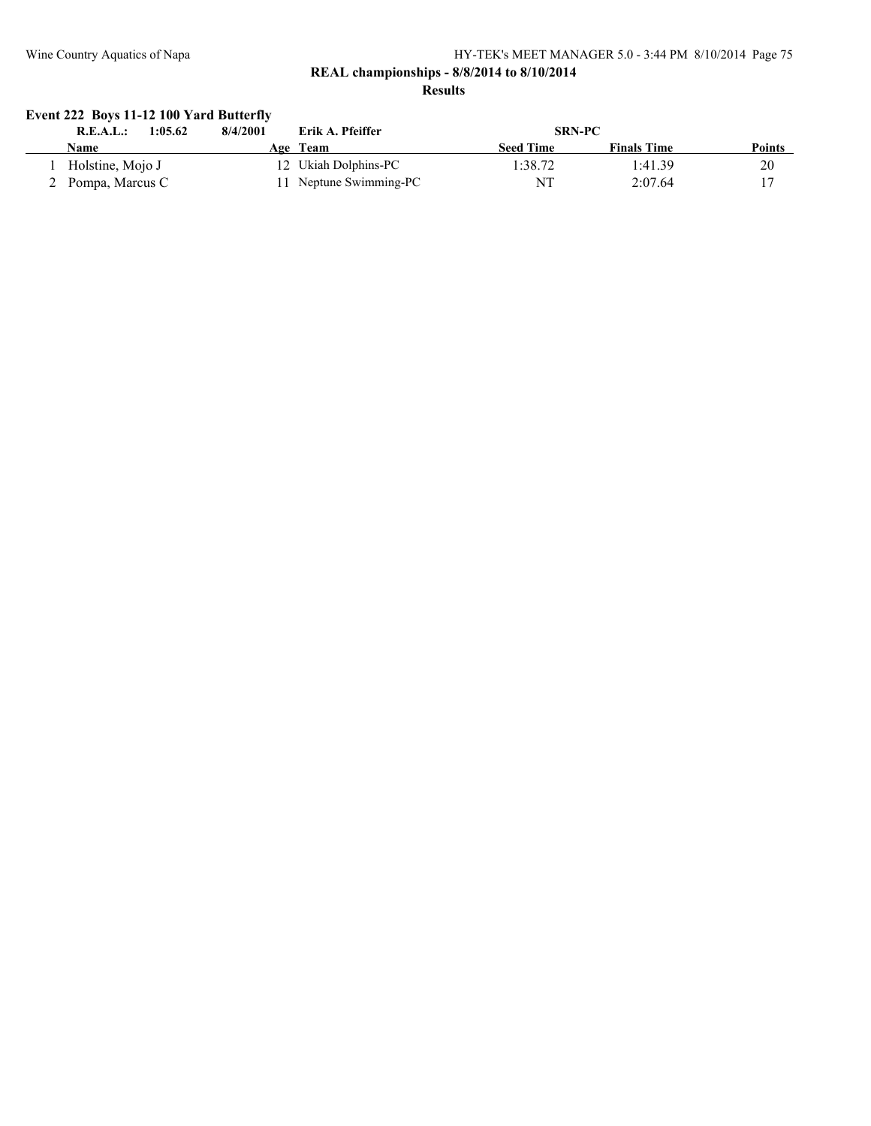### **REAL championships - 8/8/2014 to 8/10/2014 Results**

# **Event 222 Boys 11-12 100 Yard Butterfly**

| 1:05.62<br>R.E.A.L.: | Erik A. Pfeiffer<br>8/4/2001 | <b>SRN-PC</b>                          |        |
|----------------------|------------------------------|----------------------------------------|--------|
| Name                 | Age Team                     | <b>Seed Time</b><br><b>Finals Time</b> | Points |
| Holstine, Mojo J     | 12 Ukiah Dolphins-PC         | 1:38.72<br>1:41.39                     | 20     |
| 2 Pompa, Marcus C    | 11 Neptune Swimming-PC       | NT<br>2:07.64                          |        |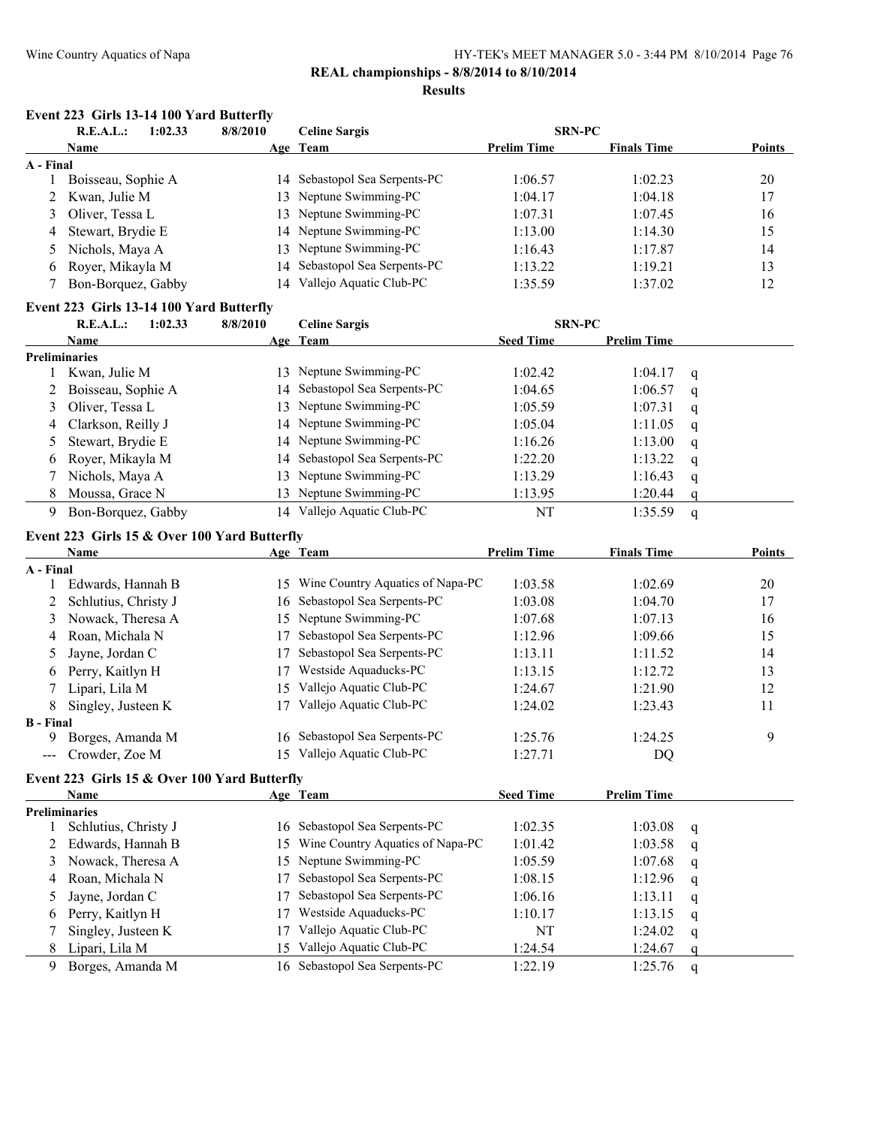# **REAL championships - 8/8/2014 to 8/10/2014**

#### **Results**

#### **Event 223 Girls 13-14 100 Yard Butterfly**

| R.E.A.L.:<br>1:02.33 |                     | 8/8/2010 | <b>Celine Sargis</b>          | <b>SRN-PC</b>      |                    |               |  |
|----------------------|---------------------|----------|-------------------------------|--------------------|--------------------|---------------|--|
|                      | <b>Name</b>         |          | Age Team                      | <b>Prelim Time</b> | <b>Finals Time</b> | <b>Points</b> |  |
| A - Final            |                     |          |                               |                    |                    |               |  |
|                      | Boisseau, Sophie A  |          | 14 Sebastopol Sea Serpents-PC | 1:06.57            | 1:02.23            | 20            |  |
|                      | 2 Kwan, Julie M     |          | 13 Neptune Swimming-PC        | 1:04.17            | 1:04.18            | 17            |  |
|                      | 3 Oliver, Tessa L   |          | 13 Neptune Swimming-PC        | 1:07.31            | 1:07.45            | 16            |  |
|                      | 4 Stewart, Brydie E |          | 14 Neptune Swimming-PC        | 1:13.00            | 1:14.30            | 15            |  |
|                      | 5 Nichols, Maya A   |          | 13 Neptune Swimming-PC        | 1:16.43            | 1:17.87            | 14            |  |
|                      | 6 Royer, Mikayla M  |          | 14 Sebastopol Sea Serpents-PC | 1:13.22            | 1:19.21            | 13            |  |
|                      | Bon-Borquez, Gabby  | 14       | Vallejo Aquatic Club-PC       | 1:35.59            | 1:37.02            | 12            |  |
|                      |                     |          |                               |                    |                    |               |  |

#### **Event 223 Girls 13-14 100 Yard Butterfly**

|   | R.E.A.L.:<br>1:02.33 | 8/8/2010 | <b>Celine Sargis</b>          | <b>SRN-PC</b>    |                    |   |
|---|----------------------|----------|-------------------------------|------------------|--------------------|---|
|   | <b>Name</b>          |          | Age Team                      | <b>Seed Time</b> | <b>Prelim Time</b> |   |
|   | <b>Preliminaries</b> |          |                               |                  |                    |   |
|   | Kwan, Julie M        | 13.      | Neptune Swimming-PC           | 1:02.42          | 1:04.17            | q |
|   | 2 Boisseau, Sophie A |          | 14 Sebastopol Sea Serpents-PC | 1:04.65          | 1:06.57            | q |
| 3 | Oliver, Tessa L      |          | 13 Neptune Swimming-PC        | 1:05.59          | 1:07.31            | q |
|   | 4 Clarkson, Reilly J |          | 14 Neptune Swimming-PC        | 1:05.04          | 1:11.05            | q |
|   | Stewart, Brydie E    |          | 14 Neptune Swimming-PC        | 1:16.26          | 1:13.00            | q |
|   | 6 Rover, Mikayla M   |          | 14 Sebastopol Sea Serpents-PC | 1:22.20          | 1:13.22            | q |
|   | Nichols, Maya A      |          | 13 Neptune Swimming-PC        | 1:13.29          | 1:16.43            | q |
|   | Moussa, Grace N      |          | 13 Neptune Swimming-PC        | 1:13.95          | 1:20.44            |   |
|   | Bon-Borquez, Gabby   |          | 14 Vallejo Aquatic Club-PC    | NT               | 1:35.59            | a |

#### **Event 223 Girls 15 & Over 100 Yard Butterfly**

|                                                                                                                                                                                                                                                                                                                                                                                                                                                                            | Name                 |    | Age Team                         | <b>Prelim Time</b> | <b>Finals Time</b> | <b>Points</b> |
|----------------------------------------------------------------------------------------------------------------------------------------------------------------------------------------------------------------------------------------------------------------------------------------------------------------------------------------------------------------------------------------------------------------------------------------------------------------------------|----------------------|----|----------------------------------|--------------------|--------------------|---------------|
| A - Final                                                                                                                                                                                                                                                                                                                                                                                                                                                                  |                      |    |                                  |                    |                    |               |
|                                                                                                                                                                                                                                                                                                                                                                                                                                                                            | Edwards, Hannah B    | 15 | Wine Country Aquatics of Napa-PC | 1:03.58            | 1:02.69            | 20            |
| 2                                                                                                                                                                                                                                                                                                                                                                                                                                                                          | Schlutius, Christy J | 16 | Sebastopol Sea Serpents-PC       | 1:03.08            | 1:04.70            | 17            |
|                                                                                                                                                                                                                                                                                                                                                                                                                                                                            | 3 Nowack, Theresa A  | 15 | Neptune Swimming-PC              | 1:07.68            | 1:07.13            | 16            |
|                                                                                                                                                                                                                                                                                                                                                                                                                                                                            | 4 Roan, Michala N    |    | Sebastopol Sea Serpents-PC       | 1:12.96            | 1:09.66            | 15            |
|                                                                                                                                                                                                                                                                                                                                                                                                                                                                            | 5 Jayne, Jordan C    |    | Sebastopol Sea Serpents-PC       | 1:13.11            | 1:11.52            | 14            |
|                                                                                                                                                                                                                                                                                                                                                                                                                                                                            | 6 Perry, Kaitlyn H   |    | Westside Aquaducks-PC            | 1:13.15            | 1:12.72            | 13            |
|                                                                                                                                                                                                                                                                                                                                                                                                                                                                            | Lipari, Lila M       | 15 | Vallejo Aquatic Club-PC          | 1:24.67            | 1:21.90            | 12            |
| 8                                                                                                                                                                                                                                                                                                                                                                                                                                                                          | Singley, Justeen K   |    | Vallejo Aquatic Club-PC          | 1:24.02            | 1:23.43            | 11            |
| <b>B</b> - Final                                                                                                                                                                                                                                                                                                                                                                                                                                                           |                      |    |                                  |                    |                    |               |
| 9                                                                                                                                                                                                                                                                                                                                                                                                                                                                          | Borges, Amanda M     | 16 | Sebastopol Sea Serpents-PC       | 1:25.76            | 1:24.25            | 9             |
| $\frac{1}{2} \left( \frac{1}{2} \right) \left( \frac{1}{2} \right) \left( \frac{1}{2} \right) \left( \frac{1}{2} \right) \left( \frac{1}{2} \right) \left( \frac{1}{2} \right) \left( \frac{1}{2} \right) \left( \frac{1}{2} \right) \left( \frac{1}{2} \right) \left( \frac{1}{2} \right) \left( \frac{1}{2} \right) \left( \frac{1}{2} \right) \left( \frac{1}{2} \right) \left( \frac{1}{2} \right) \left( \frac{1}{2} \right) \left( \frac{1}{2} \right) \left( \frac$ | Crowder, Zoe M       |    | Vallejo Aquatic Club-PC          | 1:27.71            | DO                 |               |

# **Event 223 Girls 15 & Over 100 Yard Butterfly**

|                      | <b>Name</b>          |     | Age Team                            | <b>Seed Time</b> | <b>Prelim Time</b> |     |
|----------------------|----------------------|-----|-------------------------------------|------------------|--------------------|-----|
| <b>Preliminaries</b> |                      |     |                                     |                  |                    |     |
|                      | Schlutius, Christy J |     | 16 Sebastopol Sea Serpents-PC       | 1:02.35          | 1:03.08            | - q |
|                      | 2 Edwards, Hannah B  |     | 15 Wine Country Aquatics of Napa-PC | 1:01.42          | 1:03.58            | q   |
|                      | 3 Nowack, Theresa A  |     | 15 Neptune Swimming-PC              | 1:05.59          | 1:07.68            | q   |
|                      | 4 Roan, Michala N    |     | Sebastopol Sea Serpents-PC          | 1:08.15          | 1:12.96            | q   |
|                      | 5 Jayne, Jordan C    |     | Sebastopol Sea Serpents-PC          | 1:06.16          | 1:13.11            | q   |
|                      | 6 Perry, Kaitlyn H   |     | Westside Aquaducks-PC               | 1:10.17          | 1:13.15            | q   |
|                      | Singley, Justeen K   |     | Vallejo Aquatic Club-PC             | NT               | 1:24.02            | q   |
|                      | 8 Lipari, Lila M     | 15. | Vallejo Aquatic Club-PC             | 1:24.54          | 1:24.67            | O   |
| 9                    | Borges, Amanda M     |     | 16 Sebastopol Sea Serpents-PC       | 1:22.19          | 1:25.76            | q   |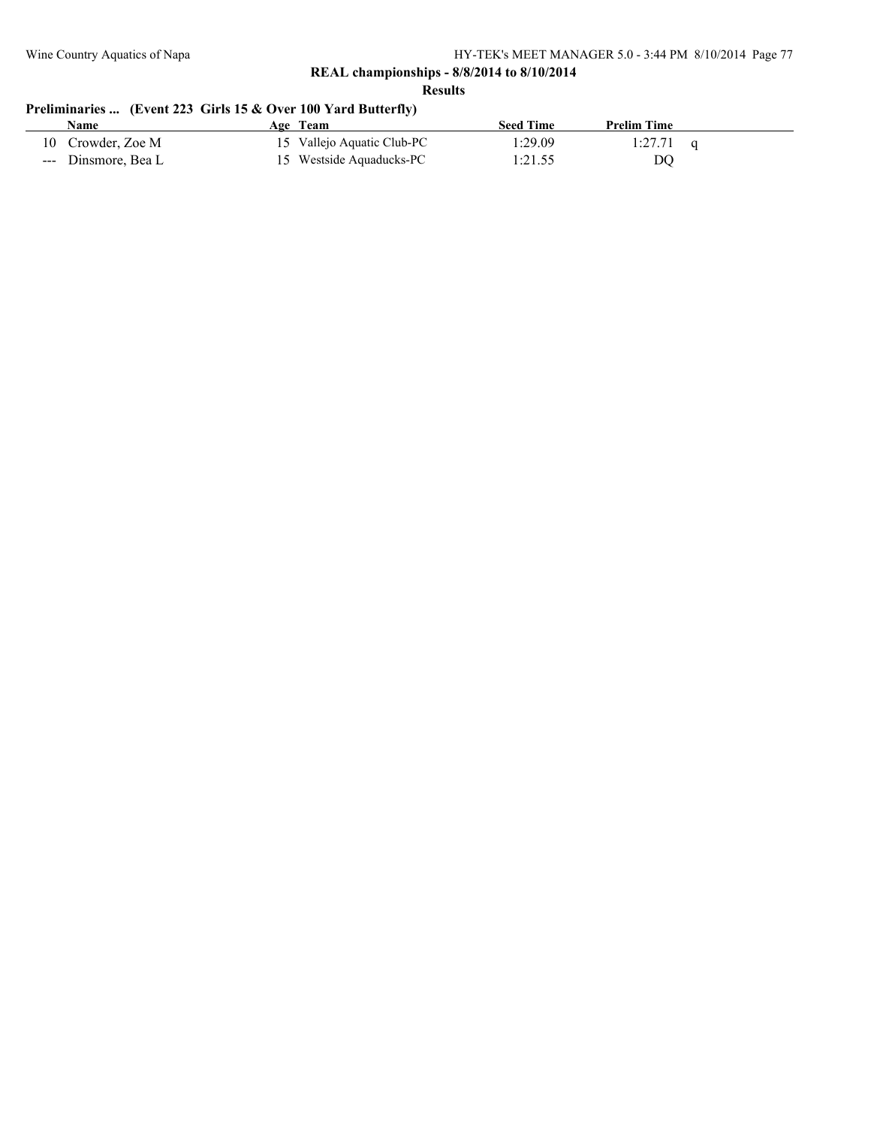**Results**

# **Preliminaries ... (Event 223 Girls 15 & Over 100 Yard Butterfly)**

| Name                | Age Team                   | <b>Seed Time</b> | <b>Prelim Time</b> |  |
|---------------------|----------------------------|------------------|--------------------|--|
| 10 Crowder, Zoe M   | 15 Vallejo Aquatic Club-PC | l:29.09          | 1:27.71            |  |
| --- Dinsmore, Bea L | 15 Westside Aquaducks-PC   | 1:21.55          | DO                 |  |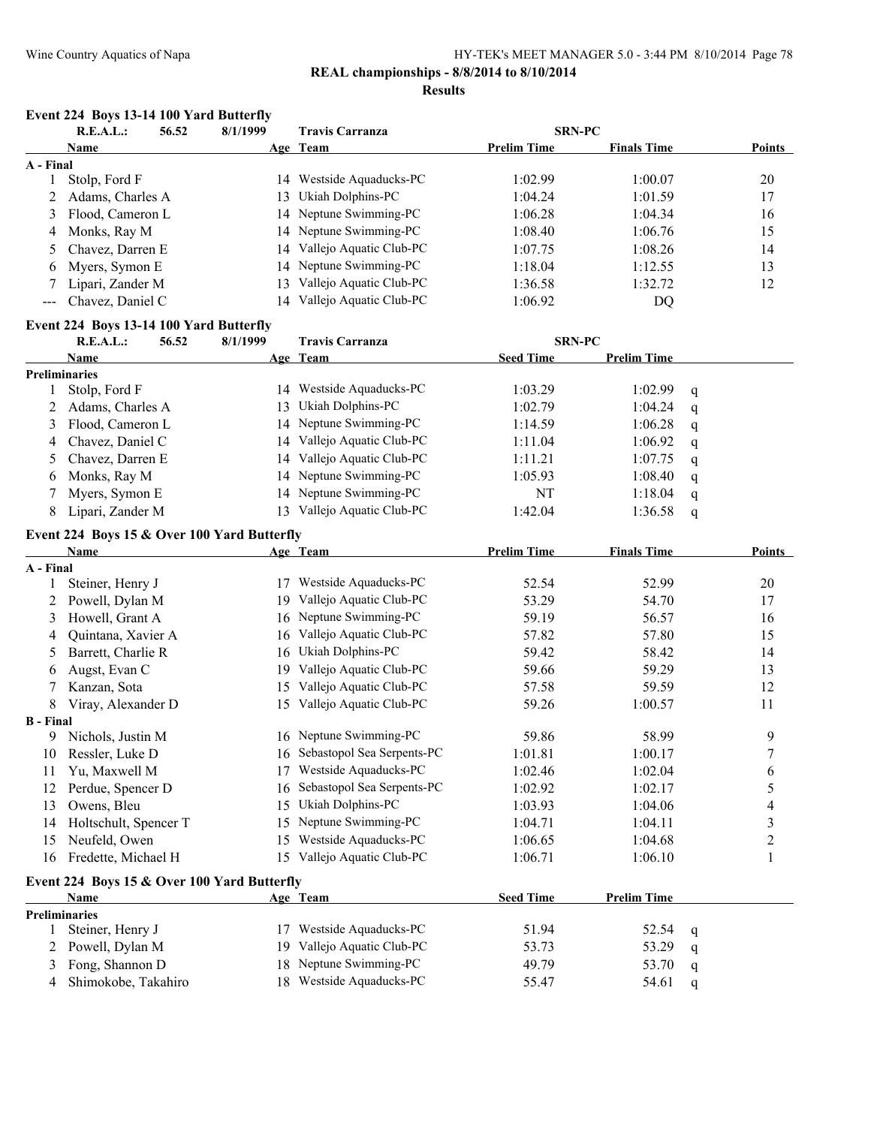# **REAL championships - 8/8/2014 to 8/10/2014**

#### **Results**

# **Event 224 Boys 13-14 100 Yard Butterfly**

|                       | <b>R.E.A.L.:</b>                        | 56.52 | 8/1/1999                                    | <b>Travis Carranza</b>        | <b>SRN-PC</b>      |                    |   |                |
|-----------------------|-----------------------------------------|-------|---------------------------------------------|-------------------------------|--------------------|--------------------|---|----------------|
|                       | Name                                    |       |                                             | Age Team                      | <b>Prelim Time</b> | <b>Finals Time</b> |   | <b>Points</b>  |
| A - Final             |                                         |       |                                             |                               |                    |                    |   |                |
| 1                     | Stolp, Ford F                           |       |                                             | 14 Westside Aquaducks-PC      | 1:02.99            | 1:00.07            |   | 20             |
| 2                     | Adams, Charles A                        |       | 13                                          | Ukiah Dolphins-PC             | 1:04.24            | 1:01.59            |   | 17             |
| 3                     | Flood, Cameron L                        |       | 14                                          | Neptune Swimming-PC           | 1:06.28            | 1:04.34            |   | 16             |
| 4                     | Monks, Ray M                            |       | 14                                          | Neptune Swimming-PC           | 1:08.40            | 1:06.76            |   | 15             |
| 5                     | Chavez, Darren E                        |       | 14                                          | Vallejo Aquatic Club-PC       | 1:07.75            | 1:08.26            |   | 14             |
| 6                     | Myers, Symon E                          |       | 14                                          | Neptune Swimming-PC           | 1:18.04            | 1:12.55            |   | 13             |
| 7                     | Lipari, Zander M                        |       | 13                                          | Vallejo Aquatic Club-PC       | 1:36.58            | 1:32.72            |   | 12             |
| $\sim$ $\sim$         | Chavez, Daniel C                        |       |                                             | 14 Vallejo Aquatic Club-PC    | 1:06.92            | DQ                 |   |                |
|                       | Event 224 Boys 13-14 100 Yard Butterfly |       |                                             |                               |                    |                    |   |                |
|                       | <b>R.E.A.L.:</b>                        | 56.52 | 8/1/1999                                    | <b>Travis Carranza</b>        | <b>SRN-PC</b>      |                    |   |                |
|                       | Name                                    |       |                                             | Age Team                      | <b>Seed Time</b>   | <b>Prelim Time</b> |   |                |
|                       | <b>Preliminaries</b>                    |       |                                             |                               |                    |                    |   |                |
| 1                     | Stolp, Ford F                           |       |                                             | 14 Westside Aquaducks-PC      | 1:03.29            | 1:02.99            | q |                |
| 2                     | Adams, Charles A                        |       | 13                                          | Ukiah Dolphins-PC             | 1:02.79            | 1:04.24            | q |                |
| 3                     | Flood, Cameron L                        |       | 14                                          | Neptune Swimming-PC           | 1:14.59            | 1:06.28            | q |                |
| 4                     | Chavez, Daniel C                        |       |                                             | 14 Vallejo Aquatic Club-PC    | 1:11.04            | 1:06.92            | q |                |
| 5                     | Chavez, Darren E                        |       |                                             | 14 Vallejo Aquatic Club-PC    | 1:11.21            | 1:07.75            | q |                |
| 6                     | Monks, Ray M                            |       |                                             | 14 Neptune Swimming-PC        | 1:05.93            | 1:08.40            | q |                |
| 7                     | Myers, Symon E                          |       |                                             | 14 Neptune Swimming-PC        | NT                 | 1:18.04            | q |                |
| 8                     | Lipari, Zander M                        |       |                                             | 13 Vallejo Aquatic Club-PC    | 1:42.04            | 1:36.58            | q |                |
|                       |                                         |       |                                             |                               |                    |                    |   |                |
|                       | Name                                    |       | Event 224 Boys 15 & Over 100 Yard Butterfly | Age Team                      | <b>Prelim Time</b> | <b>Finals Time</b> |   | Points         |
| A - Final             |                                         |       |                                             |                               |                    |                    |   |                |
| 1                     | Steiner, Henry J                        |       | 17                                          | Westside Aquaducks-PC         | 52.54              | 52.99              |   | 20             |
| 2                     | Powell, Dylan M                         |       | 19                                          | Vallejo Aquatic Club-PC       | 53.29              | 54.70              |   | 17             |
| 3                     | Howell, Grant A                         |       |                                             | 16 Neptune Swimming-PC        | 59.19              | 56.57              |   | 16             |
| 4                     | Quintana, Xavier A                      |       | 16                                          | Vallejo Aquatic Club-PC       | 57.82              | 57.80              |   | 15             |
| 5                     | Barrett, Charlie R                      |       | 16                                          | Ukiah Dolphins-PC             | 59.42              | 58.42              |   | 14             |
| 6                     | Augst, Evan C                           |       |                                             | 19 Vallejo Aquatic Club-PC    | 59.66              | 59.29              |   | 13             |
|                       |                                         |       | 15                                          | Vallejo Aquatic Club-PC       |                    | 59.59              |   | 12             |
| 7                     | Kanzan, Sota                            |       |                                             |                               | 57.58              |                    |   |                |
| 8<br><b>B</b> - Final | Viray, Alexander D                      |       |                                             | 15 Vallejo Aquatic Club-PC    | 59.26              | 1:00.57            |   | 11             |
| 9.                    | Nichols, Justin M                       |       | 16                                          | Neptune Swimming-PC           | 59.86              | 58.99              |   | 9              |
| 10                    | Ressler, Luke D                         |       |                                             | 16 Sebastopol Sea Serpents-PC | 1:01.81            | 1:00.17            |   | $\overline{7}$ |
| 11                    | Yu, Maxwell M                           |       |                                             | 17 Westside Aquaducks-PC      | 1:02.46            | 1:02.04            |   | 6              |
| 12                    | Perdue, Spencer D                       |       | 16                                          | Sebastopol Sea Serpents-PC    | 1:02.92            | 1:02.17            |   | 5              |
| 13                    | Owens, Bleu                             |       | 15                                          | Ukiah Dolphins-PC             | 1:03.93            | 1:04.06            |   | 4              |
| 14                    | Holtschult, Spencer T                   |       | 15                                          | Neptune Swimming-PC           | 1:04.71            | 1:04.11            |   | $\mathfrak{Z}$ |
|                       | Neufeld, Owen                           |       | 15                                          | Westside Aquaducks-PC         | 1:06.65            | 1:04.68            |   | $\overline{c}$ |
| 15<br>16              | Fredette, Michael H                     |       |                                             | 15 Vallejo Aquatic Club-PC    | 1:06.71            | 1:06.10            |   | $\mathbf{1}$   |
|                       |                                         |       |                                             |                               |                    |                    |   |                |
|                       |                                         |       | Event 224 Boys 15 & Over 100 Yard Butterfly |                               |                    |                    |   |                |
|                       | Name                                    |       |                                             | Age Team                      | <b>Seed Time</b>   | <b>Prelim Time</b> |   |                |
|                       | <b>Preliminaries</b>                    |       |                                             |                               |                    |                    |   |                |
| 1                     | Steiner, Henry J                        |       | 17                                          | Westside Aquaducks-PC         | 51.94              | 52.54              | q |                |
| 2                     | Powell, Dylan M                         |       | 19                                          | Vallejo Aquatic Club-PC       | 53.73              | 53.29              | q |                |
| 3                     | Fong, Shannon D                         |       | 18                                          | Neptune Swimming-PC           | 49.79              | 53.70              | q |                |
| 4                     | Shimokobe, Takahiro                     |       |                                             | 18 Westside Aquaducks-PC      | 55.47              | 54.61              | q |                |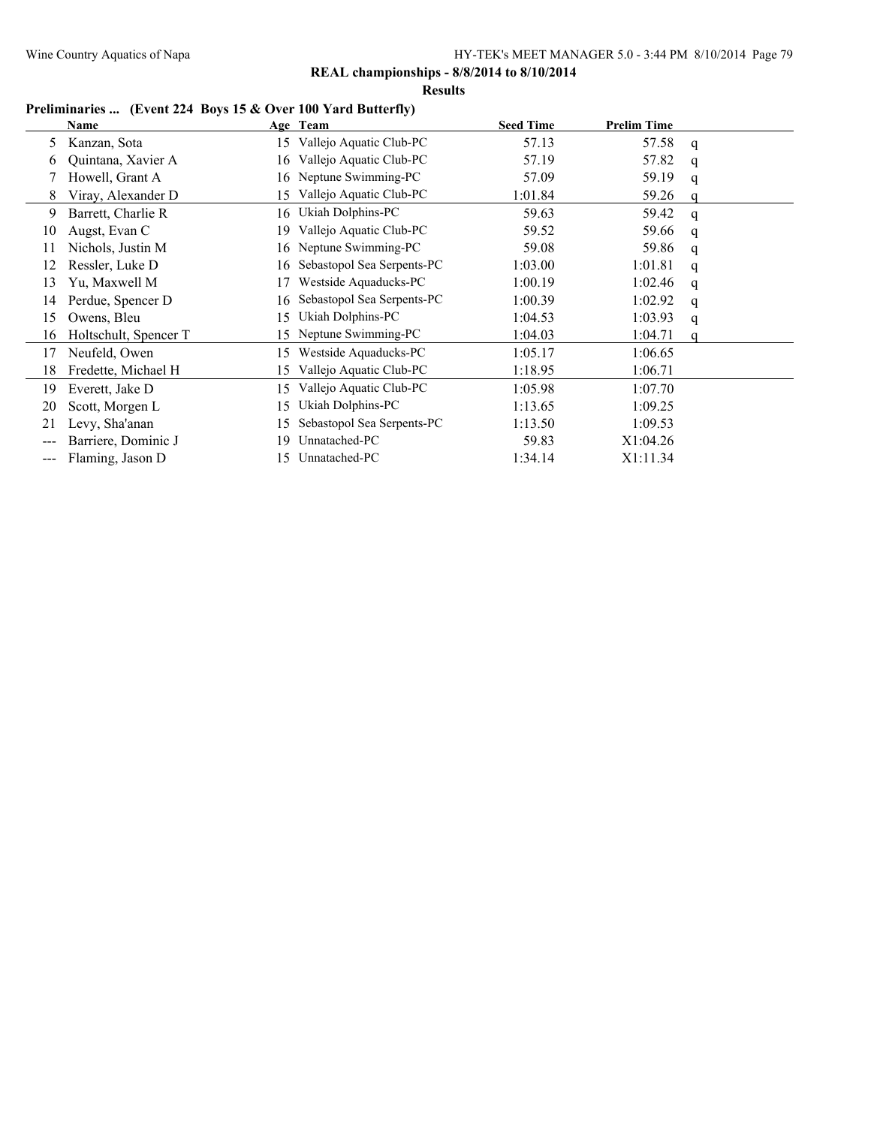**Results**

# **Preliminaries ... (Event 224 Boys 15 & Over 100 Yard Butterfly)**

|     | Name                  |     | Age Team                   | <b>Seed Time</b> | <b>Prelim Time</b> |   |  |
|-----|-----------------------|-----|----------------------------|------------------|--------------------|---|--|
| 5   | Kanzan, Sota          |     | 15 Vallejo Aquatic Club-PC | 57.13            | 57.58              | q |  |
| 6   | Quintana, Xavier A    | 16  | Vallejo Aquatic Club-PC    | 57.19            | 57.82              | q |  |
|     | Howell, Grant A       | 16  | Neptune Swimming-PC        | 57.09            | 59.19              | q |  |
| 8   | Viray, Alexander D    | 15  | Vallejo Aquatic Club-PC    | 1:01.84          | 59.26              |   |  |
| 9   | Barrett, Charlie R    | 16  | Ukiah Dolphins-PC          | 59.63            | 59.42              | q |  |
| 10  | Augst, Evan C         | 19  | Vallejo Aquatic Club-PC    | 59.52            | 59.66              | q |  |
| 11  | Nichols, Justin M     | 16  | Neptune Swimming-PC        | 59.08            | 59.86              | q |  |
| 12  | Ressler, Luke D       | 16  | Sebastopol Sea Serpents-PC | 1:03.00          | 1:01.81            | q |  |
| 13  | Yu, Maxwell M         |     | Westside Aquaducks-PC      | 1:00.19          | 1:02.46            | q |  |
| 14  | Perdue, Spencer D     | 16  | Sebastopol Sea Serpents-PC | 1:00.39          | 1:02.92            | q |  |
| 15  | Owens, Bleu           | 15  | Ukiah Dolphins-PC          | 1:04.53          | 1:03.93            | q |  |
| 16  | Holtschult, Spencer T | 15. | Neptune Swimming-PC        | 1:04.03          | 1:04.71            |   |  |
| 17  | Neufeld, Owen         | 15  | Westside Aquaducks-PC      | 1:05.17          | 1:06.65            |   |  |
| 18  | Fredette, Michael H   | 15  | Vallejo Aquatic Club-PC    | 1:18.95          | 1:06.71            |   |  |
| 19  | Everett, Jake D       | 15. | Vallejo Aquatic Club-PC    | 1:05.98          | 1:07.70            |   |  |
| 20  | Scott, Morgen L       | 15  | Ukiah Dolphins-PC          | 1:13.65          | 1:09.25            |   |  |
| 21  | Levy, Sha'anan        | 15  | Sebastopol Sea Serpents-PC | 1:13.50          | 1:09.53            |   |  |
| --- | Barriere, Dominic J   | 19  | Unnatached-PC              | 59.83            | X1:04.26           |   |  |
| --- | Flaming, Jason D      | 15. | Unnatached-PC              | 1:34.14          | X1:11.34           |   |  |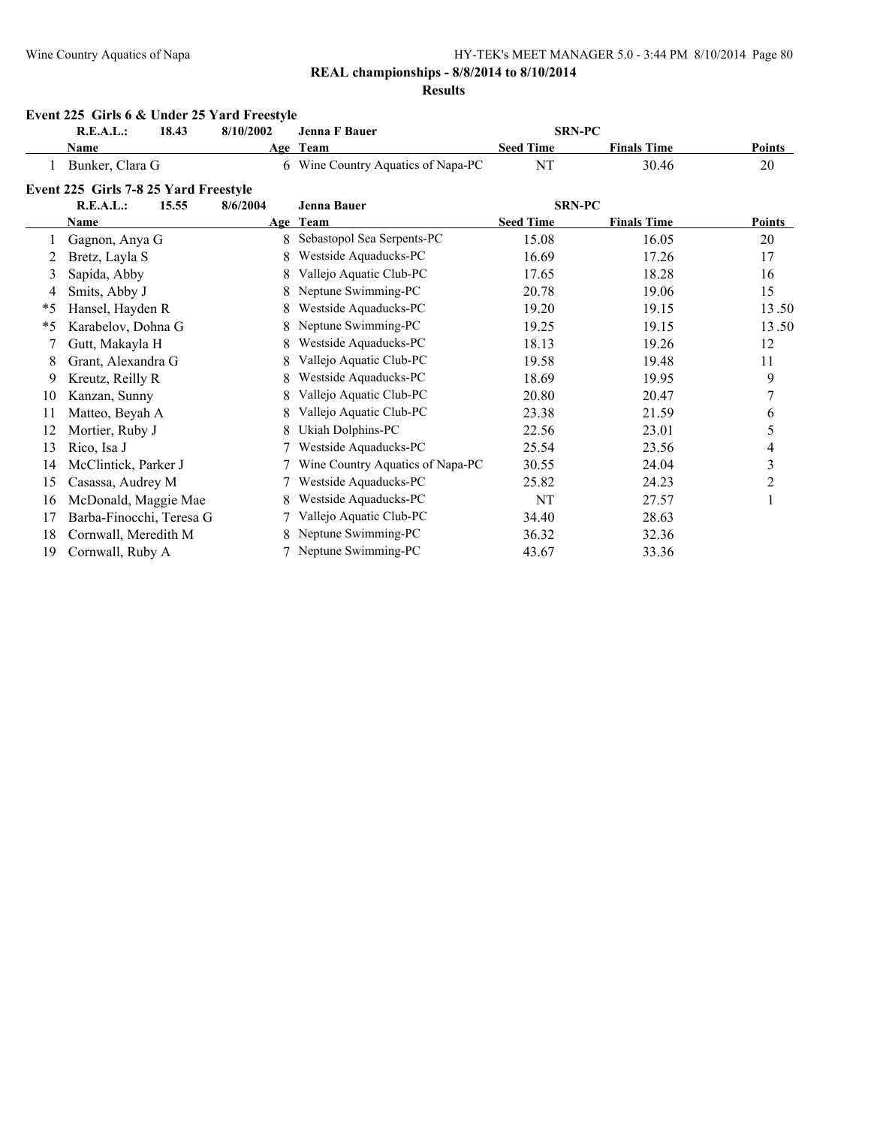# **REAL championships - 8/8/2014 to 8/10/2014**

#### **Results**

|         | Event 225 Girls 6 & Under 25 Yard Freestyle |           |                                    |                  |                    |                         |
|---------|---------------------------------------------|-----------|------------------------------------|------------------|--------------------|-------------------------|
|         | R.E.A.L.:<br>18.43                          | 8/10/2002 | <b>Jenna F Bauer</b>               | <b>SRN-PC</b>    |                    |                         |
|         | <b>Name</b>                                 |           | Age Team                           | <b>Seed Time</b> | <b>Finals Time</b> | <b>Points</b>           |
|         | Bunker, Clara G                             |           | 6 Wine Country Aquatics of Napa-PC | NT               | 30.46              | 20                      |
|         | Event 225 Girls 7-8 25 Yard Freestyle       |           |                                    |                  |                    |                         |
|         | <b>R.E.A.L.:</b><br>15.55                   | 8/6/2004  | <b>Jenna Bauer</b>                 | <b>SRN-PC</b>    |                    |                         |
|         | Name                                        |           | Age Team                           | <b>Seed Time</b> | <b>Finals Time</b> | <b>Points</b>           |
|         | Gagnon, Anya G                              | 8         | Sebastopol Sea Serpents-PC         | 15.08            | 16.05              | 20                      |
| 2       | Bretz, Layla S                              | 8         | Westside Aquaducks-PC              | 16.69            | 17.26              | 17                      |
| 3       | Sapida, Abby                                | 8         | Vallejo Aquatic Club-PC            | 17.65            | 18.28              | 16                      |
| 4       | Smits, Abby J                               | 8         | Neptune Swimming-PC                | 20.78            | 19.06              | 15                      |
| $*_{5}$ | Hansel, Hayden R                            | 8         | Westside Aquaducks-PC              | 19.20            | 19.15              | 13.50                   |
| $*_{5}$ | Karabelov, Dohna G                          | 8         | Neptune Swimming-PC                | 19.25            | 19.15              | 13.50                   |
| 7       | Gutt, Makayla H                             |           | Westside Aquaducks-PC              | 18.13            | 19.26              | 12                      |
| 8       | Grant, Alexandra G                          | 8         | Vallejo Aquatic Club-PC            | 19.58            | 19.48              | 11                      |
| 9       | Kreutz, Reilly R                            | 8         | Westside Aquaducks-PC              | 18.69            | 19.95              | 9                       |
| 10      | Kanzan, Sunny                               | 8         | Vallejo Aquatic Club-PC            | 20.80            | 20.47              | 7                       |
| 11      | Matteo, Beyah A                             |           | Vallejo Aquatic Club-PC            | 23.38            | 21.59              | 6                       |
| 12      | Mortier, Ruby J                             | 8         | Ukiah Dolphins-PC                  | 22.56            | 23.01              | 5                       |
| 13      | Rico, Isa J                                 |           | Westside Aquaducks-PC              | 25.54            | 23.56              | 4                       |
| 14      | McClintick, Parker J                        |           | Wine Country Aquatics of Napa-PC   | 30.55            | 24.04              | $\overline{\mathbf{3}}$ |
| 15      | Casassa, Audrey M                           |           | Westside Aquaducks-PC              | 25.82            | 24.23              | $\overline{c}$          |
| 16      | McDonald, Maggie Mae                        |           | Westside Aquaducks-PC              | NT               | 27.57              |                         |
| 17      | Barba-Finocchi, Teresa G                    |           | Vallejo Aquatic Club-PC            | 34.40            | 28.63              |                         |
| 18      | Cornwall, Meredith M                        |           | Neptune Swimming-PC                | 36.32            | 32.36              |                         |
| 19      | Cornwall, Ruby A                            |           | 7 Neptune Swimming-PC              | 43.67            | 33.36              |                         |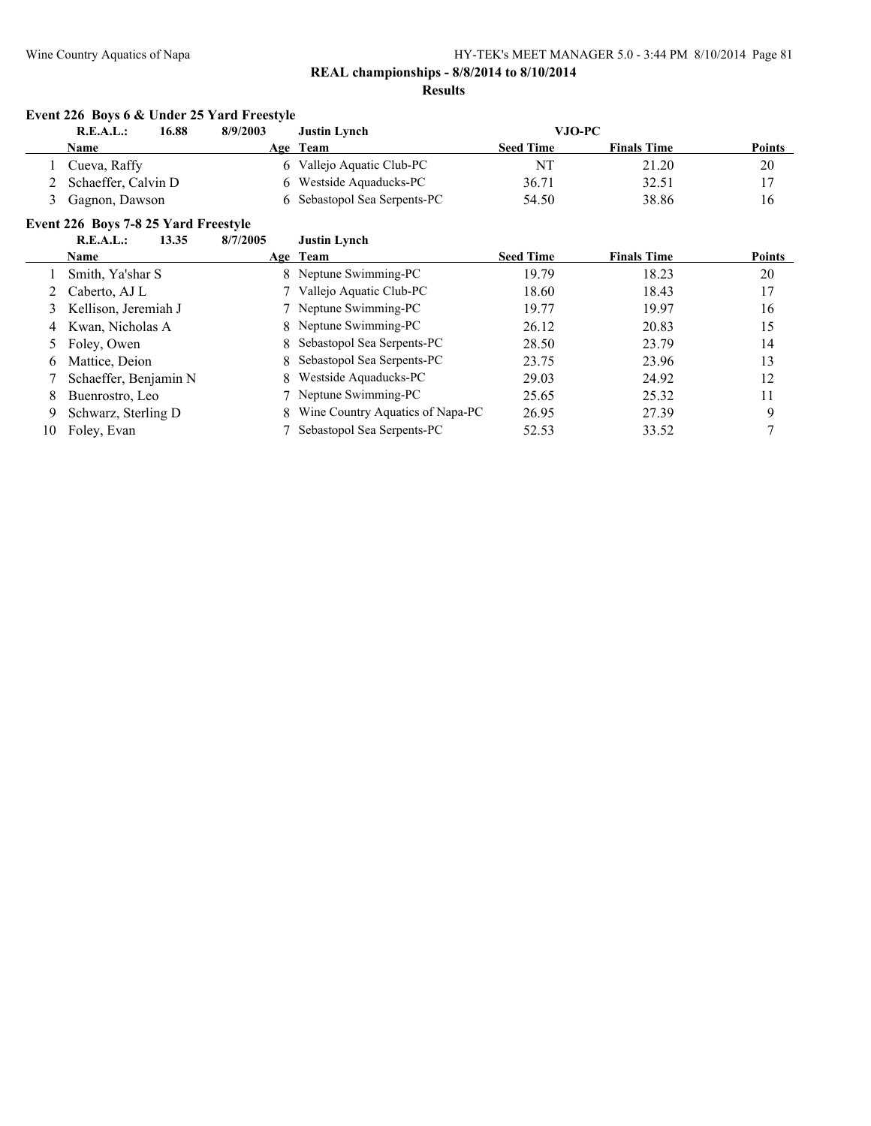### **REAL championships - 8/8/2014 to 8/10/2014 Results**

# **Event 226 Boys 6 & Under 25 Yard Freestyle**

| 16.88<br>R.E.A.L.:  | 8/9/2003 | <b>Justin Lynch</b>          | VJO-PC           |                    |               |
|---------------------|----------|------------------------------|------------------|--------------------|---------------|
| <b>Name</b>         | Age      | Team                         | <b>Seed Time</b> | <b>Finals Time</b> | <b>Points</b> |
| Cueva, Raffy        |          | Vallejo Aquatic Club-PC      | NT               | 21.20              | 20            |
| Schaeffer, Calvin D |          | 6 Westside Aquaducks-PC      | 36.71            | 32.51              |               |
| Gagnon, Dawson      |          | 6 Sebastopol Sea Serpents-PC | 54.50            | 38.86              | 16            |

# **Event 226 Boys 7-8 25 Yard Freestyle**

 $\overline{a}$ 

|    | R.E.A.L.:<br>13.35    | 8/7/2005 | <b>Justin Lynch</b>                |                  |                    |               |
|----|-----------------------|----------|------------------------------------|------------------|--------------------|---------------|
|    | <b>Name</b>           |          | Age Team                           | <b>Seed Time</b> | <b>Finals Time</b> | <b>Points</b> |
|    | Smith, Ya'shar S      |          | 8 Neptune Swimming-PC              | 19.79            | 18.23              | 20            |
|    | Caberto, AJ L         |          | 7 Vallejo Aquatic Club-PC          | 18.60            | 18.43              | 17            |
| 3  | Kellison, Jeremiah J  |          | 7 Neptune Swimming-PC              | 19.77            | 19.97              | 16            |
|    | 4 Kwan, Nicholas A    |          | 8 Neptune Swimming-PC              | 26.12            | 20.83              | 15            |
|    | Foley, Owen           |          | 8 Sebastopol Sea Serpents-PC       | 28.50            | 23.79              | 14            |
| 6  | Mattice, Deion        |          | 8 Sebastopol Sea Serpents-PC       | 23.75            | 23.96              | 13            |
|    | Schaeffer, Benjamin N |          | 8 Westside Aquaducks-PC            | 29.03            | 24.92              | 12            |
| 8  | Buenrostro, Leo       |          | 7 Neptune Swimming-PC              | 25.65            | 25.32              | 11            |
| 9. | Schwarz, Sterling D   |          | 8 Wine Country Aquatics of Napa-PC | 26.95            | 27.39              | 9             |
| 10 | Foley, Evan           |          | Sebastopol Sea Serpents-PC         | 52.53            | 33.52              |               |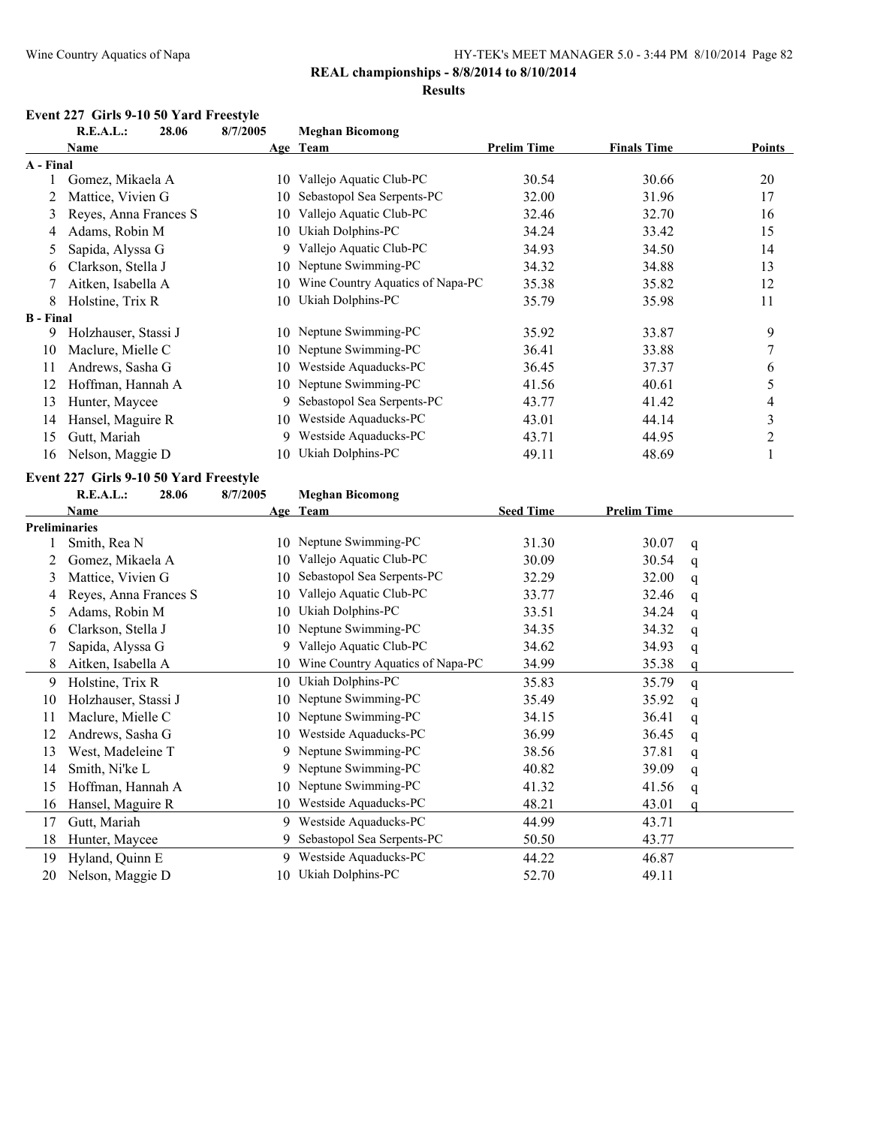#### **Results**

# **Event 227 Girls 9-10 50 Yard Freestyle**<br>**P.F.A.L.** 28.06 8/7/2005

|                  | R.E.A.L.:                              | 28.06 | 8/7/2005 | <b>Meghan Bicomong</b>           |                    |                    |               |
|------------------|----------------------------------------|-------|----------|----------------------------------|--------------------|--------------------|---------------|
|                  | Name                                   |       |          | Age Team                         | <b>Prelim Time</b> | <b>Finals Time</b> | <b>Points</b> |
| A - Final        |                                        |       |          |                                  |                    |                    |               |
|                  | Gomez, Mikaela A                       |       | 10       | Vallejo Aquatic Club-PC          | 30.54              | 30.66              | 20            |
| 2                | Mattice, Vivien G                      |       | 10       | Sebastopol Sea Serpents-PC       | 32.00              | 31.96              | 17            |
| 3                | Reyes, Anna Frances S                  |       | 10       | Vallejo Aquatic Club-PC          | 32.46              | 32.70              | 16            |
| 4                | Adams, Robin M                         |       | 10       | Ukiah Dolphins-PC                | 34.24              | 33.42              | 15            |
| 5.               | Sapida, Alyssa G                       |       |          | 9 Vallejo Aquatic Club-PC        | 34.93              | 34.50              | 14            |
| 6                | Clarkson, Stella J                     |       | 10       | Neptune Swimming-PC              | 34.32              | 34.88              | 13            |
|                  | Aitken, Isabella A                     |       | 10       | Wine Country Aquatics of Napa-PC | 35.38              | 35.82              | 12            |
| 8                | Holstine, Trix R                       |       | 10       | Ukiah Dolphins-PC                | 35.79              | 35.98              | 11            |
| <b>B</b> - Final |                                        |       |          |                                  |                    |                    |               |
| 9                | Holzhauser, Stassi J                   |       |          | 10 Neptune Swimming-PC           | 35.92              | 33.87              | 9             |
| 10               | Maclure, Mielle C                      |       |          | 10 Neptune Swimming-PC           | 36.41              | 33.88              | 7             |
| 11               | Andrews, Sasha G                       |       | 10       | Westside Aquaducks-PC            | 36.45              | 37.37              | 6             |
| 12               | Hoffman, Hannah A                      |       | 10       | Neptune Swimming-PC              | 41.56              | 40.61              | 5             |
| 13               | Hunter, Maycee                         |       | 9        | Sebastopol Sea Serpents-PC       | 43.77              | 41.42              | 4             |
| 14               | Hansel, Maguire R                      |       | 10       | Westside Aquaducks-PC            | 43.01              | 44.14              | 3             |
| 15               | Gutt, Mariah                           |       | 9        | Westside Aquaducks-PC            | 43.71              | 44.95              | 2             |
| 16               | Nelson, Maggie D                       |       | 10       | Ukiah Dolphins-PC                | 49.11              | 48.69              |               |
|                  | Event 227 Girls 9-10 50 Yard Freestyle |       |          |                                  |                    |                    |               |
|                  | R.E.A.I                                | 28.06 | 8/7/2005 | Meghan Bicomong                  |                    |                    |               |

|    | 11.L.C.I.L.<br>20.00  | 0.11400J | висенан прошоне                  |                  |                    |   |
|----|-----------------------|----------|----------------------------------|------------------|--------------------|---|
|    | Name                  |          | Age Team                         | <b>Seed Time</b> | <b>Prelim Time</b> |   |
|    | <b>Preliminaries</b>  |          |                                  |                  |                    |   |
|    | Smith, Rea N          |          | 10 Neptune Swimming-PC           | 31.30            | 30.07              | q |
| 2  | Gomez, Mikaela A      | 10       | Vallejo Aquatic Club-PC          | 30.09            | 30.54              | q |
| 3  | Mattice, Vivien G     | 10       | Sebastopol Sea Serpents-PC       | 32.29            | 32.00              | q |
|    | Reyes, Anna Frances S | 10       | Vallejo Aquatic Club-PC          | 33.77            | 32.46              | q |
| 5. | Adams, Robin M        | 10       | Ukiah Dolphins-PC                | 33.51            | 34.24              | q |
| 6  | Clarkson, Stella J    |          | 10 Neptune Swimming-PC           | 34.35            | 34.32              | q |
|    | Sapida, Alyssa G      | 9.       | Vallejo Aquatic Club-PC          | 34.62            | 34.93              | q |
| 8  | Aitken, Isabella A    | 10       | Wine Country Aquatics of Napa-PC | 34.99            | 35.38              | a |
| 9  | Holstine, Trix R      | 10       | Ukiah Dolphins-PC                | 35.83            | 35.79              | q |
| 10 | Holzhauser, Stassi J  |          | 10 Neptune Swimming-PC           | 35.49            | 35.92              | q |
| 11 | Maclure, Mielle C     | 10.      | Neptune Swimming-PC              | 34.15            | 36.41              | q |
| 12 | Andrews, Sasha G      | 10       | Westside Aquaducks-PC            | 36.99            | 36.45              | q |
| 13 | West, Madeleine T     |          | 9 Neptune Swimming-PC            | 38.56            | 37.81              | q |
| 14 | Smith, Ni'ke L        |          | 9 Neptune Swimming-PC            | 40.82            | 39.09              | q |
| 15 | Hoffman, Hannah A     |          | 10 Neptune Swimming-PC           | 41.32            | 41.56              | q |
| 16 | Hansel, Maguire R     | 10       | Westside Aquaducks-PC            | 48.21            | 43.01              |   |
| 17 | Gutt, Mariah          | 9.       | Westside Aquaducks-PC            | 44.99            | 43.71              |   |
| 18 | Hunter, Maycee        | 9        | Sebastopol Sea Serpents-PC       | 50.50            | 43.77              |   |
| 19 | Hyland, Quinn E       | 9        | Westside Aquaducks-PC            | 44.22            | 46.87              |   |
| 20 | Nelson, Maggie D      | 10       | Ukiah Dolphins-PC                | 52.70            | 49.11              |   |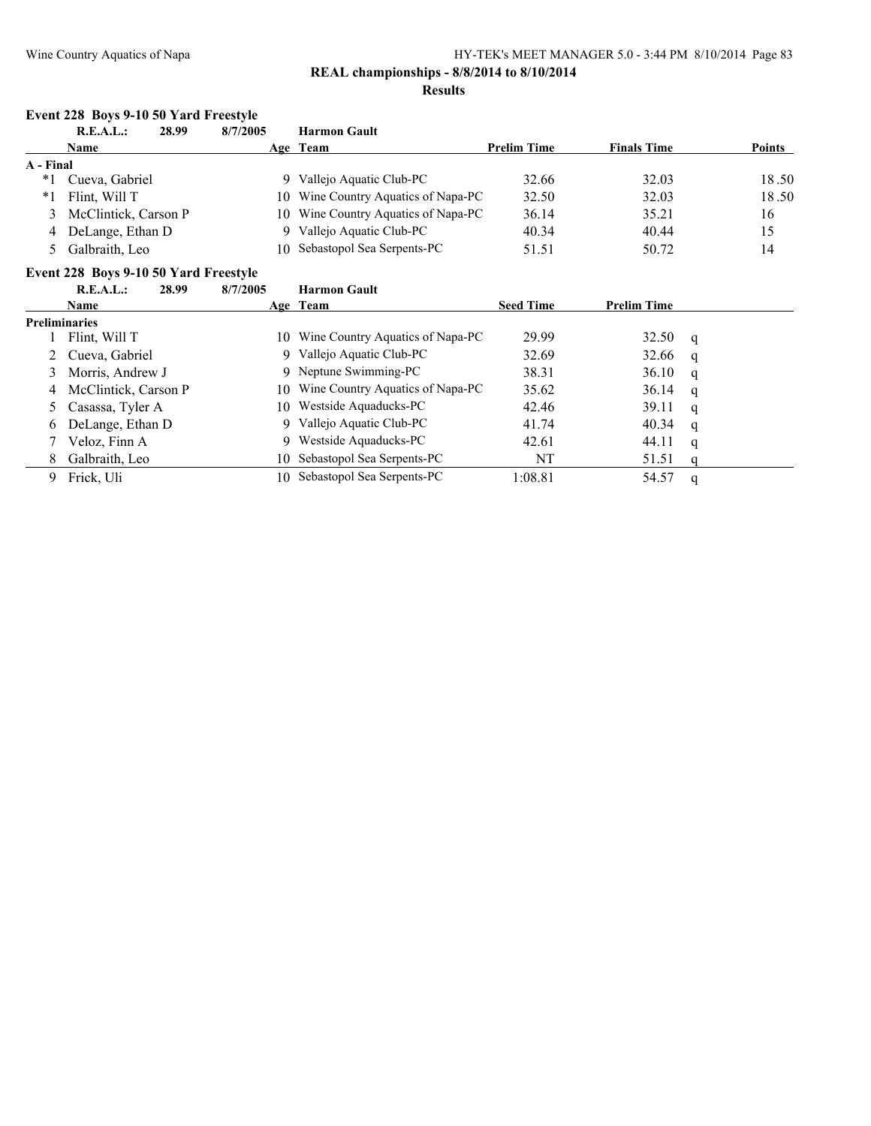# **REAL championships - 8/8/2014 to 8/10/2014**

#### **Results**

# **Event 228 Boys 9-10 50 Yard Freestyle**

|           | R.E.A.L.:<br>28.99   | 8/7/2005 | <b>Harmon Gault</b>                 |                    |                    |        |
|-----------|----------------------|----------|-------------------------------------|--------------------|--------------------|--------|
|           | <b>Name</b>          |          | Age Team                            | <b>Prelim Time</b> | <b>Finals Time</b> | Points |
| A - Final |                      |          |                                     |                    |                    |        |
| *1        | Cueva, Gabriel       | 9.       | Vallejo Aquatic Club-PC             | 32.66              | 32.03              | 18.50  |
| *1        | Flint. Will T        |          | 10 Wine Country Aquatics of Napa-PC | 32.50              | 32.03              | 18.50  |
| 3         | McClintick, Carson P |          | 10 Wine Country Aquatics of Napa-PC | 36.14              | 35.21              | 16     |
|           | 4 DeLange, Ethan D   | 9.       | Vallejo Aquatic Club-PC             | 40.34              | 40.44              | 15     |
|           | Galbraith, Leo       |          | 10 Sebastopol Sea Serpents-PC       | 51.51              | 50.72              | 14     |

# **Event 228 Boys 9-10 50 Yard Freestyle**

|   | R.E.A.L.:              | 28.99 | 8/7/2005 | <b>Harmon Gault</b>                 |                  |                    |   |
|---|------------------------|-------|----------|-------------------------------------|------------------|--------------------|---|
|   | Name                   |       |          | Age Team                            | <b>Seed Time</b> | <b>Prelim Time</b> |   |
|   | <b>Preliminaries</b>   |       |          |                                     |                  |                    |   |
|   | Flint, Will T          |       |          | 10 Wine Country Aquatics of Napa-PC | 29.99            | 32.50              | q |
|   | 2 Cueva, Gabriel       |       | 9.       | Vallejo Aquatic Club-PC             | 32.69            | 32.66              | q |
| 3 | Morris, Andrew J       |       |          | 9 Neptune Swimming-PC               | 38.31            | 36.10              | q |
|   | 4 McClintick, Carson P |       |          | 10 Wine Country Aquatics of Napa-PC | 35.62            | 36.14              | q |
|   | 5 Casassa, Tyler A     |       |          | 10 Westside Aquaducks-PC            | 42.46            | 39.11              | q |
| 6 | DeLange, Ethan D       |       | 9        | Vallejo Aquatic Club-PC             | 41.74            | 40.34              | q |
|   | Veloz, Finn A          |       |          | 9 Westside Aquaducks-PC             | 42.61            | 44.11              | q |
| 8 | Galbraith, Leo         |       |          | 10 Sebastopol Sea Serpents-PC       | NT               | 51.51              |   |
| 9 | Frick, Uli             |       |          | 10 Sebastopol Sea Serpents-PC       | 1:08.81          | 54.57              | q |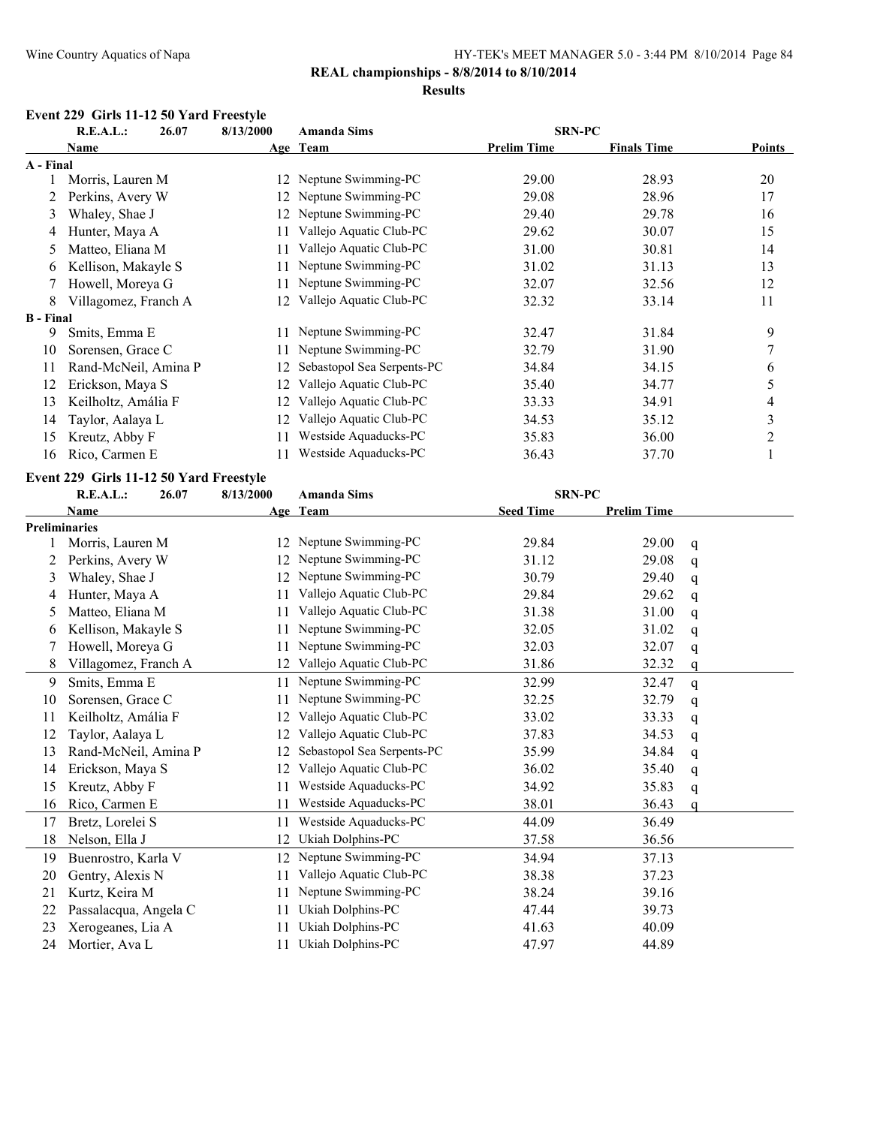# **REAL championships - 8/8/2014 to 8/10/2014**

# **Results**

# **Event 229 Girls 11-12 50 Yard Freestyle**

|                  | R.E.A.L.:<br>26.07   | 8/13/2000 | <b>Amanda Sims</b>         | <b>SRN-PC</b>      |                    |                |
|------------------|----------------------|-----------|----------------------------|--------------------|--------------------|----------------|
|                  | Name                 |           | Age Team                   | <b>Prelim Time</b> | <b>Finals Time</b> | <b>Points</b>  |
| A - Final        |                      |           |                            |                    |                    |                |
|                  | Morris, Lauren M     | 12        | Neptune Swimming-PC        | 29.00              | 28.93              | 20             |
|                  | Perkins, Avery W     | 12        | Neptune Swimming-PC        | 29.08              | 28.96              | 17             |
| 3                | Whaley, Shae J       | 12        | Neptune Swimming-PC        | 29.40              | 29.78              | 16             |
| 4                | Hunter, Maya A       | 11        | Vallejo Aquatic Club-PC    | 29.62              | 30.07              | 15             |
| 5.               | Matteo, Eliana M     | 11        | Vallejo Aquatic Club-PC    | 31.00              | 30.81              | 14             |
| 6                | Kellison, Makayle S  |           | Neptune Swimming-PC        | 31.02              | 31.13              | 13             |
|                  | Howell, Moreya G     |           | Neptune Swimming-PC        | 32.07              | 32.56              | 12             |
| 8                | Villagomez, Franch A | 12        | Vallejo Aquatic Club-PC    | 32.32              | 33.14              | 11             |
| <b>B</b> - Final |                      |           |                            |                    |                    |                |
| 9                | Smits, Emma E        |           | Neptune Swimming-PC        | 32.47              | 31.84              | 9              |
| 10               | Sorensen, Grace C    |           | Neptune Swimming-PC        | 32.79              | 31.90              | 7              |
| 11               | Rand-McNeil, Amina P |           | Sebastopol Sea Serpents-PC | 34.84              | 34.15              | 6              |
| 12               | Erickson, Maya S     | 12        | Vallejo Aquatic Club-PC    | 35.40              | 34.77              | 5              |
| 13               | Keilholtz, Amália F  | 12        | Vallejo Aquatic Club-PC    | 33.33              | 34.91              | 4              |
| 14               | Taylor, Aalaya L     | 12        | Vallejo Aquatic Club-PC    | 34.53              | 35.12              | 3              |
| 15               | Kreutz, Abby F       |           | Westside Aquaducks-PC      | 35.83              | 36.00              | $\overline{2}$ |
| 16               | Rico, Carmen E       |           | Westside Aquaducks-PC      | 36.43              | 37.70              |                |

# **Event 229 Girls 11-12 50 Yard Freestyle**

|    | R.E.A.L.:             | 26.07 | 8/13/2000 | <b>Amanda Sims</b>         | <b>SRN-PC</b>    |                    |   |
|----|-----------------------|-------|-----------|----------------------------|------------------|--------------------|---|
|    | Name                  |       |           | Age Team                   | <b>Seed Time</b> | <b>Prelim Time</b> |   |
|    | <b>Preliminaries</b>  |       |           |                            |                  |                    |   |
|    | Morris, Lauren M      |       | 12        | Neptune Swimming-PC        | 29.84            | 29.00              | q |
| 2  | Perkins, Avery W      |       | 12        | Neptune Swimming-PC        | 31.12            | 29.08              | q |
| 3  | Whaley, Shae J        |       | 12        | Neptune Swimming-PC        | 30.79            | 29.40              | q |
| 4  | Hunter, Maya A        |       | 11        | Vallejo Aquatic Club-PC    | 29.84            | 29.62              | q |
| 5  | Matteo, Eliana M      |       | 11        | Vallejo Aquatic Club-PC    | 31.38            | 31.00              | q |
| 6  | Kellison, Makayle S   |       | 11        | Neptune Swimming-PC        | 32.05            | 31.02              | q |
|    | Howell, Moreya G      |       | 11        | Neptune Swimming-PC        | 32.03            | 32.07              | q |
| 8  | Villagomez, Franch A  |       | 12        | Vallejo Aquatic Club-PC    | 31.86            | 32.32              | q |
| 9  | Smits, Emma E         |       | 11        | Neptune Swimming-PC        | 32.99            | 32.47              | q |
| 10 | Sorensen, Grace C     |       | 11        | Neptune Swimming-PC        | 32.25            | 32.79              | q |
| 11 | Keilholtz, Amália F   |       | 12        | Vallejo Aquatic Club-PC    | 33.02            | 33.33              | q |
| 12 | Taylor, Aalaya L      |       | 12        | Vallejo Aquatic Club-PC    | 37.83            | 34.53              | q |
| 13 | Rand-McNeil, Amina P  |       | 12        | Sebastopol Sea Serpents-PC | 35.99            | 34.84              | q |
| 14 | Erickson, Maya S      |       | 12        | Vallejo Aquatic Club-PC    | 36.02            | 35.40              | q |
| 15 | Kreutz, Abby F        |       | 11        | Westside Aquaducks-PC      | 34.92            | 35.83              | q |
| 16 | Rico, Carmen E        |       | 11        | Westside Aquaducks-PC      | 38.01            | 36.43              | a |
| 17 | Bretz, Lorelei S      |       | 11        | Westside Aquaducks-PC      | 44.09            | 36.49              |   |
| 18 | Nelson, Ella J        |       | 12        | Ukiah Dolphins-PC          | 37.58            | 36.56              |   |
| 19 | Buenrostro, Karla V   |       | 12        | Neptune Swimming-PC        | 34.94            | 37.13              |   |
| 20 | Gentry, Alexis N      |       | 11        | Vallejo Aquatic Club-PC    | 38.38            | 37.23              |   |
| 21 | Kurtz, Keira M        |       | 11        | Neptune Swimming-PC        | 38.24            | 39.16              |   |
| 22 | Passalacqua, Angela C |       | 11        | Ukiah Dolphins-PC          | 47.44            | 39.73              |   |
| 23 | Xerogeanes, Lia A     |       |           | Ukiah Dolphins-PC          | 41.63            | 40.09              |   |
| 24 | Mortier, Ava L        |       | 11        | Ukiah Dolphins-PC          | 47.97            | 44.89              |   |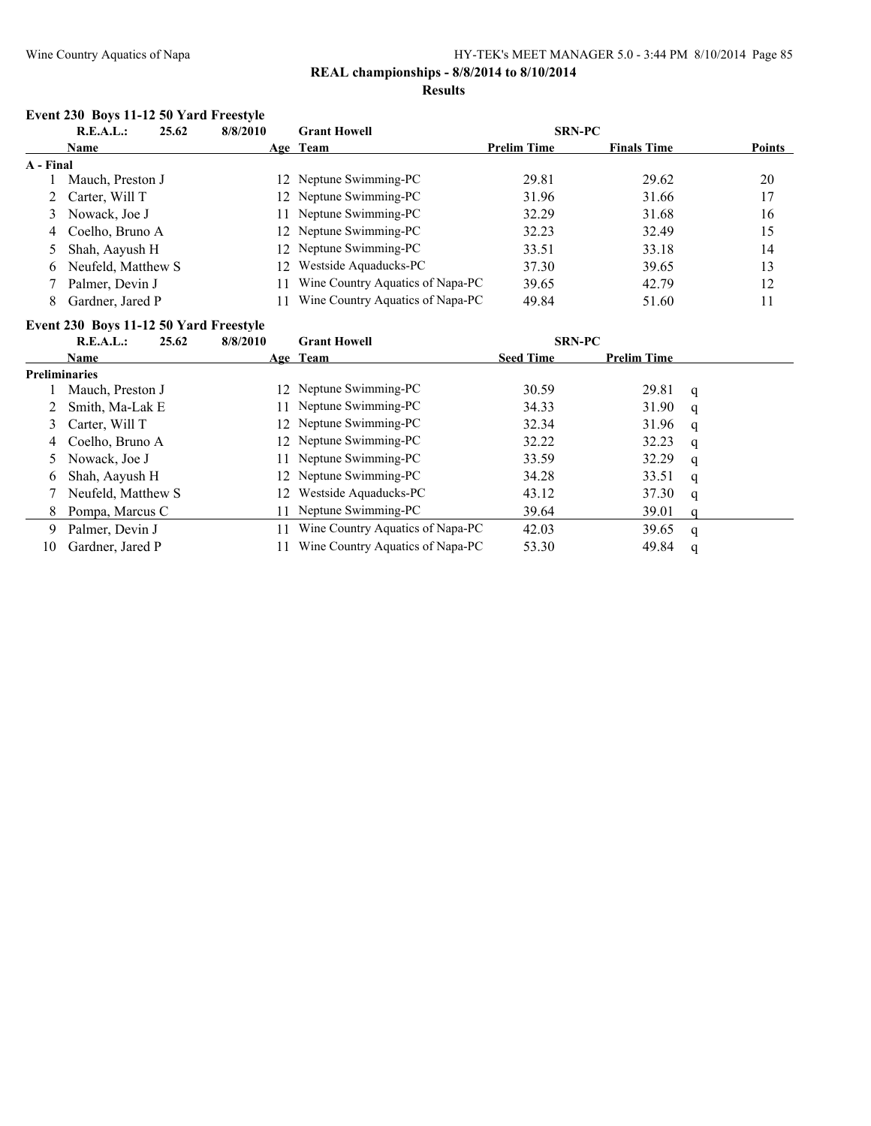# **REAL championships - 8/8/2014 to 8/10/2014**

### **Results**

# **Event 230 Boys 11-12 50 Yard Freestyle**

| R.E.A.L.:        | 8/8/2010                                                                                        | <b>Grant Howell</b>         |                                                                                                                        |                                                                      |               |
|------------------|-------------------------------------------------------------------------------------------------|-----------------------------|------------------------------------------------------------------------------------------------------------------------|----------------------------------------------------------------------|---------------|
| <b>Name</b>      |                                                                                                 |                             | <b>Prelim Time</b>                                                                                                     | <b>Finals Time</b>                                                   | <b>Points</b> |
|                  |                                                                                                 |                             |                                                                                                                        |                                                                      |               |
| Mauch, Preston J |                                                                                                 |                             | 29.81                                                                                                                  | 29.62                                                                | 20            |
|                  |                                                                                                 |                             | 31.96                                                                                                                  | 31.66                                                                | 17            |
|                  |                                                                                                 | Neptune Swimming-PC         | 32.29                                                                                                                  | 31.68                                                                | 16            |
|                  |                                                                                                 |                             | 32.23                                                                                                                  | 32.49                                                                | 15            |
|                  |                                                                                                 |                             | 33.51                                                                                                                  | 33.18                                                                | 14            |
|                  | 12 <sup>2</sup>                                                                                 | Westside Aquaducks-PC       | 37.30                                                                                                                  | 39.65                                                                | 13            |
| Palmer, Devin J  |                                                                                                 |                             | 39.65                                                                                                                  | 42.79                                                                | 12            |
| Gardner, Jared P |                                                                                                 |                             | 49.84                                                                                                                  | 51.60                                                                | 11            |
|                  | A - Final<br>2 Carter, Will T<br>3 Nowack, Joe J<br>4 Coelho, Bruno A<br>5 Shah, Aayush H<br>6. | 25.62<br>Neufeld, Matthew S | Age Team<br>12 Neptune Swimming-PC<br>12 Neptune Swimming-PC<br>11<br>12 Neptune Swimming-PC<br>12 Neptune Swimming-PC | Wine Country Aquatics of Napa-PC<br>Wine Country Aquatics of Napa-PC | <b>SRN-PC</b> |

# **Event 230 Boys 11-12 50 Yard Freestyle**

|    | R.E.A.L.:            | 25.62 | 8/8/2010 | <b>Grant Howell</b>              | <b>SRN-PC</b>    |                    |   |  |
|----|----------------------|-------|----------|----------------------------------|------------------|--------------------|---|--|
|    | <b>Name</b>          |       |          | Age Team                         | <b>Seed Time</b> | <b>Prelim Time</b> |   |  |
|    | <b>Preliminaries</b> |       |          |                                  |                  |                    |   |  |
|    | Mauch, Preston J     |       |          | 12 Neptune Swimming-PC           | 30.59            | 29.81              | q |  |
|    | Smith, Ma-Lak E      |       |          | 11 Neptune Swimming-PC           | 34.33            | 31.90              | q |  |
| 3  | Carter, Will T       |       |          | 12 Neptune Swimming-PC           | 32.34            | 31.96              | q |  |
| 4  | Coelho, Bruno A      |       |          | 12 Neptune Swimming-PC           | 32.22            | 32.23              | q |  |
|    | Nowack, Joe J        |       |          | 11 Neptune Swimming-PC           | 33.59            | 32.29              | q |  |
| b  | Shah, Aayush H       |       |          | 12 Neptune Swimming-PC           | 34.28            | 33.51              | q |  |
|    | Neufeld, Matthew S   |       | 12       | Westside Aquaducks-PC            | 43.12            | 37.30              | q |  |
| 8  | Pompa, Marcus C      |       | 11.      | Neptune Swimming-PC              | 39.64            | 39.01              |   |  |
| 9  | Palmer, Devin J      |       |          | Wine Country Aquatics of Napa-PC | 42.03            | 39.65              | q |  |
| 10 | Gardner, Jared P     |       |          | Wine Country Aquatics of Napa-PC | 53.30            | 49.84              |   |  |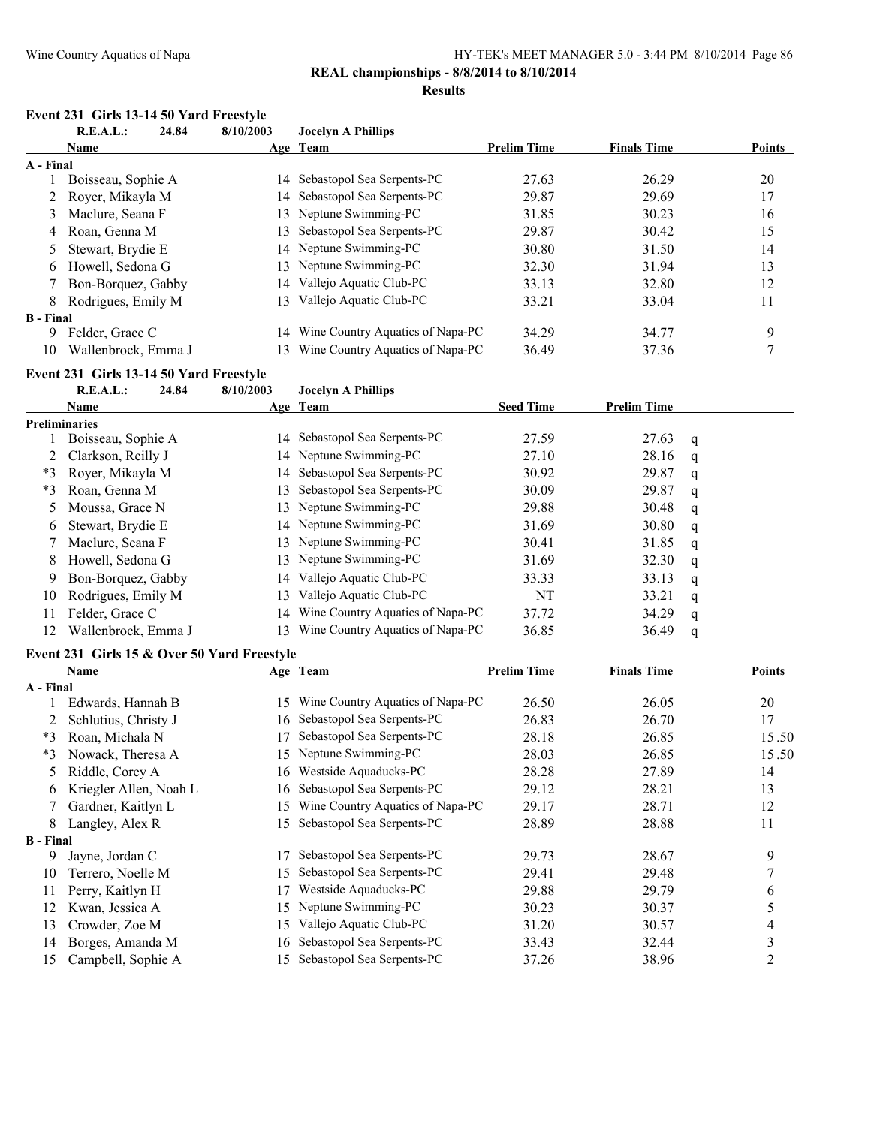# **REAL championships - 8/8/2014 to 8/10/2014**

#### **Results**

# **Event 231 Girls 13-14 50 Yard Freestyle**<br>R E A L : 24 84 8/10/2003

|                  | $\mathfrak{m}$ $\mathfrak{z}$ and $\mathfrak{z}$ and $\mathfrak{z}$ and $\mathfrak{z}$ and $\mathfrak{z}$ and $\mathfrak{z}$ and $\mathfrak{z}$<br><b>R.E.A.L.:</b><br>24.84 | 8/10/2003 | <b>Jocelyn A Phillips</b>           |                    |                    |   |                |
|------------------|------------------------------------------------------------------------------------------------------------------------------------------------------------------------------|-----------|-------------------------------------|--------------------|--------------------|---|----------------|
|                  | Name                                                                                                                                                                         |           | Age Team                            | <b>Prelim Time</b> | <b>Finals Time</b> |   | Points         |
| A - Final        |                                                                                                                                                                              |           |                                     |                    |                    |   |                |
| 1                | Boisseau, Sophie A                                                                                                                                                           |           | 14 Sebastopol Sea Serpents-PC       | 27.63              | 26.29              |   | 20             |
| 2                | Royer, Mikayla M                                                                                                                                                             |           | 14 Sebastopol Sea Serpents-PC       | 29.87              | 29.69              |   | 17             |
| 3                | Maclure, Seana F                                                                                                                                                             |           | 13 Neptune Swimming-PC              | 31.85              | 30.23              |   | 16             |
| 4                | Roan, Genna M                                                                                                                                                                | 13        | Sebastopol Sea Serpents-PC          | 29.87              | 30.42              |   | 15             |
| 5                | Stewart, Brydie E                                                                                                                                                            |           | 14 Neptune Swimming-PC              | 30.80              | 31.50              |   | 14             |
| 6                | Howell, Sedona G                                                                                                                                                             | 13        | Neptune Swimming-PC                 | 32.30              | 31.94              |   | 13             |
| 7                | Bon-Borquez, Gabby                                                                                                                                                           |           | 14 Vallejo Aquatic Club-PC          | 33.13              | 32.80              |   | 12             |
| 8                | Rodrigues, Emily M                                                                                                                                                           |           | 13 Vallejo Aquatic Club-PC          | 33.21              | 33.04              |   | 11             |
| <b>B</b> - Final |                                                                                                                                                                              |           |                                     |                    |                    |   |                |
| 9                | Felder, Grace C                                                                                                                                                              |           | 14 Wine Country Aquatics of Napa-PC | 34.29              | 34.77              |   | 9              |
| 10               | Wallenbrock, Emma J                                                                                                                                                          |           | 13 Wine Country Aquatics of Napa-PC | 36.49              | 37.36              |   | 7              |
|                  |                                                                                                                                                                              |           |                                     |                    |                    |   |                |
|                  | Event 231 Girls 13-14 50 Yard Freestyle                                                                                                                                      |           |                                     |                    |                    |   |                |
|                  | <b>R.E.A.L.:</b><br>24.84                                                                                                                                                    | 8/10/2003 | <b>Jocelyn A Phillips</b>           |                    |                    |   |                |
|                  | Name                                                                                                                                                                         |           | Age Team                            | <b>Seed Time</b>   | <b>Prelim Time</b> |   |                |
|                  | <b>Preliminaries</b>                                                                                                                                                         |           | 14 Sebastopol Sea Serpents-PC       | 27.59              | 27.63              |   |                |
| 1                | Boisseau, Sophie A                                                                                                                                                           |           | 14 Neptune Swimming-PC              |                    |                    | q |                |
| 2                | Clarkson, Reilly J                                                                                                                                                           |           | Sebastopol Sea Serpents-PC          | 27.10              | 28.16              | q |                |
| $*3$             | Royer, Mikayla M                                                                                                                                                             | 14        |                                     | 30.92              | 29.87              | q |                |
| $*3$             | Roan, Genna M                                                                                                                                                                | 13        | Sebastopol Sea Serpents-PC          | 30.09              | 29.87              | q |                |
| 5                | Moussa, Grace N                                                                                                                                                              | 13        | Neptune Swimming-PC                 | 29.88              | 30.48              | q |                |
| 6                | Stewart, Brydie E                                                                                                                                                            |           | 14 Neptune Swimming-PC              | 31.69              | 30.80              | q |                |
| 7                | Maclure, Seana F                                                                                                                                                             |           | 13 Neptune Swimming-PC              | 30.41              | 31.85              | q |                |
| 8                | Howell, Sedona G                                                                                                                                                             |           | 13 Neptune Swimming-PC              | 31.69              | 32.30              | q |                |
| 9                | Bon-Borquez, Gabby                                                                                                                                                           |           | 14 Vallejo Aquatic Club-PC          | 33.33              | 33.13              | q |                |
| 10               | Rodrigues, Emily M                                                                                                                                                           |           | 13 Vallejo Aquatic Club-PC          | NT                 | 33.21              | q |                |
| 11               | Felder, Grace C                                                                                                                                                              |           | 14 Wine Country Aquatics of Napa-PC | 37.72              | 34.29              | q |                |
| 12               | Wallenbrock, Emma J                                                                                                                                                          |           | 13 Wine Country Aquatics of Napa-PC | 36.85              | 36.49              | q |                |
|                  | Event 231 Girls 15 & Over 50 Yard Freestyle                                                                                                                                  |           |                                     |                    |                    |   |                |
|                  | Name                                                                                                                                                                         |           | Age Team                            | <b>Prelim Time</b> | <b>Finals Time</b> |   | <b>Points</b>  |
| A - Final        |                                                                                                                                                                              |           |                                     |                    |                    |   |                |
| 1                | Edwards, Hannah B                                                                                                                                                            |           | 15 Wine Country Aquatics of Napa-PC | 26.50              | 26.05              |   | 20             |
| 2                | Schlutius, Christy J                                                                                                                                                         |           | 16 Sebastopol Sea Serpents-PC       | 26.83              | 26.70              |   | 17             |
| $*3$             | Roan, Michala N                                                                                                                                                              |           | 17 Sebastopol Sea Serpents-PC       | 28.18              | 26.85              |   | 15.50          |
|                  | *3 Nowack, Theresa A                                                                                                                                                         |           | 15 Neptune Swimming-PC              | 28.03              | 26.85              |   | 15.50          |
| 5                | Riddle, Corey A                                                                                                                                                              |           | 16 Westside Aquaducks-PC            | 28.28              | 27.89              |   | 14             |
| 6                | Kriegler Allen, Noah L                                                                                                                                                       | 16        | Sebastopol Sea Serpents-PC          | 29.12              | 28.21              |   | 13             |
| 7                | Gardner, Kaitlyn L                                                                                                                                                           | 15        | Wine Country Aquatics of Napa-PC    | 29.17              | 28.71              |   | 12             |
| 8                | Langley, Alex R                                                                                                                                                              | 15        | Sebastopol Sea Serpents-PC          | 28.89              | 28.88              |   | 11             |
| <b>B</b> - Final |                                                                                                                                                                              |           |                                     |                    |                    |   |                |
| 9                | Jayne, Jordan C                                                                                                                                                              | 17        | Sebastopol Sea Serpents-PC          | 29.73              | 28.67              |   | 9              |
| 10               | Terrero, Noelle M                                                                                                                                                            | 15        | Sebastopol Sea Serpents-PC          | 29.41              | 29.48              |   | 7              |
| 11               | Perry, Kaitlyn H                                                                                                                                                             | 17        | Westside Aquaducks-PC               | 29.88              | 29.79              |   | 6              |
| 12               | Kwan, Jessica A                                                                                                                                                              | 15        | Neptune Swimming-PC                 | 30.23              | 30.37              |   | 5              |
| 13               | Crowder, Zoe M                                                                                                                                                               | 15        | Vallejo Aquatic Club-PC             | 31.20              | 30.57              |   | 4              |
| 14               | Borges, Amanda M                                                                                                                                                             | 16        | Sebastopol Sea Serpents-PC          | 33.43              | 32.44              |   | 3              |
| 15               | Campbell, Sophie A                                                                                                                                                           |           | 15 Sebastopol Sea Serpents-PC       | 37.26              | 38.96              |   | $\overline{c}$ |
|                  |                                                                                                                                                                              |           |                                     |                    |                    |   |                |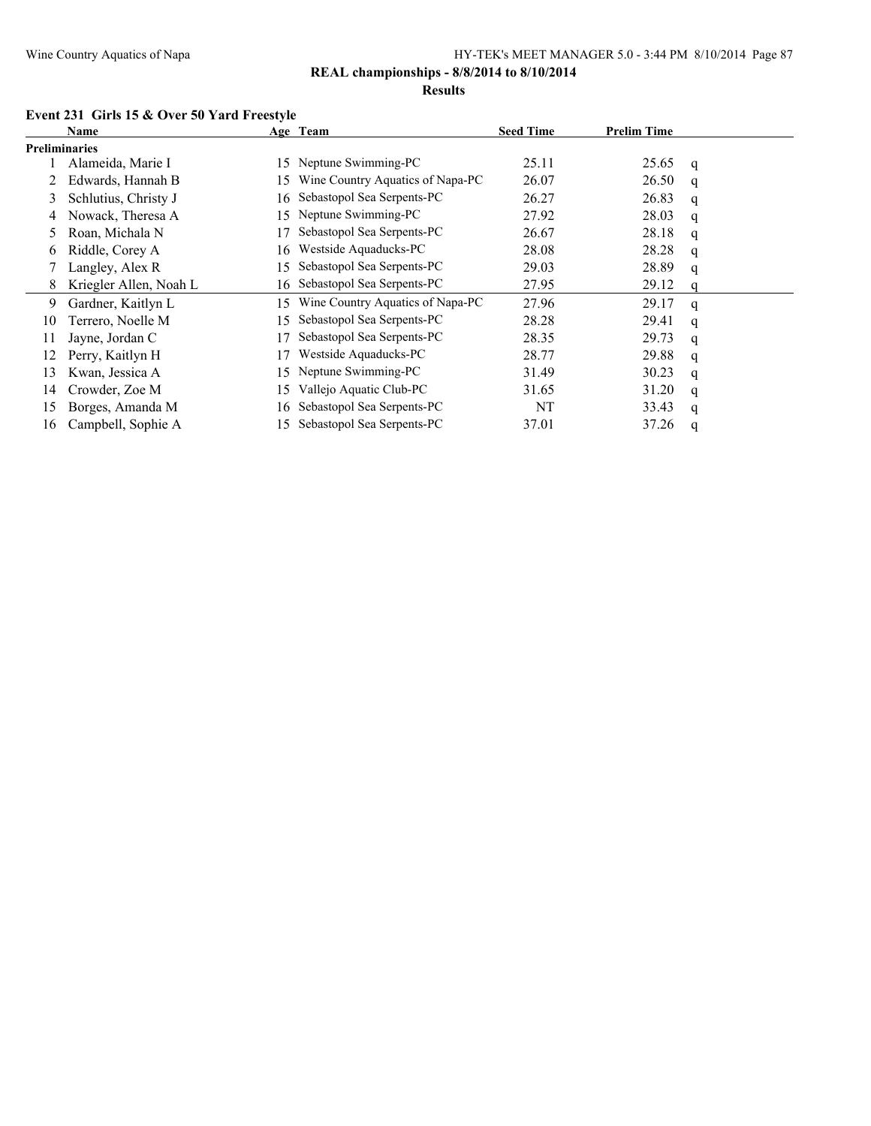#### **Results**

# **Event 231 Girls 15 & Over 50 Yard Freestyle**

|                      | Name                   |     | Age Team                         | <b>Seed Time</b> | <b>Prelim Time</b> |   |
|----------------------|------------------------|-----|----------------------------------|------------------|--------------------|---|
| <b>Preliminaries</b> |                        |     |                                  |                  |                    |   |
|                      | Alameida, Marie I      | 15. | Neptune Swimming-PC              | 25.11            | 25.65              | q |
|                      | Edwards, Hannah B      | 15. | Wine Country Aquatics of Napa-PC | 26.07            | 26.50              | q |
| 3                    | Schlutius, Christy J   | 16. | Sebastopol Sea Serpents-PC       | 26.27            | 26.83              | q |
| 4                    | Nowack, Theresa A      | 15. | Neptune Swimming-PC              | 27.92            | 28.03              | q |
|                      | Roan, Michala N        |     | Sebastopol Sea Serpents-PC       | 26.67            | 28.18              | q |
| 6                    | Riddle, Corey A        | 16  | Westside Aquaducks-PC            | 28.08            | 28.28              | q |
|                      | Langley, Alex R        | 15  | Sebastopol Sea Serpents-PC       | 29.03            | 28.89              | q |
| 8.                   | Kriegler Allen, Noah L |     | 16 Sebastopol Sea Serpents-PC    | 27.95            | 29.12              |   |
| 9                    | Gardner, Kaitlyn L     | 15. | Wine Country Aquatics of Napa-PC | 27.96            | 29.17              | q |
| 10                   | Terrero, Noelle M      | 15  | Sebastopol Sea Serpents-PC       | 28.28            | 29.41              | q |
| 11                   | Jayne, Jordan C        |     | Sebastopol Sea Serpents-PC       | 28.35            | 29.73              | q |
| 12                   | Perry, Kaitlyn H       |     | Westside Aquaducks-PC            | 28.77            | 29.88              | q |
| 13                   | Kwan, Jessica A        | 15  | Neptune Swimming-PC              | 31.49            | 30.23              | q |
| 14                   | Crowder, Zoe M         | 15  | Vallejo Aquatic Club-PC          | 31.65            | 31.20              | q |
| 15                   | Borges, Amanda M       | 16  | Sebastopol Sea Serpents-PC       | NT               | 33.43              | q |
| 16                   | Campbell, Sophie A     | 15. | Sebastopol Sea Serpents-PC       | 37.01            | 37.26              | q |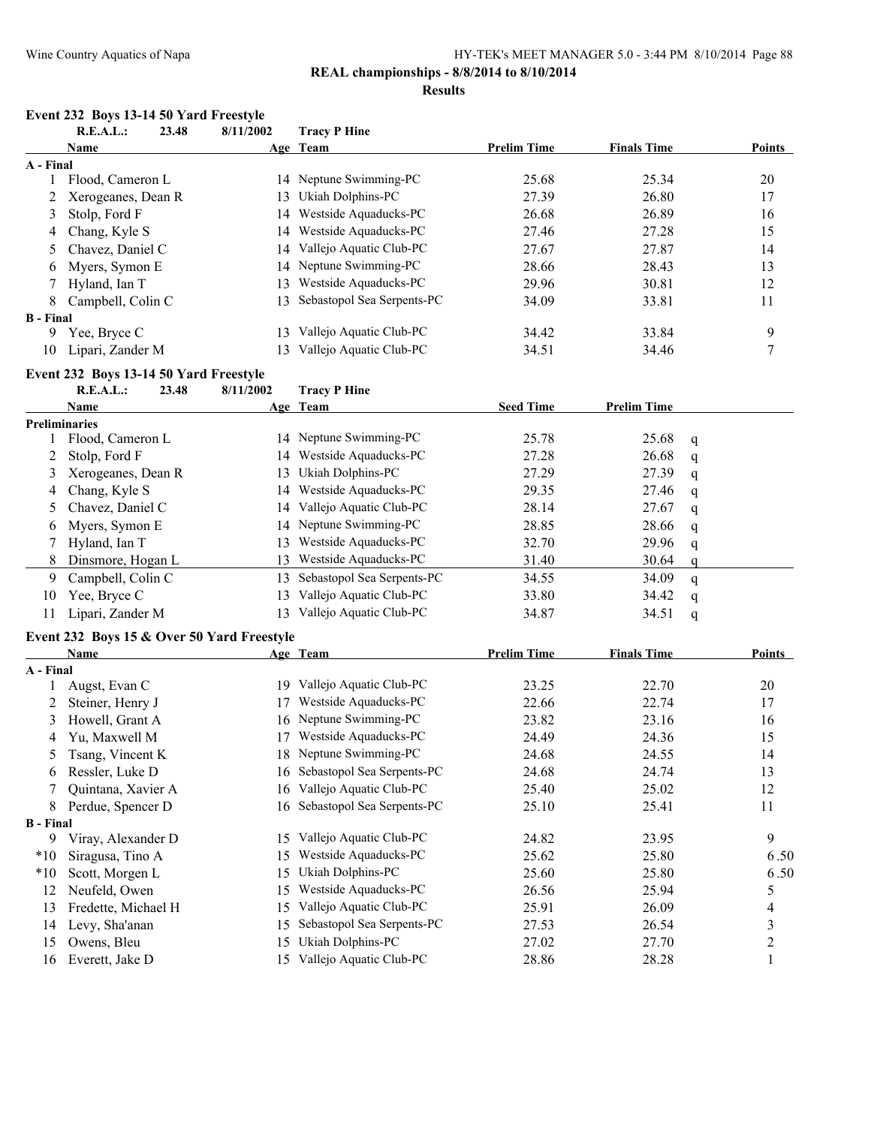# **Results**

# **Event 232 Boys 13-14 50 Yard Freestyle**

|                  | <b>R.E.A.L.:</b>                       | 23.48 | 8/11/2002 | <b>Tracy P Hine</b>        |                    |                    |              |                |
|------------------|----------------------------------------|-------|-----------|----------------------------|--------------------|--------------------|--------------|----------------|
|                  | Name                                   |       |           | Age Team                   | <b>Prelim Time</b> | <b>Finals Time</b> |              | <b>Points</b>  |
| A - Final        |                                        |       |           |                            |                    |                    |              |                |
|                  | Flood, Cameron L                       |       |           | 14 Neptune Swimming-PC     | 25.68              | 25.34              |              | 20             |
| 2                | Xerogeanes, Dean R                     |       | 13        | Ukiah Dolphins-PC          | 27.39              | 26.80              |              | 17             |
| 3                | Stolp, Ford F                          |       | 14        | Westside Aquaducks-PC      | 26.68              | 26.89              |              | 16             |
| 4                | Chang, Kyle S                          |       | 14        | Westside Aquaducks-PC      | 27.46              | 27.28              |              | 15             |
| 5                | Chavez, Daniel C                       |       | 14        | Vallejo Aquatic Club-PC    | 27.67              | 27.87              |              | 14             |
| 6                | Myers, Symon E                         |       | 14        | Neptune Swimming-PC        | 28.66              | 28.43              |              | 13             |
| 7                | Hyland, Ian T                          |       | 13        | Westside Aquaducks-PC      | 29.96              | 30.81              |              | 12             |
| 8                | Campbell, Colin C                      |       | 13        | Sebastopol Sea Serpents-PC | 34.09              | 33.81              |              | 11             |
| <b>B</b> - Final |                                        |       |           |                            |                    |                    |              |                |
| 9                | Yee, Bryce C                           |       | 13        | Vallejo Aquatic Club-PC    | 34.42              | 33.84              |              | 9              |
| 10               | Lipari, Zander M                       |       | 13        | Vallejo Aquatic Club-PC    | 34.51              | 34.46              |              | $\overline{7}$ |
|                  | Event 232 Boys 13-14 50 Yard Freestyle |       |           |                            |                    |                    |              |                |
|                  | R.E.A.L.:                              | 23.48 | 8/11/2002 | <b>Tracy P Hine</b>        |                    |                    |              |                |
|                  | Name                                   |       |           | Age Team                   | <b>Seed Time</b>   | <b>Prelim Time</b> |              |                |
|                  | <b>Preliminaries</b>                   |       |           |                            |                    |                    |              |                |
| 1.               | Flood, Cameron L                       |       |           | 14 Neptune Swimming-PC     | 25.78              | 25.68              | q            |                |
| 2                | Stolp, Ford F                          |       | 14        | Westside Aquaducks-PC      | 27.28              | 26.68              | q            |                |
| 3                | Xerogeanes, Dean R                     |       | 13        | Ukiah Dolphins-PC          | 27.29              | 27.39              | $\mathbf q$  |                |
| 4                | Chang, Kyle S                          |       | 14        | Westside Aquaducks-PC      | 29.35              | 27.46              | $\mathbf q$  |                |
| 5.               | Chavez, Daniel C                       |       | 14        | Vallejo Aquatic Club-PC    | 28.14              | 27.67              | $\mathsf{q}$ |                |
| 6                | Myers, Symon E                         |       | 14        | Neptune Swimming-PC        | 28.85              | 28.66              | $\mathsf{q}$ |                |
|                  | Hyland, Ian T                          |       | 13        | Westside Aquaducks-PC      | 32.70              | 29.96              | $\mathsf{q}$ |                |
| 8                | Dinsmore, Hogan L                      |       | 13        | Westside Aquaducks-PC      | 31.40              | 30.64              | q            |                |
| 9                | Campbell, Colin C                      |       | 13        | Sebastopol Sea Serpents-PC | 34.55              | 34.09              | $\mathsf{q}$ |                |
| 10               | Yee, Bryce C                           |       | 13        | Vallejo Aquatic Club-PC    | 33.80              | 34.42              | q            |                |
| 11               | Lipari, Zander M                       |       | 13        | Vallejo Aquatic Club-PC    | 34.87              | 34.51              | q            |                |
|                  |                                        |       |           |                            |                    |                    |              |                |

# **Event 232 Boys 15 & Over 50 Yard Freestyle**

|                  | Name                |     | Age Team                   | <b>Prelim Time</b> | <b>Finals Time</b> | <b>Points</b>  |
|------------------|---------------------|-----|----------------------------|--------------------|--------------------|----------------|
| A - Final        |                     |     |                            |                    |                    |                |
|                  | Augst, Evan C       | 19  | Vallejo Aquatic Club-PC    | 23.25              | 22.70              | 20             |
|                  | Steiner, Henry J    |     | Westside Aquaducks-PC      | 22.66              | 22.74              | 17             |
| 3                | Howell, Grant A     | 16  | Neptune Swimming-PC        | 23.82              | 23.16              | 16             |
| 4                | Yu, Maxwell M       | 17  | Westside Aquaducks-PC      | 24.49              | 24.36              | 15             |
| 5                | Tsang, Vincent K    | 18  | Neptune Swimming-PC        | 24.68              | 24.55              | 14             |
| 6                | Ressler, Luke D     | 16  | Sebastopol Sea Serpents-PC | 24.68              | 24.74              | 13             |
|                  | Quintana, Xavier A  | 16  | Vallejo Aquatic Club-PC    | 25.40              | 25.02              | 12             |
| 8                | Perdue, Spencer D   | 16  | Sebastopol Sea Serpents-PC | 25.10              | 25.41              | 11             |
| <b>B</b> - Final |                     |     |                            |                    |                    |                |
| 9                | Viray, Alexander D  | 15  | Vallejo Aquatic Club-PC    | 24.82              | 23.95              | 9              |
| $*10$            | Siragusa, Tino A    | 15  | Westside Aquaducks-PC      | 25.62              | 25.80              | 6.50           |
| $*10$            | Scott, Morgen L     | 15  | Ukiah Dolphins-PC          | 25.60              | 25.80              | 6.50           |
| 12               | Neufeld, Owen       | 15  | Westside Aquaducks-PC      | 26.56              | 25.94              | 5              |
| 13               | Fredette, Michael H | 15  | Vallejo Aquatic Club-PC    | 25.91              | 26.09              | 4              |
| 14               | Levy, Sha'anan      | 15  | Sebastopol Sea Serpents-PC | 27.53              | 26.54              | 3              |
| 15               | Owens, Bleu         | 15  | Ukiah Dolphins-PC          | 27.02              | 27.70              | $\overline{2}$ |
| 16               | Everett, Jake D     | 15. | Vallejo Aquatic Club-PC    | 28.86              | 28.28              |                |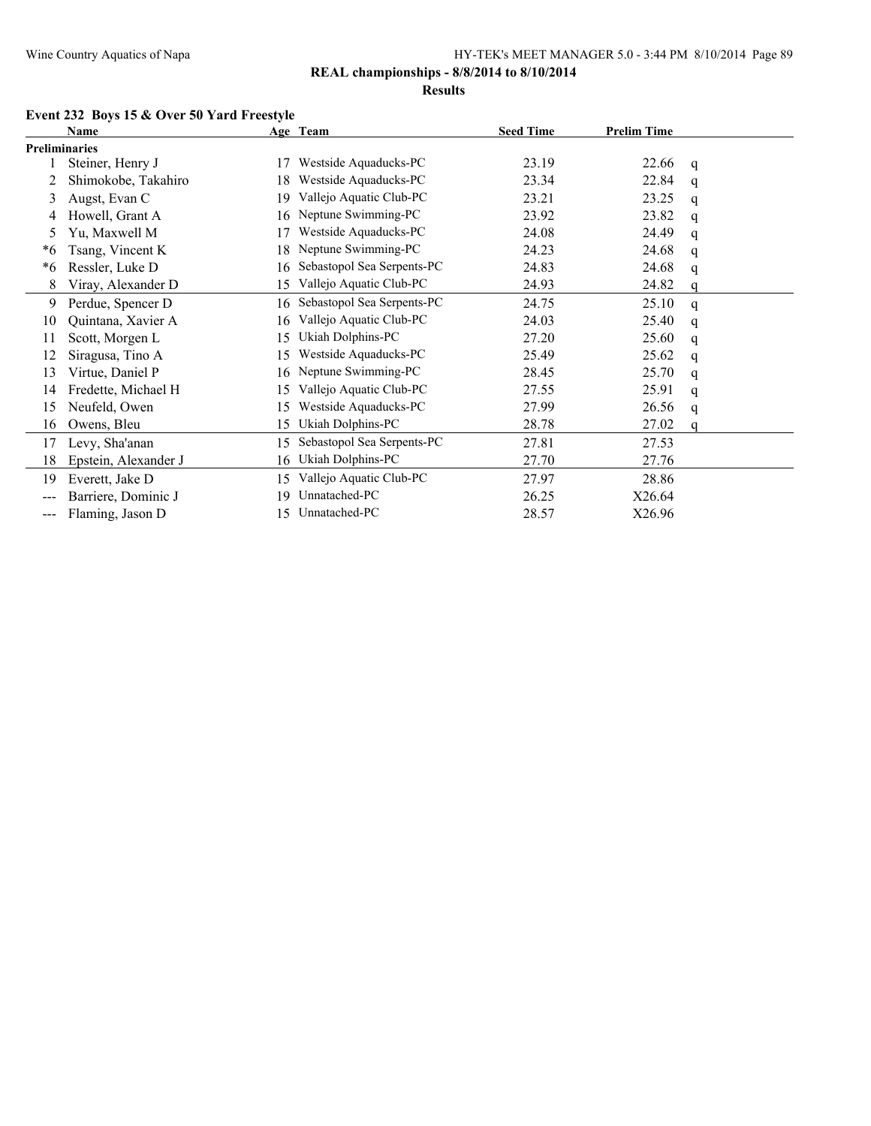#### **Results**

# **Event 232 Boys 15 & Over 50 Yard Freestyle**

|                      | Name                 |    | Age Team                   | <b>Seed Time</b> | <b>Prelim Time</b> |   |
|----------------------|----------------------|----|----------------------------|------------------|--------------------|---|
| <b>Preliminaries</b> |                      |    |                            |                  |                    |   |
|                      | Steiner, Henry J     | 17 | Westside Aquaducks-PC      | 23.19            | 22.66              | q |
|                      | Shimokobe, Takahiro  | 18 | Westside Aquaducks-PC      | 23.34            | 22.84              | q |
| 3                    | Augst, Evan C        | 19 | Vallejo Aquatic Club-PC    | 23.21            | 23.25              | q |
| 4                    | Howell, Grant A      | 16 | Neptune Swimming-PC        | 23.92            | 23.82              | q |
| 5                    | Yu, Maxwell M        |    | Westside Aquaducks-PC      | 24.08            | 24.49              | q |
| *6                   | Tsang, Vincent K     | 18 | Neptune Swimming-PC        | 24.23            | 24.68              | q |
| *6                   | Ressler, Luke D      | 16 | Sebastopol Sea Serpents-PC | 24.83            | 24.68              | q |
| 8                    | Viray, Alexander D   | 15 | Vallejo Aquatic Club-PC    | 24.93            | 24.82              | a |
| 9                    | Perdue, Spencer D    | 16 | Sebastopol Sea Serpents-PC | 24.75            | 25.10              | q |
| 10                   | Quintana, Xavier A   | 16 | Vallejo Aquatic Club-PC    | 24.03            | 25.40              | q |
| 11                   | Scott, Morgen L      | 15 | Ukiah Dolphins-PC          | 27.20            | 25.60              | q |
| 12                   | Siragusa, Tino A     | 15 | Westside Aquaducks-PC      | 25.49            | 25.62              | q |
| 13                   | Virtue, Daniel P     | 16 | Neptune Swimming-PC        | 28.45            | 25.70              | q |
| 14                   | Fredette, Michael H  | 15 | Vallejo Aquatic Club-PC    | 27.55            | 25.91              | q |
| 15                   | Neufeld, Owen        | 15 | Westside Aquaducks-PC      | 27.99            | 26.56              | q |
| 16                   | Owens, Bleu          | 15 | Ukiah Dolphins-PC          | 28.78            | 27.02              | a |
| 17                   | Levy, Sha'anan       | 15 | Sebastopol Sea Serpents-PC | 27.81            | 27.53              |   |
| 18                   | Epstein, Alexander J | 16 | Ukiah Dolphins-PC          | 27.70            | 27.76              |   |
| 19                   | Everett, Jake D      | 15 | Vallejo Aquatic Club-PC    | 27.97            | 28.86              |   |
| ---                  | Barriere, Dominic J  | 19 | Unnatached-PC              | 26.25            | X26.64             |   |
| ---                  | Flaming, Jason D     | 15 | Unnatached-PC              | 28.57            | X26.96             |   |
|                      |                      |    |                            |                  |                    |   |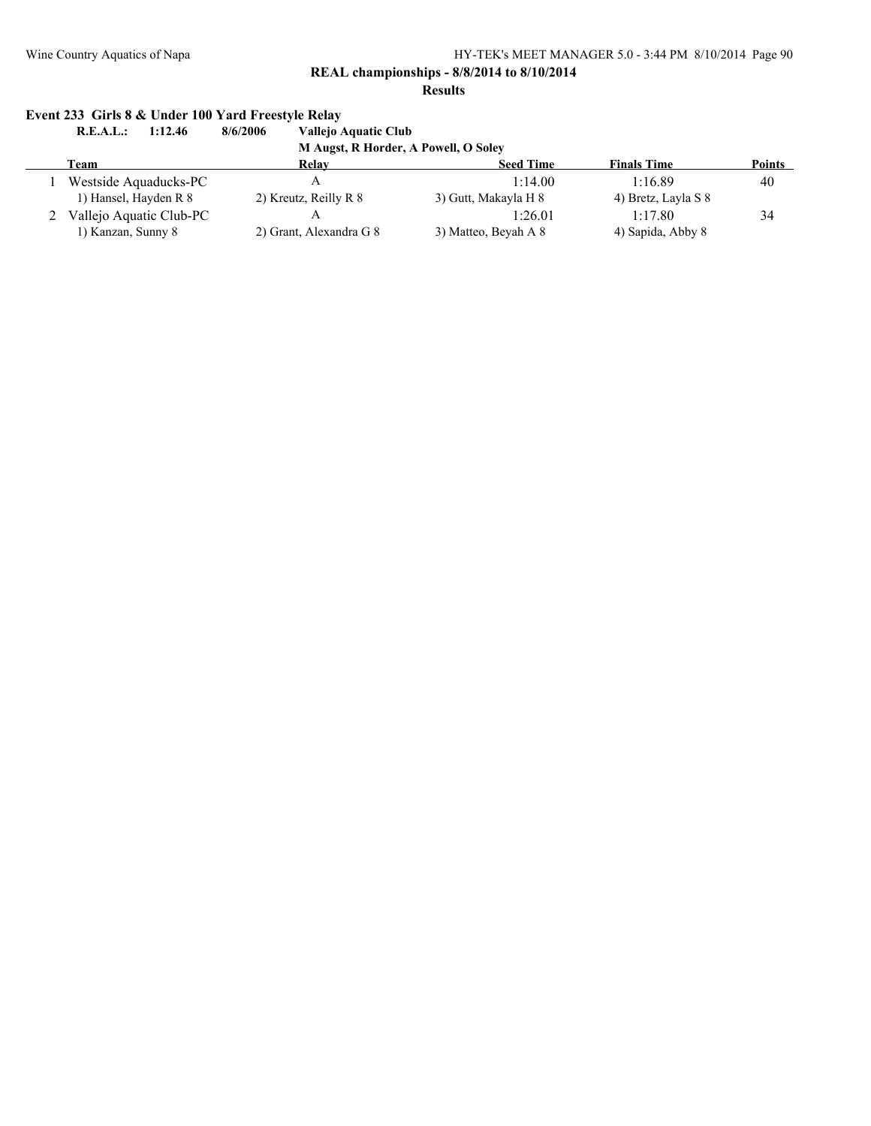**REAL championships - 8/8/2014 to 8/10/2014**

**Results**

# **Event 233 Girls 8 & Under 100 Yard Freestyle Relay**

**R.E.A.L.: 1:12.46 8/6/2006 Vallejo Aquatic Club**

**M Augst, R Horder, A Powell, O Soley**

| Team                    | Relay                   | <b>Seed Time</b>     | <b>Finals Time</b>  | <b>Points</b> |
|-------------------------|-------------------------|----------------------|---------------------|---------------|
| Westside Aquaducks-PC   |                         | 1:14.00              | 1:16.89             | 40            |
| 1) Hansel, Hayden R 8   | 2) Kreutz, Reilly R 8   | 3) Gutt, Makayla H 8 | 4) Bretz, Layla S 8 |               |
| Vallejo Aquatic Club-PC |                         | 1:26.01              | 1.1780              | 34            |
| 1) Kanzan, Sunny 8      | 2) Grant, Alexandra G 8 | 3) Matteo, Beyah A 8 | 4) Sapida, Abby 8   |               |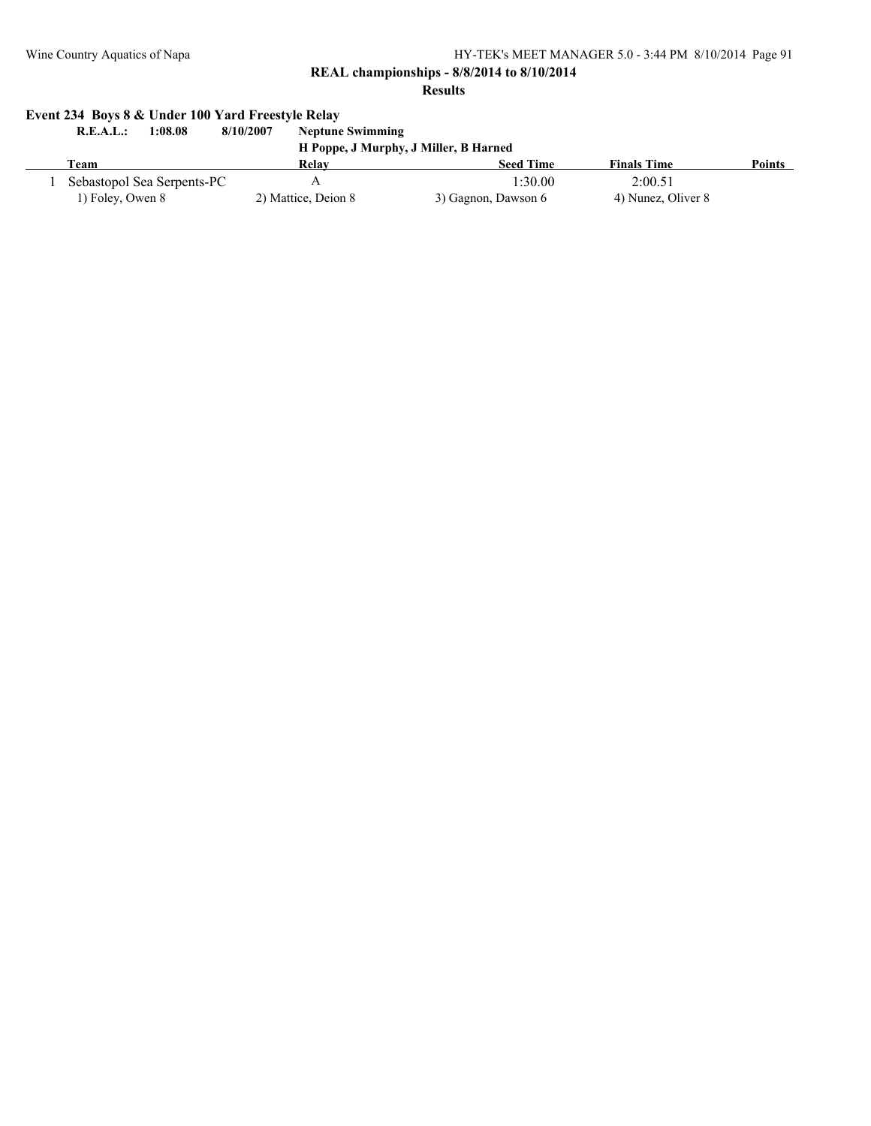**REAL championships - 8/8/2014 to 8/10/2014**

**Results**

# **Event 234 Boys 8 & Under 100 Yard Freestyle Relay**

| 1:08.08<br>R.E.A.L.:       | 8/10/2007<br><b>Neptune Swimming</b> |                                       |                    |        |
|----------------------------|--------------------------------------|---------------------------------------|--------------------|--------|
|                            |                                      | H Poppe, J Murphy, J Miller, B Harned |                    |        |
| Team                       | Relay                                | <b>Seed Time</b>                      | <b>Finals Time</b> | Points |
| Sebastopol Sea Serpents-PC |                                      | 1:30.00                               | 2:00.51            |        |
| 1) Foley, Owen 8           | 2) Mattice, Deion 8                  | 3) Gagnon, Dawson 6                   | 4) Nunez, Oliver 8 |        |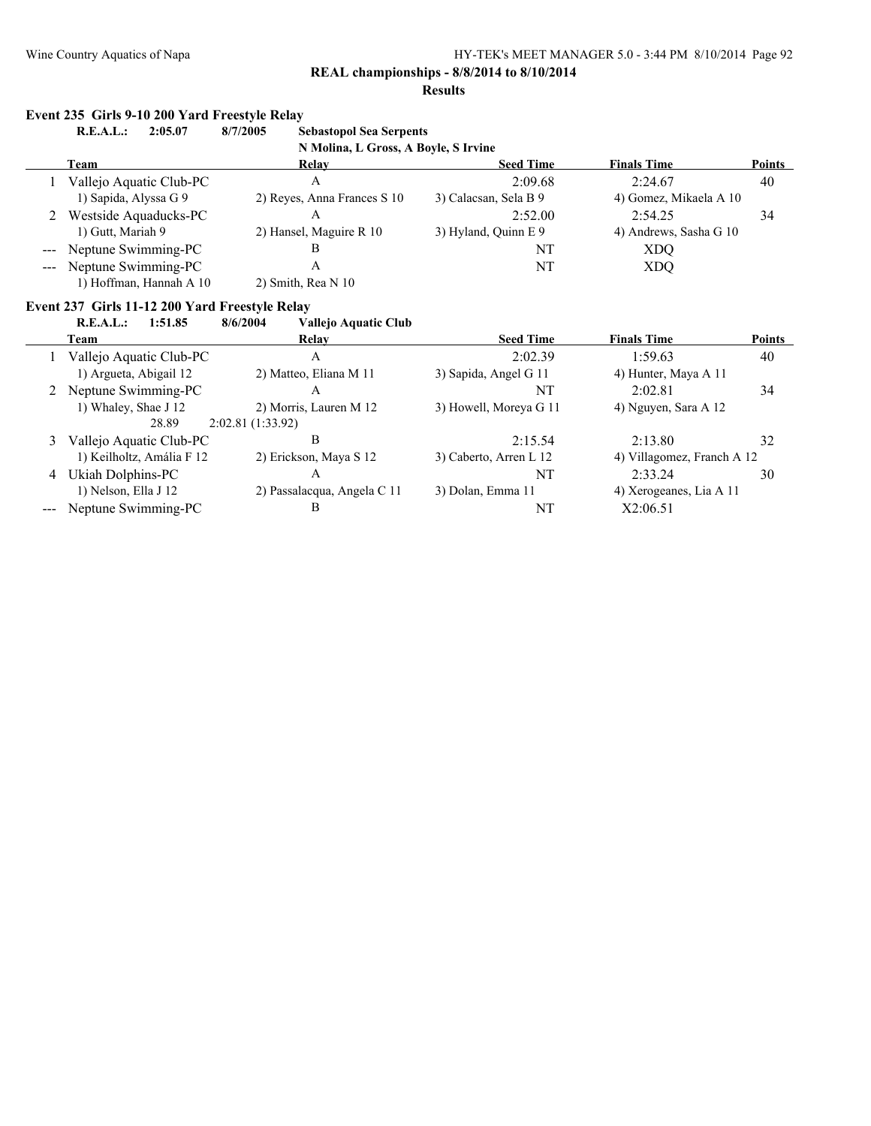#### **Results**

#### **Event 235 Girls 9-10 200 Yard Freestyle Relay**

| R.E.A.L.:<br>2:05.07    | 8/7/2005<br><b>Sebastopol Sea Serpents</b> |                       |                        |               |
|-------------------------|--------------------------------------------|-----------------------|------------------------|---------------|
|                         | N Molina, L Gross, A Boyle, S Irvine       |                       |                        |               |
| Team                    | Relay                                      | <b>Seed Time</b>      | <b>Finals Time</b>     | <b>Points</b> |
| Vallejo Aquatic Club-PC | А                                          | 2:09.68               | 2:24.67                | 40            |
| 1) Sapida, Alyssa G 9   | 2) Reyes, Anna Frances S 10                | 3) Calacsan, Sela B 9 | 4) Gomez, Mikaela A 10 |               |
| Westside Aquaducks-PC   | Α                                          | 2:52.00               | 2.5425                 | 34            |
| 1) Gutt, Mariah 9       | 2) Hansel, Maguire R 10                    | 3) Hyland, Quinn E 9  | 4) Andrews, Sasha G 10 |               |
| --- Neptune Swimming-PC | В                                          | NT                    | XDO                    |               |
| --- Neptune Swimming-PC | А                                          | NT                    | XDO                    |               |
| 1) Hoffman, Hannah A 10 | 2) Smith, Rea $N$ 10                       |                       |                        |               |

### **Event 237 Girls 11-12 200 Yard Freestyle Relay**

**R.E.A.L.: 1:51.85 8/6/2004 Vallejo Aquatic Club**

|   | Team                      | Relay                       | <b>Seed Time</b>       | <b>Finals Time</b>         | <b>Points</b> |
|---|---------------------------|-----------------------------|------------------------|----------------------------|---------------|
|   | Vallejo Aquatic Club-PC   | А                           | 2:02.39                | 1:59.63                    | 40            |
|   | 1) Argueta, Abigail 12    | 2) Matteo, Eliana M 11      | 3) Sapida, Angel G 11  | 4) Hunter, Maya A 11       |               |
|   | Neptune Swimming-PC       | А                           | NT                     | 2.0281                     | 34            |
|   | 1) Whaley, Shae J 12      | 2) Morris, Lauren M 12      | 3) Howell, Moreya G 11 | 4) Nguyen, Sara A 12       |               |
|   | 28.89                     | 2:02.81(1:33.92)            |                        |                            |               |
| 3 | Vallejo Aquatic Club-PC   | в                           | 2:15.54                | 2:13.80                    | 32            |
|   | 1) Keilholtz, Amália F 12 | 2) Erickson, Maya S 12      | 3) Caberto, Arren L 12 | 4) Villagomez, Franch A 12 |               |
| 4 | Ukiah Dolphins-PC         | A                           | NT                     | 2.3324                     | 30            |
|   | 1) Nelson, Ella J 12      | 2) Passalacqua, Angela C 11 | 3) Dolan, Emma 11      | 4) Xerogeanes, Lia A 11    |               |
|   | Neptune Swimming-PC       | B                           | NT                     | X2:06.51                   |               |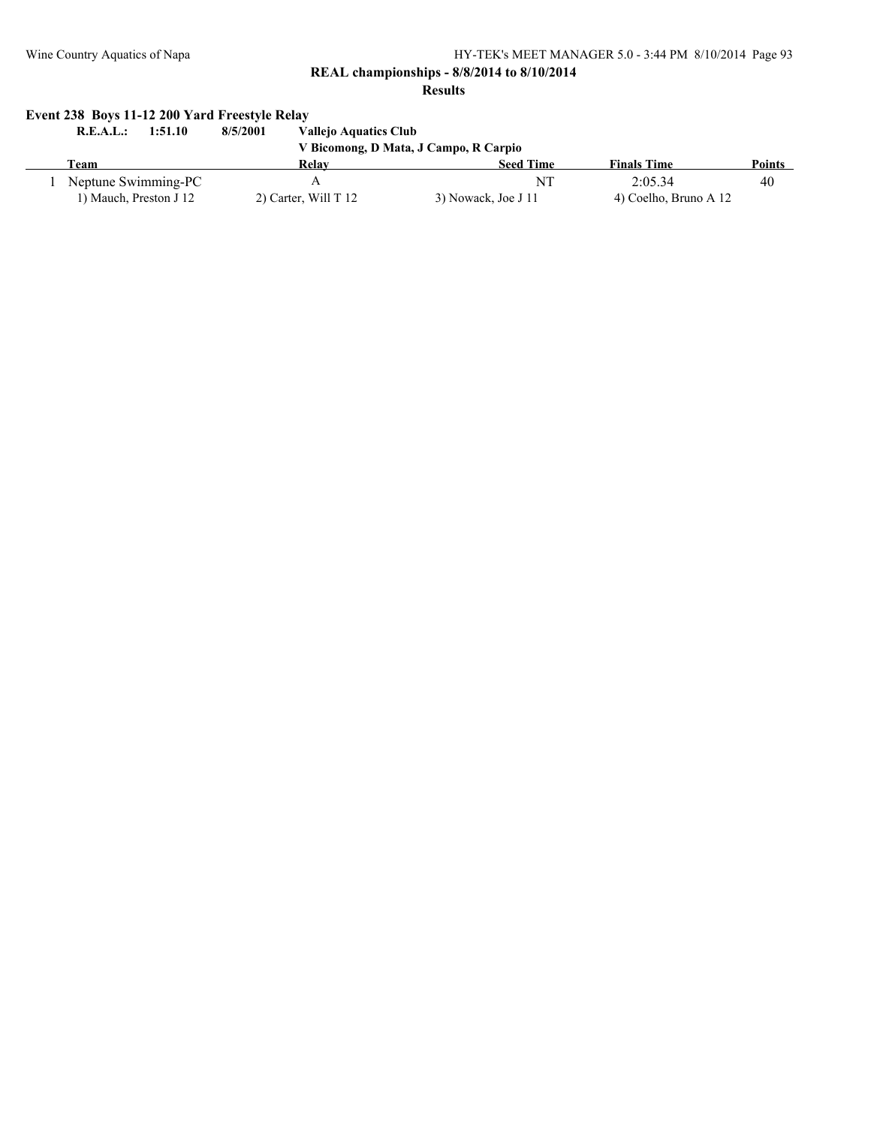# **REAL championships - 8/8/2014 to 8/10/2014**

#### **Results**

# **Event 238 Boys 11-12 200 Yard Freestyle Relay**

| R.E.A.I<br>1:51.10     | 8/5/2001<br><b>Vallejo Aquatics Club</b> |                                       |                       |               |
|------------------------|------------------------------------------|---------------------------------------|-----------------------|---------------|
|                        |                                          | V Bicomong, D Mata, J Campo, R Carpio |                       |               |
| Team                   | Relay                                    | <b>Seed Time</b>                      | <b>Finals Time</b>    | <b>Points</b> |
| Neptune Swimming-PC    | A                                        | NT                                    | 2.0534                | 40            |
| 1) Mauch, Preston J 12 | 2) Carter, Will $T$ 12                   | 3) Nowack, Joe J 11                   | 4) Coelho, Bruno A 12 |               |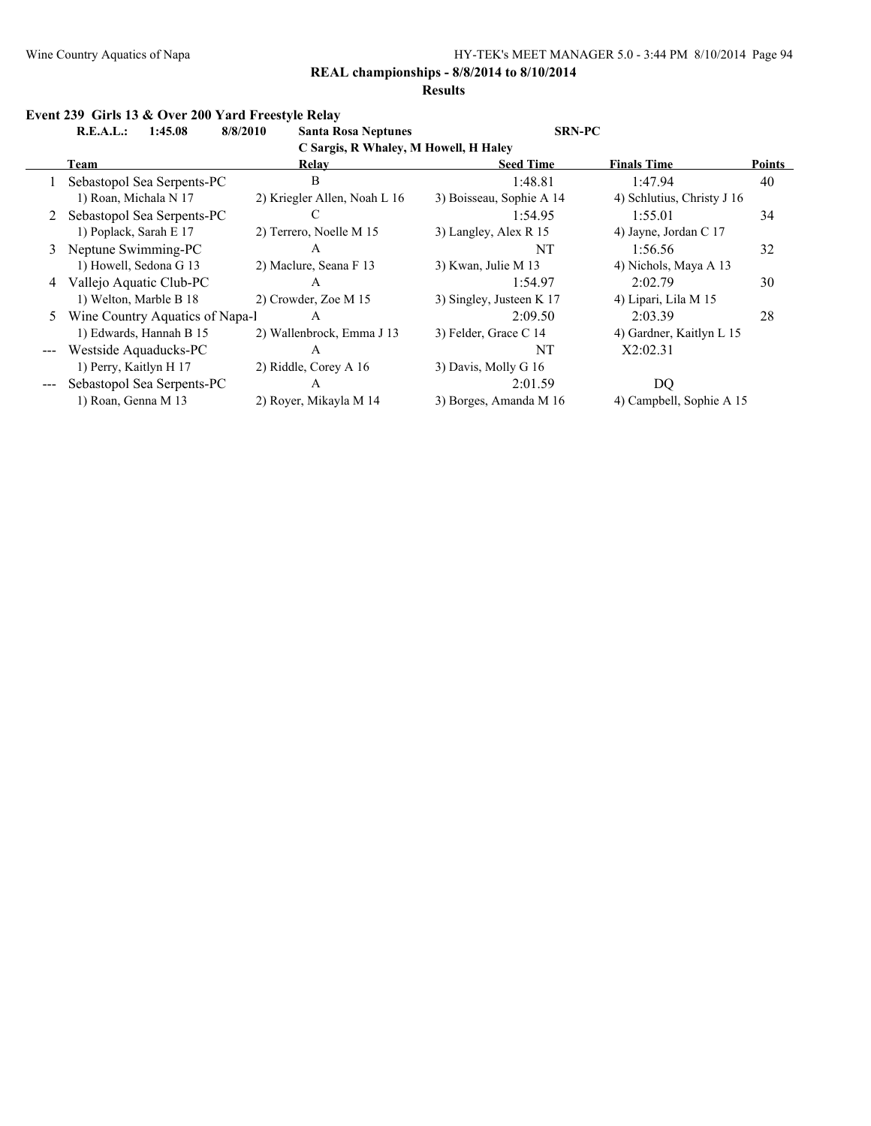#### **Results**

# **Event 239 Girls 13 & Over 200 Yard Freestyle Relay**

**R.E.A.L.: 1:45.08 8/8/2010 Santa Rosa Neptunes SRN-PC**

**C Sargis, R Whaley, M Howell, H Haley**

|   | C Sal gis, iv whaley, by Howell, H Haley |                              |                          |                            |               |  |  |
|---|------------------------------------------|------------------------------|--------------------------|----------------------------|---------------|--|--|
|   | Team                                     | Relay                        | <b>Seed Time</b>         | <b>Finals Time</b>         | <b>Points</b> |  |  |
|   | Sebastopol Sea Serpents-PC               | B                            | 1:48.81                  | 1:47.94                    | 40            |  |  |
|   | 1) Roan, Michala N 17                    | 2) Kriegler Allen, Noah L 16 | 3) Boisseau, Sophie A 14 | 4) Schlutius, Christy J 16 |               |  |  |
|   | 2 Sebastopol Sea Serpents-PC             |                              | 1:54.95                  | 1:55.01                    | 34            |  |  |
|   | 1) Poplack, Sarah E 17                   | 2) Terrero, Noelle M 15      | 3) Langley, Alex R 15    | 4) Jayne, Jordan C 17      |               |  |  |
|   | 3 Neptune Swimming-PC                    | A                            | NT                       | 1:56.56                    | 32            |  |  |
|   | 1) Howell, Sedona G 13                   | 2) Maclure, Seana F 13       | 3) Kwan, Julie M 13      | 4) Nichols, Maya A 13      |               |  |  |
| 4 | Vallejo Aquatic Club-PC                  | A                            | 1:54.97                  | 2:02.79                    | 30            |  |  |
|   | 1) Welton, Marble B 18                   | 2) Crowder, Zoe M 15         | 3) Singley, Justeen K 17 | 4) Lipari, Lila M 15       |               |  |  |
| 5 | Wine Country Aquatics of Napa-1          | A                            | 2:09.50                  | 2:03.39                    | 28            |  |  |
|   | 1) Edwards, Hannah B 15                  | 2) Wallenbrock, Emma J 13    | 3) Felder, Grace C 14    | 4) Gardner, Kaitlyn L 15   |               |  |  |
|   | Westside Aquaducks-PC                    | A                            | NT                       | X2:02.31                   |               |  |  |
|   | 1) Perry, Kaitlyn H 17                   | 2) Riddle, Corey A 16        | 3) Davis, Molly G 16     |                            |               |  |  |
|   | Sebastopol Sea Serpents-PC               | A                            | 2:01.59                  | DQ                         |               |  |  |
|   | 1) Roan, Genna M 13                      | 2) Royer, Mikayla M 14       | 3) Borges, Amanda M 16   | 4) Campbell, Sophie A 15   |               |  |  |